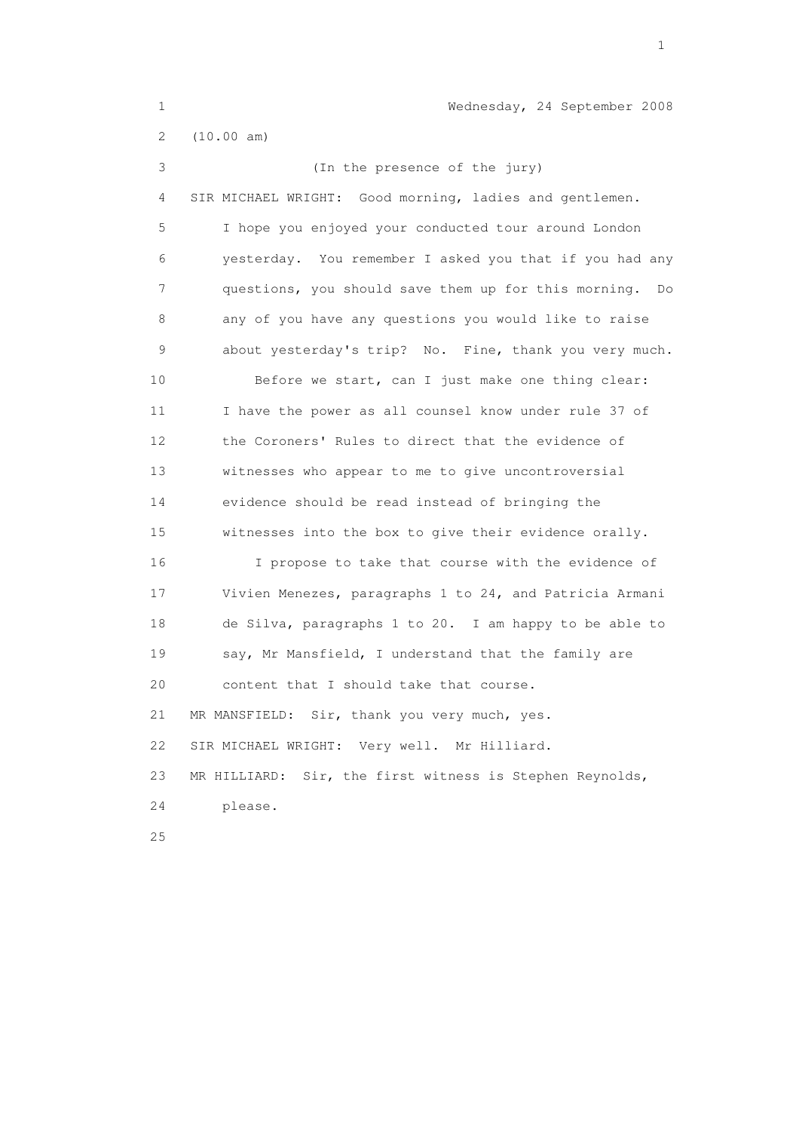1 Wednesday, 24 September 2008 2 (10.00 am) 3 (In the presence of the jury) 4 SIR MICHAEL WRIGHT: Good morning, ladies and gentlemen. 5 I hope you enjoyed your conducted tour around London 6 yesterday. You remember I asked you that if you had any 7 questions, you should save them up for this morning. Do 8 any of you have any questions you would like to raise 9 about yesterday's trip? No. Fine, thank you very much. 10 Before we start, can I just make one thing clear: 11 I have the power as all counsel know under rule 37 of 12 the Coroners' Rules to direct that the evidence of 13 witnesses who appear to me to give uncontroversial 14 evidence should be read instead of bringing the 15 witnesses into the box to give their evidence orally. 16 I propose to take that course with the evidence of 17 Vivien Menezes, paragraphs 1 to 24, and Patricia Armani 18 de Silva, paragraphs 1 to 20. I am happy to be able to 19 say, Mr Mansfield, I understand that the family are 20 content that I should take that course. 21 MR MANSFIELD: Sir, thank you very much, yes. 22 SIR MICHAEL WRIGHT: Very well. Mr Hilliard. 23 MR HILLIARD: Sir, the first witness is Stephen Reynolds, 24 please. 25

the contract of the contract of the contract of the contract of the contract of the contract of the contract of the contract of the contract of the contract of the contract of the contract of the contract of the contract o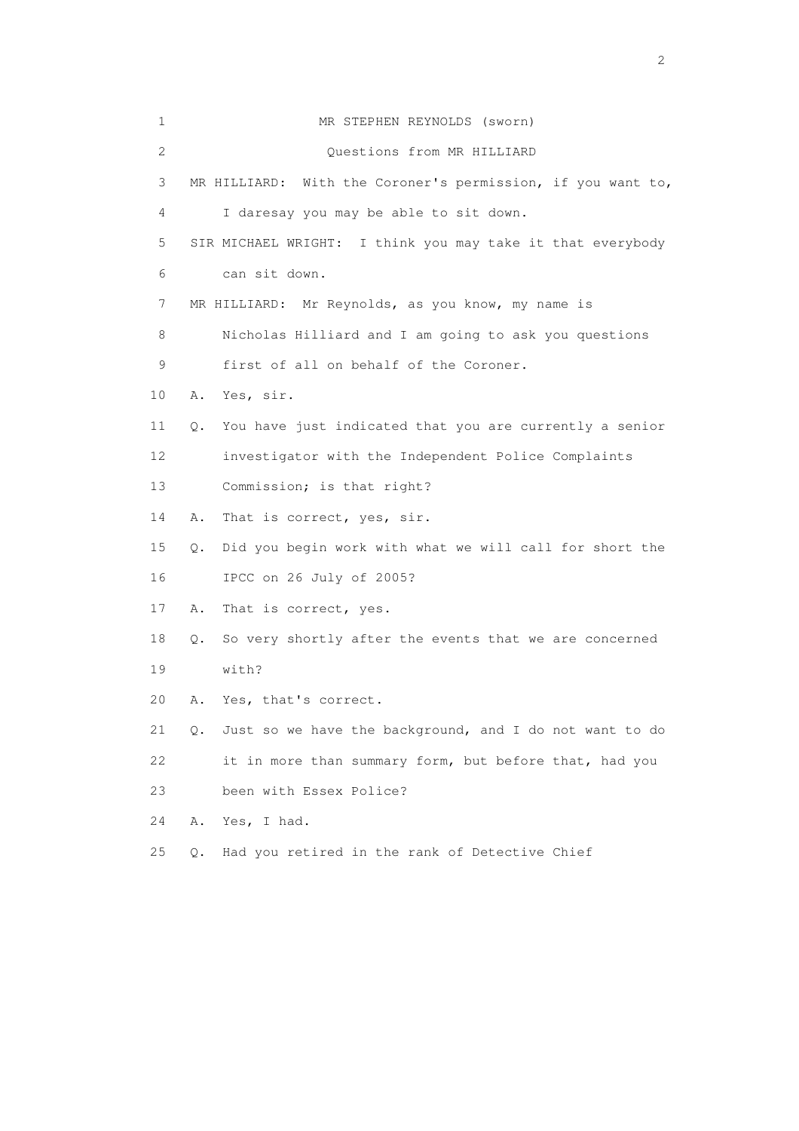| 1              | MR STEPHEN REYNOLDS (sworn)                                   |
|----------------|---------------------------------------------------------------|
| $\overline{2}$ | Questions from MR HILLIARD                                    |
| 3              | MR HILLIARD: With the Coroner's permission, if you want to,   |
| 4              | I daresay you may be able to sit down.                        |
| 5              | SIR MICHAEL WRIGHT: I think you may take it that everybody    |
| 6              | can sit down.                                                 |
| 7              | MR HILLIARD: Mr Reynolds, as you know, my name is             |
| 8              | Nicholas Hilliard and I am going to ask you questions         |
| 9              | first of all on behalf of the Coroner.                        |
| 10             | Yes, sir.<br>Α.                                               |
| 11             | You have just indicated that you are currently a senior<br>Q. |
| 12             | investigator with the Independent Police Complaints           |
| 13             | Commission; is that right?                                    |
| 14             | That is correct, yes, sir.<br>Α.                              |
| 15             | Did you begin work with what we will call for short the<br>О. |
| 16             | IPCC on 26 July of 2005?                                      |
| 17             | Α.<br>That is correct, yes.                                   |
| 18             | So very shortly after the events that we are concerned<br>Q.  |
| 19             | with?                                                         |
| 20             | Yes, that's correct.<br>Α.                                    |
| 21             | Just so we have the background, and I do not want to do<br>Q. |
| 22             | it in more than summary form, but before that, had you        |
| 23             | been with Essex Police?                                       |
| 24             | Α.<br>Yes, I had.                                             |
| 25             | Had you retired in the rank of Detective Chief<br>$Q$ .       |

 $\overline{2}$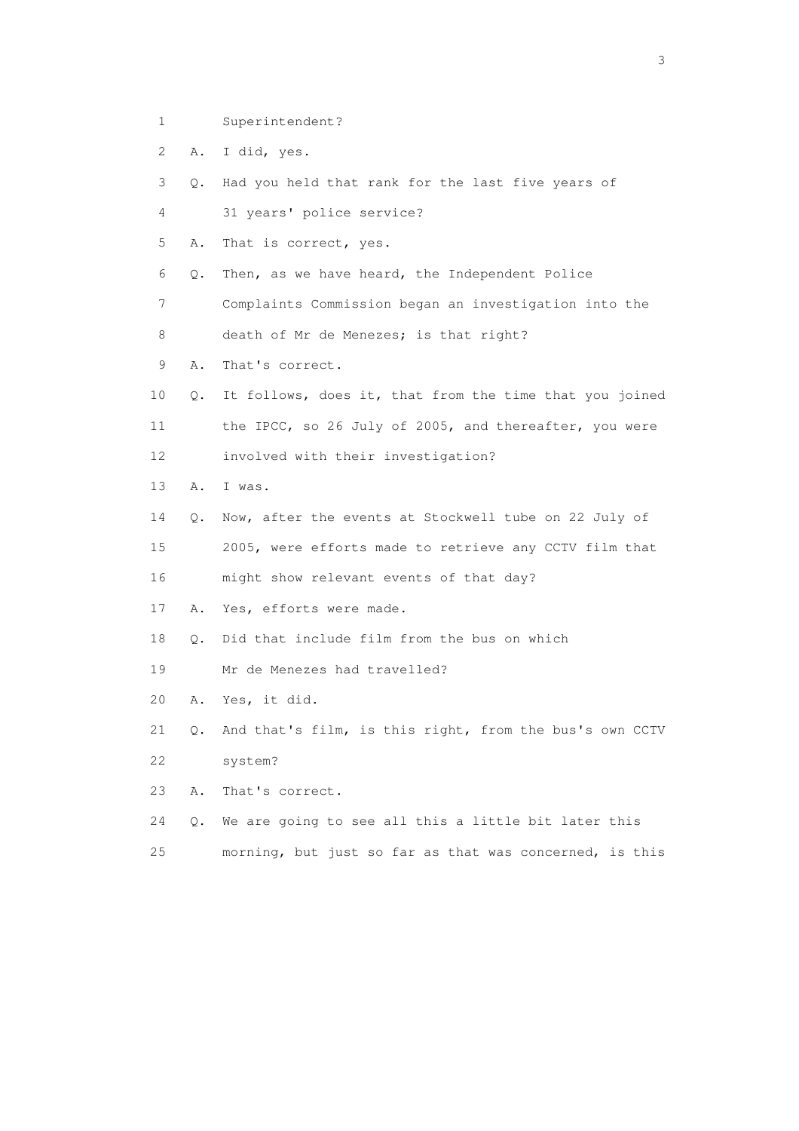- 1 Superintendent?
- 2 A. I did, yes.
- 3 Q. Had you held that rank for the last five years of
- 4 31 years' police service?
- 5 A. That is correct, yes.
- 6 Q. Then, as we have heard, the Independent Police
- 7 Complaints Commission began an investigation into the
- 8 death of Mr de Menezes; is that right?
- 9 A. That's correct.
- 10 Q. It follows, does it, that from the time that you joined 11 the IPCC, so 26 July of 2005, and thereafter, you were 12 involved with their investigation?
- 13 A. I was.
- 14 Q. Now, after the events at Stockwell tube on 22 July of
- 15 2005, were efforts made to retrieve any CCTV film that 16 might show relevant events of that day?
- 17 A. Yes, efforts were made.
- 18 Q. Did that include film from the bus on which
- 19 Mr de Menezes had travelled?
- 20 A. Yes, it did.
- 21 Q. And that's film, is this right, from the bus's own CCTV 22 system?
- 23 A. That's correct.
- 24 Q. We are going to see all this a little bit later this
- 25 morning, but just so far as that was concerned, is this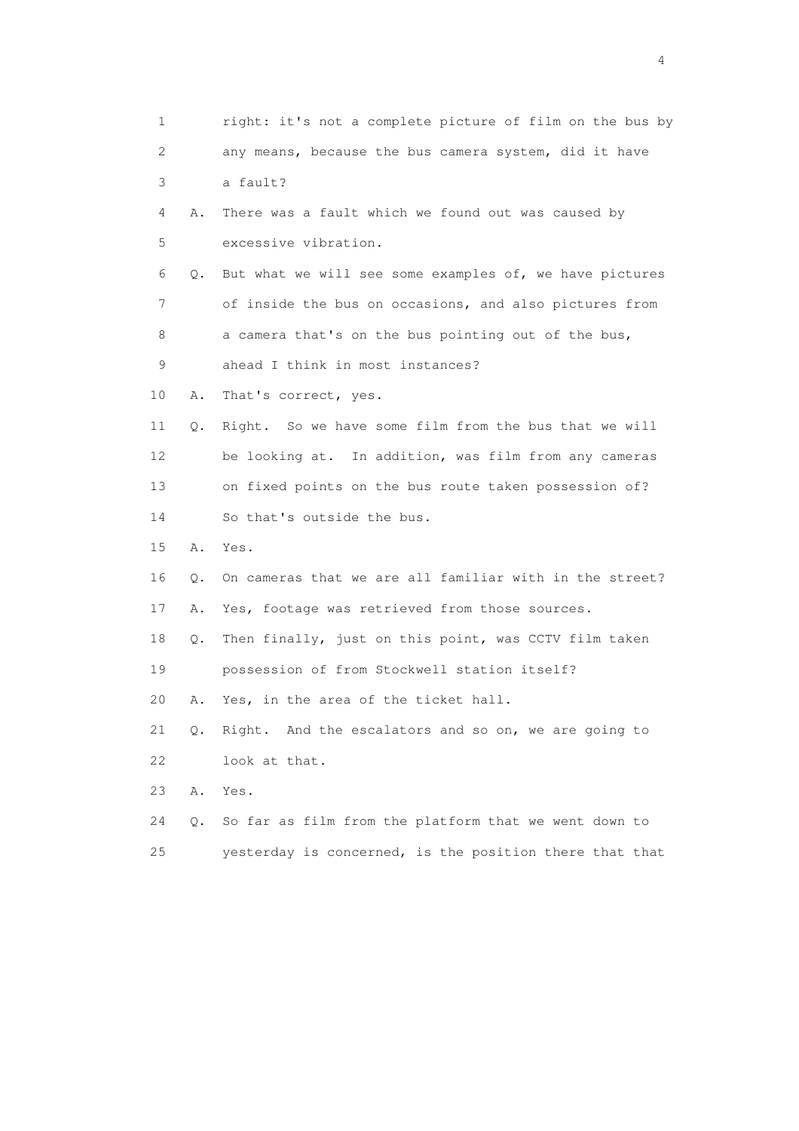1 right: it's not a complete picture of film on the bus by 2 any means, because the bus camera system, did it have 3 a fault? 4 A. There was a fault which we found out was caused by 5 excessive vibration. 6 Q. But what we will see some examples of, we have pictures 7 of inside the bus on occasions, and also pictures from 8 a camera that's on the bus pointing out of the bus, 9 ahead I think in most instances? 10 A. That's correct, yes. 11 Q. Right. So we have some film from the bus that we will 12 be looking at. In addition, was film from any cameras 13 on fixed points on the bus route taken possession of? 14 So that's outside the bus. 15 A. Yes. 16 Q. On cameras that we are all familiar with in the street? 17 A. Yes, footage was retrieved from those sources. 18 Q. Then finally, just on this point, was CCTV film taken 19 possession of from Stockwell station itself? 20 A. Yes, in the area of the ticket hall. 21 Q. Right. And the escalators and so on, we are going to 22 look at that. 23 A. Yes. 24 Q. So far as film from the platform that we went down to 25 yesterday is concerned, is the position there that that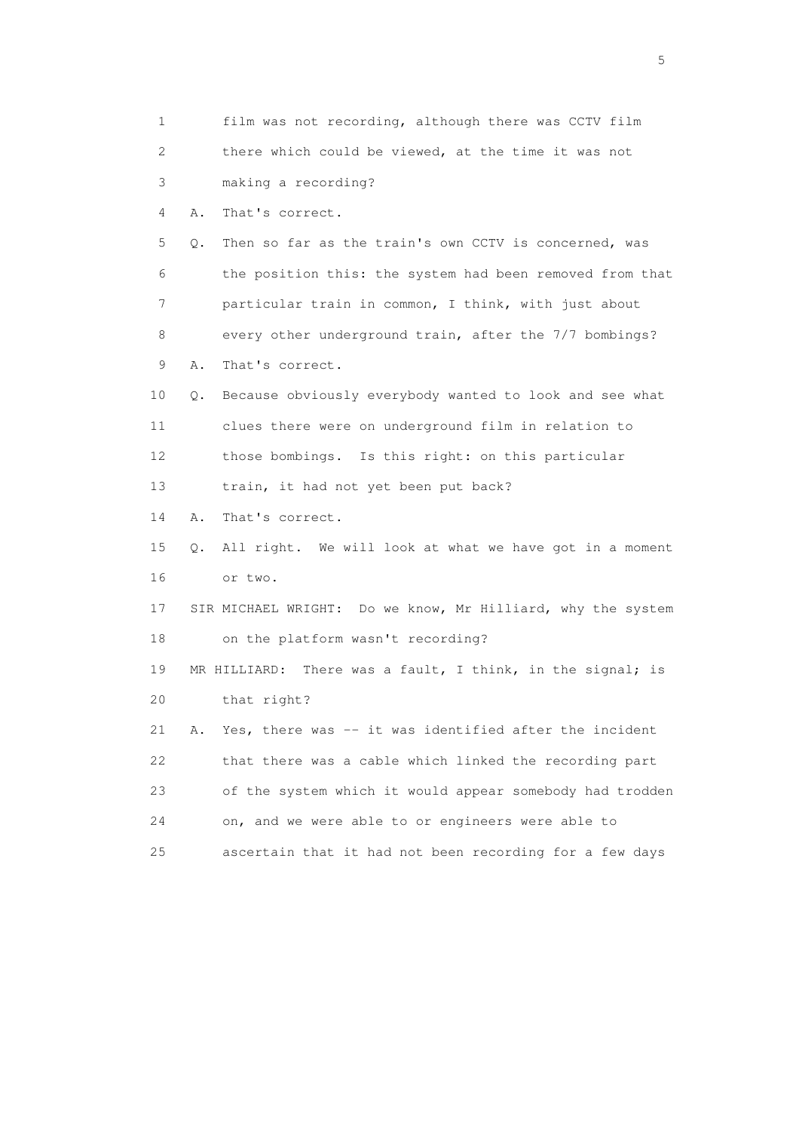1 film was not recording, although there was CCTV film 2 there which could be viewed, at the time it was not 3 making a recording? 4 A. That's correct. 5 Q. Then so far as the train's own CCTV is concerned, was 6 the position this: the system had been removed from that 7 particular train in common, I think, with just about 8 every other underground train, after the 7/7 bombings? 9 A. That's correct. 10 Q. Because obviously everybody wanted to look and see what 11 clues there were on underground film in relation to 12 those bombings. Is this right: on this particular 13 train, it had not yet been put back? 14 A. That's correct. 15 Q. All right. We will look at what we have got in a moment 16 or two. 17 SIR MICHAEL WRIGHT: Do we know, Mr Hilliard, why the system 18 on the platform wasn't recording? 19 MR HILLIARD: There was a fault, I think, in the signal; is 20 that right? 21 A. Yes, there was -- it was identified after the incident 22 that there was a cable which linked the recording part 23 of the system which it would appear somebody had trodden 24 on, and we were able to or engineers were able to 25 ascertain that it had not been recording for a few days

 $\sim$  5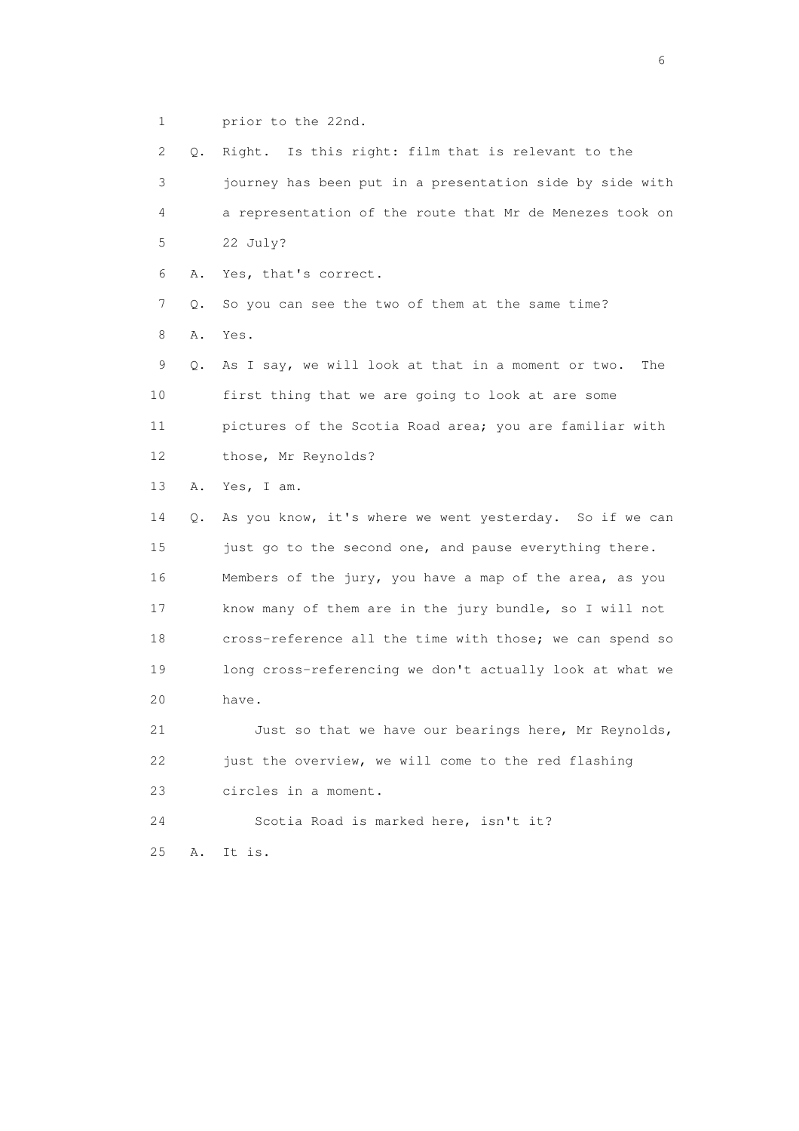1 prior to the 22nd.

 2 Q. Right. Is this right: film that is relevant to the 3 journey has been put in a presentation side by side with 4 a representation of the route that Mr de Menezes took on 5 22 July? 6 A. Yes, that's correct. 7 Q. So you can see the two of them at the same time? 8 A. Yes. 9 Q. As I say, we will look at that in a moment or two. The 10 first thing that we are going to look at are some 11 pictures of the Scotia Road area; you are familiar with 12 those, Mr Reynolds? 13 A. Yes, I am. 14 Q. As you know, it's where we went yesterday. So if we can 15 just go to the second one, and pause everything there. 16 Members of the jury, you have a map of the area, as you 17 know many of them are in the jury bundle, so I will not 18 cross-reference all the time with those; we can spend so 19 long cross-referencing we don't actually look at what we 20 have. 21 Just so that we have our bearings here, Mr Reynolds, 22 just the overview, we will come to the red flashing 23 circles in a moment. 24 Scotia Road is marked here, isn't it? 25 A. It is.

 $\sim$  6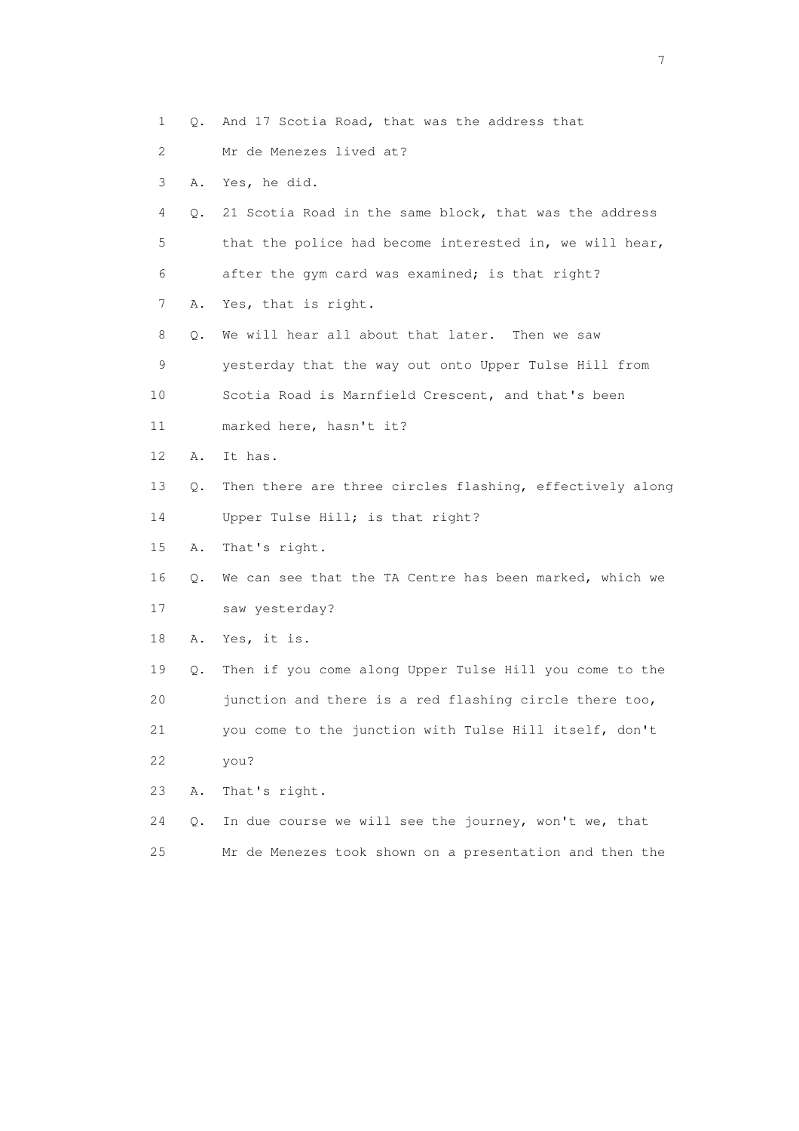- 1 Q. And 17 Scotia Road, that was the address that
- 2 Mr de Menezes lived at?
- 3 A. Yes, he did.
- 4 Q. 21 Scotia Road in the same block, that was the address 5 that the police had become interested in, we will hear, 6 after the gym card was examined; is that right?
- 7 A. Yes, that is right.
- 8 Q. We will hear all about that later. Then we saw 9 yesterday that the way out onto Upper Tulse Hill from 10 Scotia Road is Marnfield Crescent, and that's been
- 11 marked here, hasn't it?
- 12 A. It has.
- 13 Q. Then there are three circles flashing, effectively along
- 14 Upper Tulse Hill; is that right?
- 15 A. That's right.
- 16 Q. We can see that the TA Centre has been marked, which we 17 saw yesterday?
- 18 A. Yes, it is.
- 19 Q. Then if you come along Upper Tulse Hill you come to the 20 junction and there is a red flashing circle there too,
- 21 you come to the junction with Tulse Hill itself, don't 22 you?
- 23 A. That's right.
- 24 Q. In due course we will see the journey, won't we, that 25 Mr de Menezes took shown on a presentation and then the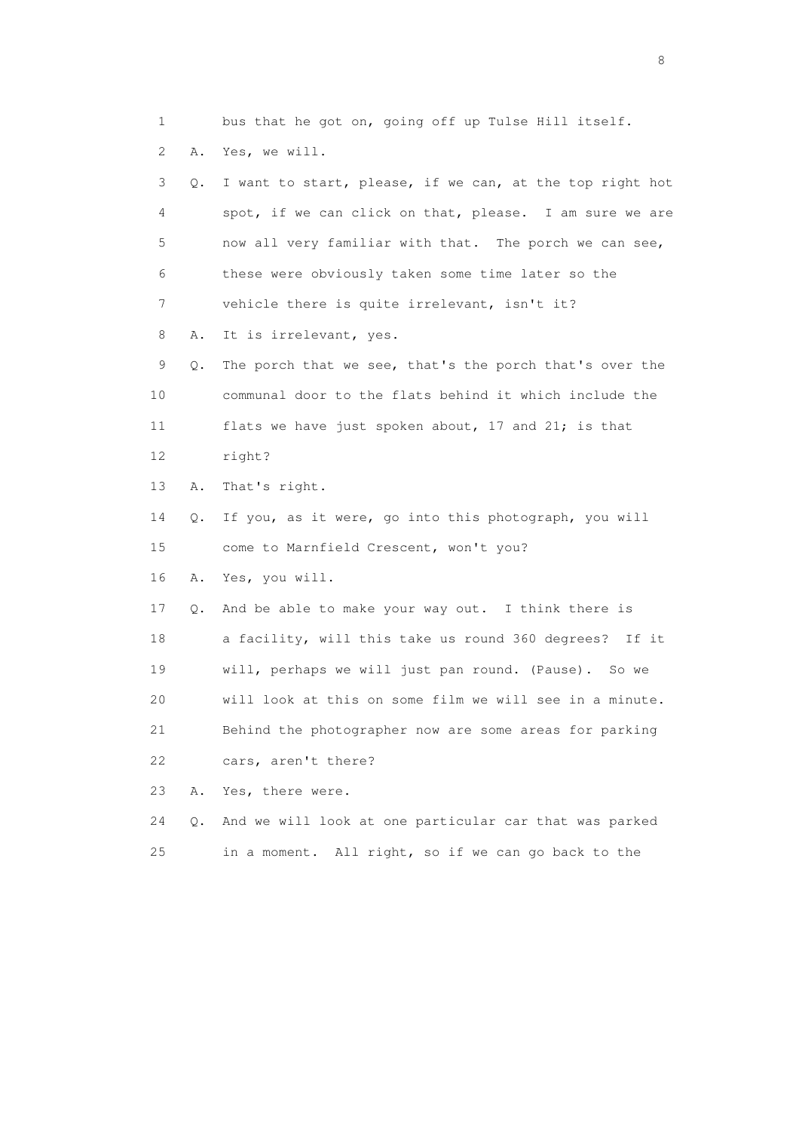1 bus that he got on, going off up Tulse Hill itself. 2 A. Yes, we will. 3 Q. I want to start, please, if we can, at the top right hot 4 spot, if we can click on that, please. I am sure we are 5 now all very familiar with that. The porch we can see, 6 these were obviously taken some time later so the 7 vehicle there is quite irrelevant, isn't it? 8 A. It is irrelevant, yes. 9 Q. The porch that we see, that's the porch that's over the 10 communal door to the flats behind it which include the 11 flats we have just spoken about, 17 and 21; is that 12 right? 13 A. That's right. 14 Q. If you, as it were, go into this photograph, you will 15 come to Marnfield Crescent, won't you? 16 A. Yes, you will. 17 Q. And be able to make your way out. I think there is 18 a facility, will this take us round 360 degrees? If it 19 will, perhaps we will just pan round. (Pause). So we 20 will look at this on some film we will see in a minute. 21 Behind the photographer now are some areas for parking 22 cars, aren't there? 23 A. Yes, there were. 24 Q. And we will look at one particular car that was parked

25 in a moment. All right, so if we can go back to the

en de la construction de la construction de la construction de la construction de la construction de la constr<br>En 1980, en 1980, en 1980, en 1980, en 1980, en 1980, en 1980, en 1980, en 1980, en 1980, en 1980, en 1980, en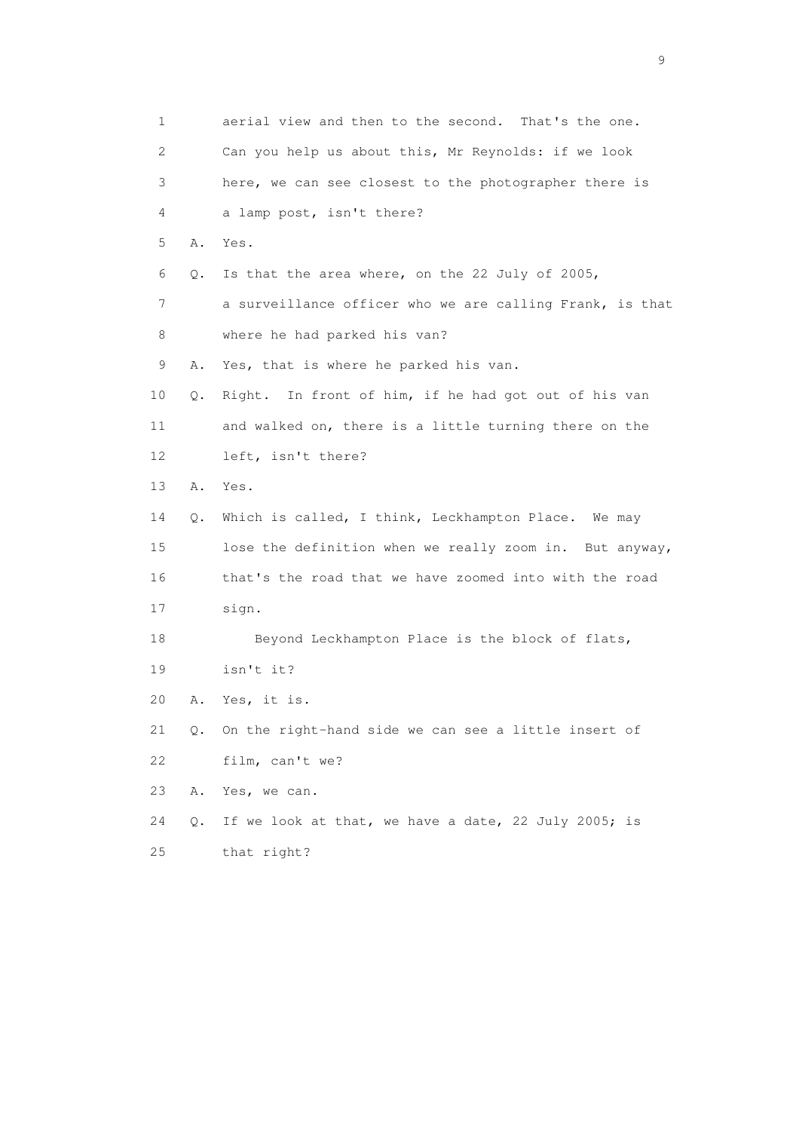| 1                         |    | aerial view and then to the second. That's the one.      |
|---------------------------|----|----------------------------------------------------------|
| $\mathbf{2}^{\mathsf{I}}$ |    | Can you help us about this, Mr Reynolds: if we look      |
| 3                         |    | here, we can see closest to the photographer there is    |
| 4                         |    | a lamp post, isn't there?                                |
| 5                         | Α. | Yes.                                                     |
| 6                         | Q. | Is that the area where, on the 22 July of 2005,          |
| 7                         |    | a surveillance officer who we are calling Frank, is that |
| 8                         |    | where he had parked his van?                             |
| 9                         | Α. | Yes, that is where he parked his van.                    |
| 10                        | Q. | In front of him, if he had got out of his van<br>Right.  |
| 11                        |    | and walked on, there is a little turning there on the    |
| 12 <sup>°</sup>           |    | left, isn't there?                                       |
| 13                        | Α. | Yes.                                                     |
| 14                        | Q. | Which is called, I think, Leckhampton Place. We may      |
| 15                        |    | lose the definition when we really zoom in. But anyway,  |
| 16                        |    | that's the road that we have zoomed into with the road   |
| 17                        |    | sign.                                                    |
| 18                        |    | Beyond Leckhampton Place is the block of flats,          |
| 19                        |    | isn't it?                                                |
| 20                        | Α. | Yes, it is.                                              |
| 21                        | Q. | On the right-hand side we can see a little insert of     |
| 22                        |    | film, can't we?                                          |
| 23                        | Α. | Yes, we can.                                             |
| 24                        | Q. | If we look at that, we have a date, 22 July 2005; is     |
| 25                        |    | that right?                                              |

en de la construction de la construction de la construction de la construction de la construction de la constr<br>1911 : la construction de la construction de la construction de la construction de la construction de la const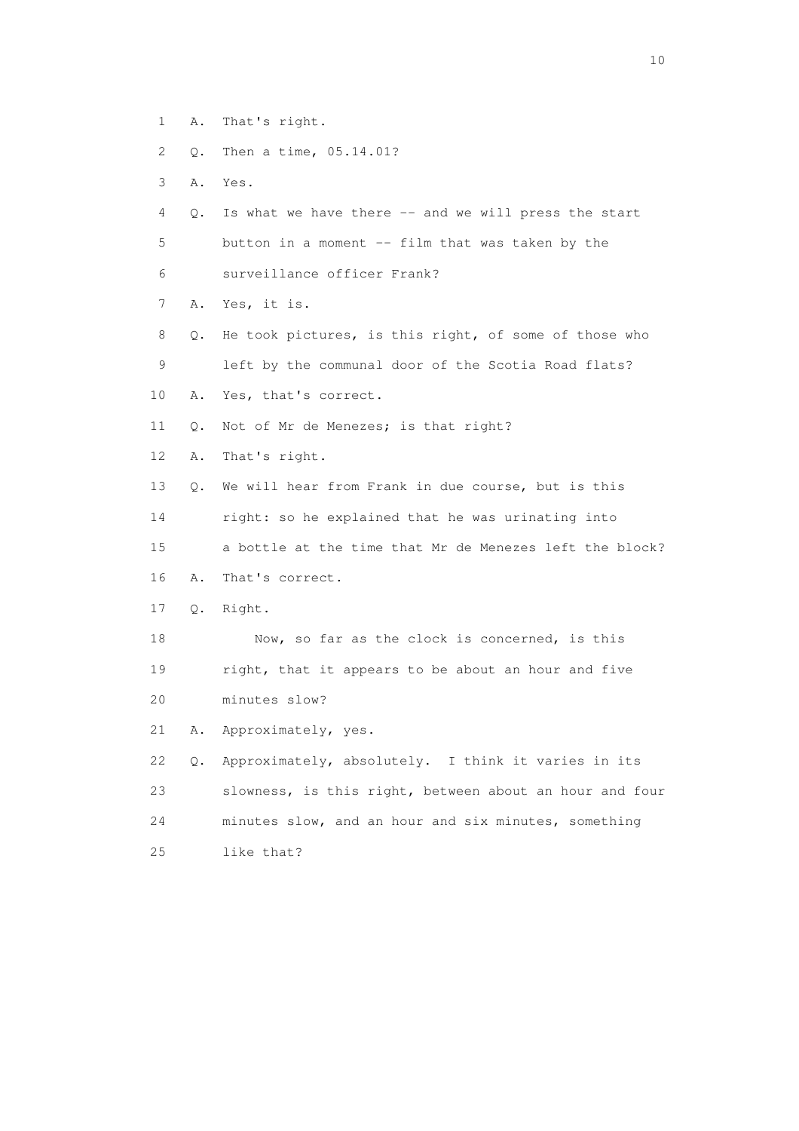- 1 A. That's right.
- 2 Q. Then a time, 05.14.01?
- 3 A. Yes.
- 4 Q. Is what we have there -- and we will press the start 5 button in a moment -- film that was taken by the
- 6 surveillance officer Frank?
- 7 A. Yes, it is.
- 8 Q. He took pictures, is this right, of some of those who 9 left by the communal door of the Scotia Road flats?
- 10 A. Yes, that's correct.
- 11 Q. Not of Mr de Menezes; is that right?
- 12 A. That's right.
- 13 Q. We will hear from Frank in due course, but is this
- 14 right: so he explained that he was urinating into
- 15 a bottle at the time that Mr de Menezes left the block?
- 16 A. That's correct.
- 17 Q. Right.
- 18 Now, so far as the clock is concerned, is this 19 right, that it appears to be about an hour and five 20 minutes slow?
- 21 A. Approximately, yes.
- 22 Q. Approximately, absolutely. I think it varies in its 23 slowness, is this right, between about an hour and four 24 minutes slow, and an hour and six minutes, something 25 like that?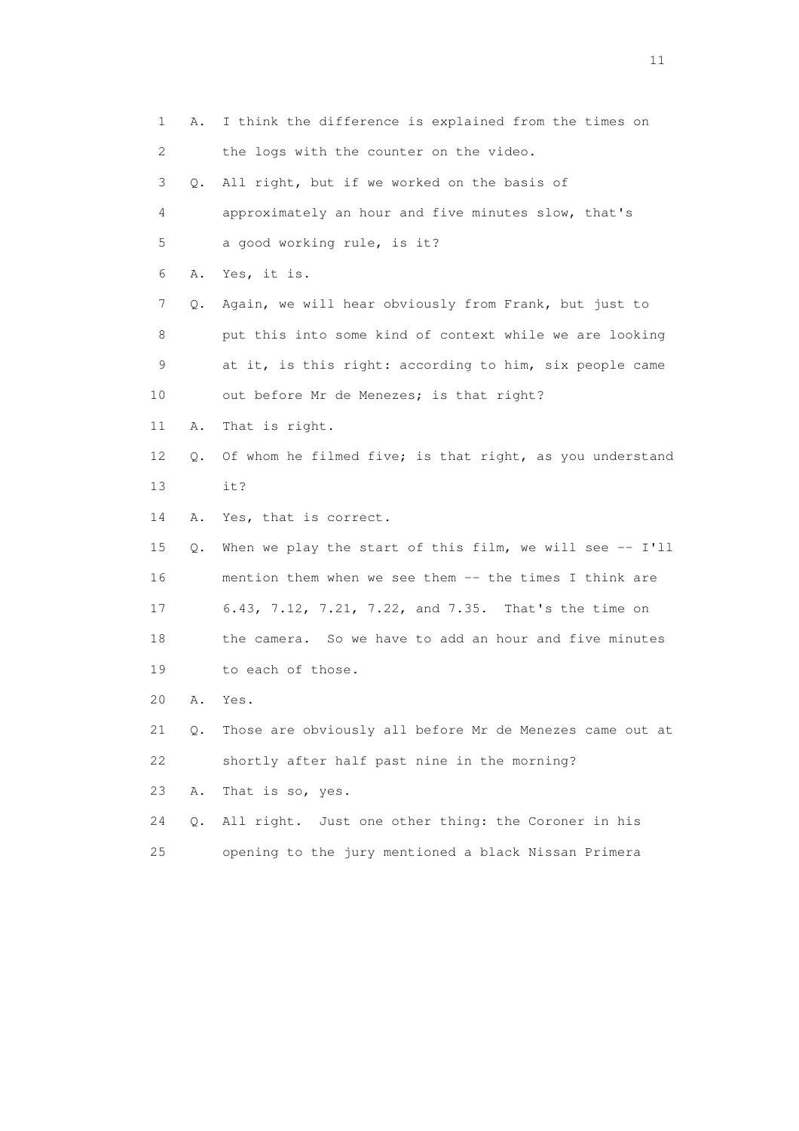1 A. I think the difference is explained from the times on 2 the logs with the counter on the video. 3 Q. All right, but if we worked on the basis of 4 approximately an hour and five minutes slow, that's 5 a good working rule, is it? 6 A. Yes, it is. 7 Q. Again, we will hear obviously from Frank, but just to 8 put this into some kind of context while we are looking 9 at it, is this right: according to him, six people came 10 out before Mr de Menezes; is that right? 11 A. That is right. 12 Q. Of whom he filmed five; is that right, as you understand 13 it? 14 A. Yes, that is correct. 15 Q. When we play the start of this film, we will see -- I'll 16 mention them when we see them -- the times I think are 17 6.43, 7.12, 7.21, 7.22, and 7.35. That's the time on 18 the camera. So we have to add an hour and five minutes 19 to each of those. 20 A. Yes. 21 Q. Those are obviously all before Mr de Menezes came out at 22 shortly after half past nine in the morning? 23 A. That is so, yes. 24 Q. All right. Just one other thing: the Coroner in his 25 opening to the jury mentioned a black Nissan Primera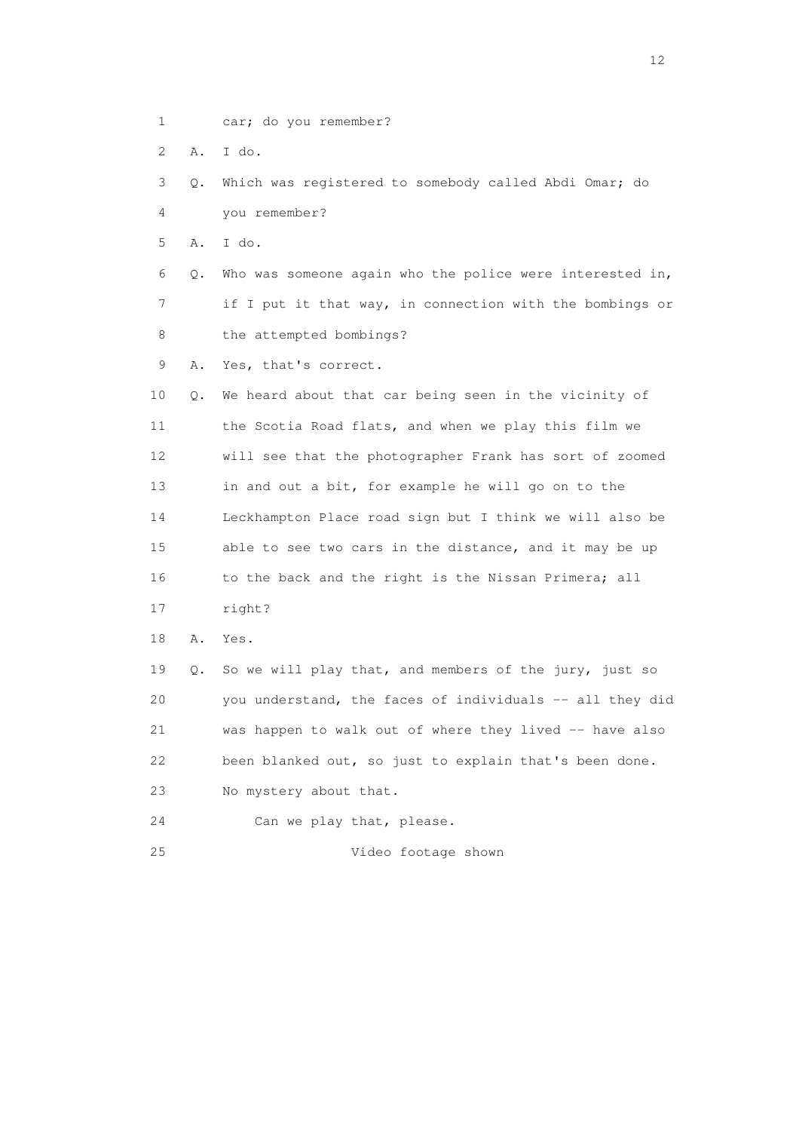- 1 car; do you remember?
- 2 A. I do.

 3 Q. Which was registered to somebody called Abdi Omar; do 4 you remember?

5 A. I do.

 6 Q. Who was someone again who the police were interested in, 7 if I put it that way, in connection with the bombings or 8 the attempted bombings?

9 A. Yes, that's correct.

 10 Q. We heard about that car being seen in the vicinity of 11 the Scotia Road flats, and when we play this film we 12 will see that the photographer Frank has sort of zoomed 13 in and out a bit, for example he will go on to the 14 Leckhampton Place road sign but I think we will also be 15 able to see two cars in the distance, and it may be up 16 to the back and the right is the Nissan Primera; all

17 right?

18 A. Yes.

 19 Q. So we will play that, and members of the jury, just so 20 you understand, the faces of individuals -- all they did 21 was happen to walk out of where they lived -- have also 22 been blanked out, so just to explain that's been done. 23 No mystery about that.

24 Can we play that, please.

25 Video footage shown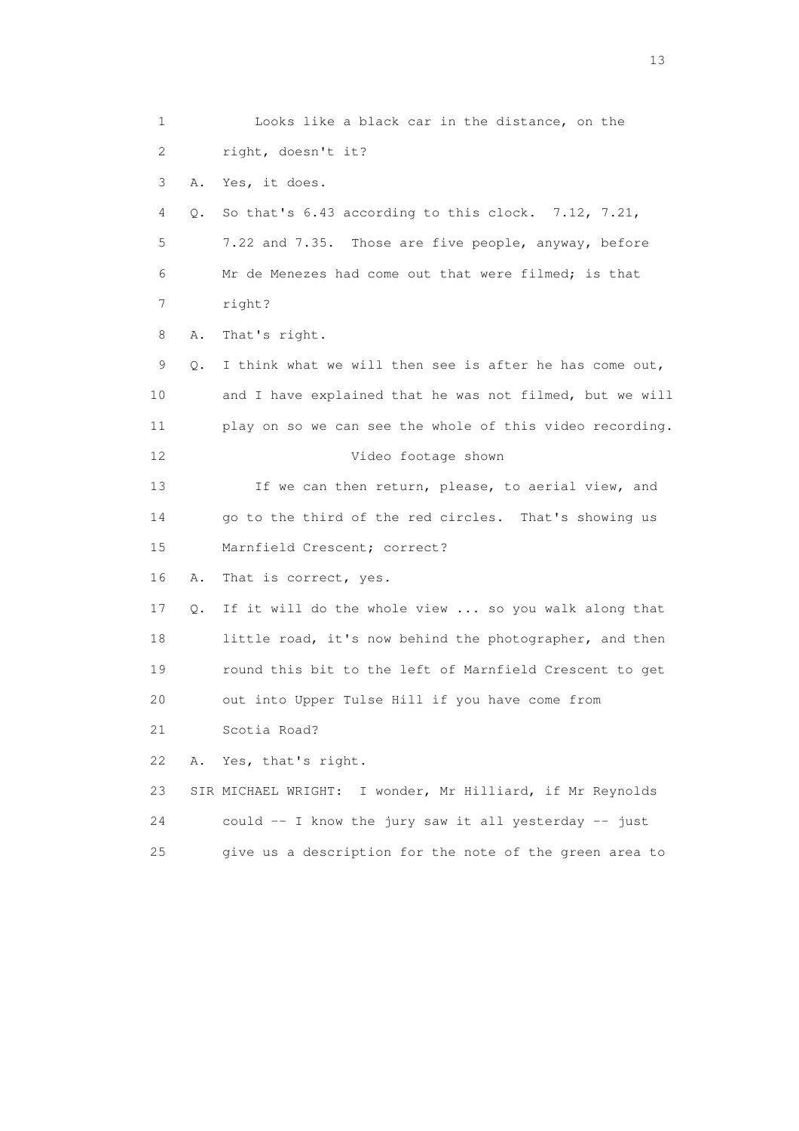1 Looks like a black car in the distance, on the 2 right, doesn't it? 3 A. Yes, it does. 4 Q. So that's 6.43 according to this clock. 7.12, 7.21, 5 7.22 and 7.35. Those are five people, anyway, before 6 Mr de Menezes had come out that were filmed; is that 7 right? 8 A. That's right. 9 Q. I think what we will then see is after he has come out, 10 and I have explained that he was not filmed, but we will 11 play on so we can see the whole of this video recording. 12 Video footage shown 13 If we can then return, please, to aerial view, and 14 go to the third of the red circles. That's showing us 15 Marnfield Crescent; correct? 16 A. That is correct, yes. 17 Q. If it will do the whole view ... so you walk along that 18 little road, it's now behind the photographer, and then 19 round this bit to the left of Marnfield Crescent to get 20 out into Upper Tulse Hill if you have come from 21 Scotia Road? 22 A. Yes, that's right. 23 SIR MICHAEL WRIGHT: I wonder, Mr Hilliard, if Mr Reynolds 24 could -- I know the jury saw it all yesterday -- just 25 give us a description for the note of the green area to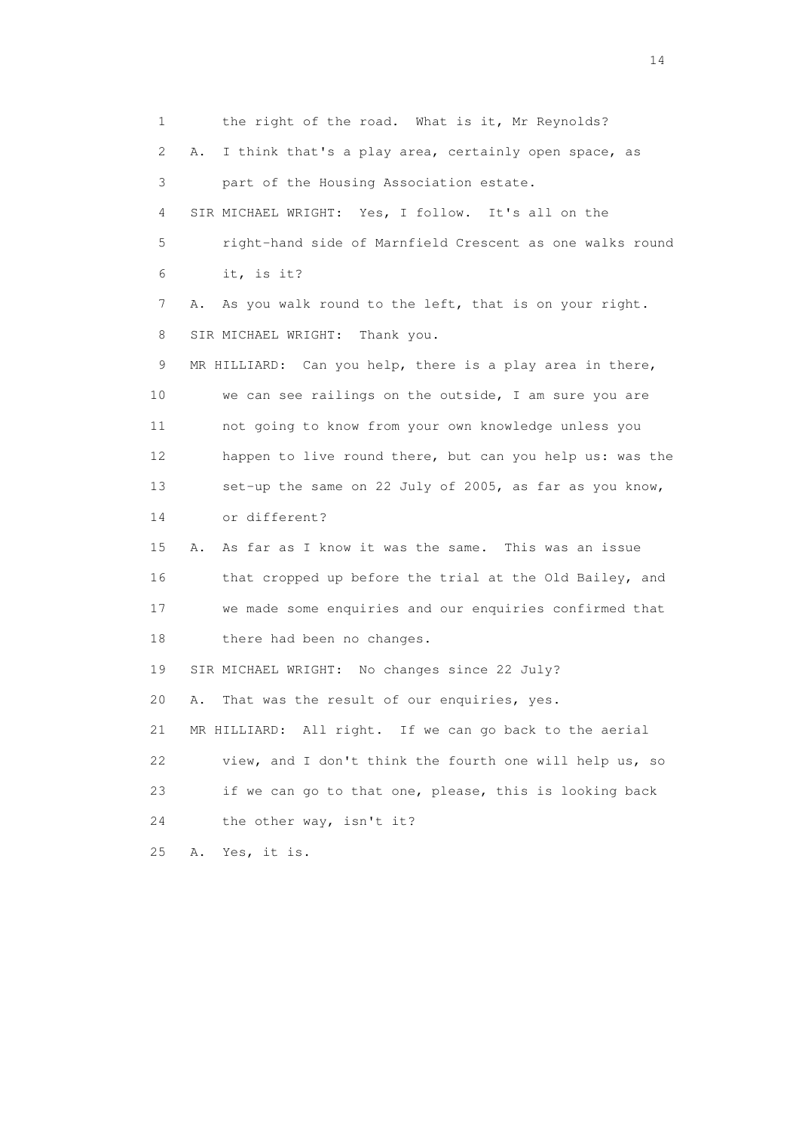1 the right of the road. What is it, Mr Reynolds? 2 A. I think that's a play area, certainly open space, as 3 part of the Housing Association estate. 4 SIR MICHAEL WRIGHT: Yes, I follow. It's all on the 5 right-hand side of Marnfield Crescent as one walks round 6 it, is it? 7 A. As you walk round to the left, that is on your right. 8 SIR MICHAEL WRIGHT: Thank you. 9 MR HILLIARD: Can you help, there is a play area in there, 10 we can see railings on the outside, I am sure you are 11 not going to know from your own knowledge unless you 12 happen to live round there, but can you help us: was the 13 set-up the same on 22 July of 2005, as far as you know, 14 or different? 15 A. As far as I know it was the same. This was an issue 16 that cropped up before the trial at the Old Bailey, and 17 we made some enquiries and our enquiries confirmed that 18 there had been no changes. 19 SIR MICHAEL WRIGHT: No changes since 22 July? 20 A. That was the result of our enquiries, yes. 21 MR HILLIARD: All right. If we can go back to the aerial 22 view, and I don't think the fourth one will help us, so 23 if we can go to that one, please, this is looking back 24 the other way, isn't it? 25 A. Yes, it is.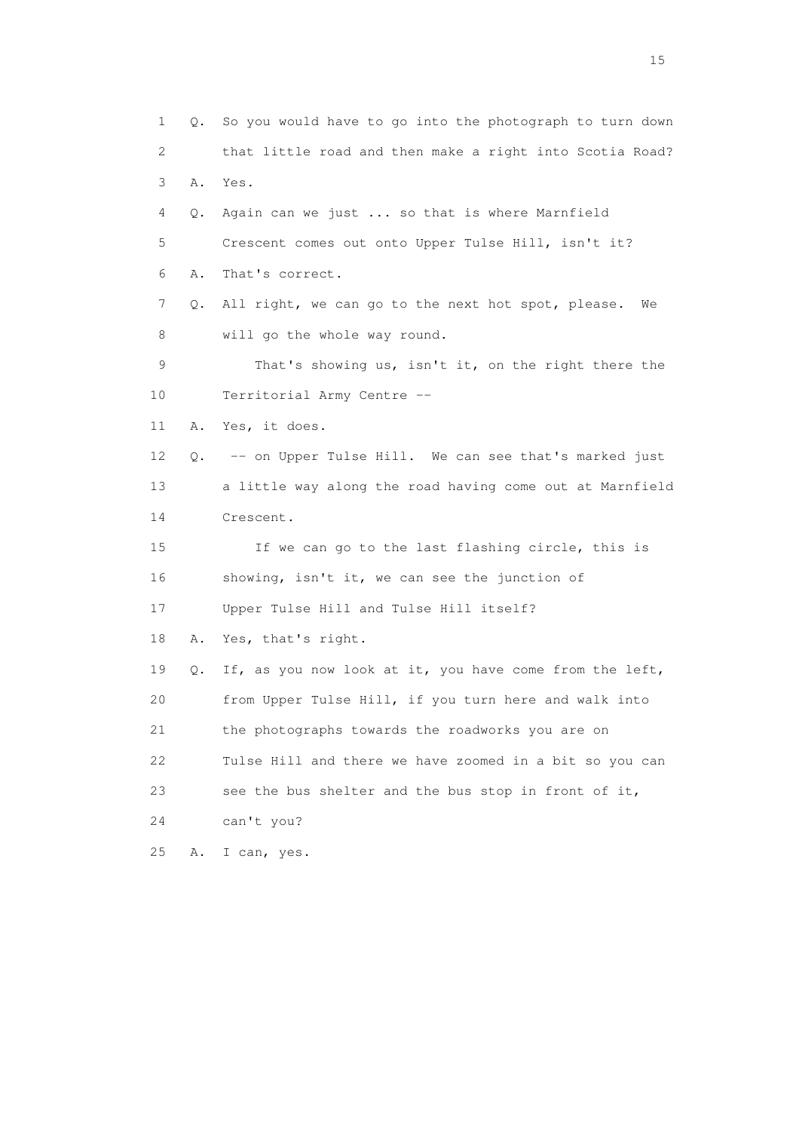1 Q. So you would have to go into the photograph to turn down 2 that little road and then make a right into Scotia Road? 3 A. Yes. 4 Q. Again can we just ... so that is where Marnfield 5 Crescent comes out onto Upper Tulse Hill, isn't it? 6 A. That's correct. 7 Q. All right, we can go to the next hot spot, please. We 8 will go the whole way round. 9 That's showing us, isn't it, on the right there the 10 Territorial Army Centre -- 11 A. Yes, it does. 12 Q. -- on Upper Tulse Hill. We can see that's marked just 13 a little way along the road having come out at Marnfield 14 Crescent. 15 If we can go to the last flashing circle, this is 16 showing, isn't it, we can see the junction of 17 Upper Tulse Hill and Tulse Hill itself? 18 A. Yes, that's right. 19 Q. If, as you now look at it, you have come from the left, 20 from Upper Tulse Hill, if you turn here and walk into 21 the photographs towards the roadworks you are on 22 Tulse Hill and there we have zoomed in a bit so you can 23 see the bus shelter and the bus stop in front of it, 24 can't you? 25 A. I can, yes.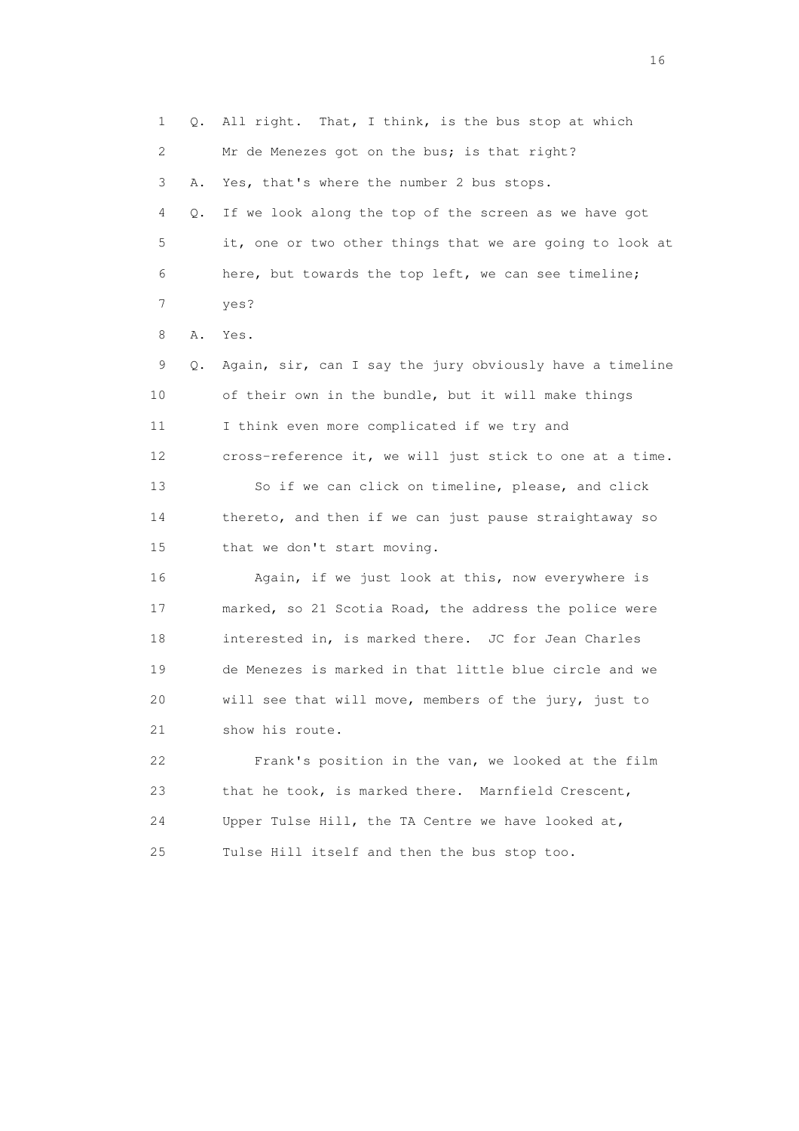1 Q. All right. That, I think, is the bus stop at which 2 Mr de Menezes got on the bus; is that right? 3 A. Yes, that's where the number 2 bus stops. 4 Q. If we look along the top of the screen as we have got 5 it, one or two other things that we are going to look at 6 here, but towards the top left, we can see timeline; 7 yes? 8 A. Yes. 9 Q. Again, sir, can I say the jury obviously have a timeline 10 of their own in the bundle, but it will make things 11 I think even more complicated if we try and 12 cross-reference it, we will just stick to one at a time. 13 So if we can click on timeline, please, and click 14 thereto, and then if we can just pause straightaway so 15 that we don't start moving. 16 Again, if we just look at this, now everywhere is 17 marked, so 21 Scotia Road, the address the police were 18 interested in, is marked there. JC for Jean Charles 19 de Menezes is marked in that little blue circle and we 20 will see that will move, members of the jury, just to 21 show his route. 22 Frank's position in the van, we looked at the film 23 that he took, is marked there. Marnfield Crescent, 24 Upper Tulse Hill, the TA Centre we have looked at, 25 Tulse Hill itself and then the bus stop too.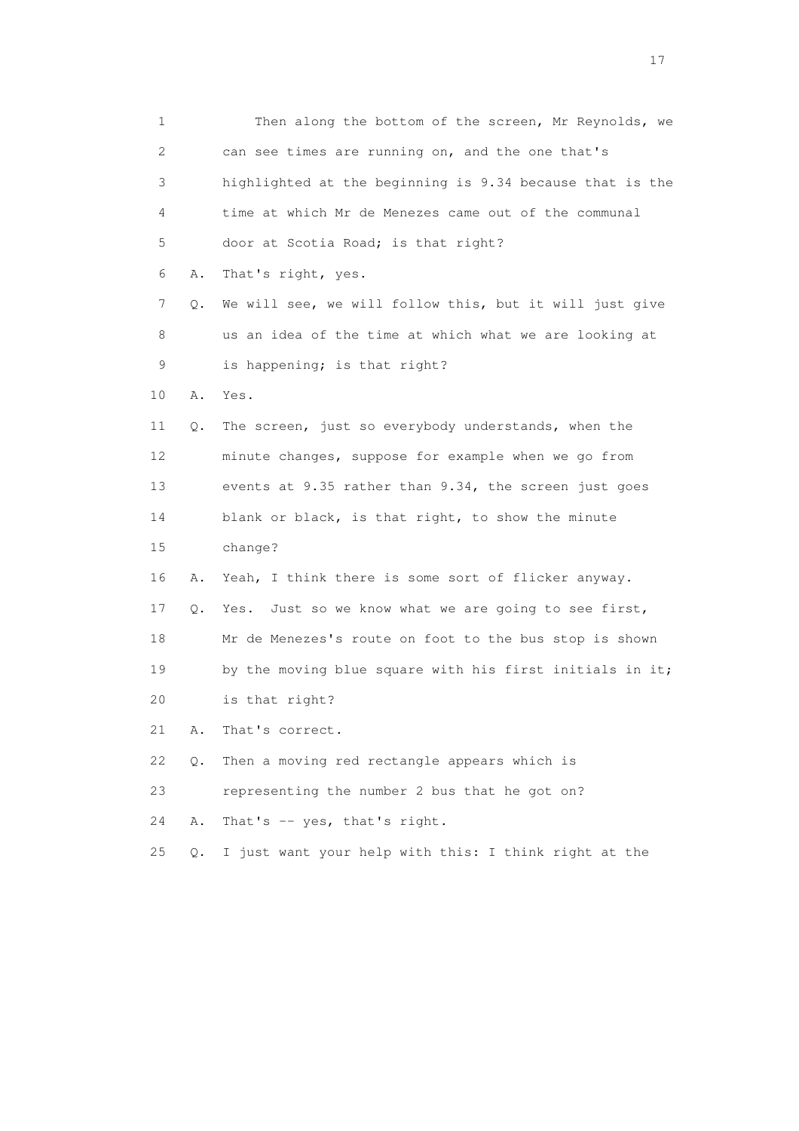1 Then along the bottom of the screen, Mr Reynolds, we 2 can see times are running on, and the one that's 3 highlighted at the beginning is 9.34 because that is the 4 time at which Mr de Menezes came out of the communal 5 door at Scotia Road; is that right? 6 A. That's right, yes. 7 Q. We will see, we will follow this, but it will just give 8 us an idea of the time at which what we are looking at 9 is happening; is that right? 10 A. Yes. 11 Q. The screen, just so everybody understands, when the 12 minute changes, suppose for example when we go from 13 events at 9.35 rather than 9.34, the screen just goes 14 blank or black, is that right, to show the minute 15 change? 16 A. Yeah, I think there is some sort of flicker anyway. 17 Q. Yes. Just so we know what we are going to see first, 18 Mr de Menezes's route on foot to the bus stop is shown 19 by the moving blue square with his first initials in it; 20 is that right? 21 A. That's correct. 22 Q. Then a moving red rectangle appears which is 23 representing the number 2 bus that he got on? 24 A. That's -- yes, that's right. 25 Q. I just want your help with this: I think right at the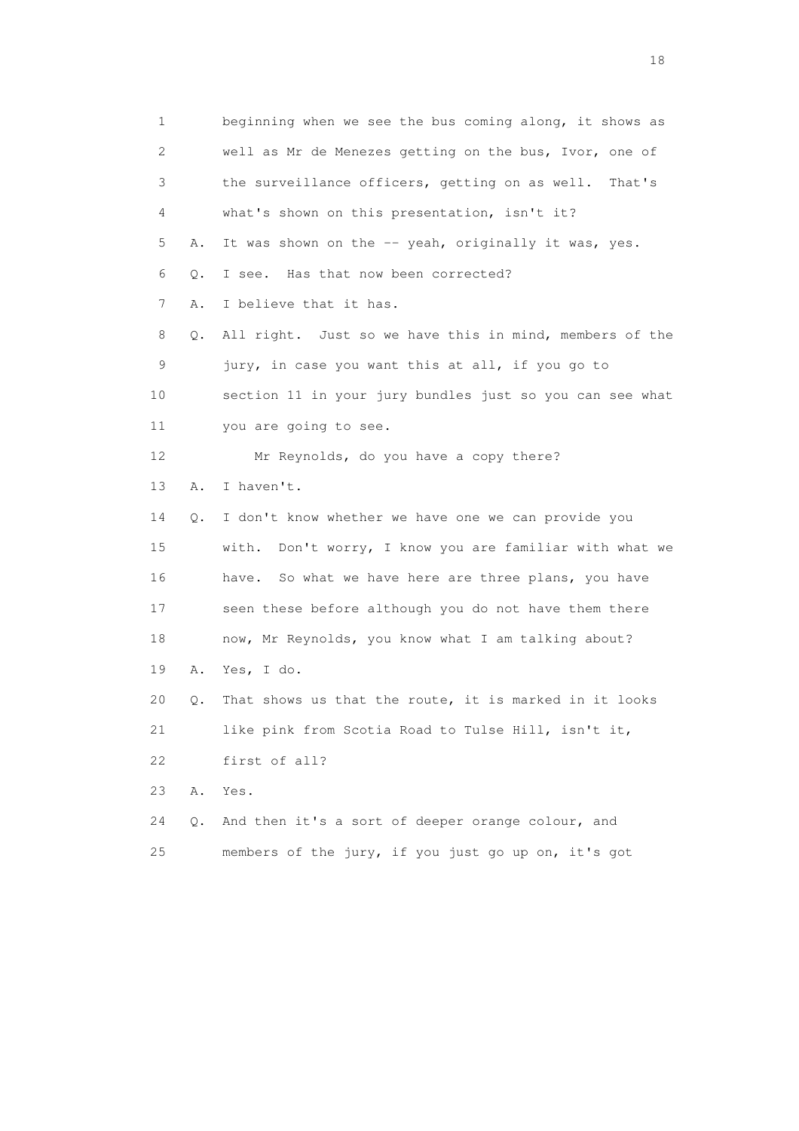1 beginning when we see the bus coming along, it shows as 2 well as Mr de Menezes getting on the bus, Ivor, one of 3 the surveillance officers, getting on as well. That's 4 what's shown on this presentation, isn't it? 5 A. It was shown on the -- yeah, originally it was, yes. 6 Q. I see. Has that now been corrected? 7 A. I believe that it has. 8 Q. All right. Just so we have this in mind, members of the 9 jury, in case you want this at all, if you go to 10 section 11 in your jury bundles just so you can see what 11 you are going to see. 12 Mr Reynolds, do you have a copy there? 13 A. I haven't. 14 Q. I don't know whether we have one we can provide you 15 with. Don't worry, I know you are familiar with what we 16 have. So what we have here are three plans, you have 17 seen these before although you do not have them there 18 now, Mr Reynolds, you know what I am talking about? 19 A. Yes, I do. 20 Q. That shows us that the route, it is marked in it looks 21 like pink from Scotia Road to Tulse Hill, isn't it, 22 first of all? 23 A. Yes. 24 Q. And then it's a sort of deeper orange colour, and 25 members of the jury, if you just go up on, it's got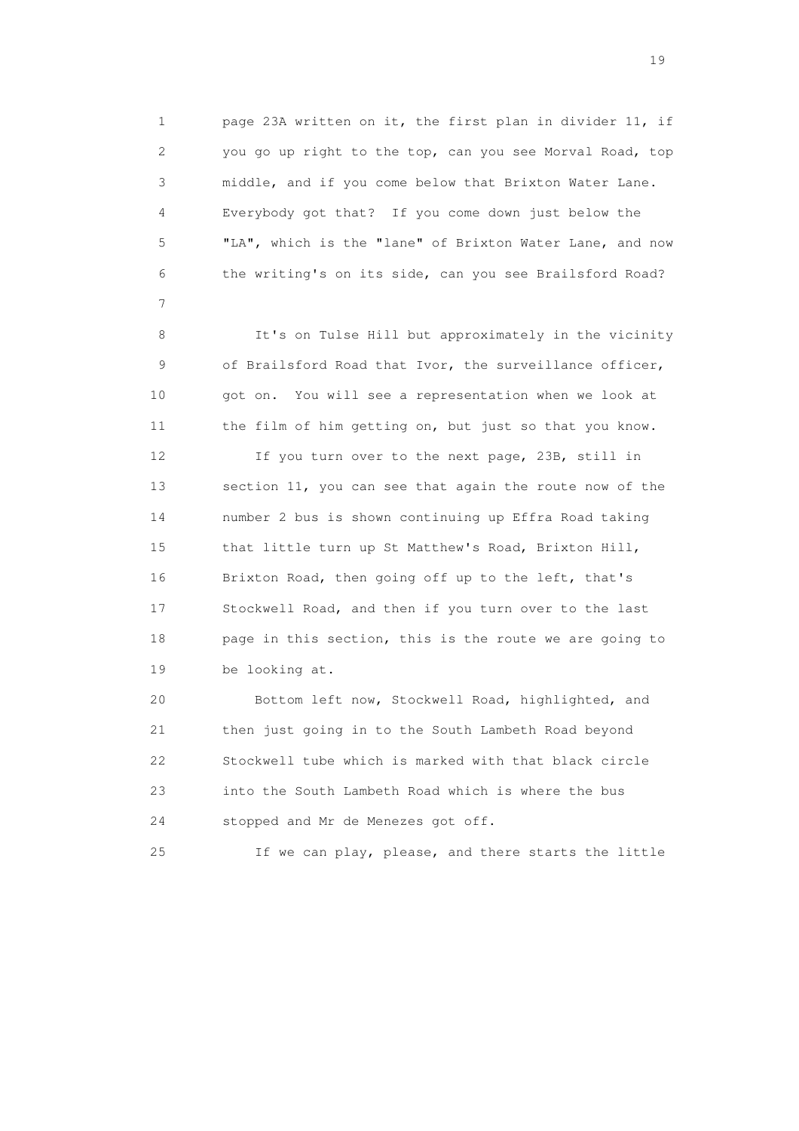1 page 23A written on it, the first plan in divider 11, if 2 you go up right to the top, can you see Morval Road, top 3 middle, and if you come below that Brixton Water Lane. 4 Everybody got that? If you come down just below the 5 "LA", which is the "lane" of Brixton Water Lane, and now 6 the writing's on its side, can you see Brailsford Road?

 8 It's on Tulse Hill but approximately in the vicinity 9 of Brailsford Road that Ivor, the surveillance officer, 10 got on. You will see a representation when we look at 11 the film of him getting on, but just so that you know.

7

 12 If you turn over to the next page, 23B, still in 13 section 11, you can see that again the route now of the 14 number 2 bus is shown continuing up Effra Road taking 15 that little turn up St Matthew's Road, Brixton Hill, 16 Brixton Road, then going off up to the left, that's 17 Stockwell Road, and then if you turn over to the last 18 page in this section, this is the route we are going to 19 be looking at.

 20 Bottom left now, Stockwell Road, highlighted, and 21 then just going in to the South Lambeth Road beyond 22 Stockwell tube which is marked with that black circle 23 into the South Lambeth Road which is where the bus 24 stopped and Mr de Menezes got off.

25 If we can play, please, and there starts the little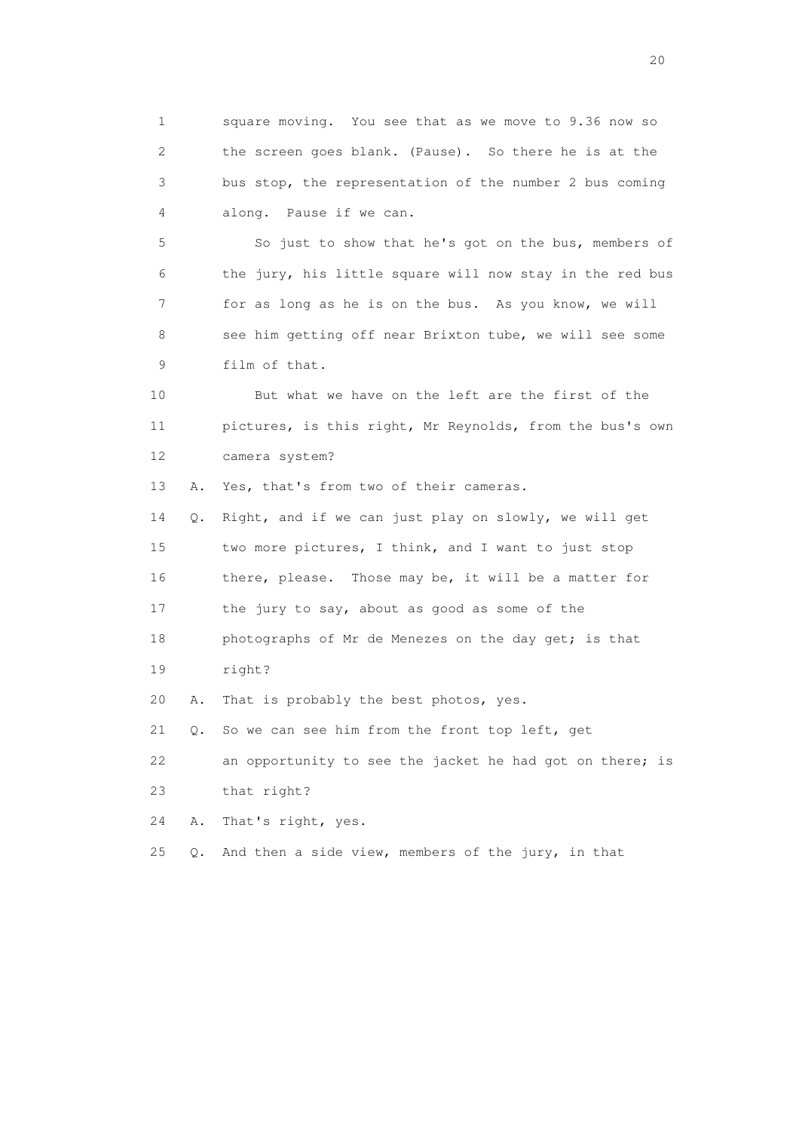1 square moving. You see that as we move to 9.36 now so 2 the screen goes blank. (Pause). So there he is at the 3 bus stop, the representation of the number 2 bus coming 4 along. Pause if we can.

 5 So just to show that he's got on the bus, members of 6 the jury, his little square will now stay in the red bus 7 for as long as he is on the bus. As you know, we will 8 see him getting off near Brixton tube, we will see some 9 film of that.

 10 But what we have on the left are the first of the 11 pictures, is this right, Mr Reynolds, from the bus's own 12 camera system?

13 A. Yes, that's from two of their cameras.

 14 Q. Right, and if we can just play on slowly, we will get 15 two more pictures, I think, and I want to just stop 16 there, please. Those may be, it will be a matter for 17 the jury to say, about as good as some of the 18 photographs of Mr de Menezes on the day get; is that 19 right? 20 A. That is probably the best photos, yes. 21 Q. So we can see him from the front top left, get

22 an opportunity to see the jacket he had got on there; is

23 that right?

24 A. That's right, yes.

25  $Q$ . And then a side view, members of the jury, in that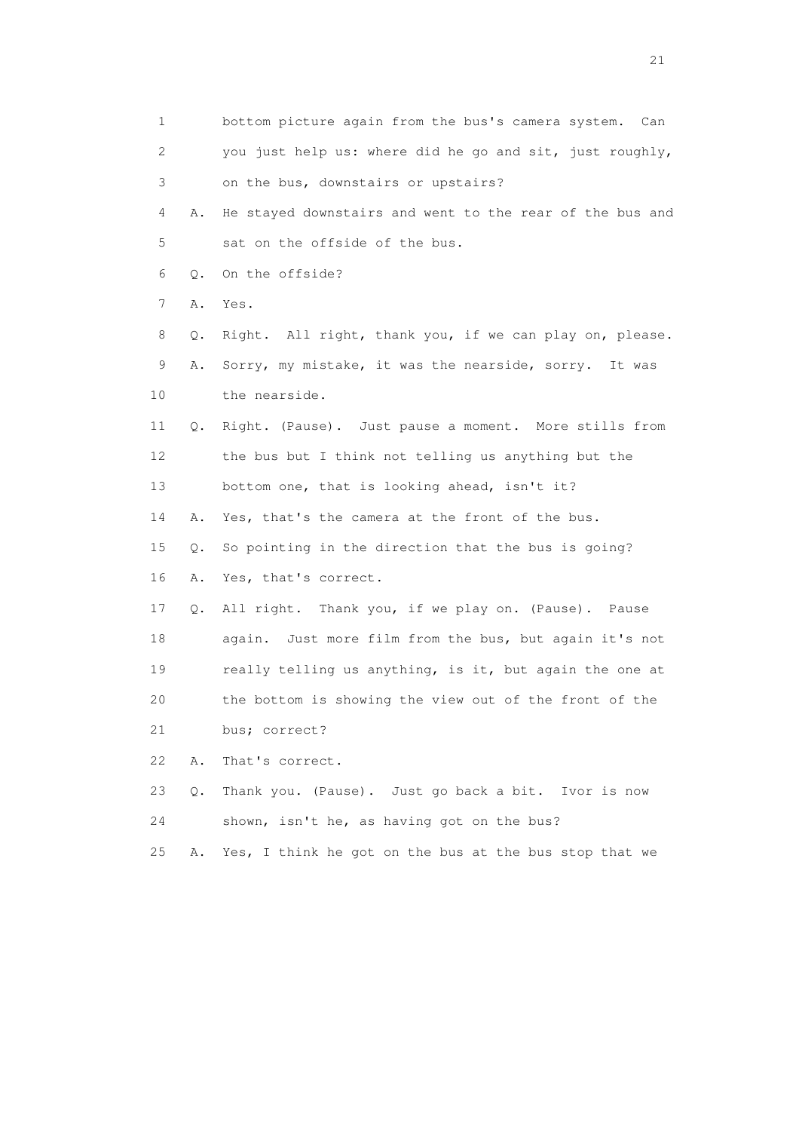1 bottom picture again from the bus's camera system. Can 2 you just help us: where did he go and sit, just roughly, 3 on the bus, downstairs or upstairs? 4 A. He stayed downstairs and went to the rear of the bus and 5 sat on the offside of the bus. 6 Q. On the offside? 7 A. Yes. 8 Q. Right. All right, thank you, if we can play on, please. 9 A. Sorry, my mistake, it was the nearside, sorry. It was 10 the nearside. 11 Q. Right. (Pause). Just pause a moment. More stills from 12 the bus but I think not telling us anything but the 13 bottom one, that is looking ahead, isn't it? 14 A. Yes, that's the camera at the front of the bus. 15 Q. So pointing in the direction that the bus is going? 16 A. Yes, that's correct. 17 Q. All right. Thank you, if we play on. (Pause). Pause 18 again. Just more film from the bus, but again it's not 19 really telling us anything, is it, but again the one at 20 the bottom is showing the view out of the front of the 21 bus; correct? 22 A. That's correct. 23 Q. Thank you. (Pause). Just go back a bit. Ivor is now 24 shown, isn't he, as having got on the bus? 25 A. Yes, I think he got on the bus at the bus stop that we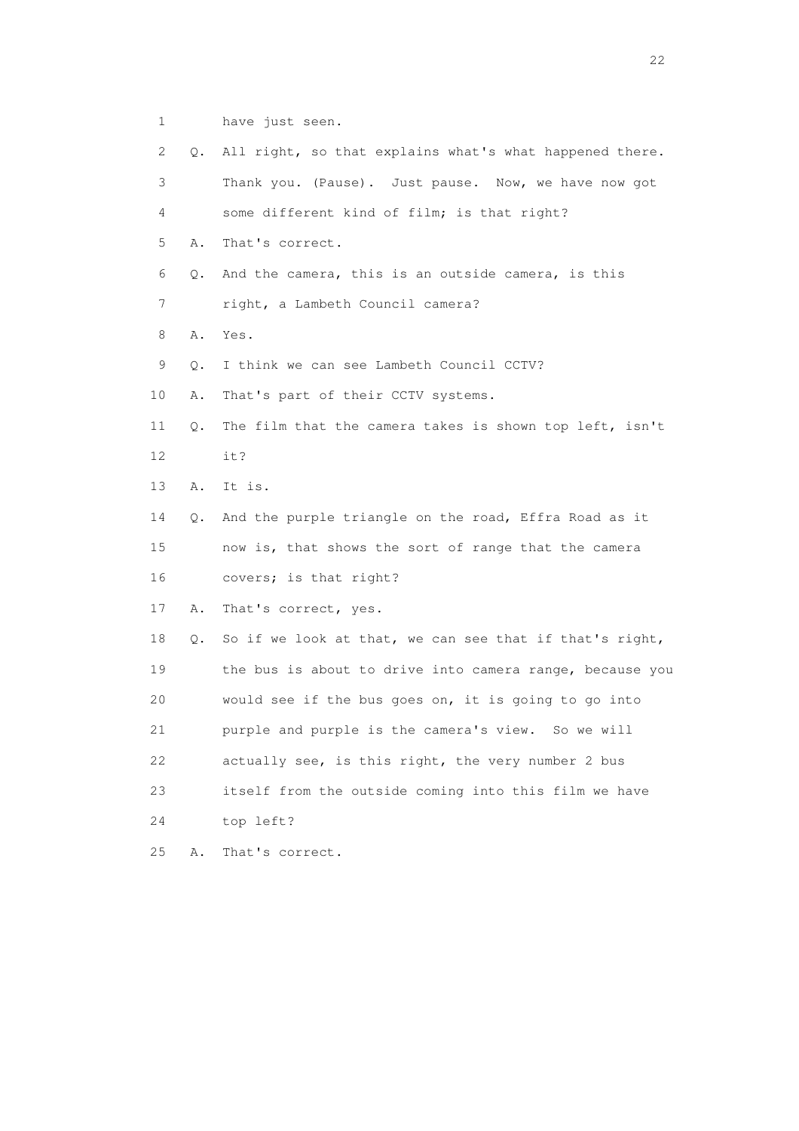1 have just seen.

 2 Q. All right, so that explains what's what happened there. 3 Thank you. (Pause). Just pause. Now, we have now got 4 some different kind of film; is that right? 5 A. That's correct. 6 Q. And the camera, this is an outside camera, is this 7 right, a Lambeth Council camera? 8 A. Yes. 9 Q. I think we can see Lambeth Council CCTV? 10 A. That's part of their CCTV systems. 11 Q. The film that the camera takes is shown top left, isn't 12 it? 13 A. It is. 14 Q. And the purple triangle on the road, Effra Road as it 15 now is, that shows the sort of range that the camera 16 covers; is that right? 17 A. That's correct, yes. 18 Q. So if we look at that, we can see that if that's right, 19 the bus is about to drive into camera range, because you 20 would see if the bus goes on, it is going to go into 21 purple and purple is the camera's view. So we will 22 actually see, is this right, the very number 2 bus 23 itself from the outside coming into this film we have 24 top left? 25 A. That's correct.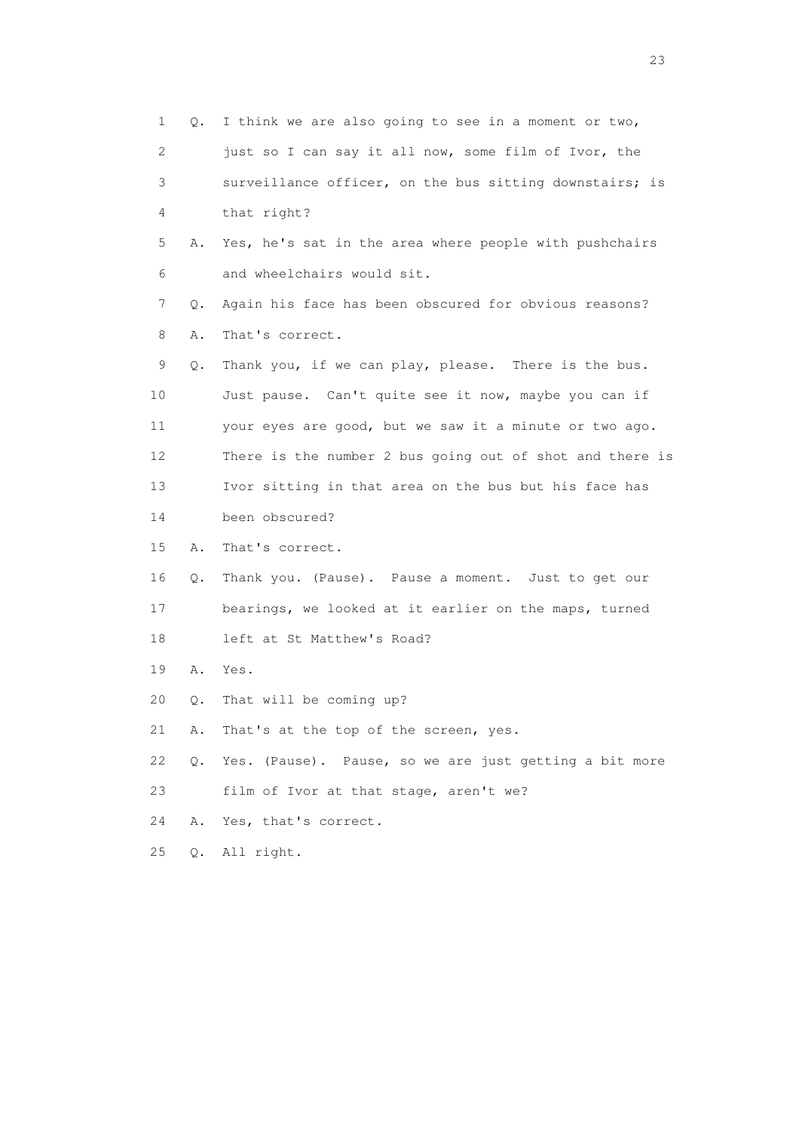1 Q. I think we are also going to see in a moment or two, 2 just so I can say it all now, some film of Ivor, the 3 surveillance officer, on the bus sitting downstairs; is 4 that right? 5 A. Yes, he's sat in the area where people with pushchairs 6 and wheelchairs would sit. 7 Q. Again his face has been obscured for obvious reasons? 8 A. That's correct. 9 Q. Thank you, if we can play, please. There is the bus. 10 Just pause. Can't quite see it now, maybe you can if 11 your eyes are good, but we saw it a minute or two ago. 12 There is the number 2 bus going out of shot and there is 13 Ivor sitting in that area on the bus but his face has 14 been obscured? 15 A. That's correct. 16 Q. Thank you. (Pause). Pause a moment. Just to get our 17 bearings, we looked at it earlier on the maps, turned 18 left at St Matthew's Road? 19 A. Yes. 20 Q. That will be coming up? 21 A. That's at the top of the screen, yes. 22 Q. Yes. (Pause). Pause, so we are just getting a bit more 23 film of Ivor at that stage, aren't we? 24 A. Yes, that's correct. 25 Q. All right.

23 and 23 and 23 and 23 and 23 and 23 and 23 and 23 and 23 and 23 and 23 and 23 and 23 and 23 and 23 and 23 and 24 and 25 and 25 and 26 and 26 and 26 and 26 and 26 and 26 and 26 and 26 and 26 and 26 and 26 and 26 and 26 an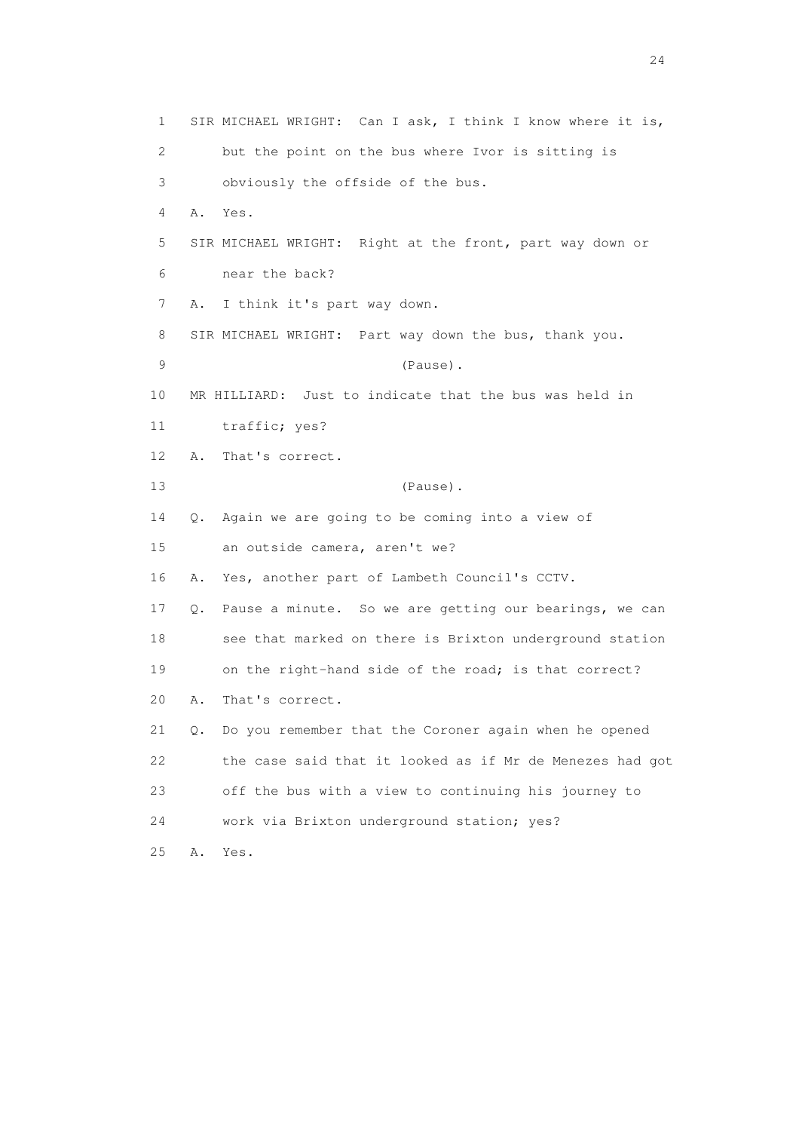1 SIR MICHAEL WRIGHT: Can I ask, I think I know where it is, 2 but the point on the bus where Ivor is sitting is 3 obviously the offside of the bus. 4 A. Yes. 5 SIR MICHAEL WRIGHT: Right at the front, part way down or 6 near the back? 7 A. I think it's part way down. 8 SIR MICHAEL WRIGHT: Part way down the bus, thank you. 9 (Pause). 10 MR HILLIARD: Just to indicate that the bus was held in 11 traffic; yes? 12 A. That's correct. 13 (Pause). 14 Q. Again we are going to be coming into a view of 15 an outside camera, aren't we? 16 A. Yes, another part of Lambeth Council's CCTV. 17 Q. Pause a minute. So we are getting our bearings, we can 18 see that marked on there is Brixton underground station 19 on the right-hand side of the road; is that correct? 20 A. That's correct. 21 Q. Do you remember that the Coroner again when he opened 22 the case said that it looked as if Mr de Menezes had got 23 off the bus with a view to continuing his journey to 24 work via Brixton underground station; yes? 25 A. Yes.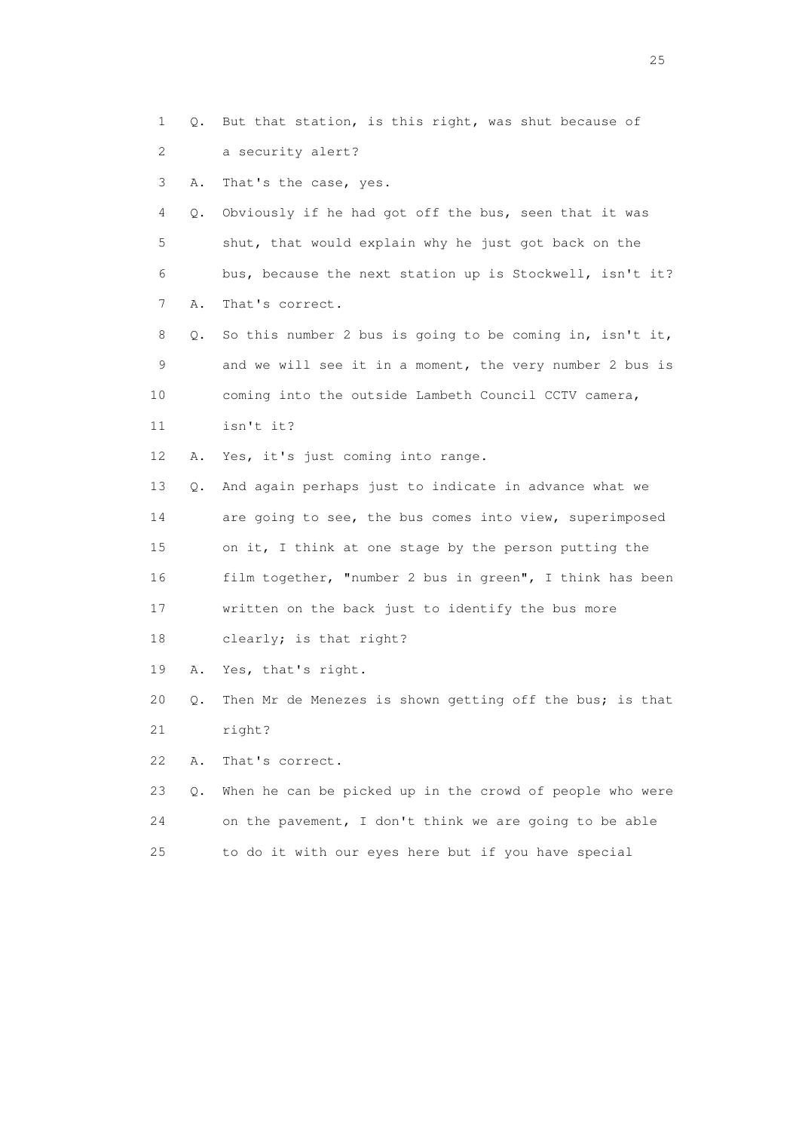1 Q. But that station, is this right, was shut because of 2 a security alert? 3 A. That's the case, yes. 4 Q. Obviously if he had got off the bus, seen that it was 5 shut, that would explain why he just got back on the 6 bus, because the next station up is Stockwell, isn't it? 7 A. That's correct. 8 Q. So this number 2 bus is going to be coming in, isn't it, 9 and we will see it in a moment, the very number 2 bus is 10 coming into the outside Lambeth Council CCTV camera, 11 isn't it? 12 A. Yes, it's just coming into range. 13 Q. And again perhaps just to indicate in advance what we 14 are going to see, the bus comes into view, superimposed 15 on it, I think at one stage by the person putting the 16 film together, "number 2 bus in green", I think has been 17 written on the back just to identify the bus more 18 clearly; is that right? 19 A. Yes, that's right. 20 Q. Then Mr de Menezes is shown getting off the bus; is that 21 right? 22 A. That's correct. 23 Q. When he can be picked up in the crowd of people who were 24 on the pavement, I don't think we are going to be able 25 to do it with our eyes here but if you have special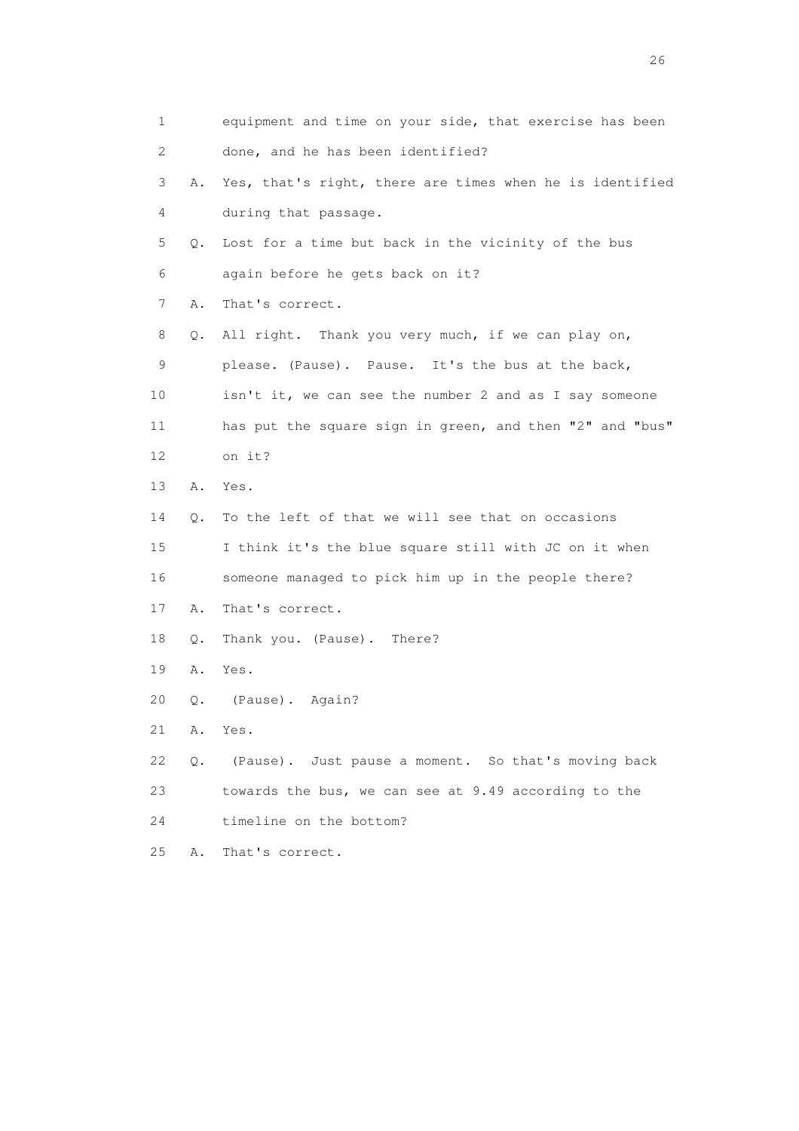| 1  |    | equipment and time on your side, that exercise has been  |
|----|----|----------------------------------------------------------|
| 2  |    | done, and he has been identified?                        |
| 3  | Α. | Yes, that's right, there are times when he is identified |
| 4  |    | during that passage.                                     |
| 5  | Q. | Lost for a time but back in the vicinity of the bus      |
| 6  |    | again before he gets back on it?                         |
| 7  | Α. | That's correct.                                          |
| 8  | Q. | All right. Thank you very much, if we can play on,       |
| 9  |    | please. (Pause). Pause. It's the bus at the back,        |
| 10 |    | isn't it, we can see the number 2 and as I say someone   |
| 11 |    | has put the square sign in green, and then "2" and "bus" |
| 12 |    | on it?                                                   |
| 13 | Α. | Yes.                                                     |
| 14 | Q. | To the left of that we will see that on occasions        |
| 15 |    | I think it's the blue square still with JC on it when    |
| 16 |    | someone managed to pick him up in the people there?      |
| 17 | Α. | That's correct.                                          |
| 18 | Q. | Thank you. (Pause). There?                               |
| 19 | Α. | Yes.                                                     |
| 20 | Q. | (Pause). Again?                                          |
| 21 | Α. | Yes.                                                     |
| 22 | Q. | (Pause). Just pause a moment. So that's moving back      |
| 23 |    | towards the bus, we can see at 9.49 according to the     |
| 24 |    | timeline on the bottom?                                  |
| 25 | Α. | That's correct.                                          |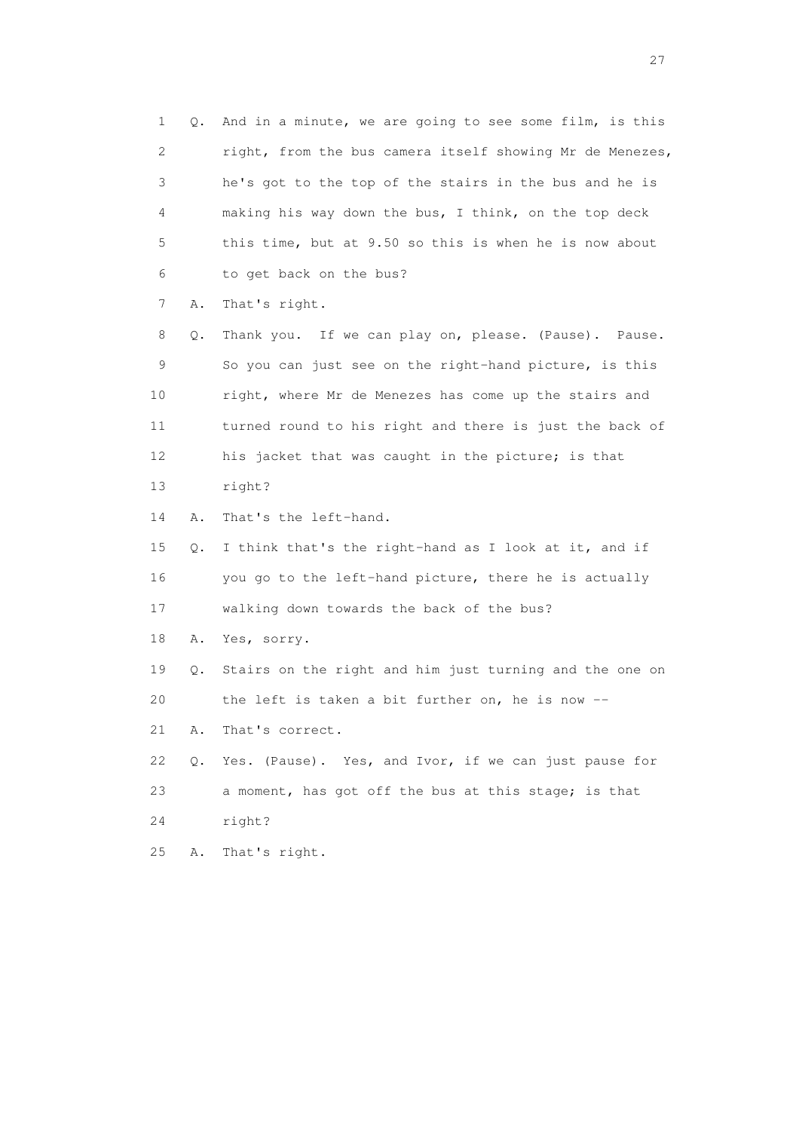1 Q. And in a minute, we are going to see some film, is this 2 right, from the bus camera itself showing Mr de Menezes, 3 he's got to the top of the stairs in the bus and he is 4 making his way down the bus, I think, on the top deck 5 this time, but at 9.50 so this is when he is now about 6 to get back on the bus? 7 A. That's right. 8 Q. Thank you. If we can play on, please. (Pause). Pause. 9 So you can just see on the right-hand picture, is this 10 right, where Mr de Menezes has come up the stairs and 11 turned round to his right and there is just the back of 12 his jacket that was caught in the picture; is that 13 right? 14 A. That's the left-hand. 15 Q. I think that's the right-hand as I look at it, and if 16 you go to the left-hand picture, there he is actually 17 walking down towards the back of the bus? 18 A. Yes, sorry. 19 Q. Stairs on the right and him just turning and the one on 20 the left is taken a bit further on, he is now -- 21 A. That's correct. 22 Q. Yes. (Pause). Yes, and Ivor, if we can just pause for 23 a moment, has got off the bus at this stage; is that 24 right? 25 A. That's right.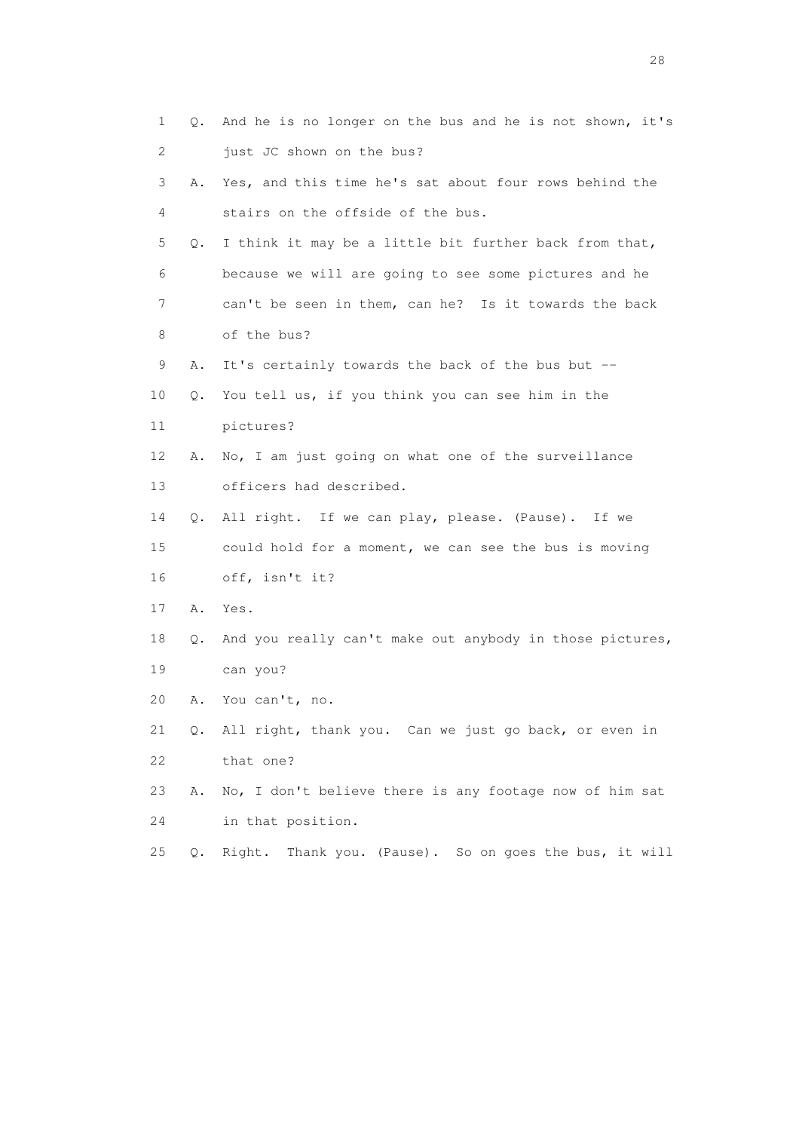| 1  | Q.    | And he is no longer on the bus and he is not shown, it's  |
|----|-------|-----------------------------------------------------------|
| 2  |       | just JC shown on the bus?                                 |
| 3  | Α.    | Yes, and this time he's sat about four rows behind the    |
| 4  |       | stairs on the offside of the bus.                         |
| 5  | Q.    | I think it may be a little bit further back from that,    |
| 6  |       | because we will are going to see some pictures and he     |
| 7  |       | can't be seen in them, can he? Is it towards the back     |
| 8  |       | of the bus?                                               |
| 9  | Α.    | It's certainly towards the back of the bus but --         |
| 10 | Q.    | You tell us, if you think you can see him in the          |
| 11 |       | pictures?                                                 |
| 12 | Α.    | No, I am just going on what one of the surveillance       |
| 13 |       | officers had described.                                   |
| 14 | Q.    | All right. If we can play, please. (Pause). If we         |
| 15 |       | could hold for a moment, we can see the bus is moving     |
| 16 |       | off, isn't it?                                            |
| 17 | Α.    | Yes.                                                      |
| 18 | Q.    | And you really can't make out anybody in those pictures,  |
| 19 |       | can you?                                                  |
| 20 | Α.    | You can't, no.                                            |
| 21 |       | Q. All right, thank you. Can we just go back, or even in  |
| 22 |       | that one?                                                 |
| 23 | Α.    | No, I don't believe there is any footage now of him sat   |
| 24 |       | in that position.                                         |
| 25 | $Q$ . | Thank you. (Pause). So on goes the bus, it will<br>Right. |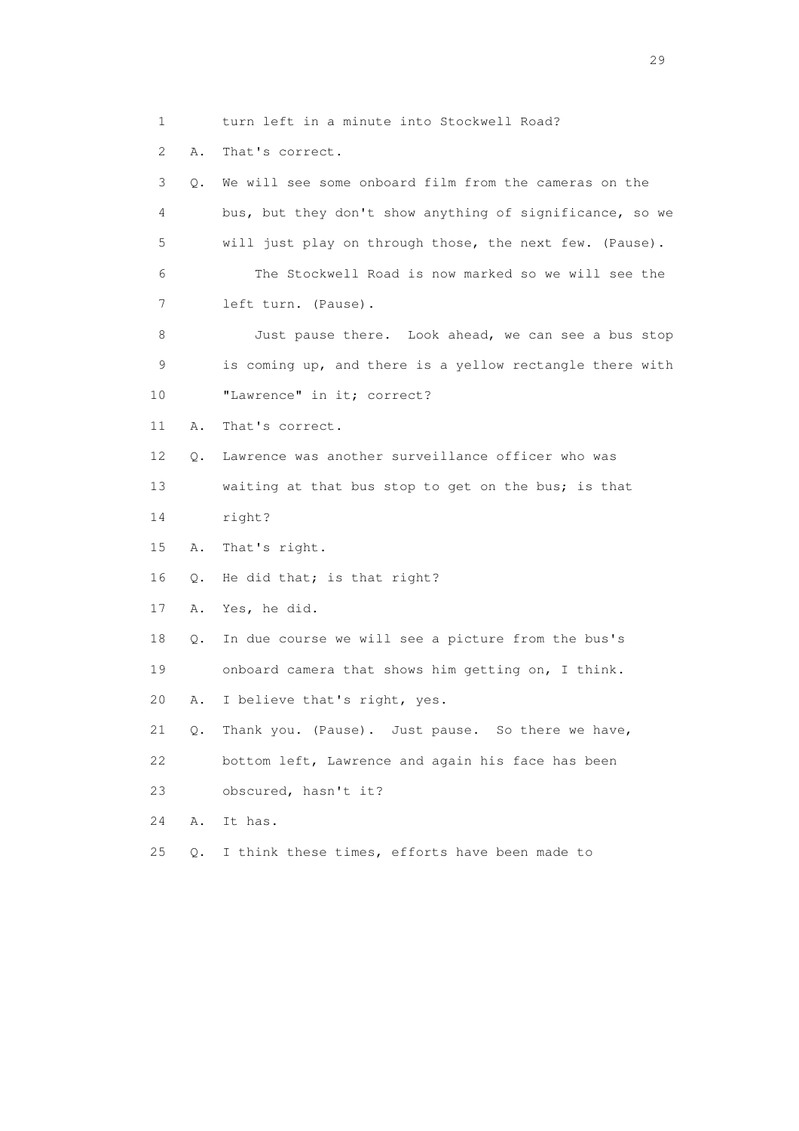1 turn left in a minute into Stockwell Road?

2 A. That's correct.

 3 Q. We will see some onboard film from the cameras on the 4 bus, but they don't show anything of significance, so we 5 will just play on through those, the next few. (Pause). 6 The Stockwell Road is now marked so we will see the 7 left turn. (Pause). 8 Just pause there. Look ahead, we can see a bus stop 9 is coming up, and there is a yellow rectangle there with 10 "Lawrence" in it; correct? 11 A. That's correct. 12 Q. Lawrence was another surveillance officer who was 13 waiting at that bus stop to get on the bus; is that 14 right? 15 A. That's right. 16 Q. He did that; is that right? 17 A. Yes, he did. 18 Q. In due course we will see a picture from the bus's 19 onboard camera that shows him getting on, I think. 20 A. I believe that's right, yes. 21 Q. Thank you. (Pause). Just pause. So there we have, 22 bottom left, Lawrence and again his face has been 23 obscured, hasn't it? 24 A. It has. 25 Q. I think these times, efforts have been made to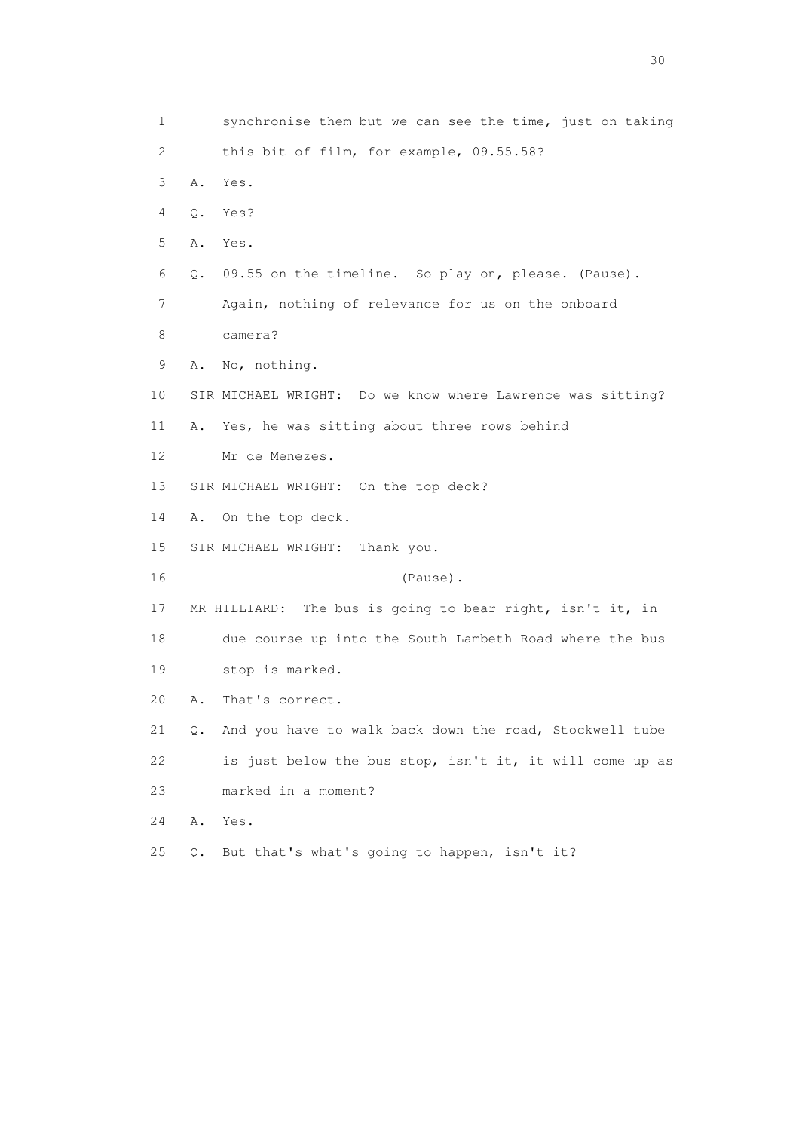1 synchronise them but we can see the time, just on taking 2 this bit of film, for example, 09.55.58? 3 A. Yes. 4 Q. Yes? 5 A. Yes. 6 Q. 09.55 on the timeline. So play on, please. (Pause). 7 Again, nothing of relevance for us on the onboard 8 camera? 9 A. No, nothing. 10 SIR MICHAEL WRIGHT: Do we know where Lawrence was sitting? 11 A. Yes, he was sitting about three rows behind 12 Mr de Menezes. 13 SIR MICHAEL WRIGHT: On the top deck? 14 A. On the top deck. 15 SIR MICHAEL WRIGHT: Thank you. 16 (Pause). 17 MR HILLIARD: The bus is going to bear right, isn't it, in 18 due course up into the South Lambeth Road where the bus 19 stop is marked. 20 A. That's correct. 21 Q. And you have to walk back down the road, Stockwell tube 22 is just below the bus stop, isn't it, it will come up as 23 marked in a moment? 24 A. Yes. 25 Q. But that's what's going to happen, isn't it?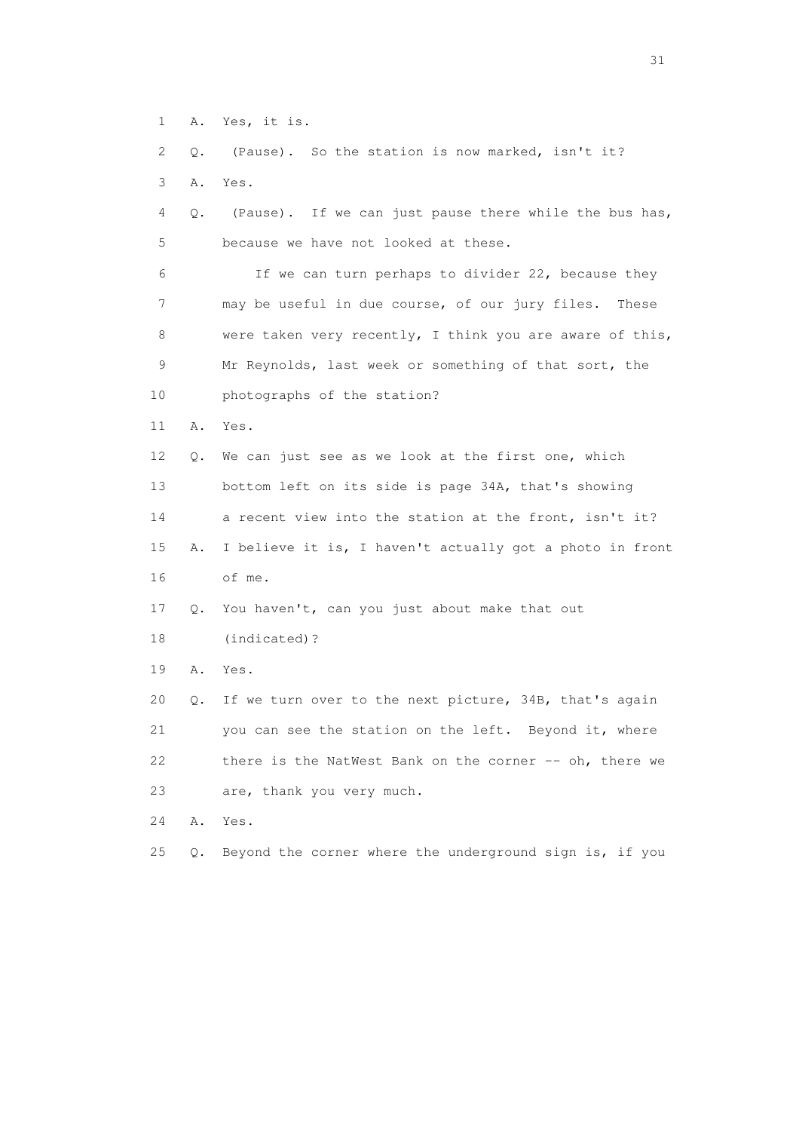1 A. Yes, it is.

 2 Q. (Pause). So the station is now marked, isn't it? 3 A. Yes. 4 Q. (Pause). If we can just pause there while the bus has, 5 because we have not looked at these. 6 If we can turn perhaps to divider 22, because they 7 may be useful in due course, of our jury files. These 8 were taken very recently, I think you are aware of this, 9 Mr Reynolds, last week or something of that sort, the 10 photographs of the station? 11 A. Yes. 12 Q. We can just see as we look at the first one, which 13 bottom left on its side is page 34A, that's showing 14 a recent view into the station at the front, isn't it? 15 A. I believe it is, I haven't actually got a photo in front 16 of me. 17 Q. You haven't, can you just about make that out 18 (indicated)? 19 A. Yes. 20 Q. If we turn over to the next picture, 34B, that's again 21 you can see the station on the left. Beyond it, where 22 there is the NatWest Bank on the corner -- oh, there we 23 are, thank you very much. 24 A. Yes.

25 Q. Beyond the corner where the underground sign is, if you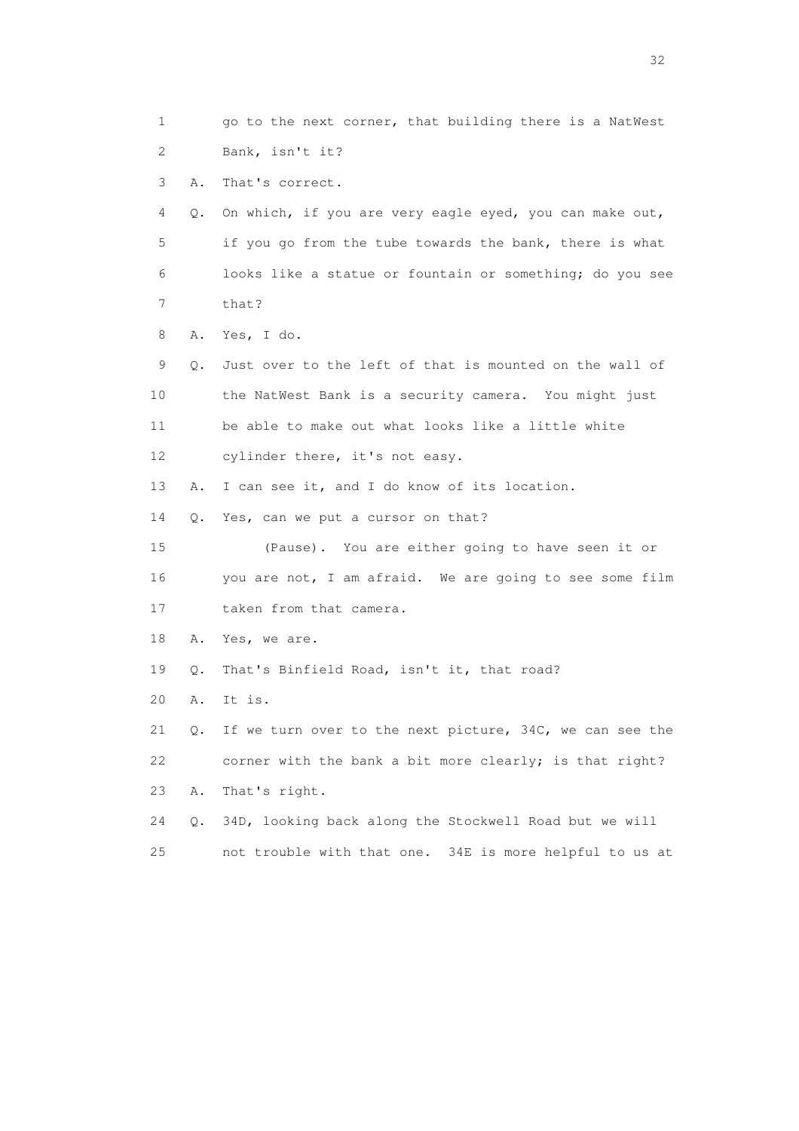1 go to the next corner, that building there is a NatWest 2 Bank, isn't it? 3 A. That's correct. 4 Q. On which, if you are very eagle eyed, you can make out, 5 if you go from the tube towards the bank, there is what 6 looks like a statue or fountain or something; do you see 7 that? 8 A. Yes, I do. 9 Q. Just over to the left of that is mounted on the wall of 10 the NatWest Bank is a security camera. You might just 11 be able to make out what looks like a little white 12 cylinder there, it's not easy. 13 A. I can see it, and I do know of its location. 14 Q. Yes, can we put a cursor on that? 15 (Pause). You are either going to have seen it or 16 you are not, I am afraid. We are going to see some film 17 taken from that camera. 18 A. Yes, we are. 19 Q. That's Binfield Road, isn't it, that road? 20 A. It is. 21 Q. If we turn over to the next picture, 34C, we can see the 22 corner with the bank a bit more clearly; is that right? 23 A. That's right. 24 Q. 34D, looking back along the Stockwell Road but we will 25 not trouble with that one. 34E is more helpful to us at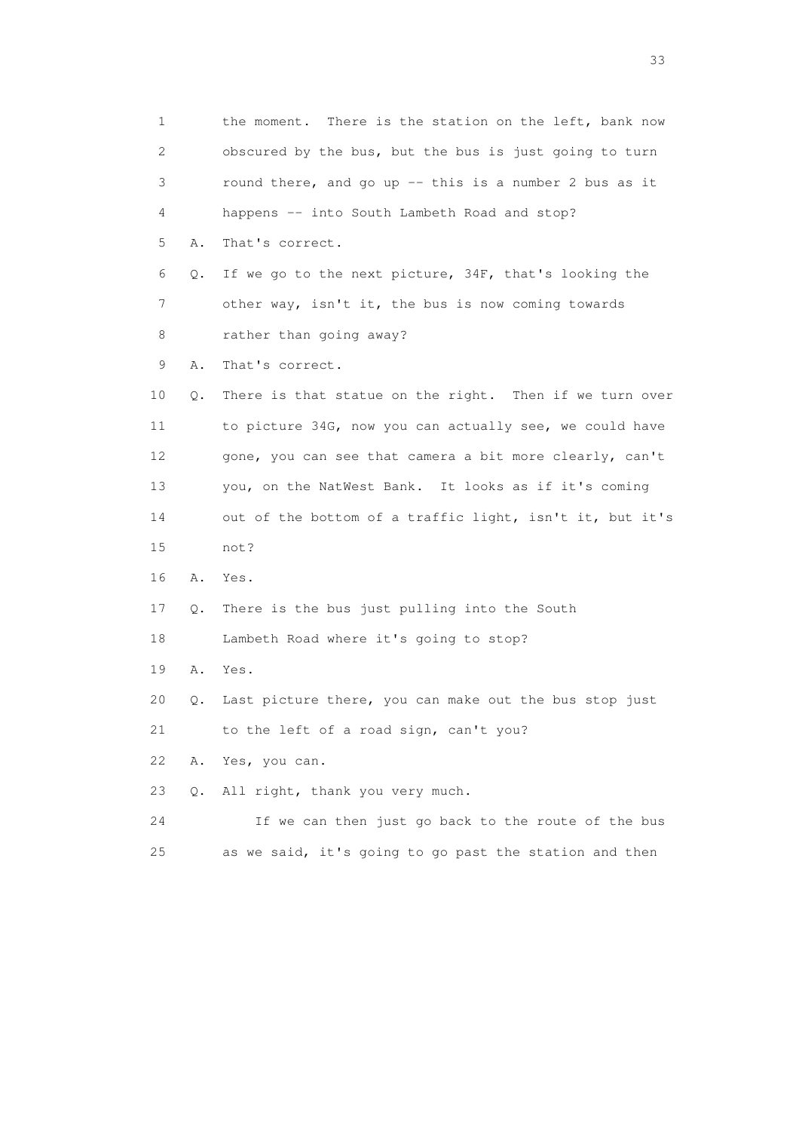1 the moment. There is the station on the left, bank now 2 obscured by the bus, but the bus is just going to turn 3 round there, and go up -- this is a number 2 bus as it 4 happens -- into South Lambeth Road and stop? 5 A. That's correct. 6 Q. If we go to the next picture, 34F, that's looking the 7 other way, isn't it, the bus is now coming towards 8 rather than going away? 9 A. That's correct. 10 Q. There is that statue on the right. Then if we turn over 11 to picture 34G, now you can actually see, we could have 12 gone, you can see that camera a bit more clearly, can't 13 you, on the NatWest Bank. It looks as if it's coming 14 out of the bottom of a traffic light, isn't it, but it's 15 not? 16 A. Yes. 17 Q. There is the bus just pulling into the South 18 Lambeth Road where it's going to stop? 19 A. Yes. 20 Q. Last picture there, you can make out the bus stop just 21 to the left of a road sign, can't you? 22 A. Yes, you can. 23 Q. All right, thank you very much. 24 If we can then just go back to the route of the bus 25 as we said, it's going to go past the station and then

<u>33</u> and the state of the state of the state of the state of the state of the state of the state of the state of the state of the state of the state of the state of the state of the state of the state of the state of the s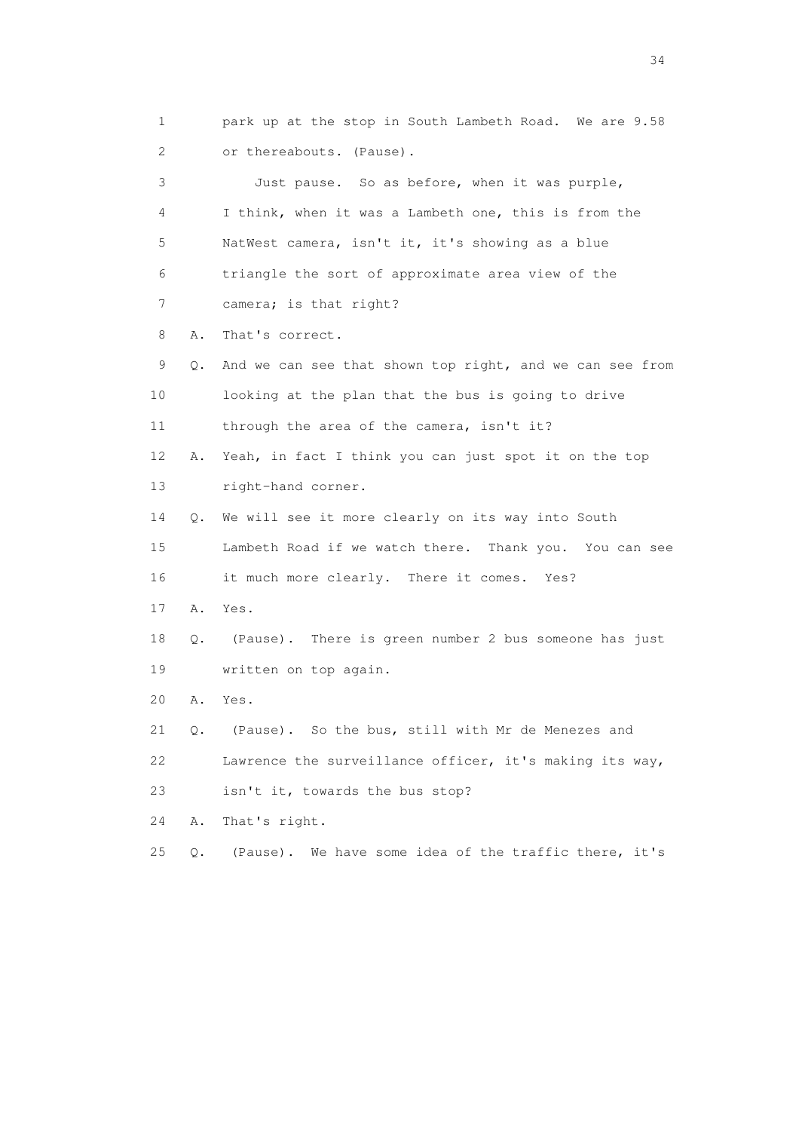1 park up at the stop in South Lambeth Road. We are 9.58 2 or thereabouts. (Pause). 3 Just pause. So as before, when it was purple, 4 I think, when it was a Lambeth one, this is from the 5 NatWest camera, isn't it, it's showing as a blue 6 triangle the sort of approximate area view of the 7 camera; is that right? 8 A. That's correct. 9 Q. And we can see that shown top right, and we can see from 10 looking at the plan that the bus is going to drive 11 through the area of the camera, isn't it? 12 A. Yeah, in fact I think you can just spot it on the top 13 right-hand corner. 14 Q. We will see it more clearly on its way into South 15 Lambeth Road if we watch there. Thank you. You can see 16 it much more clearly. There it comes. Yes? 17 A. Yes. 18 Q. (Pause). There is green number 2 bus someone has just 19 written on top again. 20 A. Yes. 21 Q. (Pause). So the bus, still with Mr de Menezes and 22 Lawrence the surveillance officer, it's making its way, 23 isn't it, towards the bus stop? 24 A. That's right. 25 Q. (Pause). We have some idea of the traffic there, it's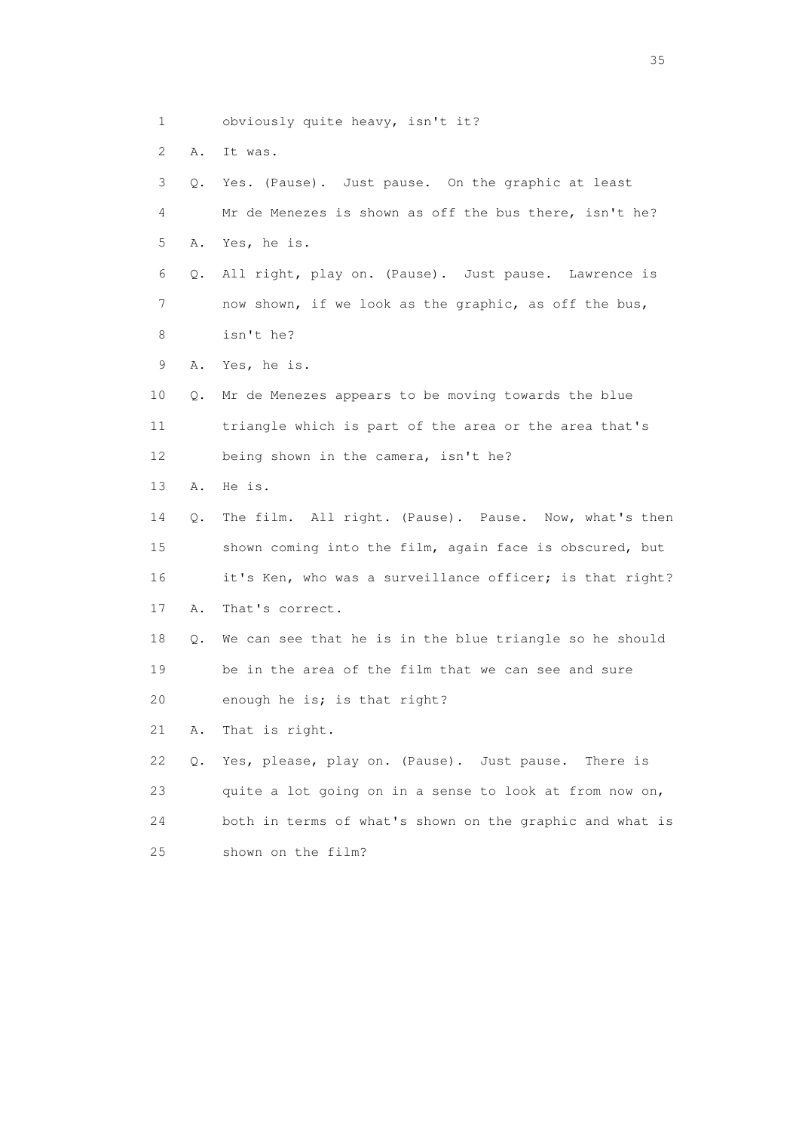- 1 obviously quite heavy, isn't it?
- 2 A. It was.

 3 Q. Yes. (Pause). Just pause. On the graphic at least 4 Mr de Menezes is shown as off the bus there, isn't he? 5 A. Yes, he is. 6 Q. All right, play on. (Pause). Just pause. Lawrence is 7 now shown, if we look as the graphic, as off the bus, 8 isn't he? 9 A. Yes, he is. 10 Q. Mr de Menezes appears to be moving towards the blue 11 triangle which is part of the area or the area that's 12 being shown in the camera, isn't he? 13 A. He is. 14 Q. The film. All right. (Pause). Pause. Now, what's then 15 shown coming into the film, again face is obscured, but 16 it's Ken, who was a surveillance officer; is that right? 17 A. That's correct. 18 Q. We can see that he is in the blue triangle so he should 19 be in the area of the film that we can see and sure 20 enough he is; is that right? 21 A. That is right. 22 Q. Yes, please, play on. (Pause). Just pause. There is 23 quite a lot going on in a sense to look at from now on, 24 both in terms of what's shown on the graphic and what is 25 shown on the film?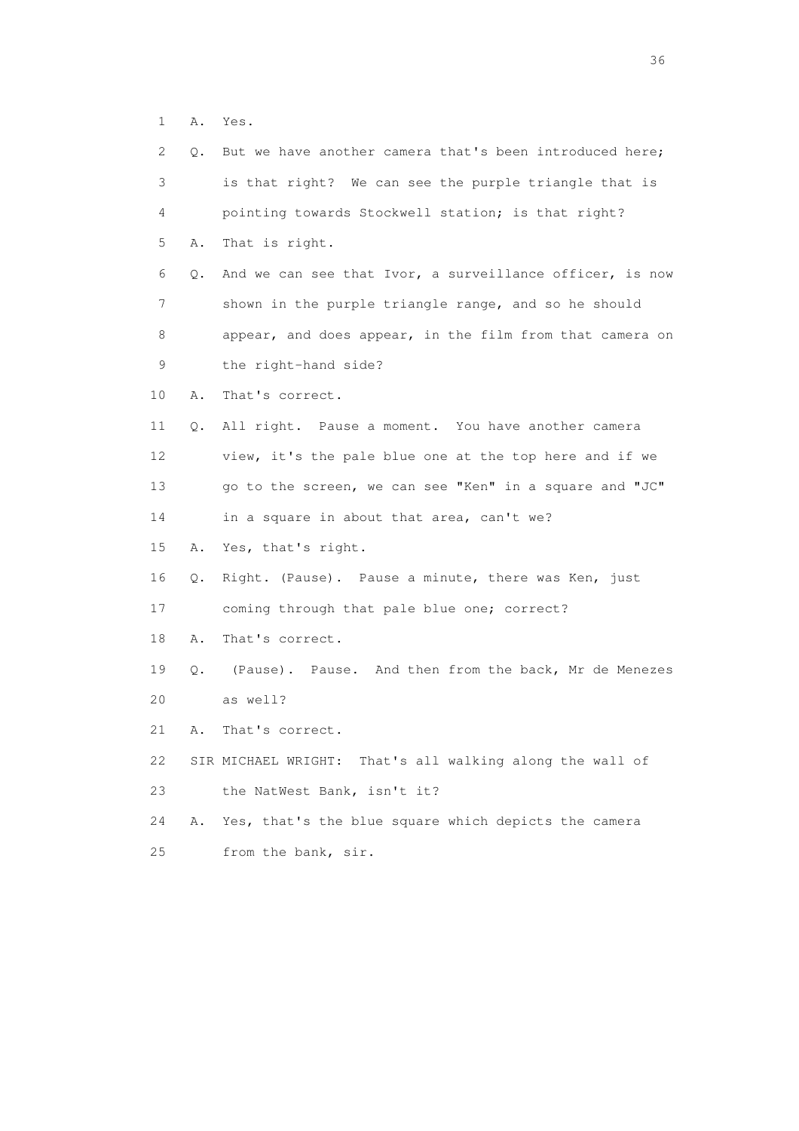1 A. Yes.

| $\mathbf{2}^{\mathsf{I}}$ | Q. | But we have another camera that's been introduced here;  |
|---------------------------|----|----------------------------------------------------------|
| 3                         |    | is that right? We can see the purple triangle that is    |
| 4                         |    | pointing towards Stockwell station; is that right?       |
| 5                         | Α. | That is right.                                           |
| 6                         | Q. | And we can see that Ivor, a surveillance officer, is now |
| 7                         |    | shown in the purple triangle range, and so he should     |
| 8                         |    | appear, and does appear, in the film from that camera on |
| 9                         |    | the right-hand side?                                     |
| 10                        | Α. | That's correct.                                          |
| 11                        | Q. | All right. Pause a moment. You have another camera       |
| 12                        |    | view, it's the pale blue one at the top here and if we   |
| 13                        |    | go to the screen, we can see "Ken" in a square and "JC"  |
| 14                        |    | in a square in about that area, can't we?                |
| 15                        | Α. | Yes, that's right.                                       |
| 16                        | Q. | Right. (Pause). Pause a minute, there was Ken, just      |
| 17                        |    | coming through that pale blue one; correct?              |
| 18                        | Α. | That's correct.                                          |
| 19                        | Q. | (Pause). Pause. And then from the back, Mr de Menezes    |
| 20                        |    | as well?                                                 |
| 21                        | Α. | That's correct.                                          |
| 22                        |    | SIR MICHAEL WRIGHT: That's all walking along the wall of |
| 23                        |    | the NatWest Bank, isn't it?                              |
| 24                        | Α. | Yes, that's the blue square which depicts the camera     |
| 25                        |    | from the bank, sir.                                      |

 $36<sup>2</sup>$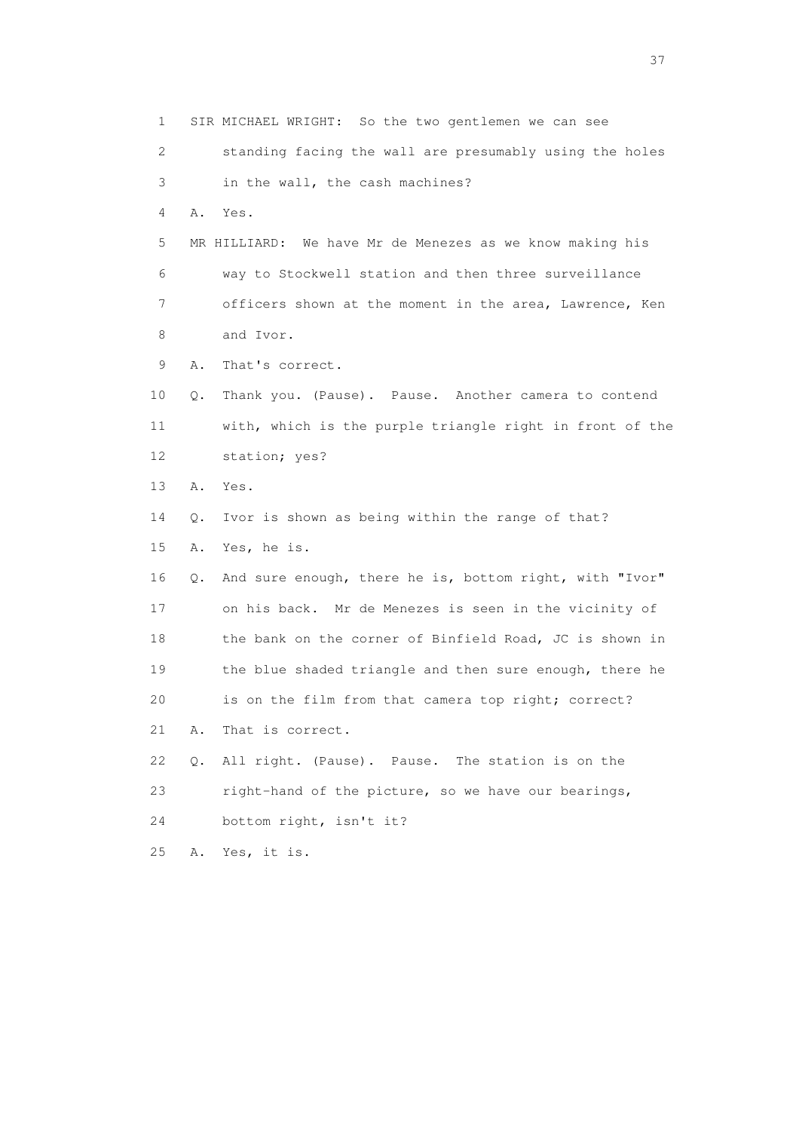1 SIR MICHAEL WRIGHT: So the two gentlemen we can see 2 standing facing the wall are presumably using the holes 3 in the wall, the cash machines? 4 A. Yes. 5 MR HILLIARD: We have Mr de Menezes as we know making his 6 way to Stockwell station and then three surveillance 7 officers shown at the moment in the area, Lawrence, Ken 8 and Ivor. 9 A. That's correct. 10 Q. Thank you. (Pause). Pause. Another camera to contend 11 with, which is the purple triangle right in front of the 12 station; yes? 13 A. Yes. 14 Q. Ivor is shown as being within the range of that? 15 A. Yes, he is. 16 Q. And sure enough, there he is, bottom right, with "Ivor" 17 on his back. Mr de Menezes is seen in the vicinity of 18 the bank on the corner of Binfield Road, JC is shown in 19 the blue shaded triangle and then sure enough, there he 20 is on the film from that camera top right; correct? 21 A. That is correct. 22 Q. All right. (Pause). Pause. The station is on the 23 right-hand of the picture, so we have our bearings, 24 bottom right, isn't it? 25 A. Yes, it is.

<u>37</u>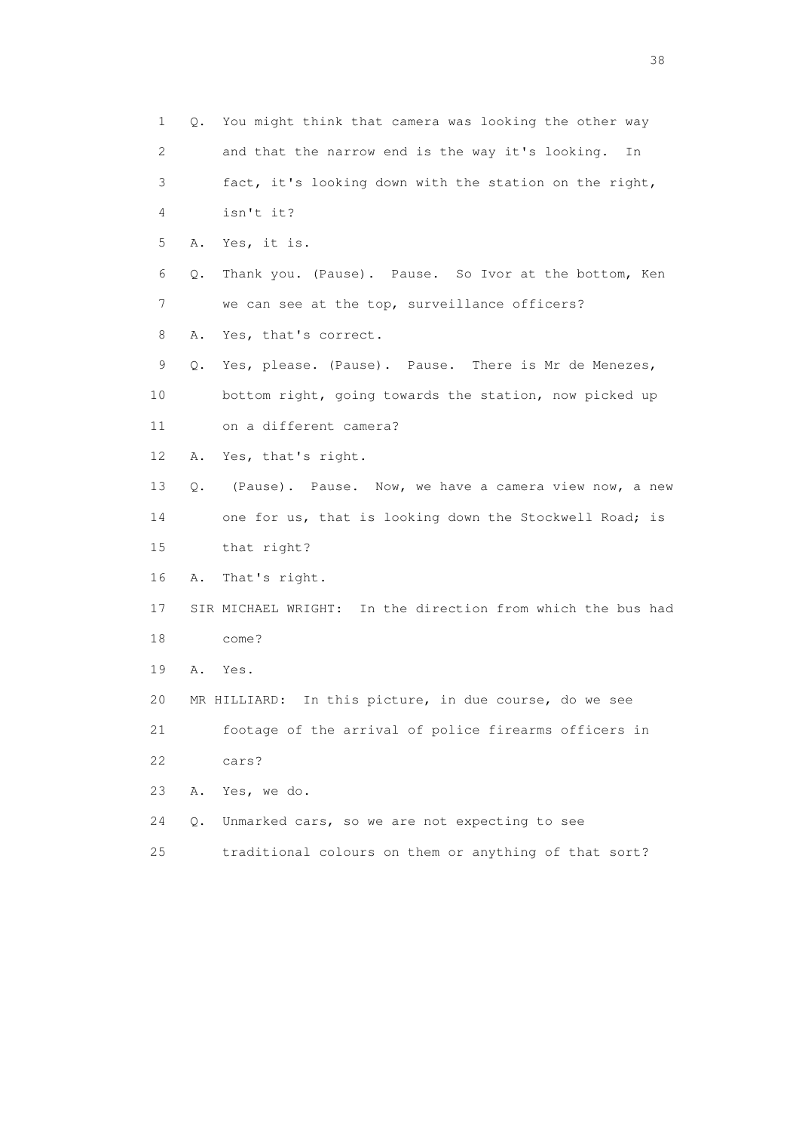1 Q. You might think that camera was looking the other way 2 and that the narrow end is the way it's looking. In 3 fact, it's looking down with the station on the right, 4 isn't it? 5 A. Yes, it is. 6 Q. Thank you. (Pause). Pause. So Ivor at the bottom, Ken 7 we can see at the top, surveillance officers? 8 A. Yes, that's correct. 9 Q. Yes, please. (Pause). Pause. There is Mr de Menezes, 10 bottom right, going towards the station, now picked up 11 on a different camera? 12 A. Yes, that's right. 13 Q. (Pause). Pause. Now, we have a camera view now, a new 14 one for us, that is looking down the Stockwell Road; is 15 that right? 16 A. That's right. 17 SIR MICHAEL WRIGHT: In the direction from which the bus had 18 come? 19 A. Yes. 20 MR HILLIARD: In this picture, in due course, do we see 21 footage of the arrival of police firearms officers in 22 cars? 23 A. Yes, we do. 24 Q. Unmarked cars, so we are not expecting to see 25 traditional colours on them or anything of that sort?

and the state of the state of the state of the state of the state of the state of the state of the state of the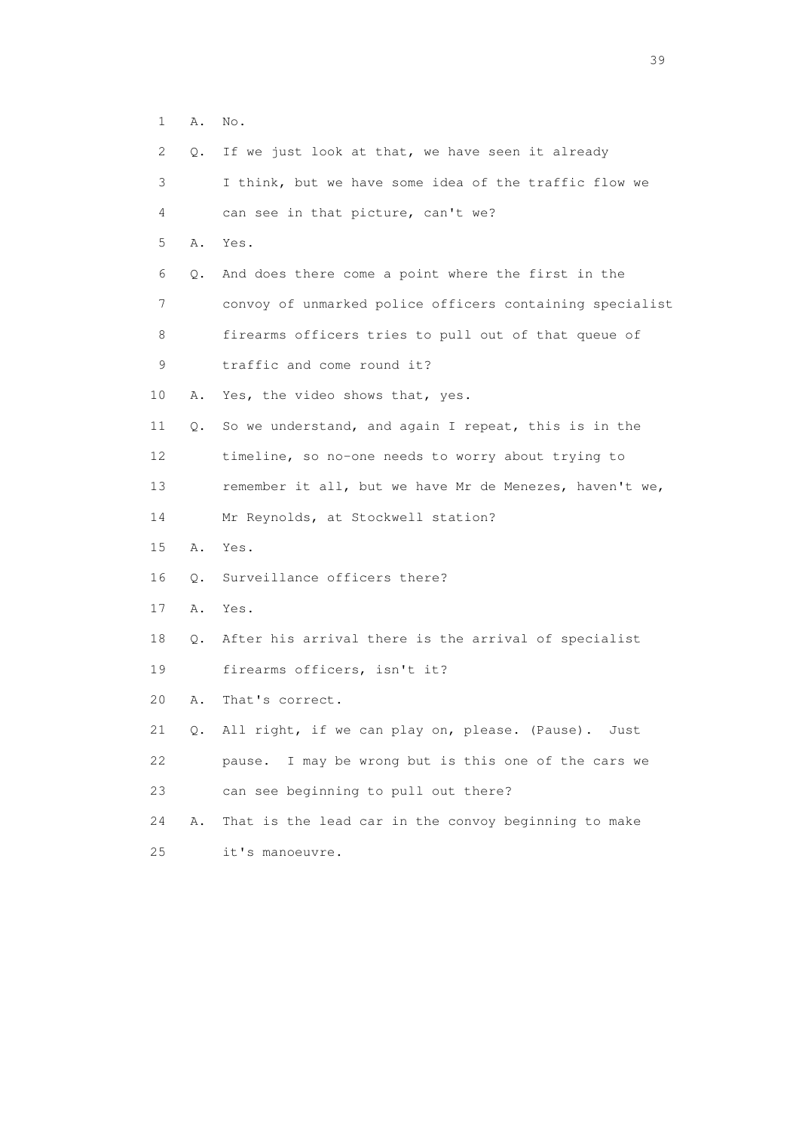1 A. No.

| $\mathbf{2}^{\mathsf{I}}$ | Q.        | If we just look at that, we have seen it already         |
|---------------------------|-----------|----------------------------------------------------------|
| 3                         |           | I think, but we have some idea of the traffic flow we    |
| 4                         |           | can see in that picture, can't we?                       |
| 5                         | Α.        | Yes.                                                     |
| 6                         | Q.        | And does there come a point where the first in the       |
| 7                         |           | convoy of unmarked police officers containing specialist |
| 8                         |           | firearms officers tries to pull out of that queue of     |
| 9                         |           | traffic and come round it?                               |
| 10                        | Α.        | Yes, the video shows that, yes.                          |
| 11                        | Q.        | So we understand, and again I repeat, this is in the     |
| 12                        |           | timeline, so no-one needs to worry about trying to       |
| 13                        |           | remember it all, but we have Mr de Menezes, haven't we,  |
| 14                        |           | Mr Reynolds, at Stockwell station?                       |
| 15                        | Α.        | Yes.                                                     |
| 16                        | О.        | Surveillance officers there?                             |
| 17                        | Α.        | Yes.                                                     |
| 18                        | $\circ$ . | After his arrival there is the arrival of specialist     |
| 19                        |           | firearms officers, isn't it?                             |
| 20                        | Α.        | That's correct.                                          |
| 21                        | Q.        | All right, if we can play on, please. (Pause).<br>Just   |
| 22                        |           | I may be wrong but is this one of the cars we<br>pause.  |
| 23                        |           | can see beginning to pull out there?                     |
| 24                        | Α.        | That is the lead car in the convoy beginning to make     |
| 25                        |           | it's manoeuvre.                                          |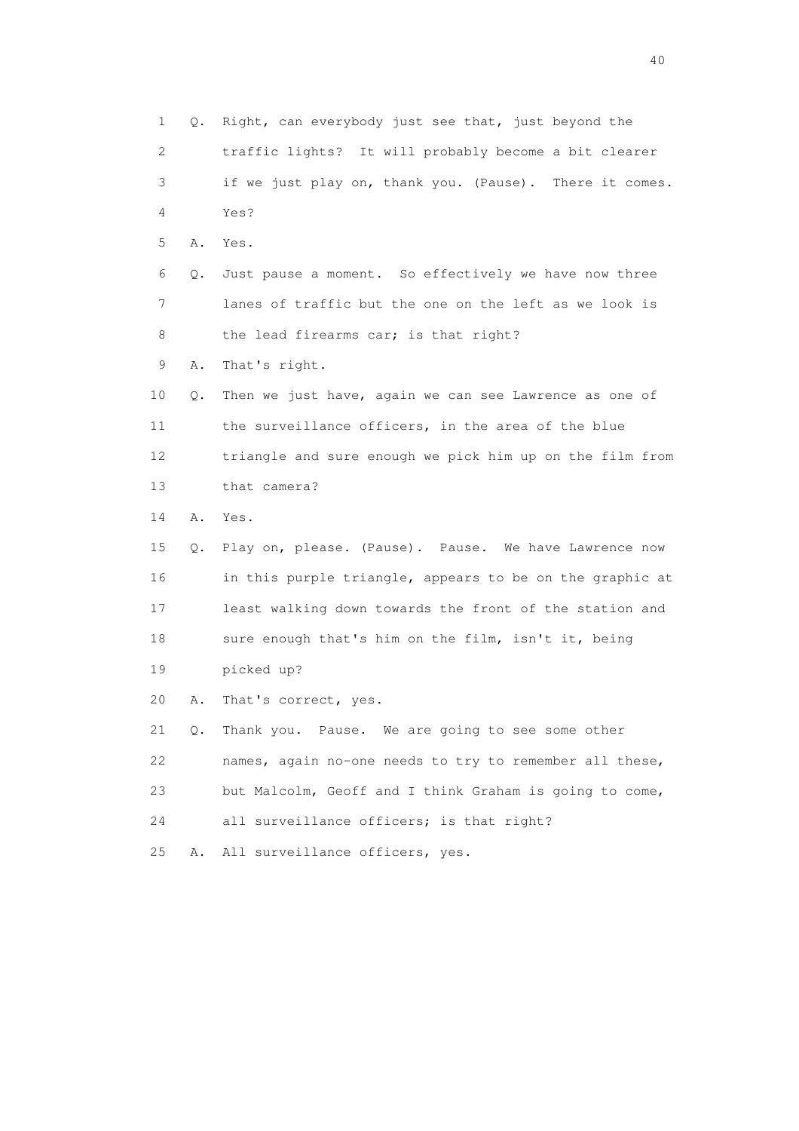1 Q. Right, can everybody just see that, just beyond the 2 traffic lights? It will probably become a bit clearer 3 if we just play on, thank you. (Pause). There it comes. 4 Yes? 5 A. Yes. 6 Q. Just pause a moment. So effectively we have now three 7 lanes of traffic but the one on the left as we look is 8 the lead firearms car; is that right? 9 A. That's right. 10 Q. Then we just have, again we can see Lawrence as one of 11 the surveillance officers, in the area of the blue 12 triangle and sure enough we pick him up on the film from 13 that camera? 14 A. Yes. 15 Q. Play on, please. (Pause). Pause. We have Lawrence now 16 in this purple triangle, appears to be on the graphic at 17 least walking down towards the front of the station and 18 sure enough that's him on the film, isn't it, being 19 picked up? 20 A. That's correct, yes. 21 Q. Thank you. Pause. We are going to see some other 22 names, again no-one needs to try to remember all these, 23 but Malcolm, Geoff and I think Graham is going to come, 24 all surveillance officers; is that right? 25 A. All surveillance officers, yes.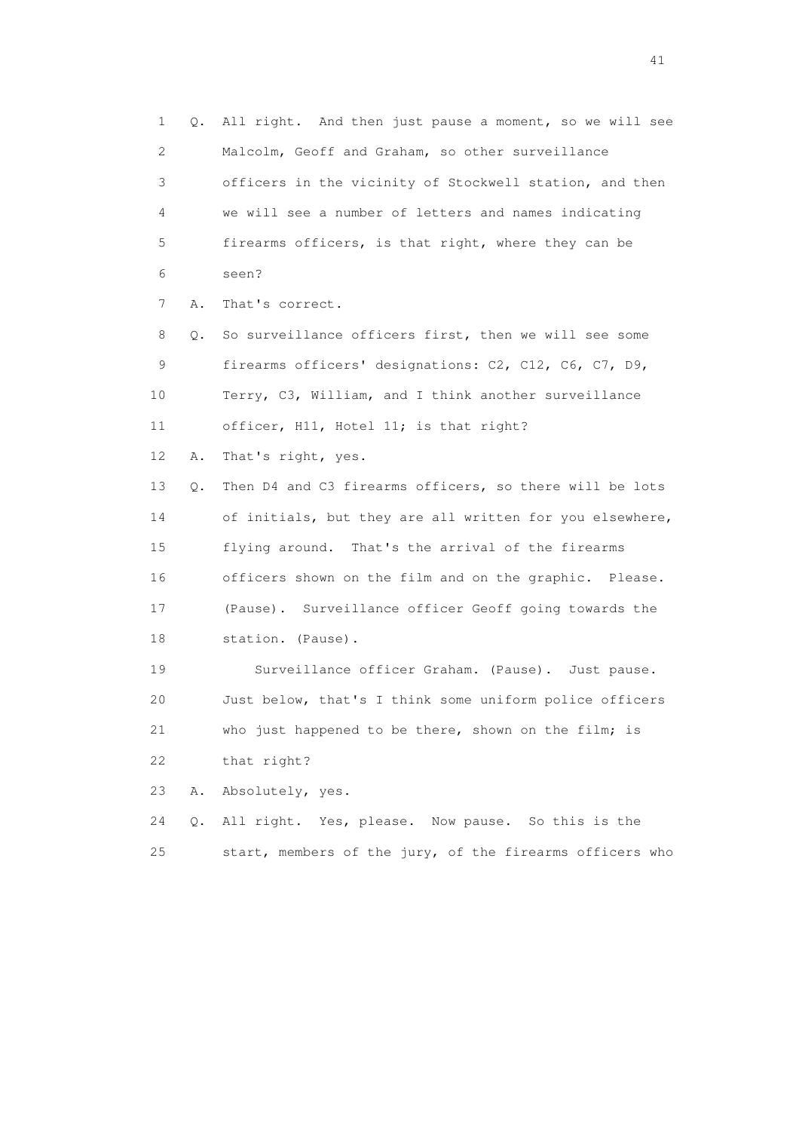1 Q. All right. And then just pause a moment, so we will see 2 Malcolm, Geoff and Graham, so other surveillance 3 officers in the vicinity of Stockwell station, and then 4 we will see a number of letters and names indicating 5 firearms officers, is that right, where they can be 6 seen? 7 A. That's correct. 8 Q. So surveillance officers first, then we will see some 9 firearms officers' designations: C2, C12, C6, C7, D9, 10 Terry, C3, William, and I think another surveillance 11 officer, H11, Hotel 11; is that right? 12 A. That's right, yes. 13 Q. Then D4 and C3 firearms officers, so there will be lots 14 of initials, but they are all written for you elsewhere, 15 flying around. That's the arrival of the firearms 16 officers shown on the film and on the graphic. Please. 17 (Pause). Surveillance officer Geoff going towards the 18 station. (Pause). 19 Surveillance officer Graham. (Pause). Just pause. 20 Just below, that's I think some uniform police officers 21 who just happened to be there, shown on the film; is 22 that right? 23 A. Absolutely, yes. 24 Q. All right. Yes, please. Now pause. So this is the

25 start, members of the jury, of the firearms officers who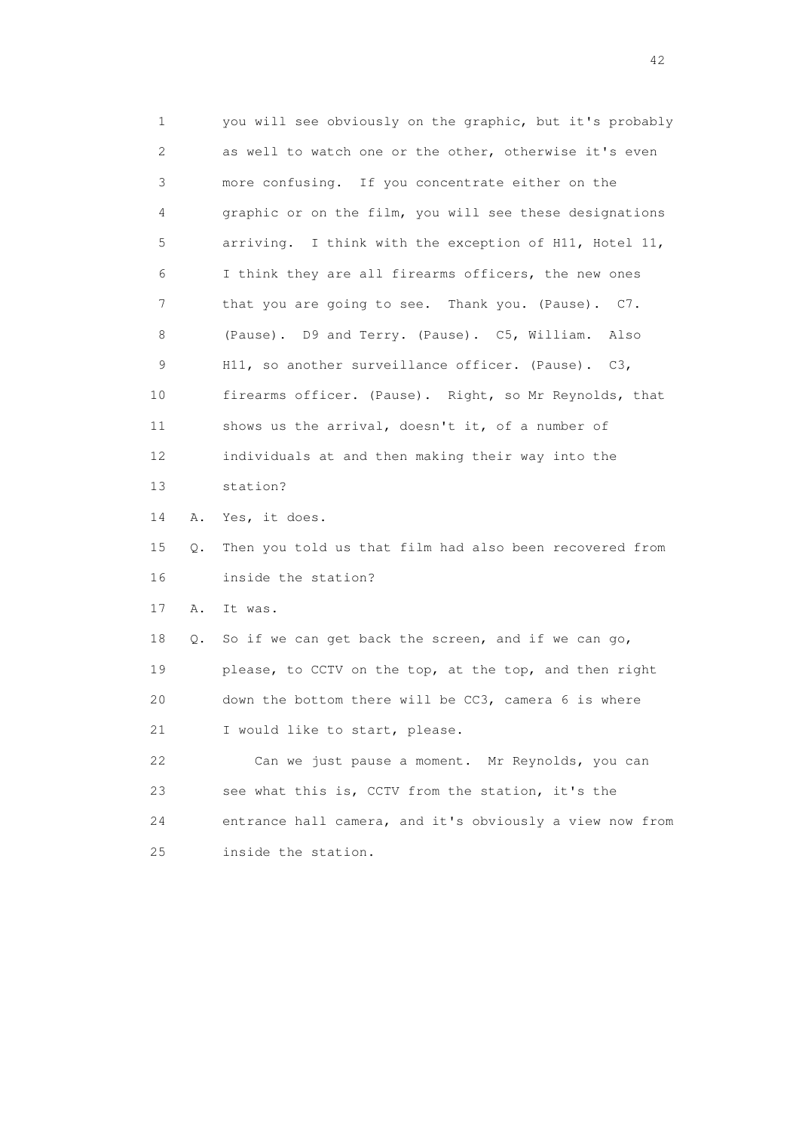1 you will see obviously on the graphic, but it's probably 2 as well to watch one or the other, otherwise it's even 3 more confusing. If you concentrate either on the 4 graphic or on the film, you will see these designations 5 arriving. I think with the exception of H11, Hotel 11, 6 I think they are all firearms officers, the new ones 7 that you are going to see. Thank you. (Pause). C7. 8 (Pause). D9 and Terry. (Pause). C5, William. Also 9 H11, so another surveillance officer. (Pause). C3, 10 firearms officer. (Pause). Right, so Mr Reynolds, that 11 shows us the arrival, doesn't it, of a number of 12 individuals at and then making their way into the 13 station? 14 A. Yes, it does. 15 Q. Then you told us that film had also been recovered from 16 inside the station? 17 A. It was. 18 Q. So if we can get back the screen, and if we can go, 19 please, to CCTV on the top, at the top, and then right 20 down the bottom there will be CC3, camera 6 is where 21 I would like to start, please. 22 Can we just pause a moment. Mr Reynolds, you can 23 see what this is, CCTV from the station, it's the 24 entrance hall camera, and it's obviously a view now from 25 inside the station.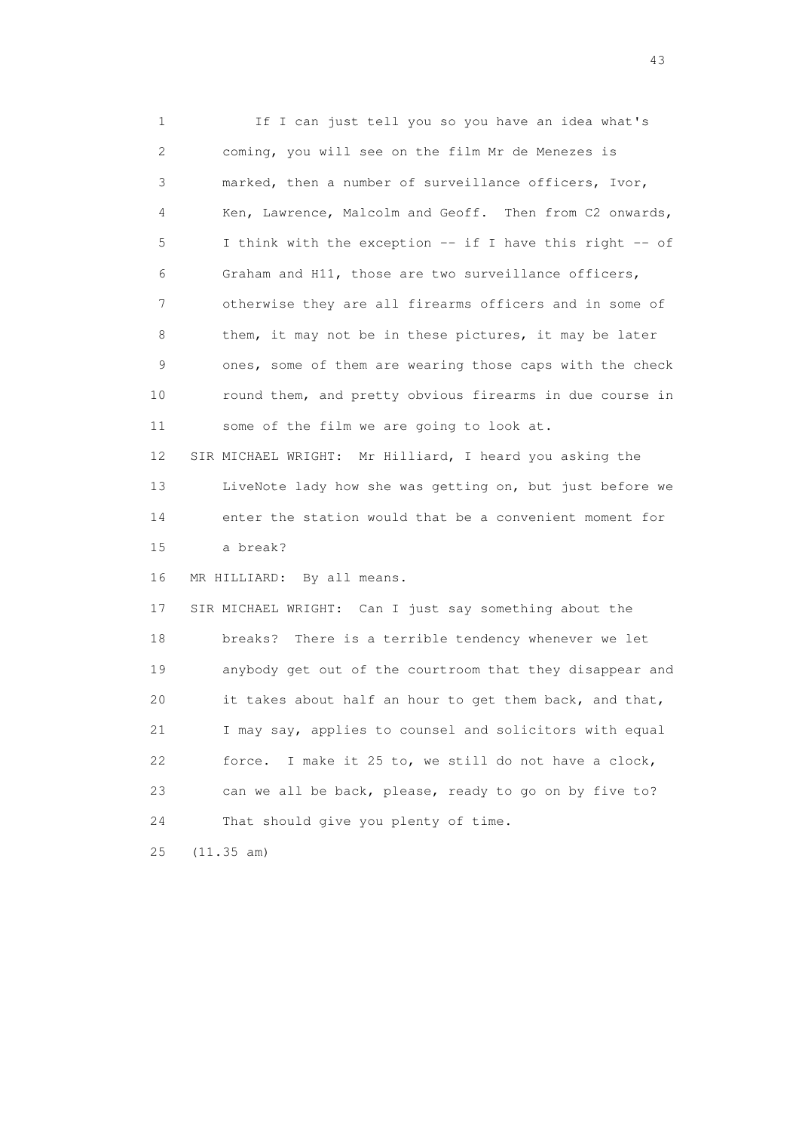1 If I can just tell you so you have an idea what's 2 coming, you will see on the film Mr de Menezes is 3 marked, then a number of surveillance officers, Ivor, 4 Ken, Lawrence, Malcolm and Geoff. Then from C2 onwards, 5 I think with the exception -- if I have this right -- of 6 Graham and H11, those are two surveillance officers, 7 otherwise they are all firearms officers and in some of 8 them, it may not be in these pictures, it may be later 9 ones, some of them are wearing those caps with the check 10 round them, and pretty obvious firearms in due course in 11 some of the film we are going to look at. 12 SIR MICHAEL WRIGHT: Mr Hilliard, I heard you asking the 13 LiveNote lady how she was getting on, but just before we 14 enter the station would that be a convenient moment for 15 a break? 16 MR HILLIARD: By all means. 17 SIR MICHAEL WRIGHT: Can I just say something about the 18 breaks? There is a terrible tendency whenever we let 19 anybody get out of the courtroom that they disappear and 20 it takes about half an hour to get them back, and that, 21 I may say, applies to counsel and solicitors with equal 22 force. I make it 25 to, we still do not have a clock, 23 can we all be back, please, ready to go on by five to? 24 That should give you plenty of time. 25 (11.35 am)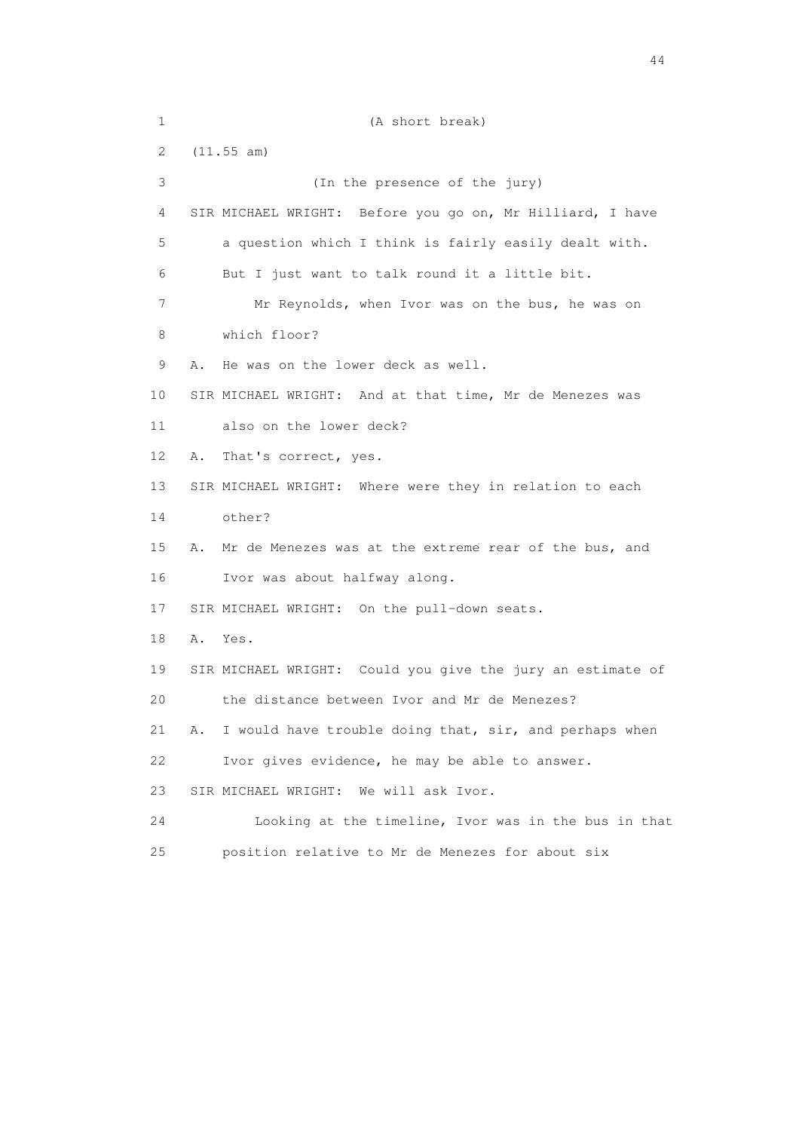| $\mathbf 1$ | (A short break)                                              |
|-------------|--------------------------------------------------------------|
| 2           | (11.55 am)                                                   |
| 3           | (In the presence of the jury)                                |
| 4           | SIR MICHAEL WRIGHT: Before you go on, Mr Hilliard, I have    |
| 5           | a question which I think is fairly easily dealt with.        |
| 6           | But I just want to talk round it a little bit.               |
| 7           | Mr Reynolds, when Ivor was on the bus, he was on             |
| 8           | which floor?                                                 |
| 9           | He was on the lower deck as well.<br>Α.                      |
| 10          | SIR MICHAEL WRIGHT: And at that time, Mr de Menezes was      |
| 11          | also on the lower deck?                                      |
| 12          | That's correct, yes.<br>Α.                                   |
| 13          | SIR MICHAEL WRIGHT: Where were they in relation to each      |
| 14          | other?                                                       |
| 15          | Mr de Menezes was at the extreme rear of the bus, and<br>Α.  |
| 16          | Ivor was about halfway along.                                |
| 17          | SIR MICHAEL WRIGHT: On the pull-down seats.                  |
| 18          | Α.<br>Yes.                                                   |
| 19          | SIR MICHAEL WRIGHT: Could you give the jury an estimate of   |
| 20          | the distance between Ivor and Mr de Menezes?                 |
| 21          | I would have trouble doing that, sir, and perhaps when<br>Α. |
| 22          | Ivor gives evidence, he may be able to answer.               |
| 23          | We will ask Ivor.<br>SIR MICHAEL WRIGHT:                     |
| 24          | Looking at the timeline, Ivor was in the bus in that         |
| 25          | position relative to Mr de Menezes for about six             |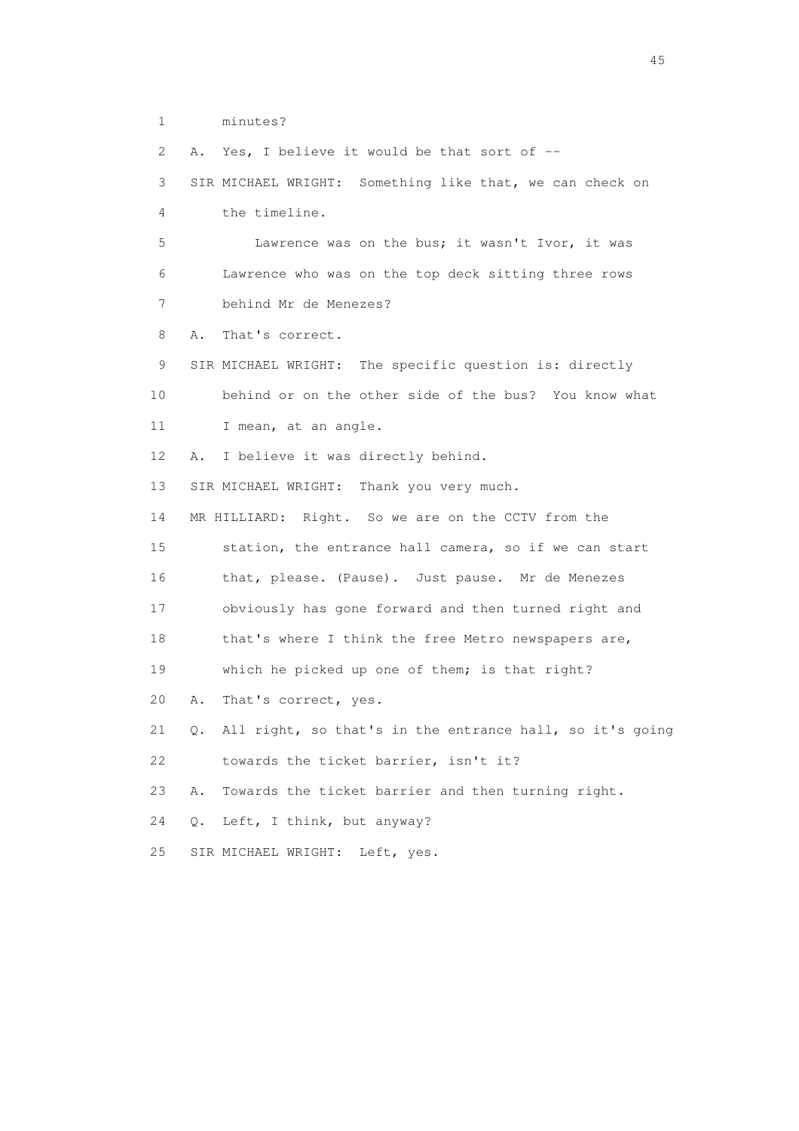1 minutes?

2 A. Yes, I believe it would be that sort of --

 3 SIR MICHAEL WRIGHT: Something like that, we can check on 4 the timeline.

 5 Lawrence was on the bus; it wasn't Ivor, it was 6 Lawrence who was on the top deck sitting three rows 7 behind Mr de Menezes?

8 A. That's correct.

 9 SIR MICHAEL WRIGHT: The specific question is: directly 10 behind or on the other side of the bus? You know what 11 I mean, at an angle.

12 A. I believe it was directly behind.

13 SIR MICHAEL WRIGHT: Thank you very much.

14 MR HILLIARD: Right. So we are on the CCTV from the

15 station, the entrance hall camera, so if we can start

16 that, please. (Pause). Just pause. Mr de Menezes

17 obviously has gone forward and then turned right and

18 that's where I think the free Metro newspapers are,

19 which he picked up one of them; is that right?

20 A. That's correct, yes.

21 Q. All right, so that's in the entrance hall, so it's going

22 towards the ticket barrier, isn't it?

23 A. Towards the ticket barrier and then turning right.

24 Q. Left, I think, but anyway?

25 SIR MICHAEL WRIGHT: Left, yes.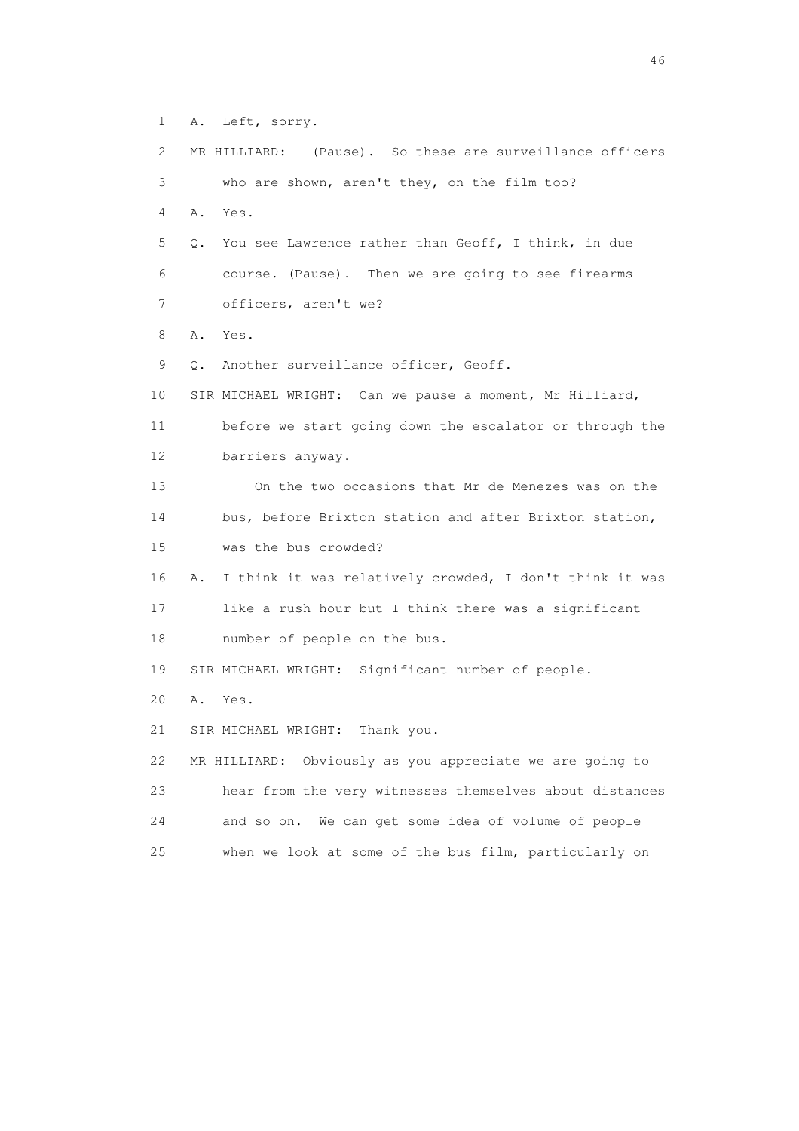1 A. Left, sorry. 2 MR HILLIARD: (Pause). So these are surveillance officers 3 who are shown, aren't they, on the film too? 4 A. Yes. 5 Q. You see Lawrence rather than Geoff, I think, in due 6 course. (Pause). Then we are going to see firearms 7 officers, aren't we? 8 A. Yes. 9 Q. Another surveillance officer, Geoff. 10 SIR MICHAEL WRIGHT: Can we pause a moment, Mr Hilliard, 11 before we start going down the escalator or through the 12 barriers anyway. 13 On the two occasions that Mr de Menezes was on the 14 bus, before Brixton station and after Brixton station, 15 was the bus crowded? 16 A. I think it was relatively crowded, I don't think it was 17 like a rush hour but I think there was a significant 18 number of people on the bus. 19 SIR MICHAEL WRIGHT: Significant number of people. 20 A. Yes. 21 SIR MICHAEL WRIGHT: Thank you. 22 MR HILLIARD: Obviously as you appreciate we are going to 23 hear from the very witnesses themselves about distances 24 and so on. We can get some idea of volume of people 25 when we look at some of the bus film, particularly on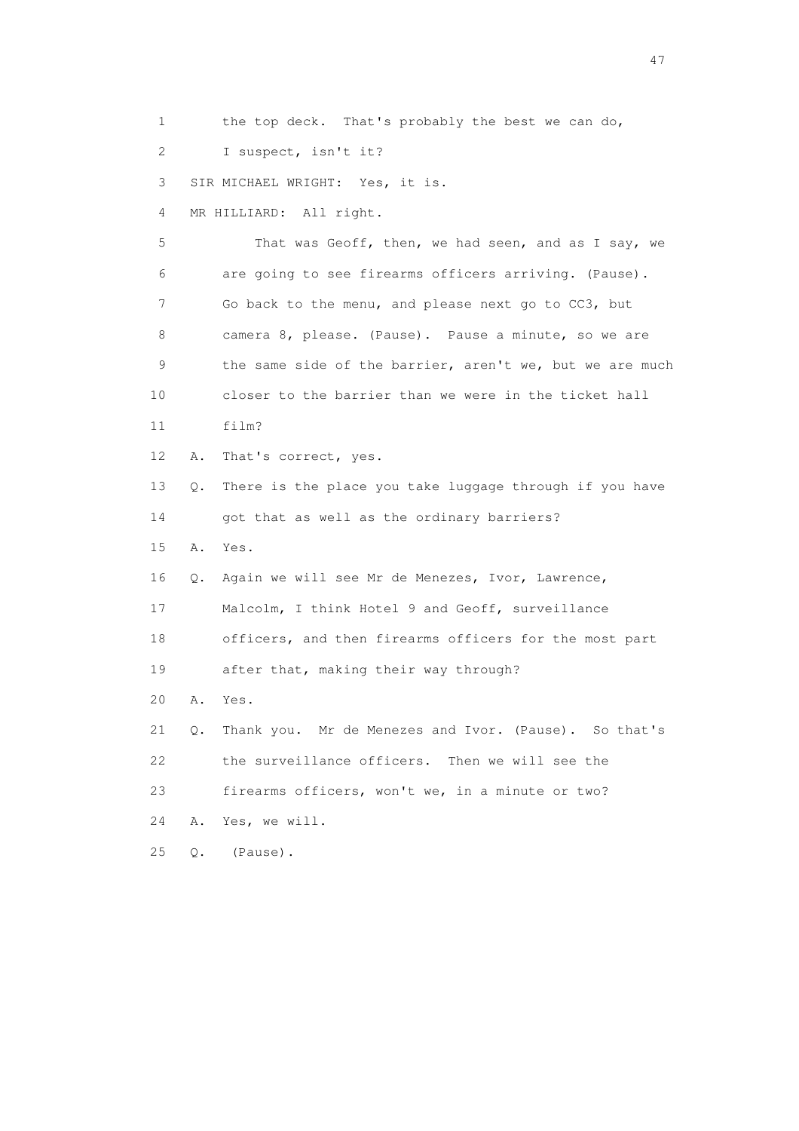1 the top deck. That's probably the best we can do,

2 I suspect, isn't it?

3 SIR MICHAEL WRIGHT: Yes, it is.

4 MR HILLIARD: All right.

 5 That was Geoff, then, we had seen, and as I say, we 6 are going to see firearms officers arriving. (Pause). 7 Go back to the menu, and please next go to CC3, but 8 camera 8, please. (Pause). Pause a minute, so we are 9 the same side of the barrier, aren't we, but we are much 10 closer to the barrier than we were in the ticket hall 11 film? 12 A. That's correct, yes. 13 Q. There is the place you take luggage through if you have 14 got that as well as the ordinary barriers? 15 A. Yes. 16 Q. Again we will see Mr de Menezes, Ivor, Lawrence, 17 Malcolm, I think Hotel 9 and Geoff, surveillance 18 officers, and then firearms officers for the most part 19 after that, making their way through? 20 A. Yes. 21 Q. Thank you. Mr de Menezes and Ivor. (Pause). So that's

22 the surveillance officers. Then we will see the

23 firearms officers, won't we, in a minute or two?

24 A. Yes, we will.

25 Q. (Pause).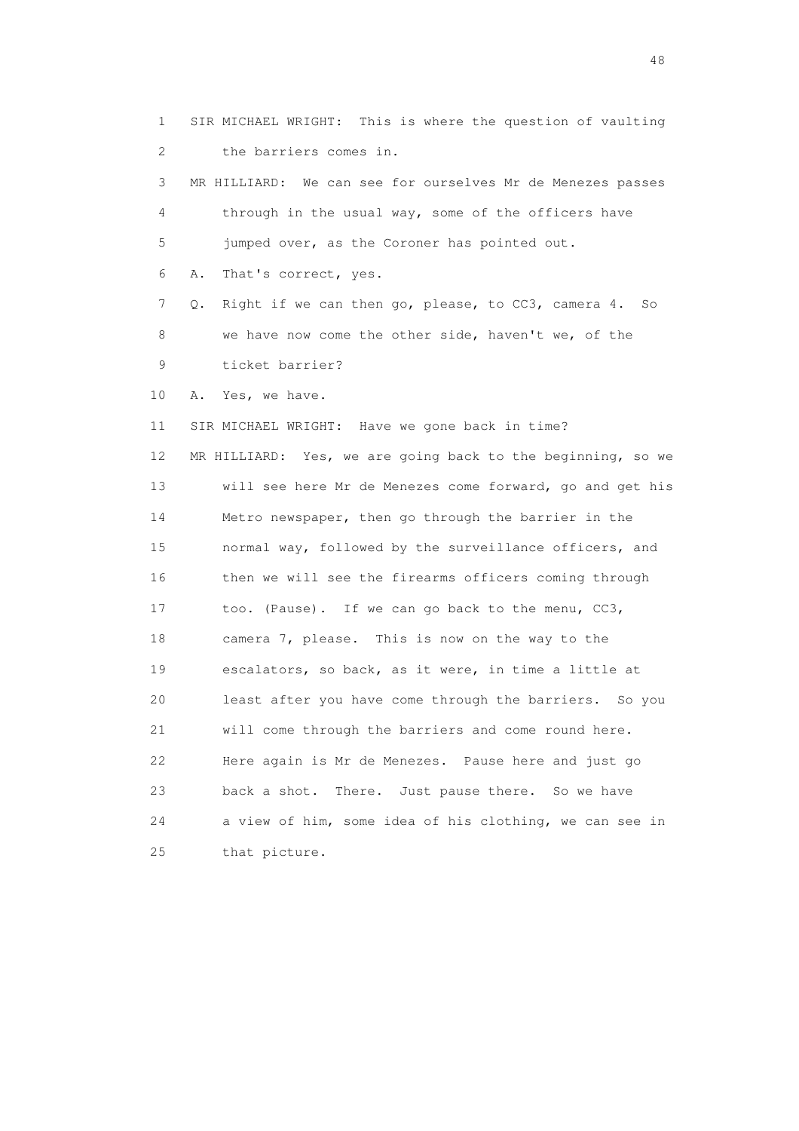1 SIR MICHAEL WRIGHT: This is where the question of vaulting 2 the barriers comes in. 3 MR HILLIARD: We can see for ourselves Mr de Menezes passes 4 through in the usual way, some of the officers have 5 jumped over, as the Coroner has pointed out. 6 A. That's correct, yes. 7 Q. Right if we can then go, please, to CC3, camera 4. So 8 we have now come the other side, haven't we, of the 9 ticket barrier? 10 A. Yes, we have. 11 SIR MICHAEL WRIGHT: Have we gone back in time? 12 MR HILLIARD: Yes, we are going back to the beginning, so we 13 will see here Mr de Menezes come forward, go and get his 14 Metro newspaper, then go through the barrier in the 15 normal way, followed by the surveillance officers, and 16 then we will see the firearms officers coming through 17 too. (Pause). If we can go back to the menu, CC3, 18 camera 7, please. This is now on the way to the 19 escalators, so back, as it were, in time a little at 20 least after you have come through the barriers. So you 21 will come through the barriers and come round here. 22 Here again is Mr de Menezes. Pause here and just go 23 back a shot. There. Just pause there. So we have 24 a view of him, some idea of his clothing, we can see in 25 that picture.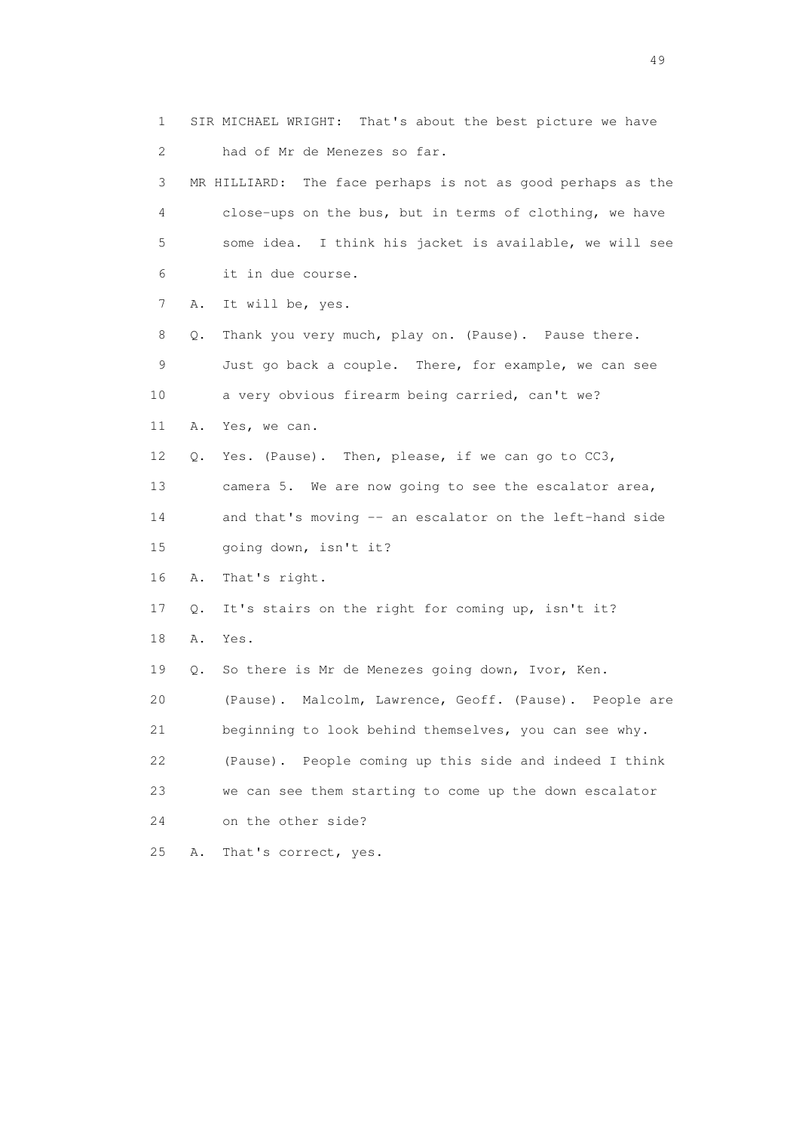1 SIR MICHAEL WRIGHT: That's about the best picture we have 2 had of Mr de Menezes so far. 3 MR HILLIARD: The face perhaps is not as good perhaps as the 4 close-ups on the bus, but in terms of clothing, we have 5 some idea. I think his jacket is available, we will see 6 it in due course. 7 A. It will be, yes. 8 Q. Thank you very much, play on. (Pause). Pause there. 9 Just go back a couple. There, for example, we can see 10 a very obvious firearm being carried, can't we? 11 A. Yes, we can. 12 Q. Yes. (Pause). Then, please, if we can go to CC3, 13 camera 5. We are now going to see the escalator area, 14 and that's moving -- an escalator on the left-hand side 15 going down, isn't it? 16 A. That's right. 17 Q. It's stairs on the right for coming up, isn't it? 18 A. Yes. 19 Q. So there is Mr de Menezes going down, Ivor, Ken. 20 (Pause). Malcolm, Lawrence, Geoff. (Pause). People are 21 beginning to look behind themselves, you can see why. 22 (Pause). People coming up this side and indeed I think 23 we can see them starting to come up the down escalator 24 on the other side? 25 A. That's correct, yes.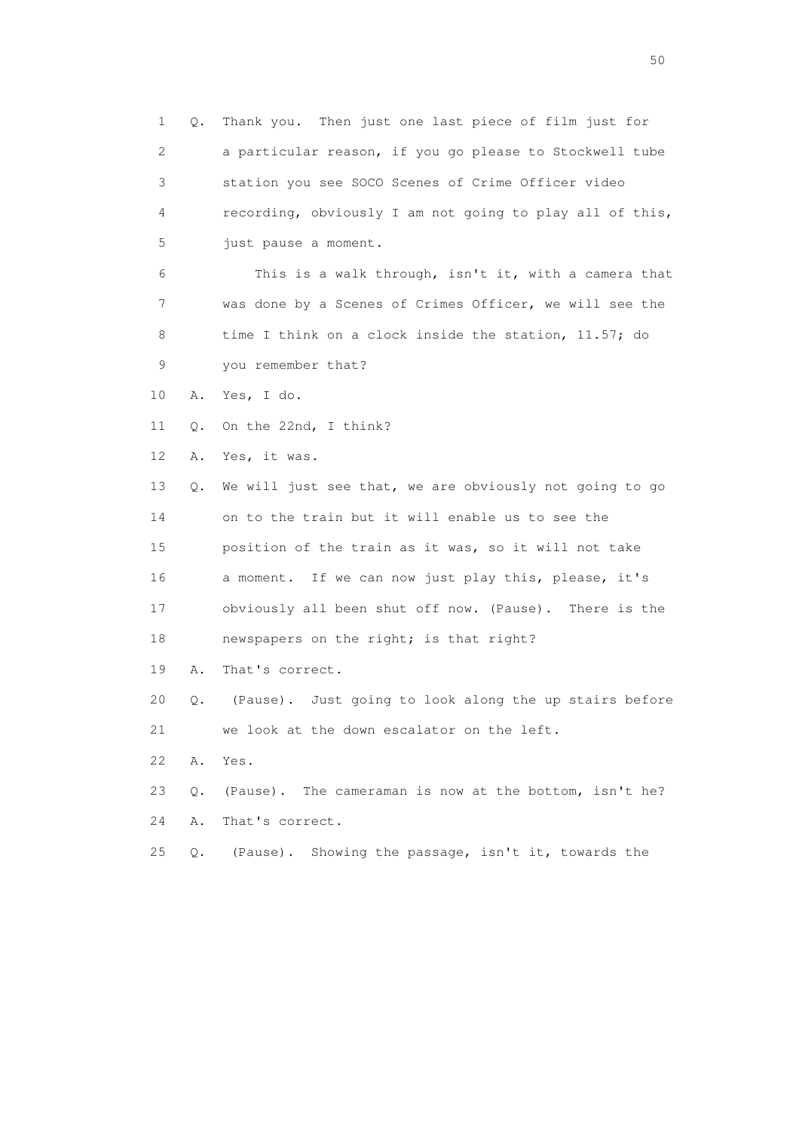1 Q. Thank you. Then just one last piece of film just for 2 a particular reason, if you go please to Stockwell tube 3 station you see SOCO Scenes of Crime Officer video 4 recording, obviously I am not going to play all of this, 5 just pause a moment.

 6 This is a walk through, isn't it, with a camera that 7 was done by a Scenes of Crimes Officer, we will see the 8 time I think on a clock inside the station, 11.57; do 9 you remember that?

10 A. Yes, I do.

11 Q. On the 22nd, I think?

12 A. Yes, it was.

 13 Q. We will just see that, we are obviously not going to go 14 on to the train but it will enable us to see the 15 position of the train as it was, so it will not take 16 a moment. If we can now just play this, please, it's 17 obviously all been shut off now. (Pause). There is the 18 newspapers on the right; is that right?

19 A. That's correct.

 20 Q. (Pause). Just going to look along the up stairs before 21 we look at the down escalator on the left.

22 A. Yes.

23 Q. (Pause). The cameraman is now at the bottom, isn't he?

24 A. That's correct.

25 Q. (Pause). Showing the passage, isn't it, towards the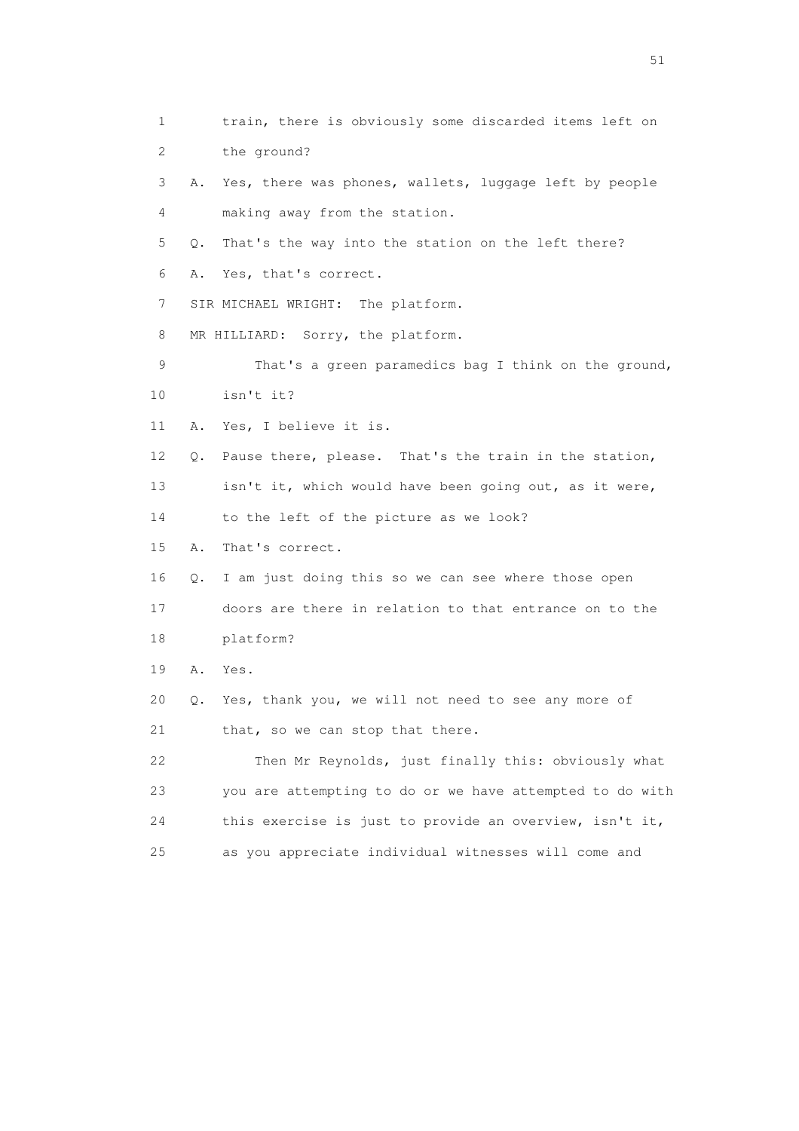1 train, there is obviously some discarded items left on 2 the ground? 3 A. Yes, there was phones, wallets, luggage left by people 4 making away from the station. 5 Q. That's the way into the station on the left there? 6 A. Yes, that's correct. 7 SIR MICHAEL WRIGHT: The platform. 8 MR HILLIARD: Sorry, the platform. 9 That's a green paramedics bag I think on the ground, 10 isn't it? 11 A. Yes, I believe it is. 12 Q. Pause there, please. That's the train in the station, 13 isn't it, which would have been going out, as it were, 14 to the left of the picture as we look? 15 A. That's correct. 16 Q. I am just doing this so we can see where those open 17 doors are there in relation to that entrance on to the 18 platform? 19 A. Yes. 20 Q. Yes, thank you, we will not need to see any more of 21 that, so we can stop that there. 22 Then Mr Reynolds, just finally this: obviously what 23 you are attempting to do or we have attempted to do with 24 this exercise is just to provide an overview, isn't it, 25 as you appreciate individual witnesses will come and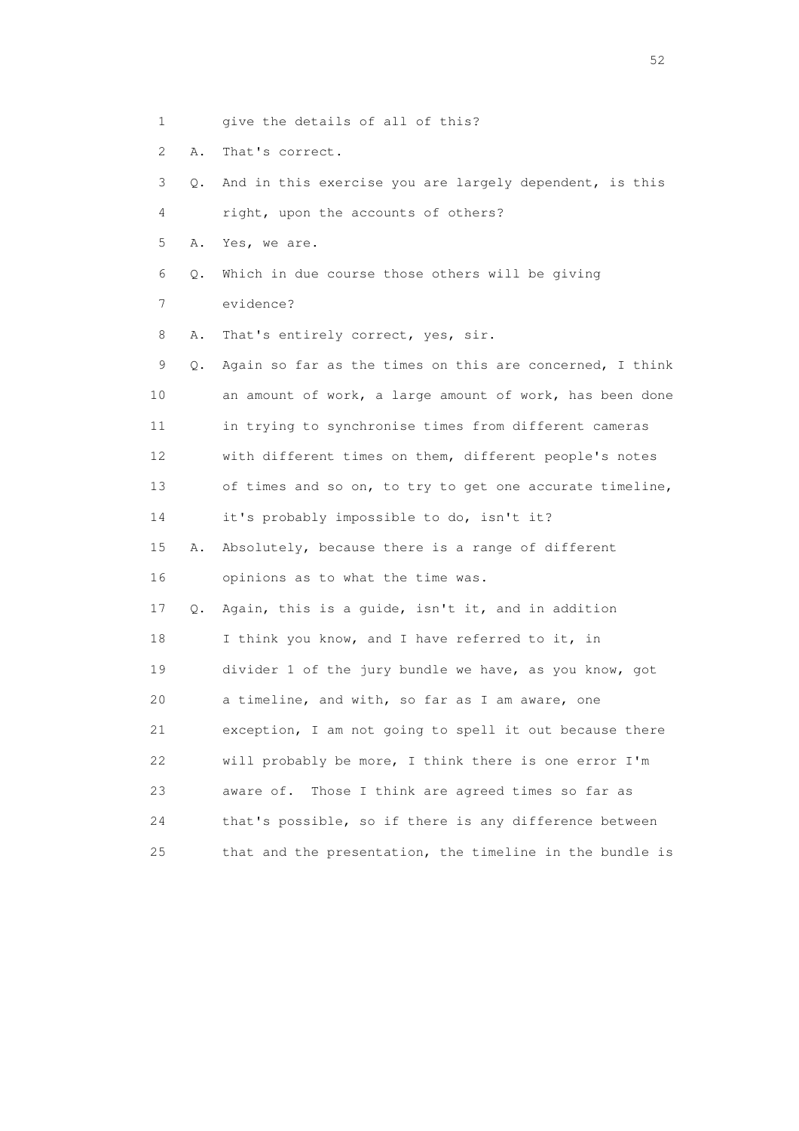- 1 give the details of all of this?
- 2 A. That's correct.

 3 Q. And in this exercise you are largely dependent, is this 4 right, upon the accounts of others? 5 A. Yes, we are. 6 Q. Which in due course those others will be giving 7 evidence? 8 A. That's entirely correct, yes, sir. 9 Q. Again so far as the times on this are concerned, I think 10 an amount of work, a large amount of work, has been done 11 in trying to synchronise times from different cameras 12 with different times on them, different people's notes 13 of times and so on, to try to get one accurate timeline, 14 it's probably impossible to do, isn't it? 15 A. Absolutely, because there is a range of different 16 opinions as to what the time was. 17 Q. Again, this is a guide, isn't it, and in addition 18 I think you know, and I have referred to it, in 19 divider 1 of the jury bundle we have, as you know, got 20 a timeline, and with, so far as I am aware, one 21 exception, I am not going to spell it out because there 22 will probably be more, I think there is one error I'm 23 aware of. Those I think are agreed times so far as 24 that's possible, so if there is any difference between 25 that and the presentation, the timeline in the bundle is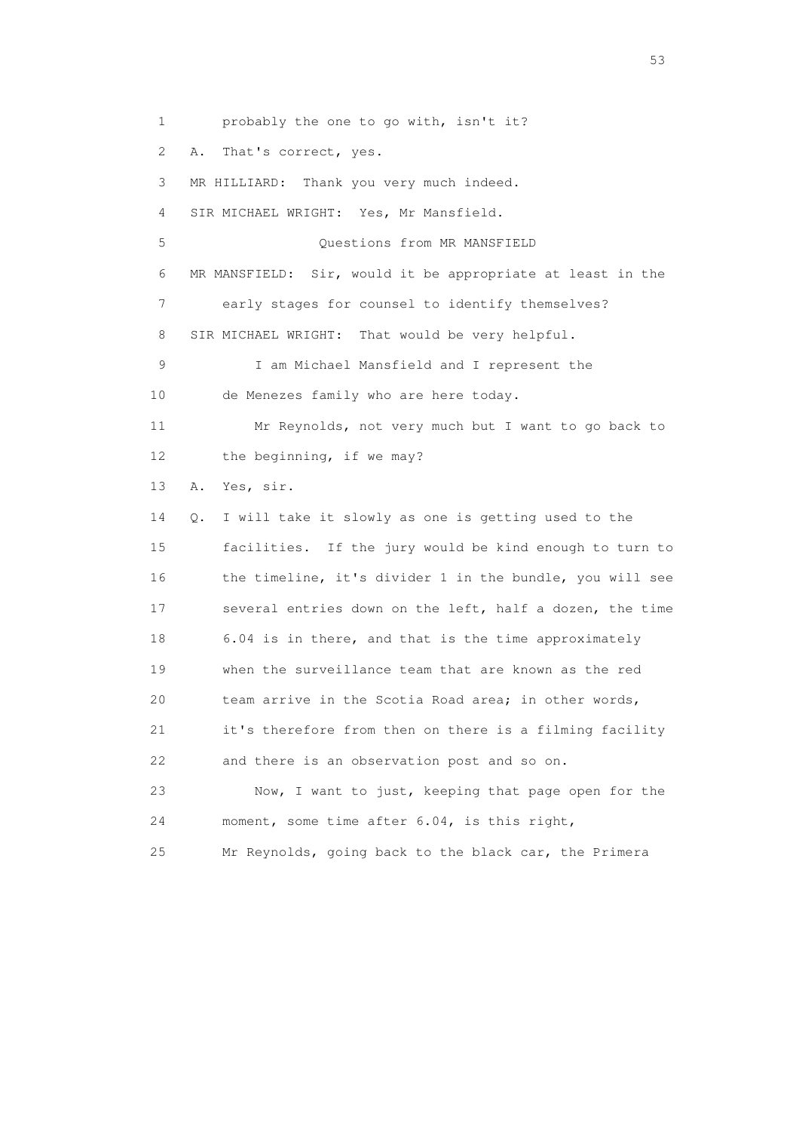1 probably the one to go with, isn't it?

2 A. That's correct, yes.

3 MR HILLIARD: Thank you very much indeed.

4 SIR MICHAEL WRIGHT: Yes, Mr Mansfield.

 5 Questions from MR MANSFIELD 6 MR MANSFIELD: Sir, would it be appropriate at least in the 7 early stages for counsel to identify themselves? 8 SIR MICHAEL WRIGHT: That would be very helpful.

 9 I am Michael Mansfield and I represent the 10 de Menezes family who are here today.

 11 Mr Reynolds, not very much but I want to go back to 12 the beginning, if we may?

13 A. Yes, sir.

 14 Q. I will take it slowly as one is getting used to the 15 facilities. If the jury would be kind enough to turn to 16 the timeline, it's divider 1 in the bundle, you will see 17 several entries down on the left, half a dozen, the time 18 6.04 is in there, and that is the time approximately 19 when the surveillance team that are known as the red 20 team arrive in the Scotia Road area; in other words, 21 it's therefore from then on there is a filming facility 22 and there is an observation post and so on.

 23 Now, I want to just, keeping that page open for the 24 moment, some time after 6.04, is this right,

25 Mr Reynolds, going back to the black car, the Primera

 $\sim$  53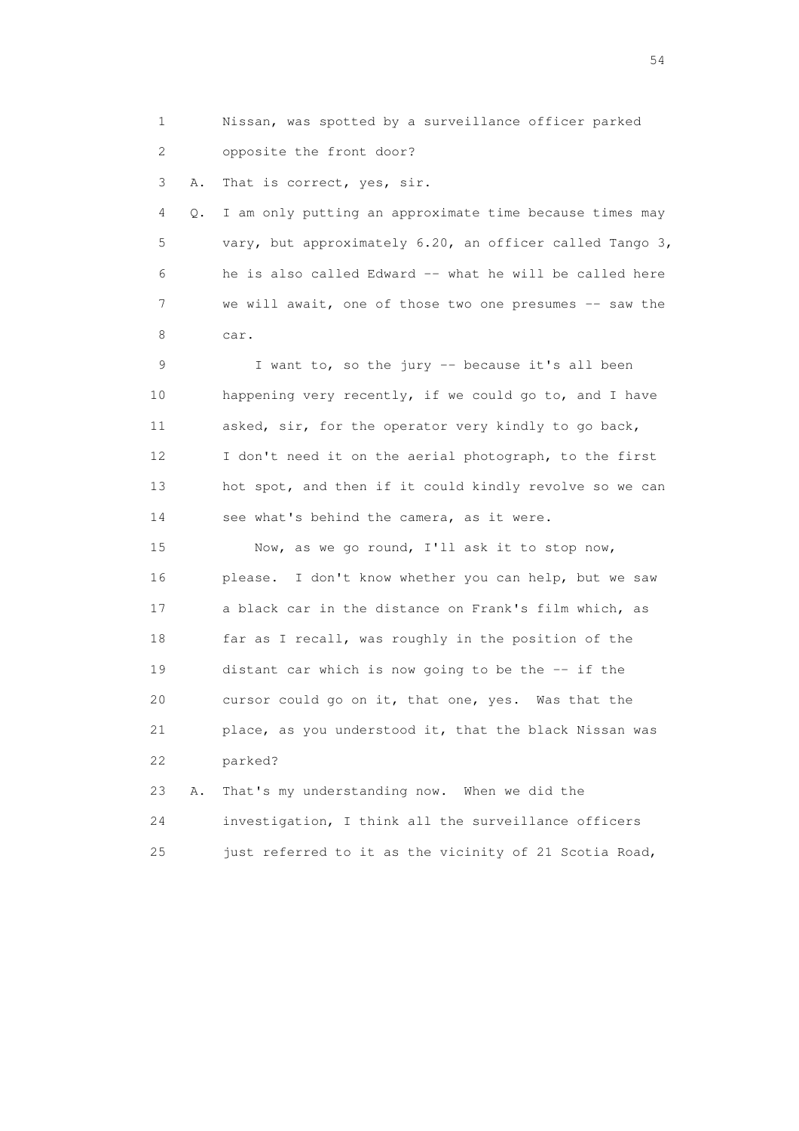1 Nissan, was spotted by a surveillance officer parked 2 opposite the front door?

3 A. That is correct, yes, sir.

 4 Q. I am only putting an approximate time because times may 5 vary, but approximately 6.20, an officer called Tango 3, 6 he is also called Edward -- what he will be called here 7 we will await, one of those two one presumes -- saw the 8 car.

 9 I want to, so the jury -- because it's all been 10 happening very recently, if we could go to, and I have 11 asked, sir, for the operator very kindly to go back, 12 I don't need it on the aerial photograph, to the first 13 hot spot, and then if it could kindly revolve so we can 14 see what's behind the camera, as it were.

 15 Now, as we go round, I'll ask it to stop now, 16 please. I don't know whether you can help, but we saw 17 a black car in the distance on Frank's film which, as 18 far as I recall, was roughly in the position of the 19 distant car which is now going to be the -- if the 20 cursor could go on it, that one, yes. Was that the 21 place, as you understood it, that the black Nissan was 22 parked?

 23 A. That's my understanding now. When we did the 24 investigation, I think all the surveillance officers 25 just referred to it as the vicinity of 21 Scotia Road,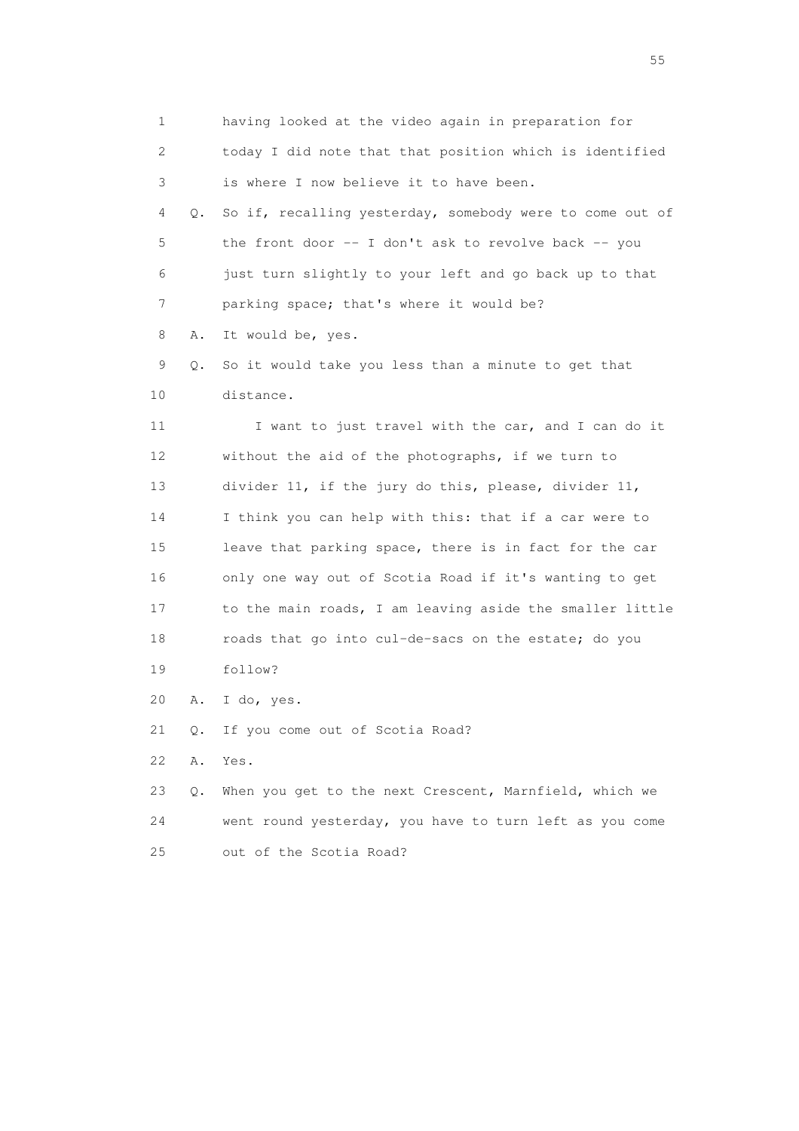1 having looked at the video again in preparation for 2 today I did note that that position which is identified 3 is where I now believe it to have been. 4 Q. So if, recalling yesterday, somebody were to come out of 5 the front door -- I don't ask to revolve back -- you 6 just turn slightly to your left and go back up to that 7 parking space; that's where it would be? 8 A. It would be, yes. 9 Q. So it would take you less than a minute to get that 10 distance. 11 I want to just travel with the car, and I can do it 12 without the aid of the photographs, if we turn to 13 divider 11, if the jury do this, please, divider 11, 14 I think you can help with this: that if a car were to 15 leave that parking space, there is in fact for the car 16 only one way out of Scotia Road if it's wanting to get 17 to the main roads, I am leaving aside the smaller little 18 roads that go into cul-de-sacs on the estate; do you 19 follow? 20 A. I do, yes. 21 Q. If you come out of Scotia Road? 22 A. Yes. 23 Q. When you get to the next Crescent, Marnfield, which we 24 went round yesterday, you have to turn left as you come 25 out of the Scotia Road?

the state of the state of the state of the state of the state of the state of the state of the state of the state of the state of the state of the state of the state of the state of the state of the state of the state of t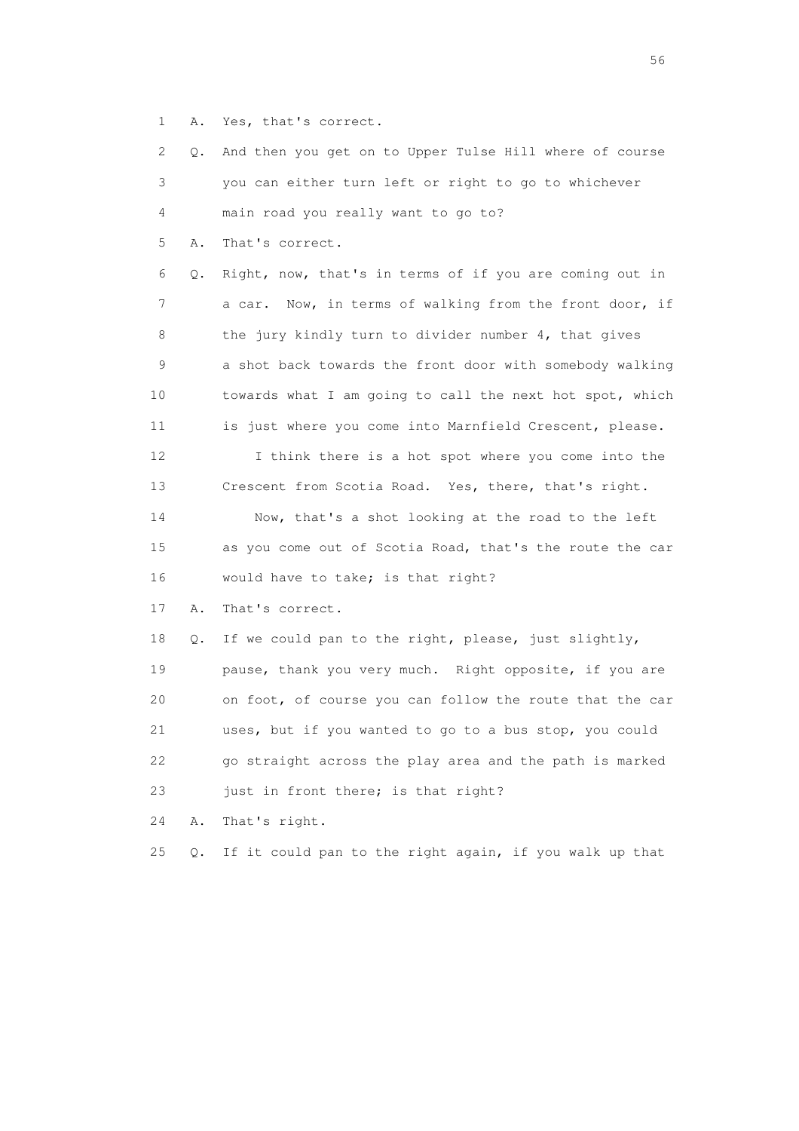1 A. Yes, that's correct.

 2 Q. And then you get on to Upper Tulse Hill where of course 3 you can either turn left or right to go to whichever 4 main road you really want to go to? 5 A. That's correct. 6 Q. Right, now, that's in terms of if you are coming out in 7 a car. Now, in terms of walking from the front door, if 8 the jury kindly turn to divider number 4, that gives 9 a shot back towards the front door with somebody walking 10 towards what I am going to call the next hot spot, which 11 is just where you come into Marnfield Crescent, please. 12 I think there is a hot spot where you come into the 13 Crescent from Scotia Road. Yes, there, that's right. 14 Now, that's a shot looking at the road to the left 15 as you come out of Scotia Road, that's the route the car 16 would have to take; is that right? 17 A. That's correct. 18 Q. If we could pan to the right, please, just slightly, 19 pause, thank you very much. Right opposite, if you are

 20 on foot, of course you can follow the route that the car 21 uses, but if you wanted to go to a bus stop, you could 22 go straight across the play area and the path is marked 23 just in front there; is that right?

24 A. That's right.

25 Q. If it could pan to the right again, if you walk up that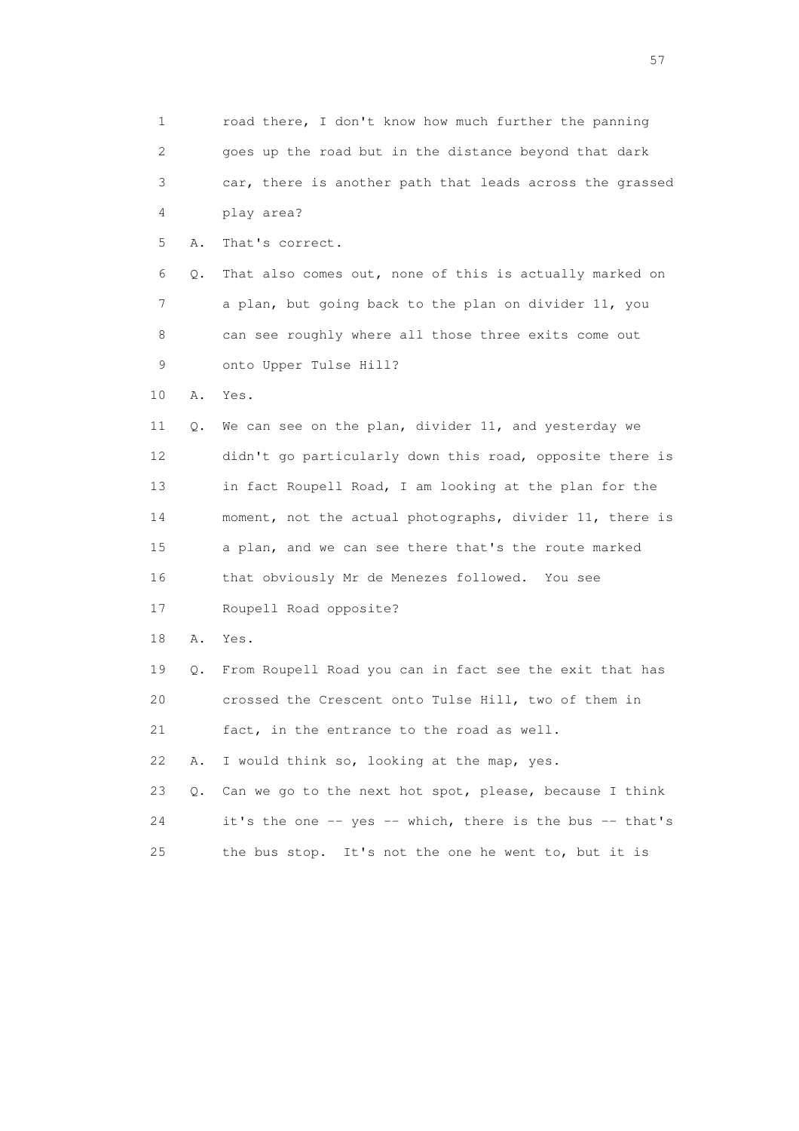1 road there, I don't know how much further the panning 2 goes up the road but in the distance beyond that dark 3 car, there is another path that leads across the grassed 4 play area? 5 A. That's correct. 6 Q. That also comes out, none of this is actually marked on 7 a plan, but going back to the plan on divider 11, you 8 can see roughly where all those three exits come out 9 onto Upper Tulse Hill? 10 A. Yes. 11 Q. We can see on the plan, divider 11, and yesterday we 12 didn't go particularly down this road, opposite there is 13 in fact Roupell Road, I am looking at the plan for the 14 moment, not the actual photographs, divider 11, there is 15 a plan, and we can see there that's the route marked 16 that obviously Mr de Menezes followed. You see 17 Roupell Road opposite? 18 A. Yes. 19 Q. From Roupell Road you can in fact see the exit that has 20 crossed the Crescent onto Tulse Hill, two of them in 21 fact, in the entrance to the road as well. 22 A. I would think so, looking at the map, yes. 23 Q. Can we go to the next hot spot, please, because I think 24 it's the one -- yes -- which, there is the bus -- that's 25 the bus stop. It's not the one he went to, but it is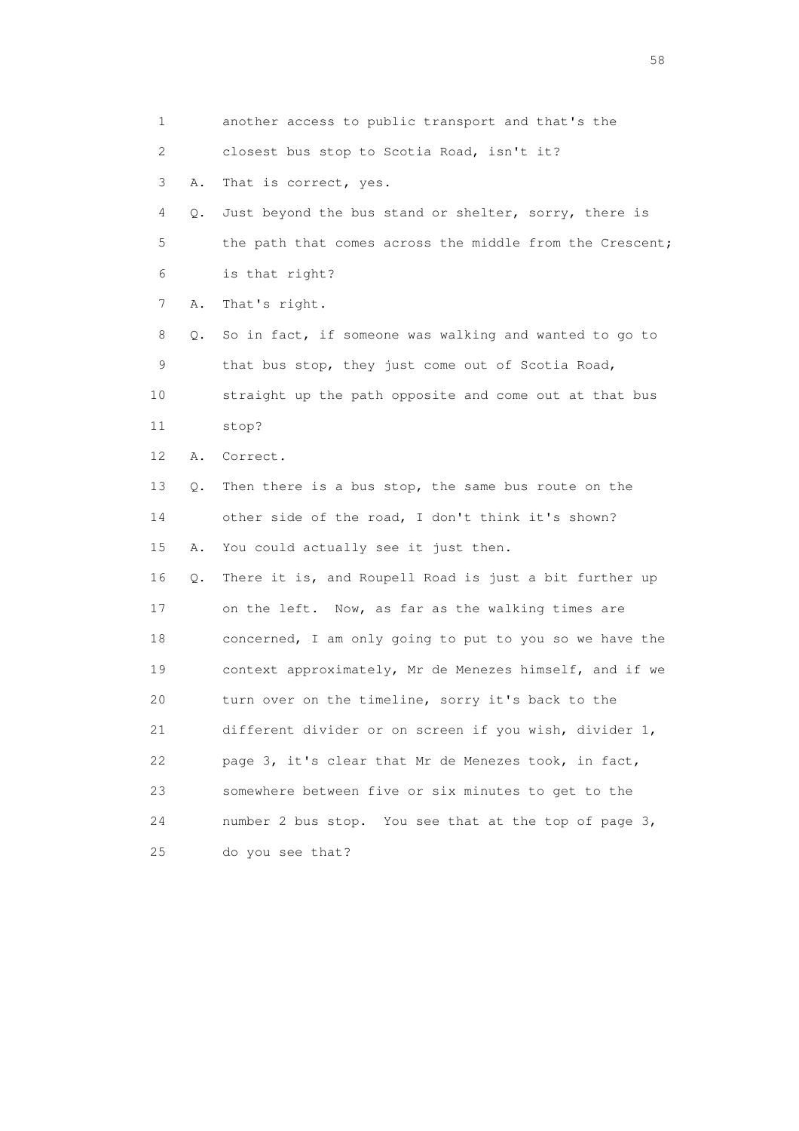1 another access to public transport and that's the 2 closest bus stop to Scotia Road, isn't it? 3 A. That is correct, yes. 4 Q. Just beyond the bus stand or shelter, sorry, there is 5 the path that comes across the middle from the Crescent; 6 is that right? 7 A. That's right. 8 Q. So in fact, if someone was walking and wanted to go to 9 that bus stop, they just come out of Scotia Road, 10 straight up the path opposite and come out at that bus 11 stop? 12 A. Correct. 13 Q. Then there is a bus stop, the same bus route on the 14 other side of the road, I don't think it's shown? 15 A. You could actually see it just then. 16 Q. There it is, and Roupell Road is just a bit further up 17 on the left. Now, as far as the walking times are 18 concerned, I am only going to put to you so we have the 19 context approximately, Mr de Menezes himself, and if we 20 turn over on the timeline, sorry it's back to the 21 different divider or on screen if you wish, divider 1, 22 page 3, it's clear that Mr de Menezes took, in fact, 23 somewhere between five or six minutes to get to the 24 number 2 bus stop. You see that at the top of page 3, 25 do you see that?

the state of the state of the state of the state of the state of the state of the state of the state of the state of the state of the state of the state of the state of the state of the state of the state of the state of t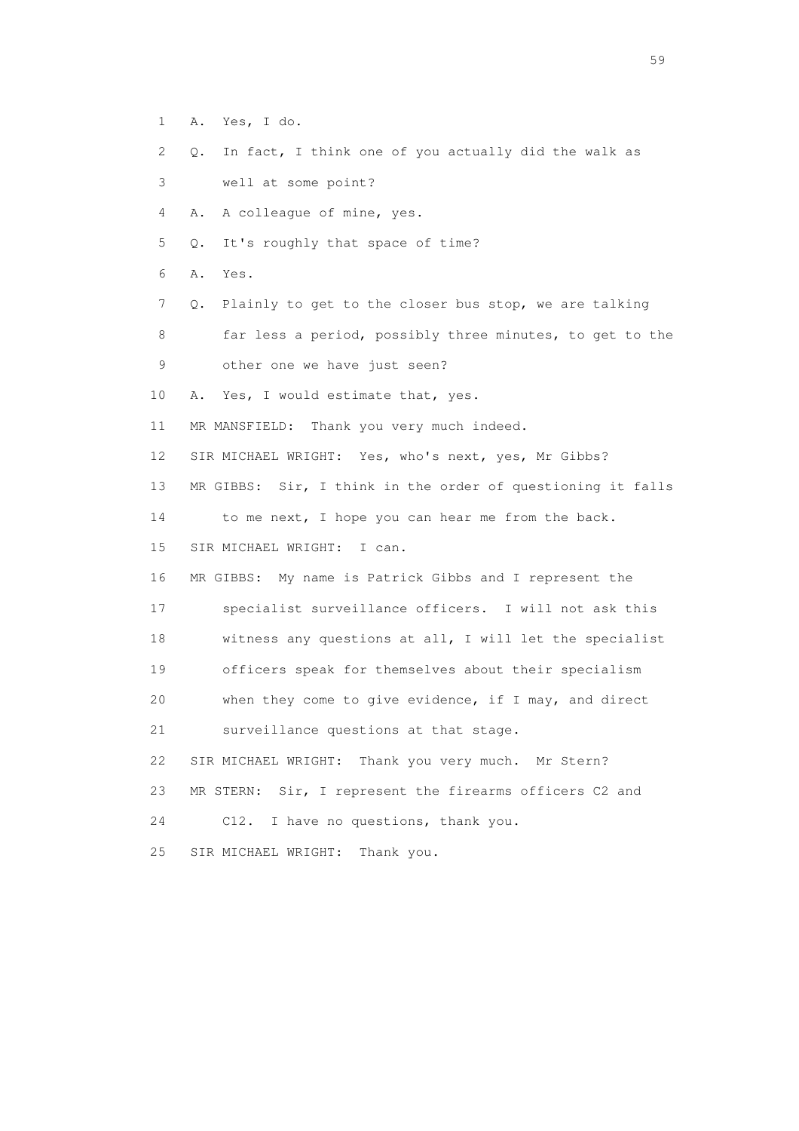2 Q. In fact, I think one of you actually did the walk as 3 well at some point? 4 A. A colleague of mine, yes. 5 Q. It's roughly that space of time? 6 A. Yes. 7 Q. Plainly to get to the closer bus stop, we are talking 8 far less a period, possibly three minutes, to get to the 9 other one we have just seen? 10 A. Yes, I would estimate that, yes. 11 MR MANSFIELD: Thank you very much indeed. 12 SIR MICHAEL WRIGHT: Yes, who's next, yes, Mr Gibbs? 13 MR GIBBS: Sir, I think in the order of questioning it falls 14 to me next, I hope you can hear me from the back. 15 SIR MICHAEL WRIGHT: I can. 16 MR GIBBS: My name is Patrick Gibbs and I represent the 17 specialist surveillance officers. I will not ask this 18 witness any questions at all, I will let the specialist 19 officers speak for themselves about their specialism 20 when they come to give evidence, if I may, and direct 21 surveillance questions at that stage. 22 SIR MICHAEL WRIGHT: Thank you very much. Mr Stern? 23 MR STERN: Sir, I represent the firearms officers C2 and 24 C12. I have no questions, thank you. 25 SIR MICHAEL WRIGHT: Thank you.

1 A. Yes, I do.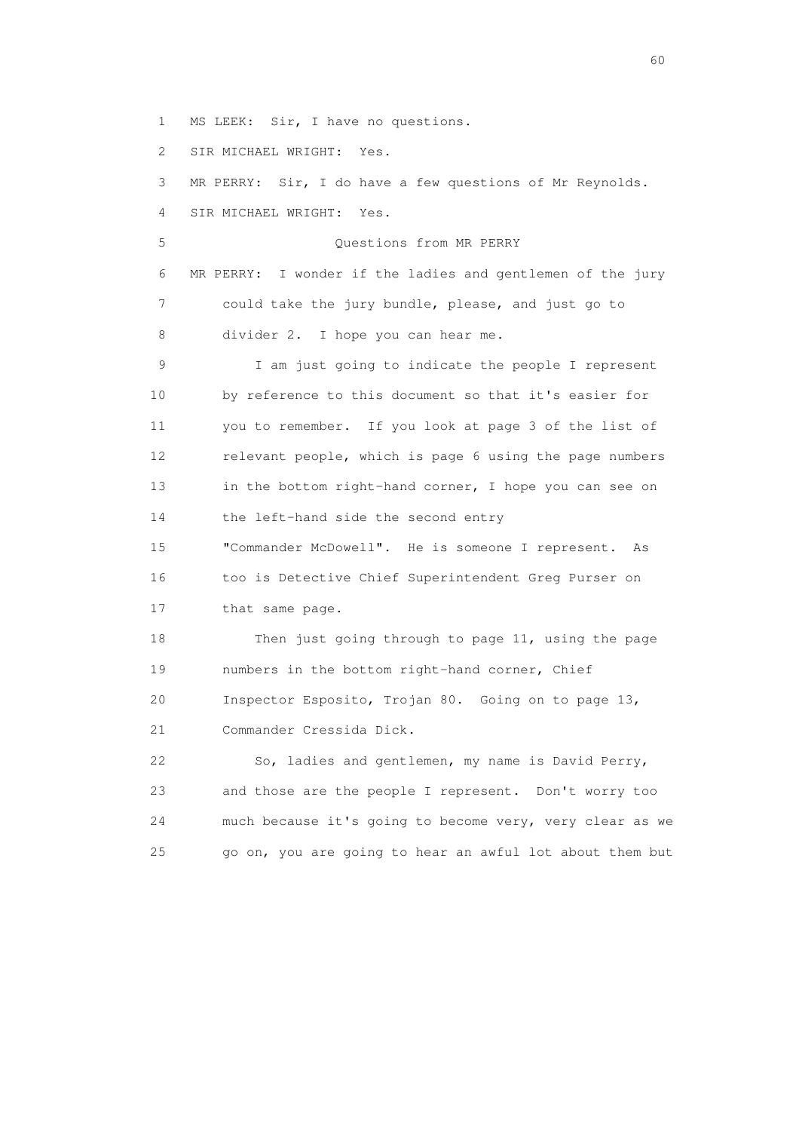1 MS LEEK: Sir, I have no questions.

2 SIR MICHAEL WRIGHT: Yes.

 3 MR PERRY: Sir, I do have a few questions of Mr Reynolds. 4 SIR MICHAEL WRIGHT: Yes.

 5 Questions from MR PERRY 6 MR PERRY: I wonder if the ladies and gentlemen of the jury 7 could take the jury bundle, please, and just go to 8 divider 2. I hope you can hear me.

 9 I am just going to indicate the people I represent 10 by reference to this document so that it's easier for 11 you to remember. If you look at page 3 of the list of 12 relevant people, which is page 6 using the page numbers 13 in the bottom right-hand corner, I hope you can see on 14 the left-hand side the second entry

 15 "Commander McDowell". He is someone I represent. As 16 too is Detective Chief Superintendent Greg Purser on 17 that same page.

 18 Then just going through to page 11, using the page 19 numbers in the bottom right-hand corner, Chief 20 Inspector Esposito, Trojan 80. Going on to page 13, 21 Commander Cressida Dick.

 22 So, ladies and gentlemen, my name is David Perry, 23 and those are the people I represent. Don't worry too 24 much because it's going to become very, very clear as we 25 go on, you are going to hear an awful lot about them but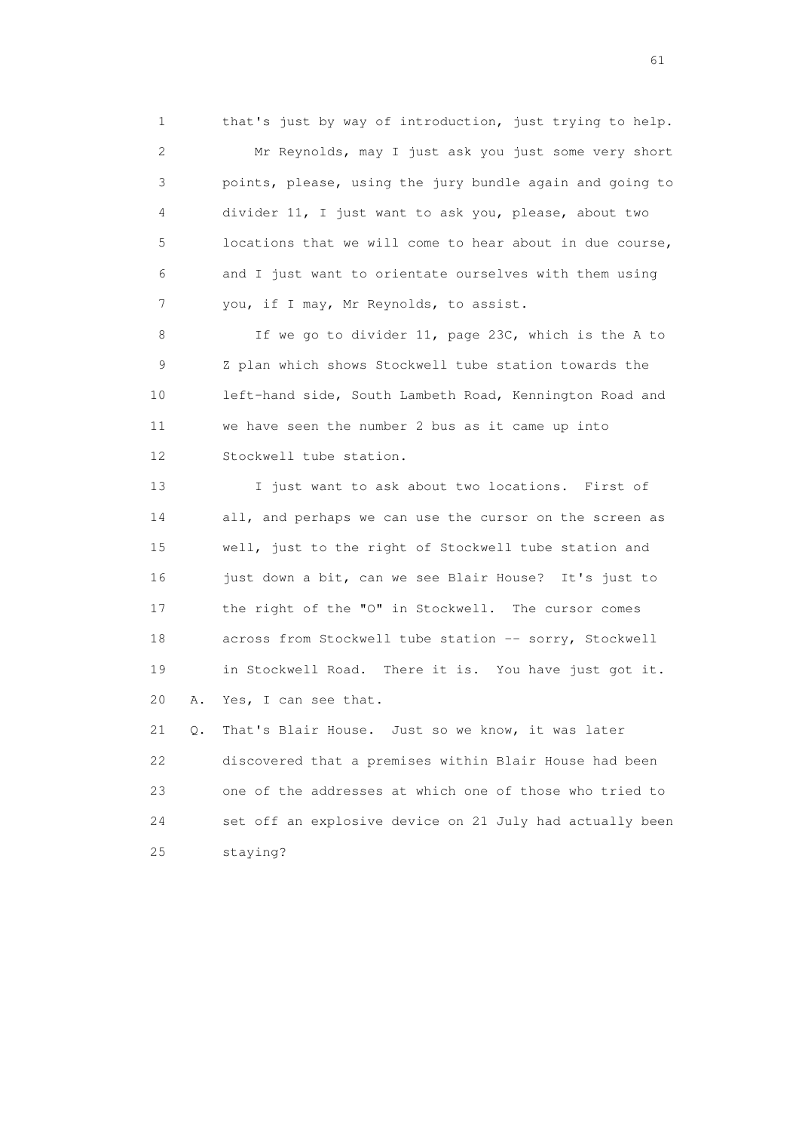1 that's just by way of introduction, just trying to help. 2 Mr Reynolds, may I just ask you just some very short 3 points, please, using the jury bundle again and going to 4 divider 11, I just want to ask you, please, about two 5 locations that we will come to hear about in due course, 6 and I just want to orientate ourselves with them using 7 you, if I may, Mr Reynolds, to assist.

 8 If we go to divider 11, page 23C, which is the A to 9 Z plan which shows Stockwell tube station towards the 10 left-hand side, South Lambeth Road, Kennington Road and 11 we have seen the number 2 bus as it came up into 12 Stockwell tube station.

 13 I just want to ask about two locations. First of 14 all, and perhaps we can use the cursor on the screen as 15 well, just to the right of Stockwell tube station and 16 just down a bit, can we see Blair House? It's just to 17 the right of the "O" in Stockwell. The cursor comes 18 across from Stockwell tube station -- sorry, Stockwell 19 in Stockwell Road. There it is. You have just got it. 20 A. Yes, I can see that.

 21 Q. That's Blair House. Just so we know, it was later 22 discovered that a premises within Blair House had been 23 one of the addresses at which one of those who tried to 24 set off an explosive device on 21 July had actually been 25 staying?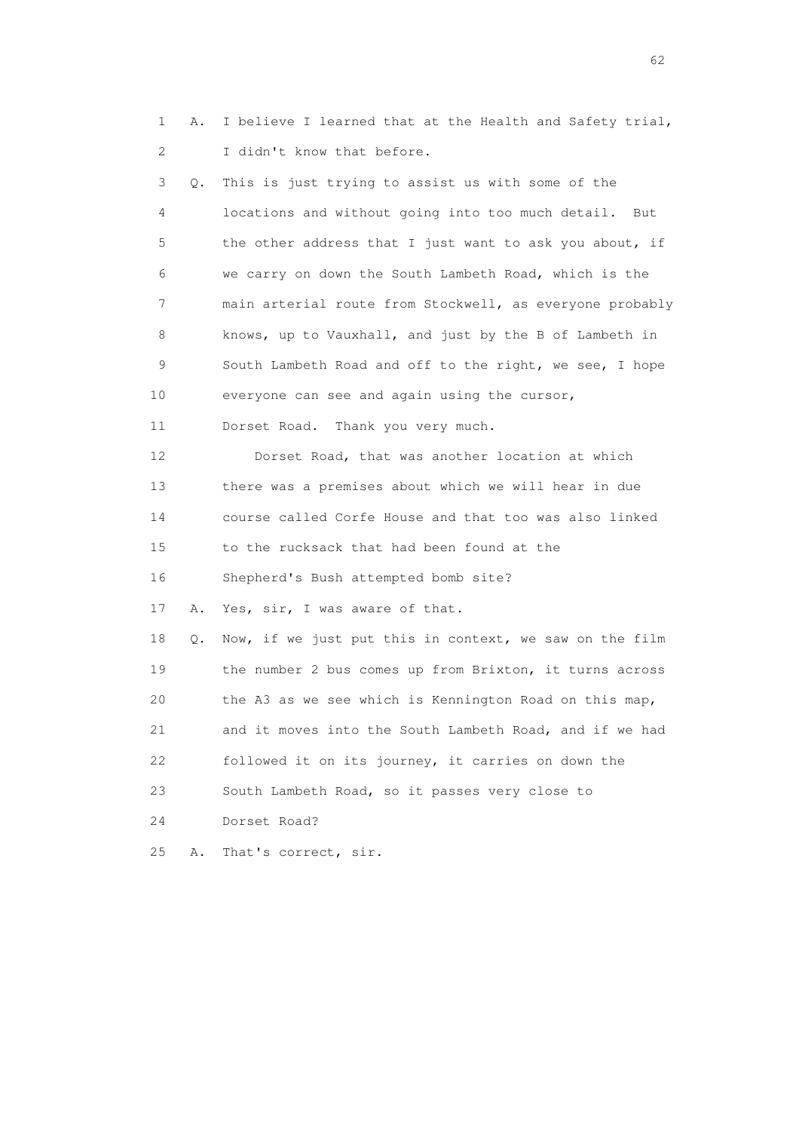1 A. I believe I learned that at the Health and Safety trial, 2 I didn't know that before.

 3 Q. This is just trying to assist us with some of the 4 locations and without going into too much detail. But 5 the other address that I just want to ask you about, if 6 we carry on down the South Lambeth Road, which is the 7 main arterial route from Stockwell, as everyone probably 8 knows, up to Vauxhall, and just by the B of Lambeth in 9 South Lambeth Road and off to the right, we see, I hope 10 everyone can see and again using the cursor, 11 Dorset Road. Thank you very much. 12 Dorset Road, that was another location at which 13 there was a premises about which we will hear in due

14 course called Corfe House and that too was also linked

15 to the rucksack that had been found at the

16 Shepherd's Bush attempted bomb site?

17 A. Yes, sir, I was aware of that.

 18 Q. Now, if we just put this in context, we saw on the film 19 the number 2 bus comes up from Brixton, it turns across 20 the A3 as we see which is Kennington Road on this map, 21 and it moves into the South Lambeth Road, and if we had 22 followed it on its journey, it carries on down the 23 South Lambeth Road, so it passes very close to 24 Dorset Road?

25 A. That's correct, sir.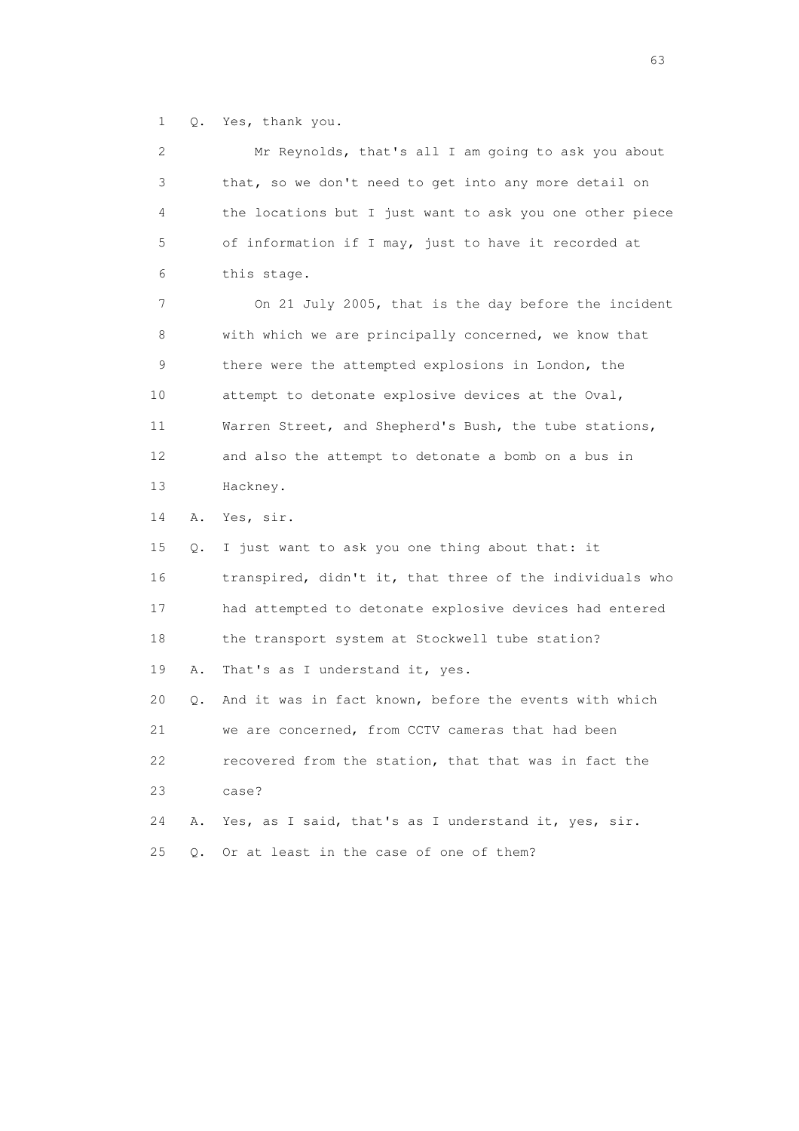1 Q. Yes, thank you.

| 2               |    | Mr Reynolds, that's all I am going to ask you about      |
|-----------------|----|----------------------------------------------------------|
| 3               |    | that, so we don't need to get into any more detail on    |
| 4               |    | the locations but I just want to ask you one other piece |
| 5               |    | of information if I may, just to have it recorded at     |
| 6               |    | this stage.                                              |
| 7               |    | On 21 July 2005, that is the day before the incident     |
| 8               |    | with which we are principally concerned, we know that    |
| 9               |    | there were the attempted explosions in London, the       |
| 10              |    | attempt to detonate explosive devices at the Oval,       |
| 11              |    | Warren Street, and Shepherd's Bush, the tube stations,   |
| 12 <sup>°</sup> |    | and also the attempt to detonate a bomb on a bus in      |
| 13              |    | Hackney.                                                 |
|                 |    |                                                          |
| 14              | Α. | Yes, sir.                                                |
| 15              | Q. | I just want to ask you one thing about that: it          |
| 16              |    | transpired, didn't it, that three of the individuals who |
| 17              |    | had attempted to detonate explosive devices had entered  |
| 18              |    | the transport system at Stockwell tube station?          |
| 19              | Α. | That's as I understand it, yes.                          |
| 20              | Q. | And it was in fact known, before the events with which   |
| 21              |    | we are concerned, from CCTV cameras that had been        |
| 22              |    | recovered from the station, that that was in fact the    |
| 23              |    | case?                                                    |
| 24              | Α. | Yes, as I said, that's as I understand it, yes, sir.     |

experience of the contract of the contract of the contract of the contract of the contract of the contract of the contract of the contract of the contract of the contract of the contract of the contract of the contract of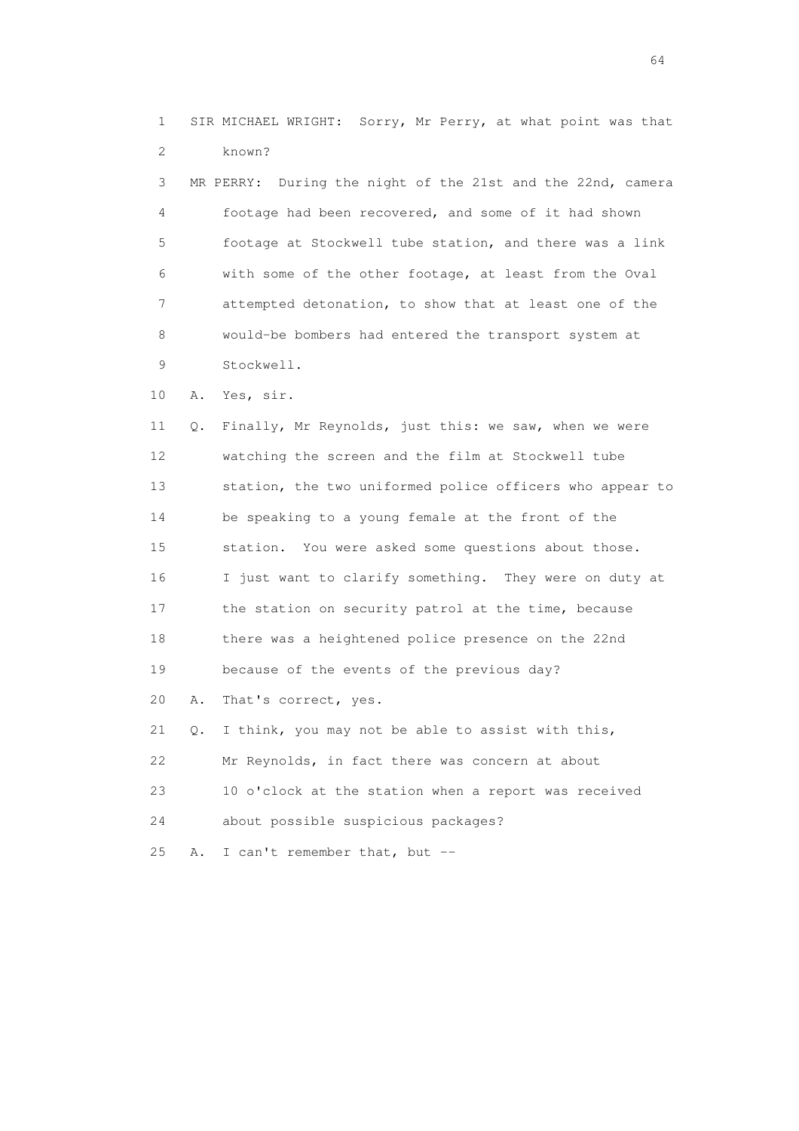1 SIR MICHAEL WRIGHT: Sorry, Mr Perry, at what point was that 2 known?

 3 MR PERRY: During the night of the 21st and the 22nd, camera 4 footage had been recovered, and some of it had shown 5 footage at Stockwell tube station, and there was a link 6 with some of the other footage, at least from the Oval 7 attempted detonation, to show that at least one of the 8 would-be bombers had entered the transport system at 9 Stockwell.

10 A. Yes, sir.

 11 Q. Finally, Mr Reynolds, just this: we saw, when we were 12 watching the screen and the film at Stockwell tube 13 station, the two uniformed police officers who appear to 14 be speaking to a young female at the front of the 15 station. You were asked some questions about those. 16 I just want to clarify something. They were on duty at 17 the station on security patrol at the time, because 18 there was a heightened police presence on the 22nd 19 because of the events of the previous day? 20 A. That's correct, yes. 21 Q. I think, you may not be able to assist with this, 22 Mr Reynolds, in fact there was concern at about 23 10 o'clock at the station when a report was received

24 about possible suspicious packages?

25 A. I can't remember that, but --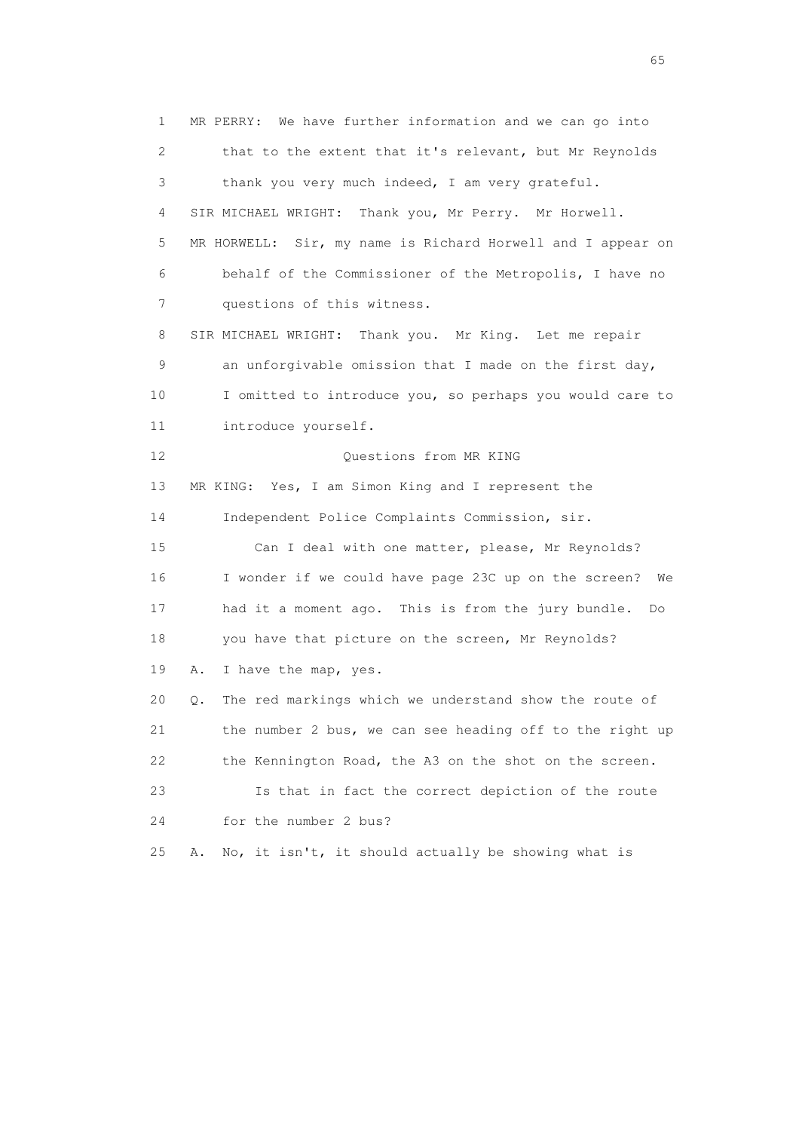1 MR PERRY: We have further information and we can go into 2 that to the extent that it's relevant, but Mr Reynolds 3 thank you very much indeed, I am very grateful. 4 SIR MICHAEL WRIGHT: Thank you, Mr Perry. Mr Horwell. 5 MR HORWELL: Sir, my name is Richard Horwell and I appear on 6 behalf of the Commissioner of the Metropolis, I have no 7 questions of this witness. 8 SIR MICHAEL WRIGHT: Thank you. Mr King. Let me repair 9 an unforgivable omission that I made on the first day, 10 I omitted to introduce you, so perhaps you would care to 11 introduce yourself. 12 Ouestions from MR KING 13 MR KING: Yes, I am Simon King and I represent the 14 Independent Police Complaints Commission, sir. 15 Can I deal with one matter, please, Mr Reynolds? 16 I wonder if we could have page 23C up on the screen? We 17 had it a moment ago. This is from the jury bundle. Do 18 you have that picture on the screen, Mr Reynolds? 19 A. I have the map, yes. 20 Q. The red markings which we understand show the route of 21 the number 2 bus, we can see heading off to the right up 22 the Kennington Road, the A3 on the shot on the screen. 23 Is that in fact the correct depiction of the route 24 for the number 2 bus? 25 A. No, it isn't, it should actually be showing what is

 $\sim$  65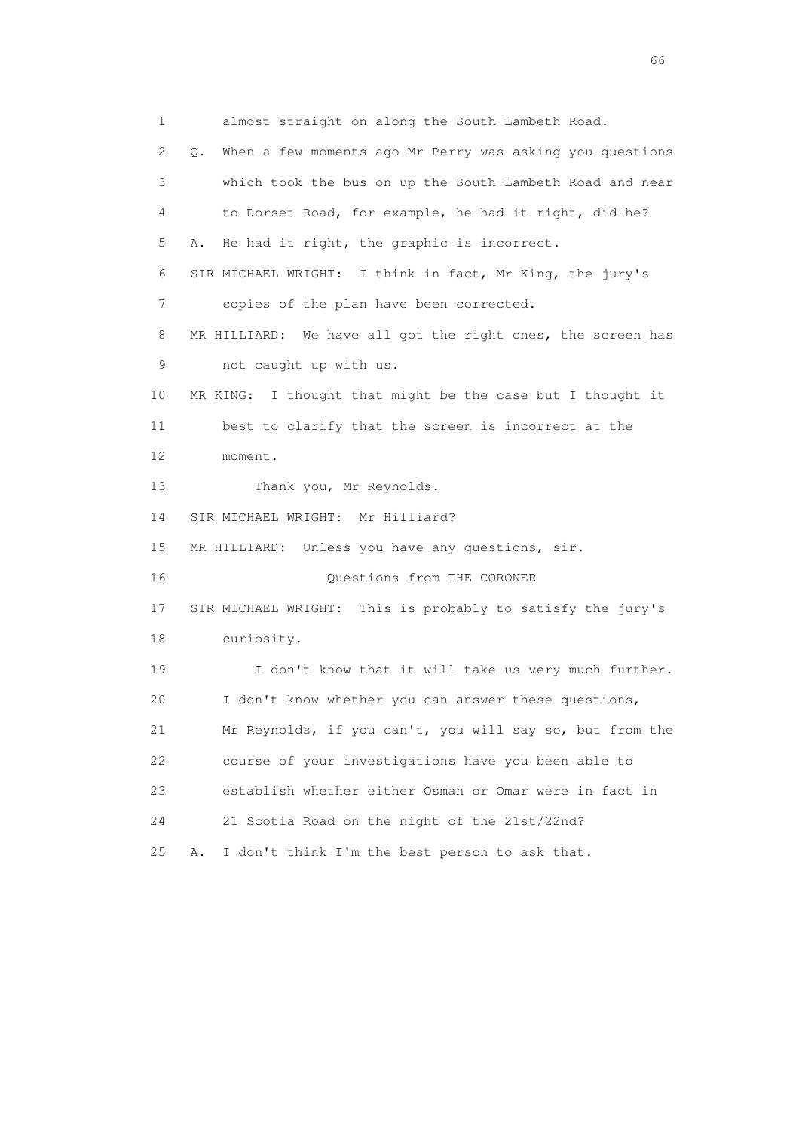1 almost straight on along the South Lambeth Road. 2 Q. When a few moments ago Mr Perry was asking you questions 3 which took the bus on up the South Lambeth Road and near 4 to Dorset Road, for example, he had it right, did he? 5 A. He had it right, the graphic is incorrect. 6 SIR MICHAEL WRIGHT: I think in fact, Mr King, the jury's 7 copies of the plan have been corrected. 8 MR HILLIARD: We have all got the right ones, the screen has 9 not caught up with us. 10 MR KING: I thought that might be the case but I thought it 11 best to clarify that the screen is incorrect at the 12 moment. 13 Thank you, Mr Reynolds. 14 SIR MICHAEL WRIGHT: Mr Hilliard? 15 MR HILLIARD: Unless you have any questions, sir. 16 Ouestions from THE CORONER 17 SIR MICHAEL WRIGHT: This is probably to satisfy the jury's 18 curiosity. 19 I don't know that it will take us very much further. 20 I don't know whether you can answer these questions, 21 Mr Reynolds, if you can't, you will say so, but from the 22 course of your investigations have you been able to 23 establish whether either Osman or Omar were in fact in 24 21 Scotia Road on the night of the 21st/22nd? 25 A. I don't think I'm the best person to ask that.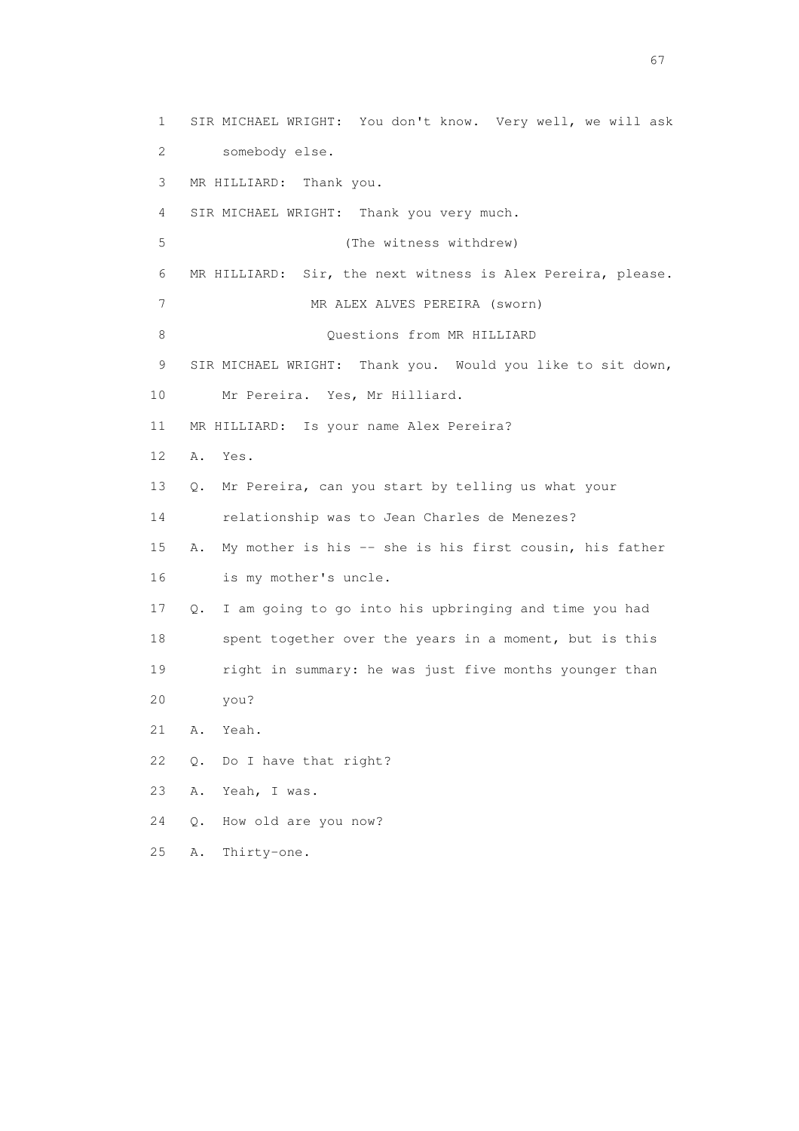1 SIR MICHAEL WRIGHT: You don't know. Very well, we will ask 2 somebody else. 3 MR HILLIARD: Thank you. 4 SIR MICHAEL WRIGHT: Thank you very much. 5 (The witness withdrew) 6 MR HILLIARD: Sir, the next witness is Alex Pereira, please. 7 MR ALEX ALVES PEREIRA (sworn) 8 Ouestions from MR HILLIARD 9 SIR MICHAEL WRIGHT: Thank you. Would you like to sit down, 10 Mr Pereira. Yes, Mr Hilliard. 11 MR HILLIARD: Is your name Alex Pereira? 12 A. Yes. 13 Q. Mr Pereira, can you start by telling us what your 14 relationship was to Jean Charles de Menezes? 15 A. My mother is his -- she is his first cousin, his father 16 is my mother's uncle. 17 Q. I am going to go into his upbringing and time you had 18 spent together over the years in a moment, but is this 19 right in summary: he was just five months younger than 20 you? 21 A. Yeah. 22 Q. Do I have that right? 23 A. Yeah, I was. 24 Q. How old are you now? 25 A. Thirty-one.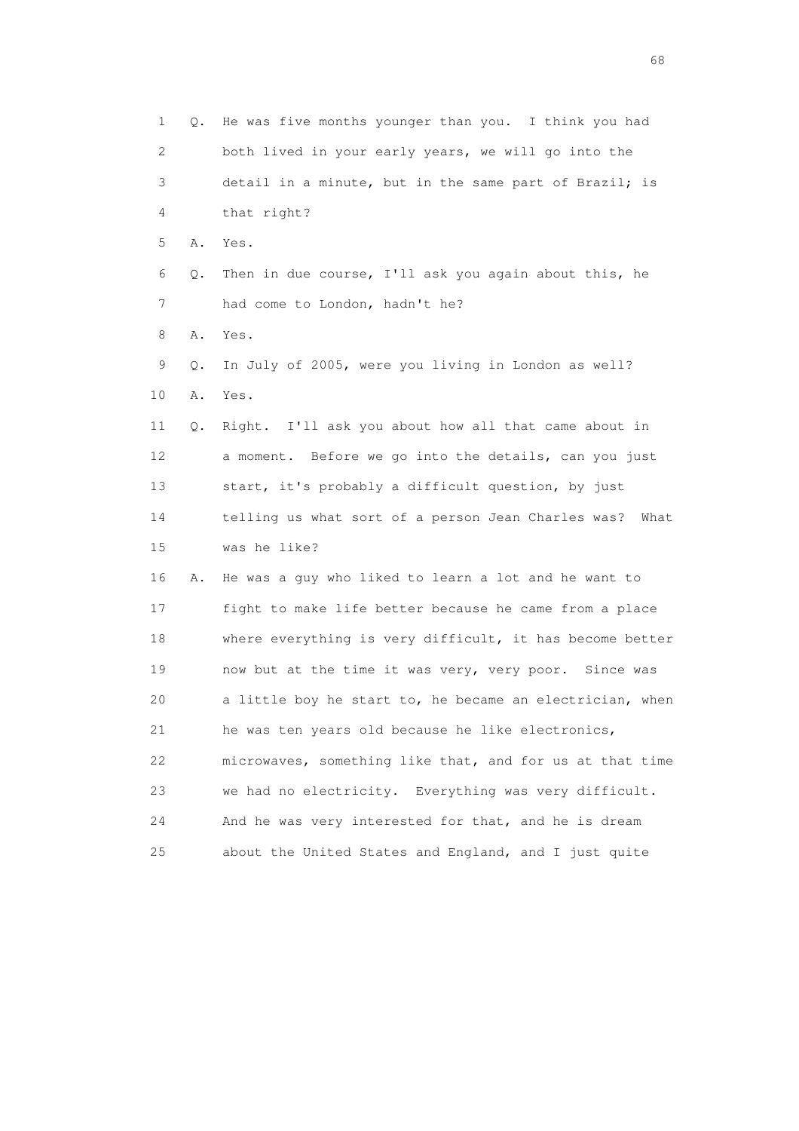1 Q. He was five months younger than you. I think you had 2 both lived in your early years, we will go into the 3 detail in a minute, but in the same part of Brazil; is 4 that right? 5 A. Yes. 6 Q. Then in due course, I'll ask you again about this, he 7 had come to London, hadn't he? 8 A. Yes. 9 Q. In July of 2005, were you living in London as well? 10 A. Yes. 11 Q. Right. I'll ask you about how all that came about in 12 a moment. Before we go into the details, can you just 13 start, it's probably a difficult question, by just 14 telling us what sort of a person Jean Charles was? What 15 was he like? 16 A. He was a guy who liked to learn a lot and he want to 17 fight to make life better because he came from a place 18 where everything is very difficult, it has become better 19 now but at the time it was very, very poor. Since was 20 a little boy he start to, he became an electrician, when 21 he was ten years old because he like electronics, 22 microwaves, something like that, and for us at that time 23 we had no electricity. Everything was very difficult. 24 And he was very interested for that, and he is dream 25 about the United States and England, and I just quite

en de la construction de la construction de la construction de la construction de la construction de la construction de la construction de la construction de la construction de la construction de la construction de la cons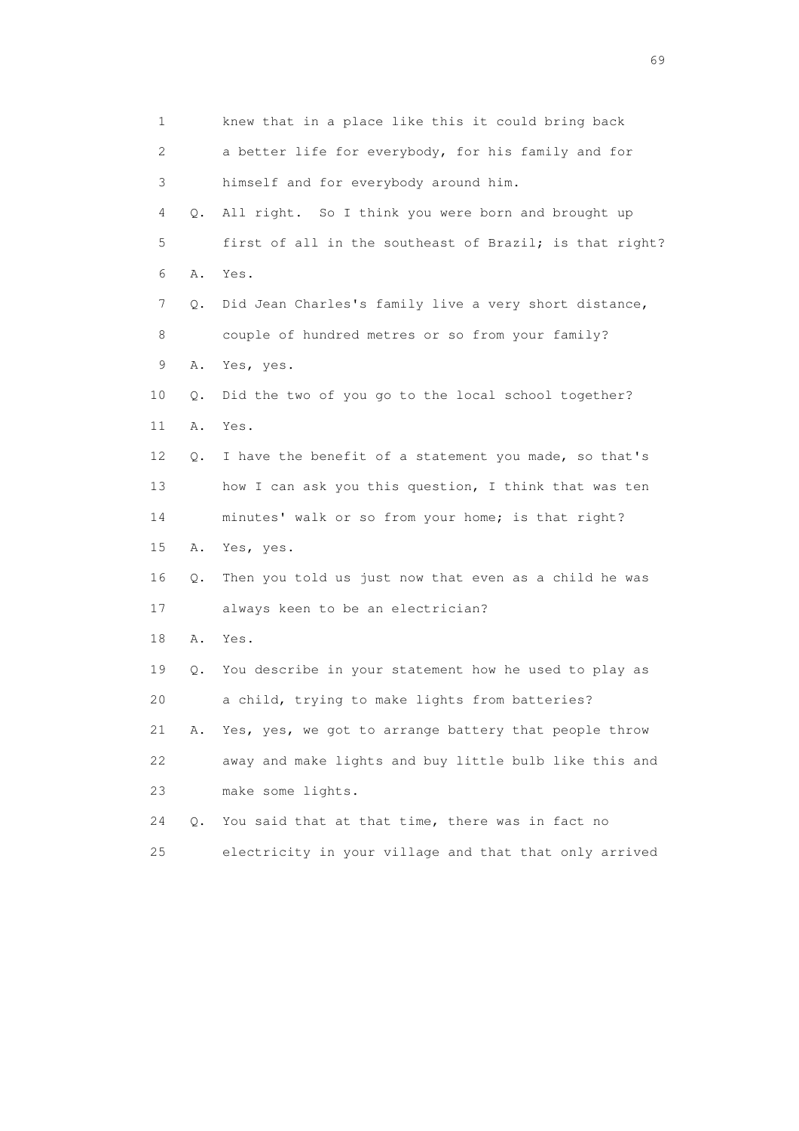1 knew that in a place like this it could bring back 2 a better life for everybody, for his family and for 3 himself and for everybody around him. 4 Q. All right. So I think you were born and brought up 5 first of all in the southeast of Brazil; is that right? 6 A. Yes. 7 Q. Did Jean Charles's family live a very short distance, 8 couple of hundred metres or so from your family? 9 A. Yes, yes. 10 Q. Did the two of you go to the local school together? 11 A. Yes. 12 Q. I have the benefit of a statement you made, so that's 13 how I can ask you this question, I think that was ten 14 minutes' walk or so from your home; is that right? 15 A. Yes, yes. 16 Q. Then you told us just now that even as a child he was 17 always keen to be an electrician? 18 A. Yes. 19 Q. You describe in your statement how he used to play as 20 a child, trying to make lights from batteries? 21 A. Yes, yes, we got to arrange battery that people throw 22 away and make lights and buy little bulb like this and 23 make some lights. 24 Q. You said that at that time, there was in fact no 25 electricity in your village and that that only arrived

entral de la construction de la construction de la construction de la construction de la construction de la co<br>1990 : la construction de la construction de la construction de la construction de la construction de la const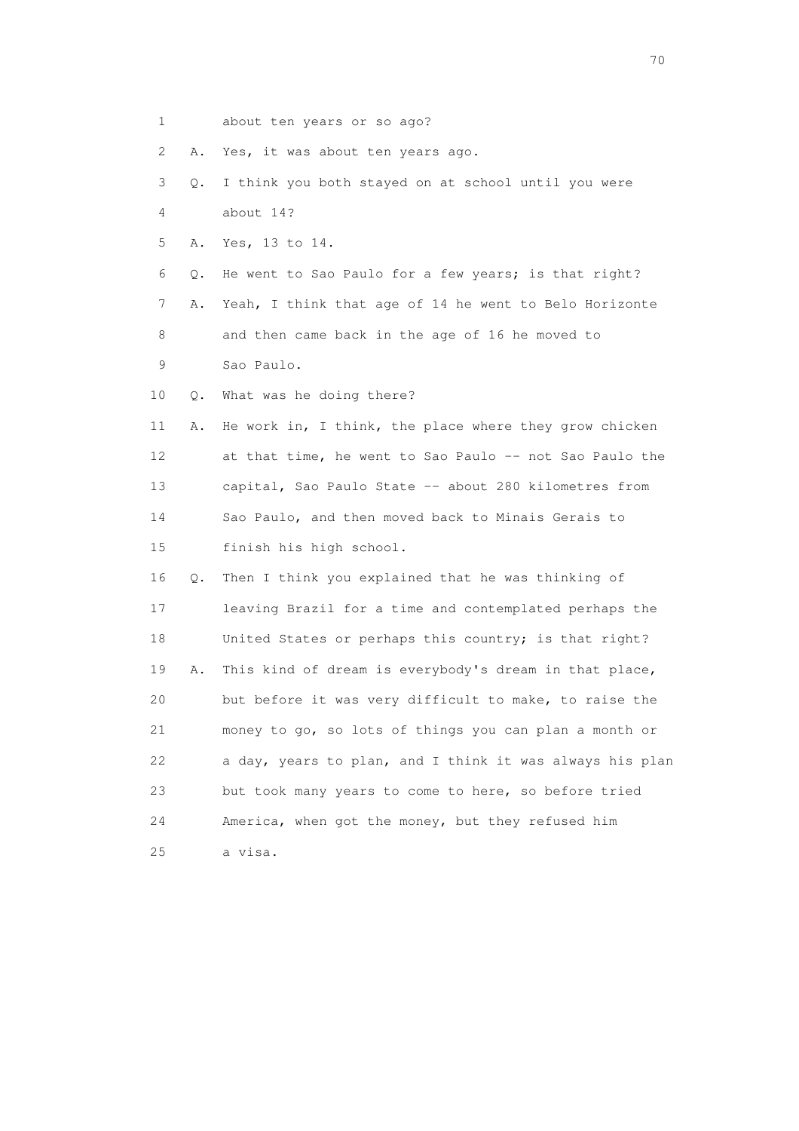1 about ten years or so ago?

2 A. Yes, it was about ten years ago.

- 3 Q. I think you both stayed on at school until you were 4 about 14?
- 5 A. Yes, 13 to 14.

6 Q. He went to Sao Paulo for a few years; is that right?

 7 A. Yeah, I think that age of 14 he went to Belo Horizonte 8 and then came back in the age of 16 he moved to 9 Sao Paulo.

10 Q. What was he doing there?

 11 A. He work in, I think, the place where they grow chicken 12 at that time, he went to Sao Paulo -- not Sao Paulo the 13 capital, Sao Paulo State -- about 280 kilometres from 14 Sao Paulo, and then moved back to Minais Gerais to 15 finish his high school.

 16 Q. Then I think you explained that he was thinking of 17 leaving Brazil for a time and contemplated perhaps the 18 United States or perhaps this country; is that right? 19 A. This kind of dream is everybody's dream in that place, 20 but before it was very difficult to make, to raise the 21 money to go, so lots of things you can plan a month or 22 a day, years to plan, and I think it was always his plan 23 but took many years to come to here, so before tried 24 America, when got the money, but they refused him 25 a visa.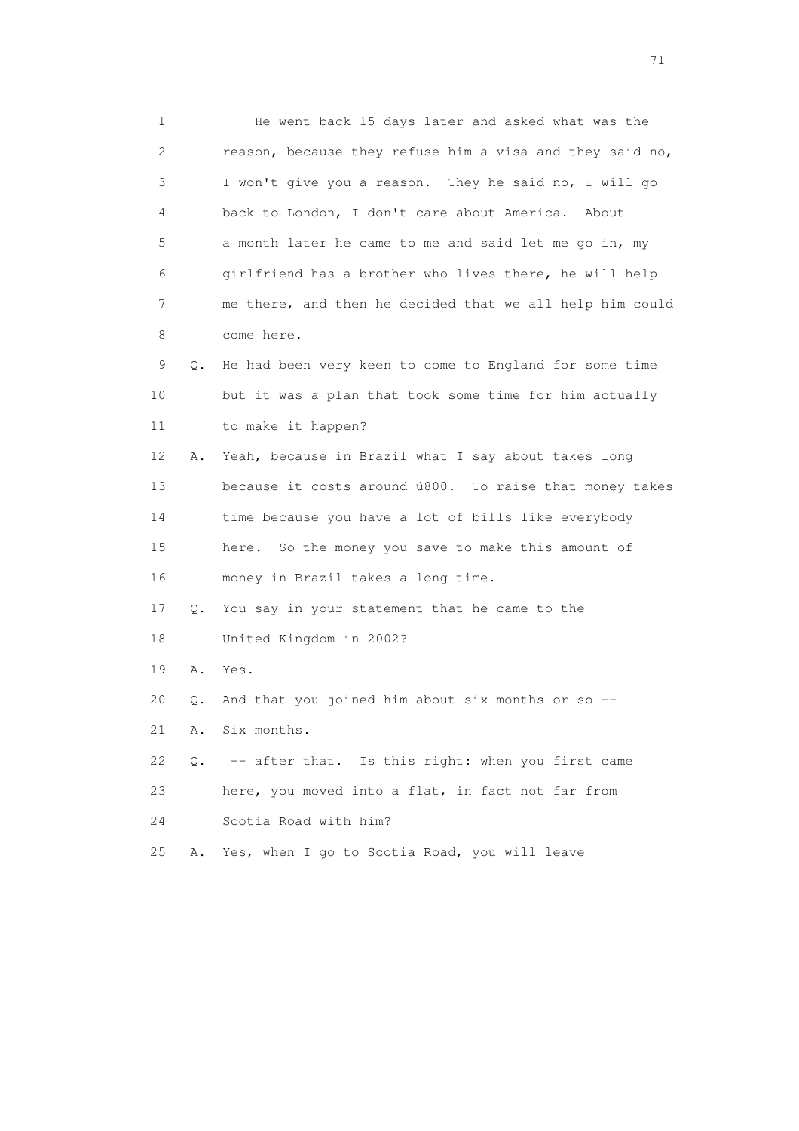1 He went back 15 days later and asked what was the 2 reason, because they refuse him a visa and they said no, 3 I won't give you a reason. They he said no, I will go 4 back to London, I don't care about America. About 5 a month later he came to me and said let me go in, my 6 girlfriend has a brother who lives there, he will help 7 me there, and then he decided that we all help him could 8 come here. 9 Q. He had been very keen to come to England for some time 10 but it was a plan that took some time for him actually 11 to make it happen? 12 A. Yeah, because in Brazil what I say about takes long 13 because it costs around ú800. To raise that money takes 14 time because you have a lot of bills like everybody 15 here. So the money you save to make this amount of 16 money in Brazil takes a long time. 17 Q. You say in your statement that he came to the 18 United Kingdom in 2002? 19 A. Yes. 20 Q. And that you joined him about six months or so -- 21 A. Six months. 22 Q. -- after that. Is this right: when you first came 23 here, you moved into a flat, in fact not far from 24 Scotia Road with him? 25 A. Yes, when I go to Scotia Road, you will leave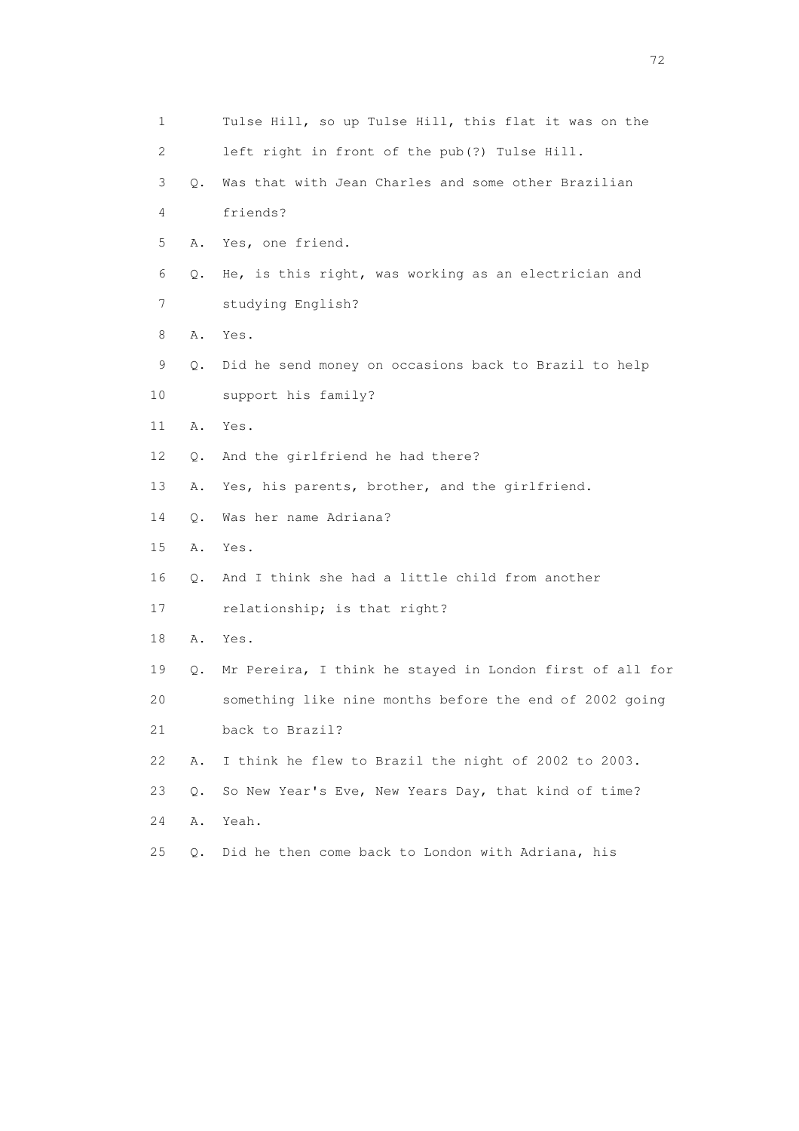| 1  |    | Tulse Hill, so up Tulse Hill, this flat it was on the    |
|----|----|----------------------------------------------------------|
| 2  |    | left right in front of the pub(?) Tulse Hill.            |
| 3  | Q. | Was that with Jean Charles and some other Brazilian      |
| 4  |    | friends?                                                 |
| 5  | Α. | Yes, one friend.                                         |
| 6  | Q. | He, is this right, was working as an electrician and     |
| 7  |    | studying English?                                        |
| 8  | Α. | Yes.                                                     |
| 9  | Q. | Did he send money on occasions back to Brazil to help    |
| 10 |    | support his family?                                      |
| 11 | Α. | Yes.                                                     |
| 12 | Q. | And the girlfriend he had there?                         |
| 13 | Α. | Yes, his parents, brother, and the girlfriend.           |
| 14 | Q. | Was her name Adriana?                                    |
| 15 | Α. | Yes.                                                     |
| 16 | Q. | And I think she had a little child from another          |
| 17 |    | relationship; is that right?                             |
| 18 | Α. | Yes.                                                     |
| 19 | Q. | Mr Pereira, I think he stayed in London first of all for |
| 20 |    | something like nine months before the end of 2002 going  |
| 21 |    | back to Brazil?                                          |
| 22 | Α. | I think he flew to Brazil the night of 2002 to 2003.     |
| 23 | Q. | So New Year's Eve, New Years Day, that kind of time?     |
| 24 | Α. | Yeah.                                                    |
| 25 | О. | Did he then come back to London with Adriana, his        |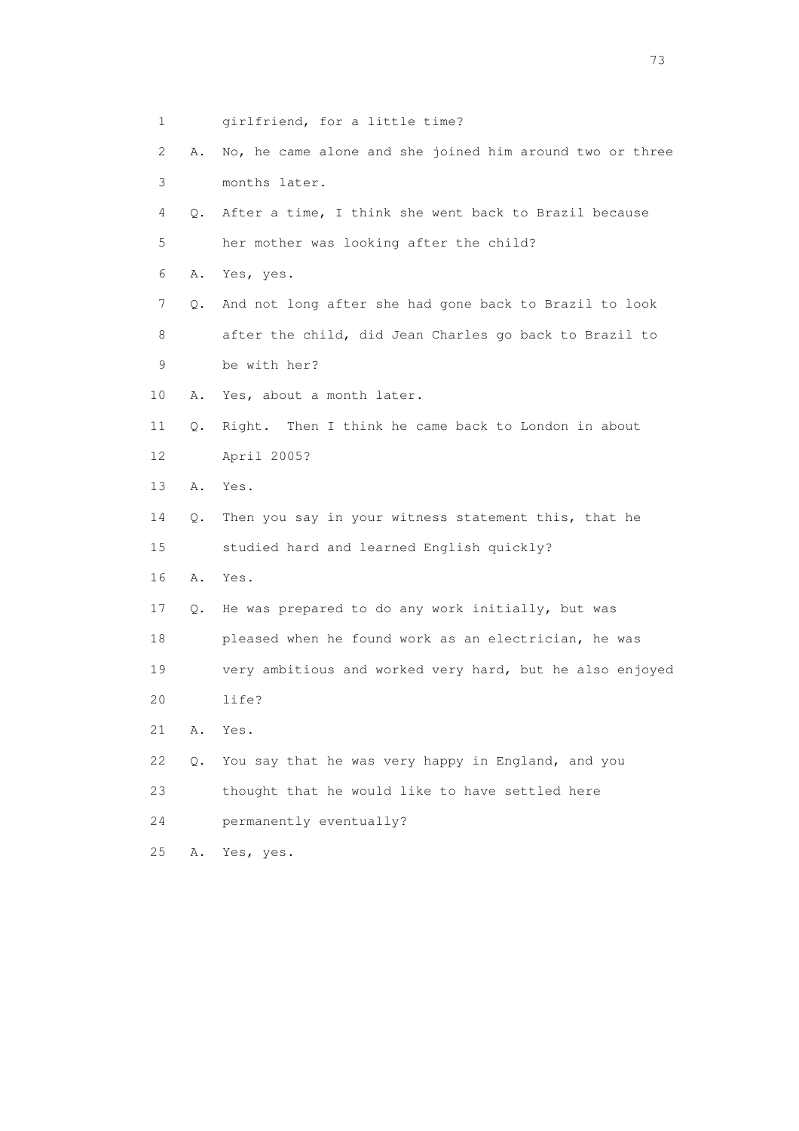| 1  |    | girlfriend, for a little time?                           |
|----|----|----------------------------------------------------------|
| 2  | Α. | No, he came alone and she joined him around two or three |
| 3  |    | months later.                                            |
| 4  | Q. | After a time, I think she went back to Brazil because    |
| 5  |    | her mother was looking after the child?                  |
| 6  | Α. | Yes, yes.                                                |
| 7  | О. | And not long after she had gone back to Brazil to look   |
| 8  |    | after the child, did Jean Charles go back to Brazil to   |
| 9  |    | be with her?                                             |
| 10 | Α. | Yes, about a month later.                                |
| 11 | Q. | Right. Then I think he came back to London in about      |
| 12 |    | April 2005?                                              |
| 13 | Α. | Yes.                                                     |
| 14 | Q. | Then you say in your witness statement this, that he     |
| 15 |    | studied hard and learned English quickly?                |
| 16 | Α. | Yes.                                                     |
| 17 | Q. | He was prepared to do any work initially, but was        |
| 18 |    | pleased when he found work as an electrician, he was     |
| 19 |    | very ambitious and worked very hard, but he also enjoyed |
| 20 |    | life?                                                    |
| 21 | Α. | Yes.                                                     |
| 22 | Q. | You say that he was very happy in England, and you       |
| 23 |    | thought that he would like to have settled here          |
| 24 |    | permanently eventually?                                  |
| 25 | Α. | Yes, yes.                                                |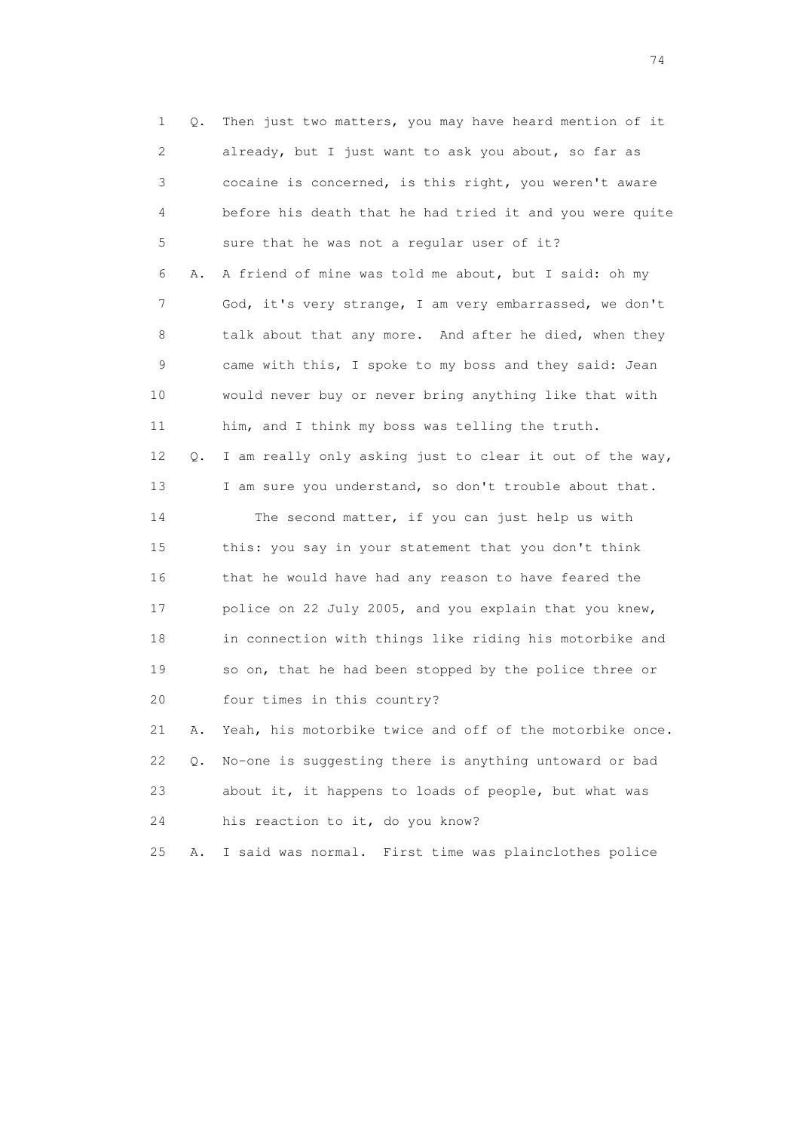1 Q. Then just two matters, you may have heard mention of it 2 already, but I just want to ask you about, so far as 3 cocaine is concerned, is this right, you weren't aware 4 before his death that he had tried it and you were quite 5 sure that he was not a regular user of it? 6 A. A friend of mine was told me about, but I said: oh my 7 God, it's very strange, I am very embarrassed, we don't 8 talk about that any more. And after he died, when they 9 came with this, I spoke to my boss and they said: Jean 10 would never buy or never bring anything like that with 11 him, and I think my boss was telling the truth. 12 Q. I am really only asking just to clear it out of the way, 13 I am sure you understand, so don't trouble about that. 14 The second matter, if you can just help us with 15 this: you say in your statement that you don't think 16 that he would have had any reason to have feared the 17 police on 22 July 2005, and you explain that you knew, 18 in connection with things like riding his motorbike and 19 so on, that he had been stopped by the police three or 20 four times in this country? 21 A. Yeah, his motorbike twice and off of the motorbike once. 22 Q. No-one is suggesting there is anything untoward or bad 23 about it, it happens to loads of people, but what was 24 his reaction to it, do you know? 25 A. I said was normal. First time was plainclothes police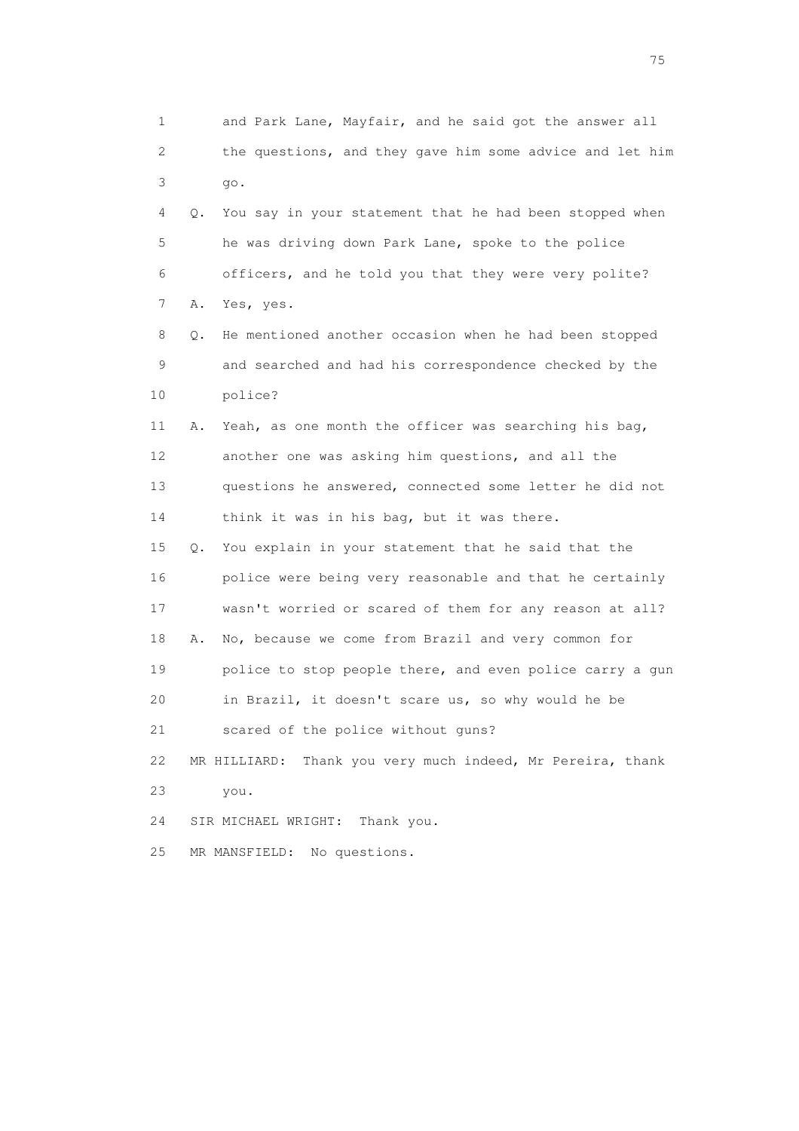1 and Park Lane, Mayfair, and he said got the answer all 2 the questions, and they gave him some advice and let him 3 go. 4 Q. You say in your statement that he had been stopped when 5 he was driving down Park Lane, spoke to the police 6 officers, and he told you that they were very polite? 7 A. Yes, yes. 8 Q. He mentioned another occasion when he had been stopped 9 and searched and had his correspondence checked by the 10 police? 11 A. Yeah, as one month the officer was searching his bag, 12 another one was asking him questions, and all the 13 questions he answered, connected some letter he did not 14 think it was in his bag, but it was there. 15 Q. You explain in your statement that he said that the 16 police were being very reasonable and that he certainly 17 wasn't worried or scared of them for any reason at all? 18 A. No, because we come from Brazil and very common for 19 police to stop people there, and even police carry a gun 20 in Brazil, it doesn't scare us, so why would he be 21 scared of the police without guns? 22 MR HILLIARD: Thank you very much indeed, Mr Pereira, thank 23 you. 24 SIR MICHAEL WRIGHT: Thank you. 25 MR MANSFIELD: No questions.

na matsay na katalog as na kasang na mga 175 may 2008. Ang isang isang nagsang nagsang nagsang nagsang nagsang<br>Tagapang nagsang nagsang nagsang nagsang nagsang nagsang nagsang nagsang nagsang nagsang nagsang nagsang nagsa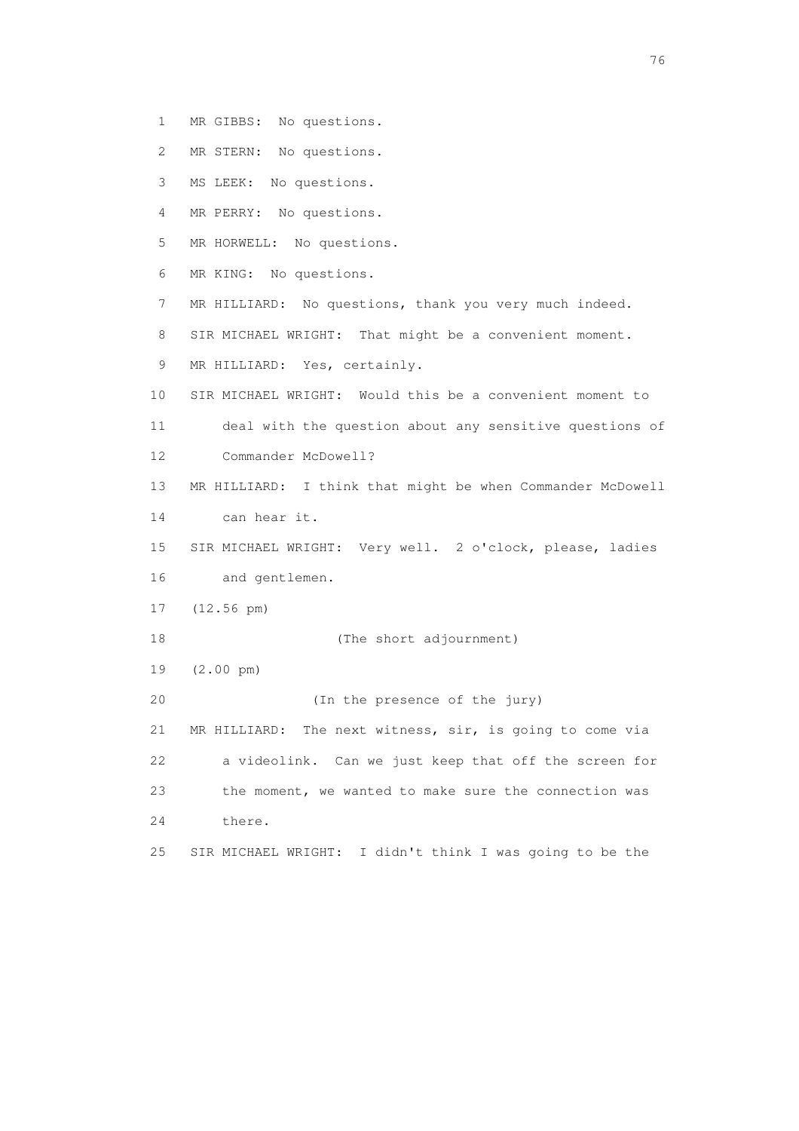- 1 MR GIBBS: No questions.
- 2 MR STERN: No questions.
- 3 MS LEEK: No questions.
- 4 MR PERRY: No questions.
- 5 MR HORWELL: No questions.
- 6 MR KING: No questions.
- 7 MR HILLIARD: No questions, thank you very much indeed.
- 8 SIR MICHAEL WRIGHT: That might be a convenient moment.
- 9 MR HILLIARD: Yes, certainly.
- 10 SIR MICHAEL WRIGHT: Would this be a convenient moment to
- 11 deal with the question about any sensitive questions of 12 Commander McDowell?
- 13 MR HILLIARD: I think that might be when Commander McDowell 14 can hear it.
- 15 SIR MICHAEL WRIGHT: Very well. 2 o'clock, please, ladies 16 and gentlemen.
- 17 (12.56 pm)
- 18 (The short adjournment)
- 19 (2.00 pm)
- 20 (In the presence of the jury)

 21 MR HILLIARD: The next witness, sir, is going to come via 22 a videolink. Can we just keep that off the screen for 23 the moment, we wanted to make sure the connection was 24 there.

25 SIR MICHAEL WRIGHT: I didn't think I was going to be the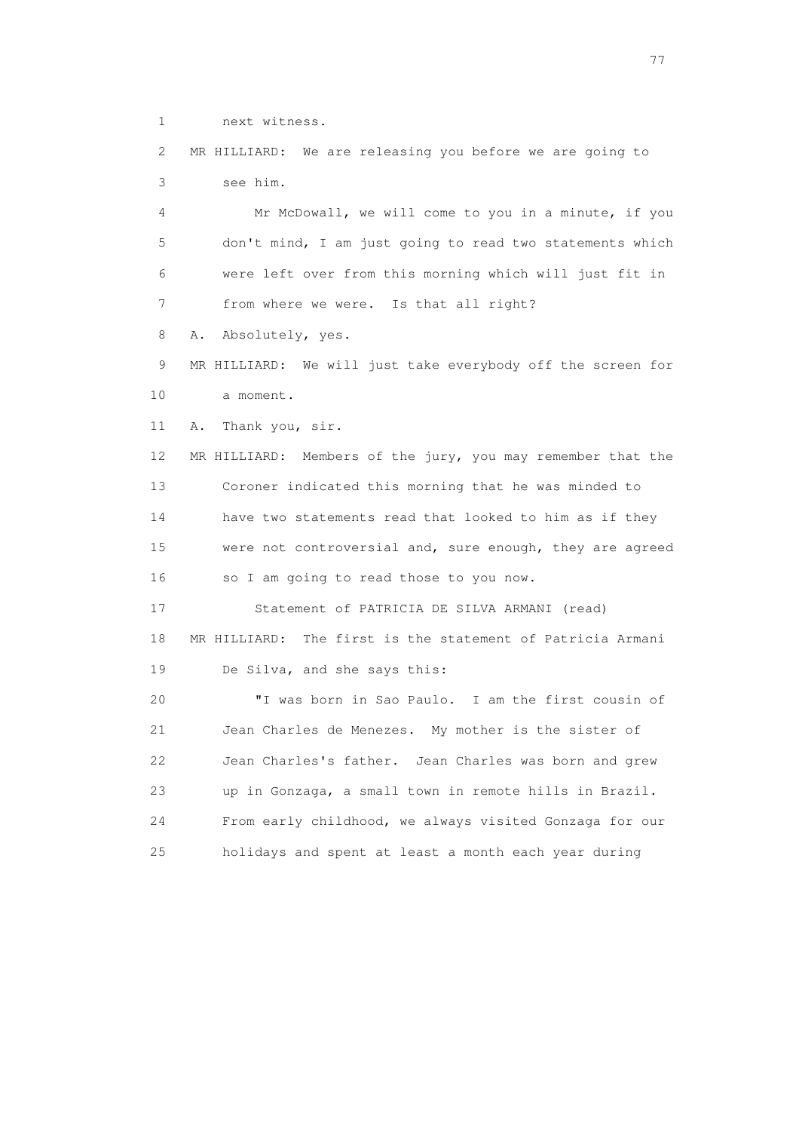1 next witness.

 2 MR HILLIARD: We are releasing you before we are going to 3 see him.

 4 Mr McDowall, we will come to you in a minute, if you 5 don't mind, I am just going to read two statements which 6 were left over from this morning which will just fit in 7 from where we were. Is that all right?

8 A. Absolutely, yes.

 9 MR HILLIARD: We will just take everybody off the screen for 10 a moment.

11 A. Thank you, sir.

 12 MR HILLIARD: Members of the jury, you may remember that the 13 Coroner indicated this morning that he was minded to 14 have two statements read that looked to him as if they 15 were not controversial and, sure enough, they are agreed 16 so I am going to read those to you now.

 17 Statement of PATRICIA DE SILVA ARMANI (read) 18 MR HILLIARD: The first is the statement of Patricia Armani 19 De Silva, and she says this:

 20 "I was born in Sao Paulo. I am the first cousin of 21 Jean Charles de Menezes. My mother is the sister of 22 Jean Charles's father. Jean Charles was born and grew 23 up in Gonzaga, a small town in remote hills in Brazil. 24 From early childhood, we always visited Gonzaga for our 25 holidays and spent at least a month each year during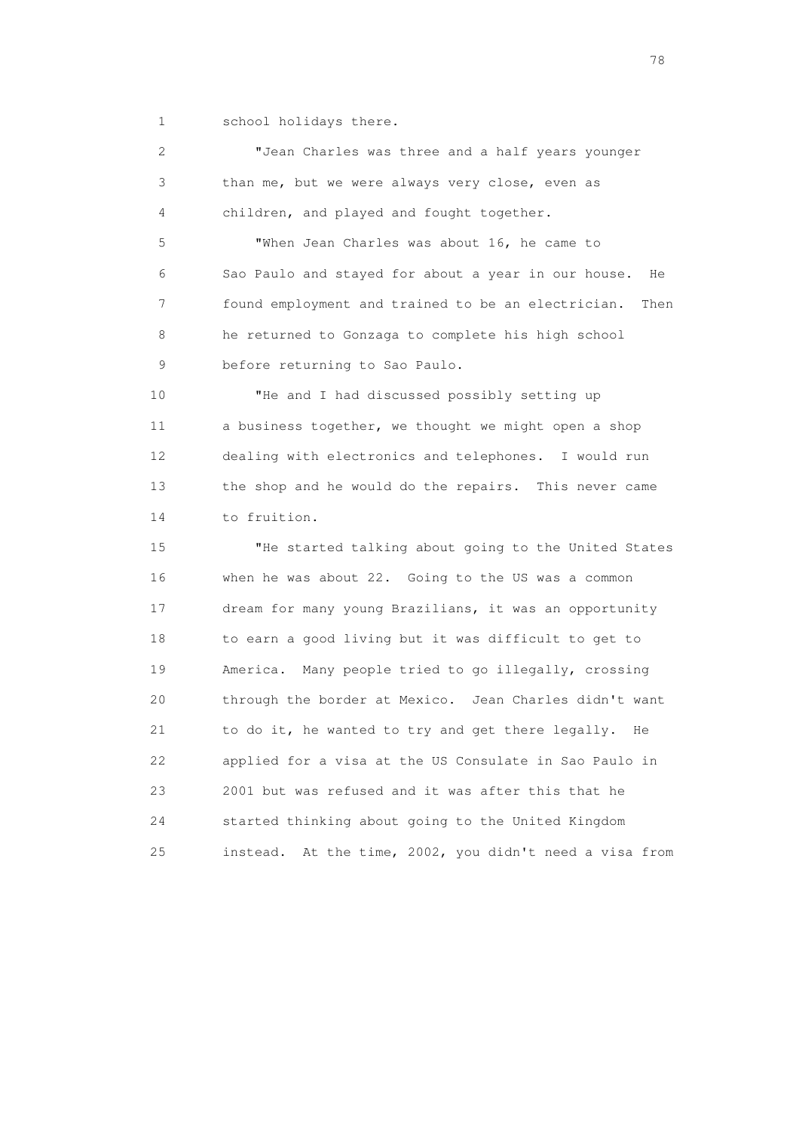1 school holidays there.

 2 "Jean Charles was three and a half years younger 3 than me, but we were always very close, even as 4 children, and played and fought together.

 5 "When Jean Charles was about 16, he came to 6 Sao Paulo and stayed for about a year in our house. He 7 found employment and trained to be an electrician. Then 8 he returned to Gonzaga to complete his high school 9 before returning to Sao Paulo.

 10 "He and I had discussed possibly setting up 11 a business together, we thought we might open a shop 12 dealing with electronics and telephones. I would run 13 the shop and he would do the repairs. This never came 14 to fruition.

 15 "He started talking about going to the United States 16 when he was about 22. Going to the US was a common 17 dream for many young Brazilians, it was an opportunity 18 to earn a good living but it was difficult to get to 19 America. Many people tried to go illegally, crossing 20 through the border at Mexico. Jean Charles didn't want 21 to do it, he wanted to try and get there legally. He 22 applied for a visa at the US Consulate in Sao Paulo in 23 2001 but was refused and it was after this that he 24 started thinking about going to the United Kingdom 25 instead. At the time, 2002, you didn't need a visa from

na na matsayang mga kasang mga kalendaryon ng mga kasang mga kasang mga kasang mga kasang mga kasang mga kasan<br>Mga kasang mga kasang mga kasang mga kasang mga kasang mga kasang mga kasang mga kasang mga kasang mga kasang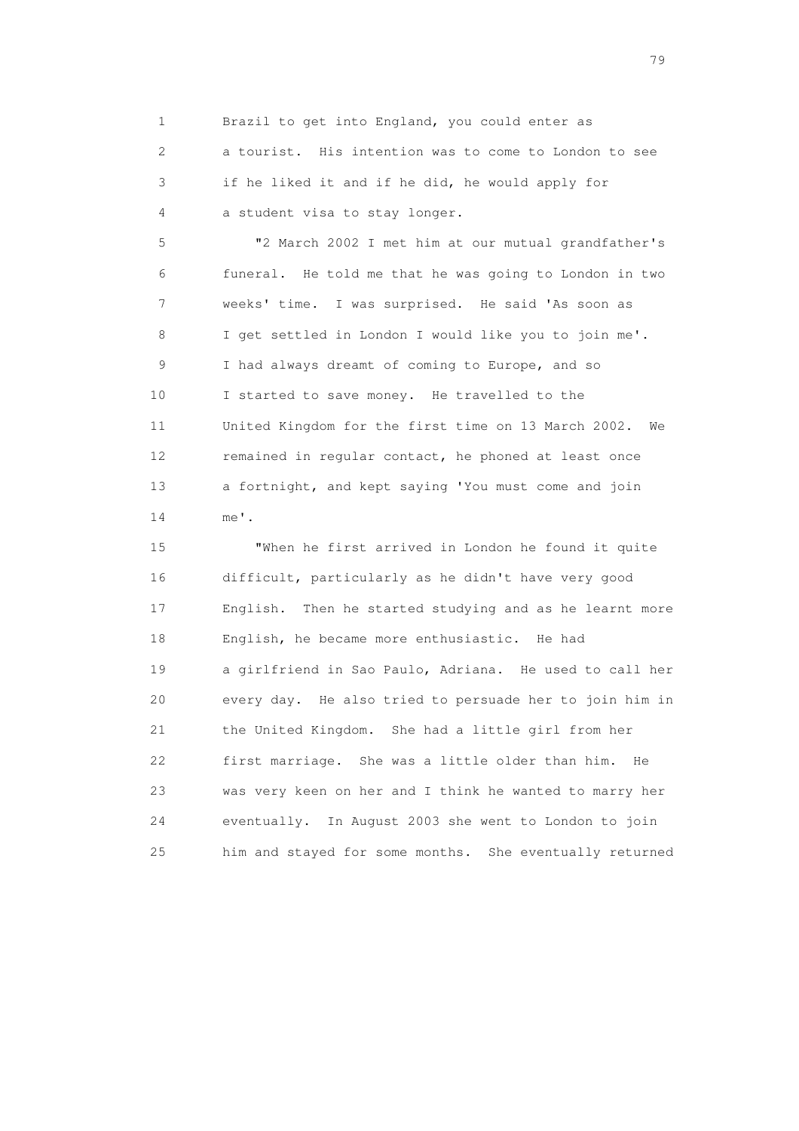1 Brazil to get into England, you could enter as

 2 a tourist. His intention was to come to London to see 3 if he liked it and if he did, he would apply for 4 a student visa to stay longer.

 5 "2 March 2002 I met him at our mutual grandfather's 6 funeral. He told me that he was going to London in two 7 weeks' time. I was surprised. He said 'As soon as 8 I get settled in London I would like you to join me'. 9 I had always dreamt of coming to Europe, and so 10 I started to save money. He travelled to the 11 United Kingdom for the first time on 13 March 2002. We 12 remained in regular contact, he phoned at least once 13 a fortnight, and kept saying 'You must come and join 14 me'.

 15 "When he first arrived in London he found it quite 16 difficult, particularly as he didn't have very good 17 English. Then he started studying and as he learnt more 18 English, he became more enthusiastic. He had 19 a girlfriend in Sao Paulo, Adriana. He used to call her 20 every day. He also tried to persuade her to join him in 21 the United Kingdom. She had a little girl from her 22 first marriage. She was a little older than him. He 23 was very keen on her and I think he wanted to marry her 24 eventually. In August 2003 she went to London to join 25 him and stayed for some months. She eventually returned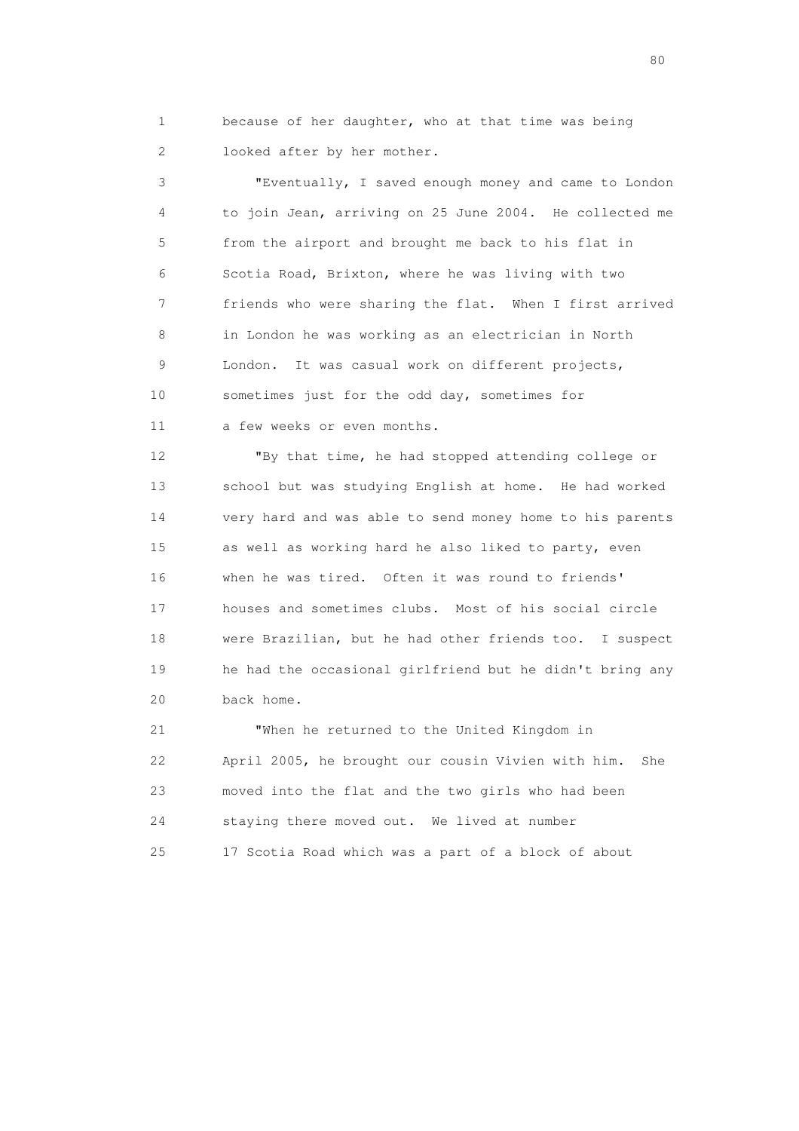1 because of her daughter, who at that time was being 2 looked after by her mother.

 3 "Eventually, I saved enough money and came to London 4 to join Jean, arriving on 25 June 2004. He collected me 5 from the airport and brought me back to his flat in 6 Scotia Road, Brixton, where he was living with two 7 friends who were sharing the flat. When I first arrived 8 in London he was working as an electrician in North 9 London. It was casual work on different projects, 10 sometimes just for the odd day, sometimes for 11 a few weeks or even months.

 12 "By that time, he had stopped attending college or 13 school but was studying English at home. He had worked 14 very hard and was able to send money home to his parents 15 as well as working hard he also liked to party, even 16 when he was tired. Often it was round to friends' 17 houses and sometimes clubs. Most of his social circle 18 were Brazilian, but he had other friends too. I suspect 19 he had the occasional girlfriend but he didn't bring any 20 back home.

 21 "When he returned to the United Kingdom in 22 April 2005, he brought our cousin Vivien with him. She 23 moved into the flat and the two girls who had been 24 staying there moved out. We lived at number 25 17 Scotia Road which was a part of a block of about

entration of the state of the state of the state of the state of the state of the state of the state of the state of the state of the state of the state of the state of the state of the state of the state of the state of t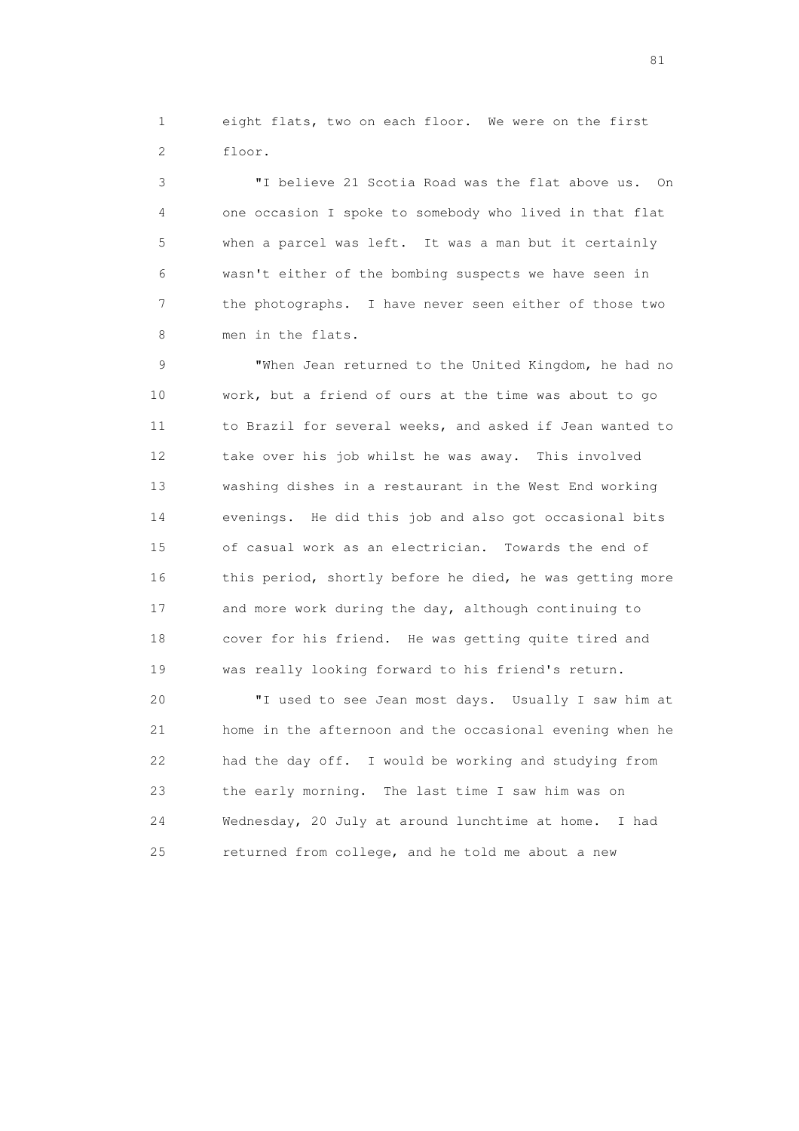1 eight flats, two on each floor. We were on the first 2 floor.

 3 "I believe 21 Scotia Road was the flat above us. On 4 one occasion I spoke to somebody who lived in that flat 5 when a parcel was left. It was a man but it certainly 6 wasn't either of the bombing suspects we have seen in 7 the photographs. I have never seen either of those two 8 men in the flats.

 9 "When Jean returned to the United Kingdom, he had no 10 work, but a friend of ours at the time was about to go 11 to Brazil for several weeks, and asked if Jean wanted to 12 take over his job whilst he was away. This involved 13 washing dishes in a restaurant in the West End working 14 evenings. He did this job and also got occasional bits 15 of casual work as an electrician. Towards the end of 16 this period, shortly before he died, he was getting more 17 and more work during the day, although continuing to 18 cover for his friend. He was getting quite tired and 19 was really looking forward to his friend's return.

 20 "I used to see Jean most days. Usually I saw him at 21 home in the afternoon and the occasional evening when he 22 had the day off. I would be working and studying from 23 the early morning. The last time I saw him was on 24 Wednesday, 20 July at around lunchtime at home. I had 25 returned from college, and he told me about a new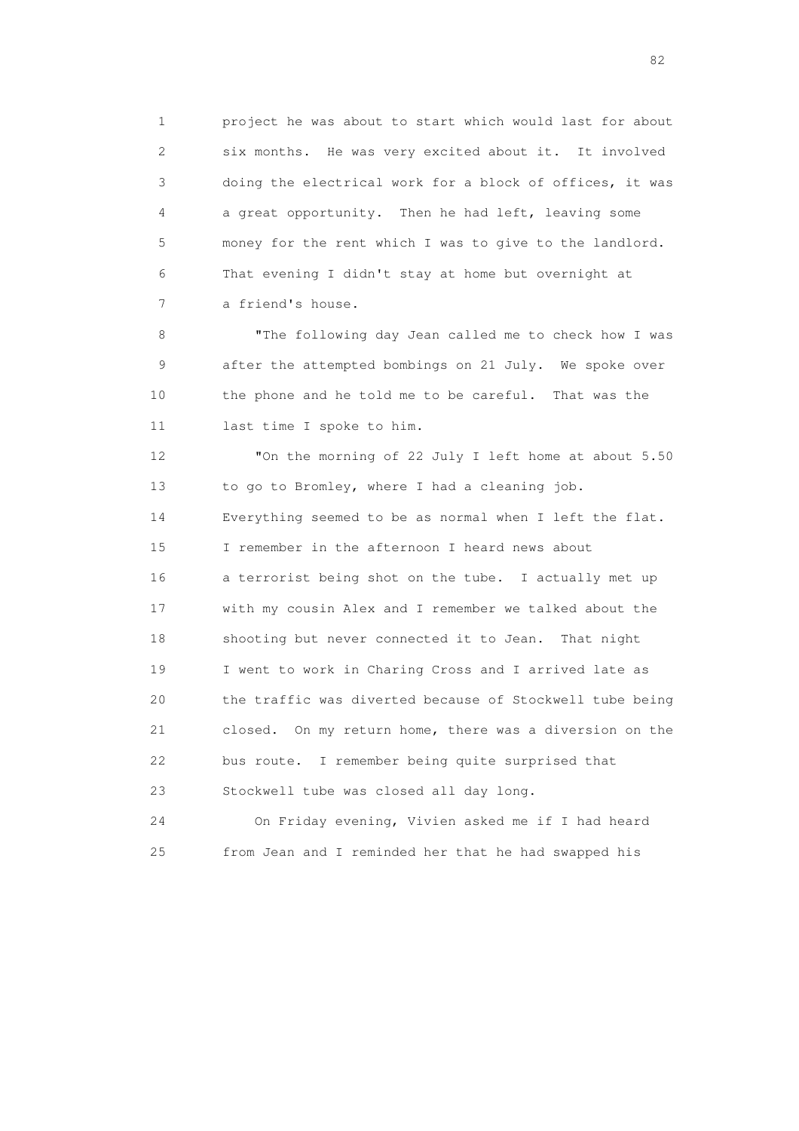1 project he was about to start which would last for about 2 six months. He was very excited about it. It involved 3 doing the electrical work for a block of offices, it was 4 a great opportunity. Then he had left, leaving some 5 money for the rent which I was to give to the landlord. 6 That evening I didn't stay at home but overnight at 7 a friend's house.

 8 "The following day Jean called me to check how I was 9 after the attempted bombings on 21 July. We spoke over 10 the phone and he told me to be careful. That was the 11 last time I spoke to him.

 12 "On the morning of 22 July I left home at about 5.50 13 to go to Bromley, where I had a cleaning job. 14 Everything seemed to be as normal when I left the flat. 15 I remember in the afternoon I heard news about 16 a terrorist being shot on the tube. I actually met up 17 with my cousin Alex and I remember we talked about the 18 shooting but never connected it to Jean. That night 19 I went to work in Charing Cross and I arrived late as 20 the traffic was diverted because of Stockwell tube being 21 closed. On my return home, there was a diversion on the 22 bus route. I remember being quite surprised that 23 Stockwell tube was closed all day long.

 24 On Friday evening, Vivien asked me if I had heard 25 from Jean and I reminded her that he had swapped his

experience of the state of the state of the state of the state of the state of the state of the state of the s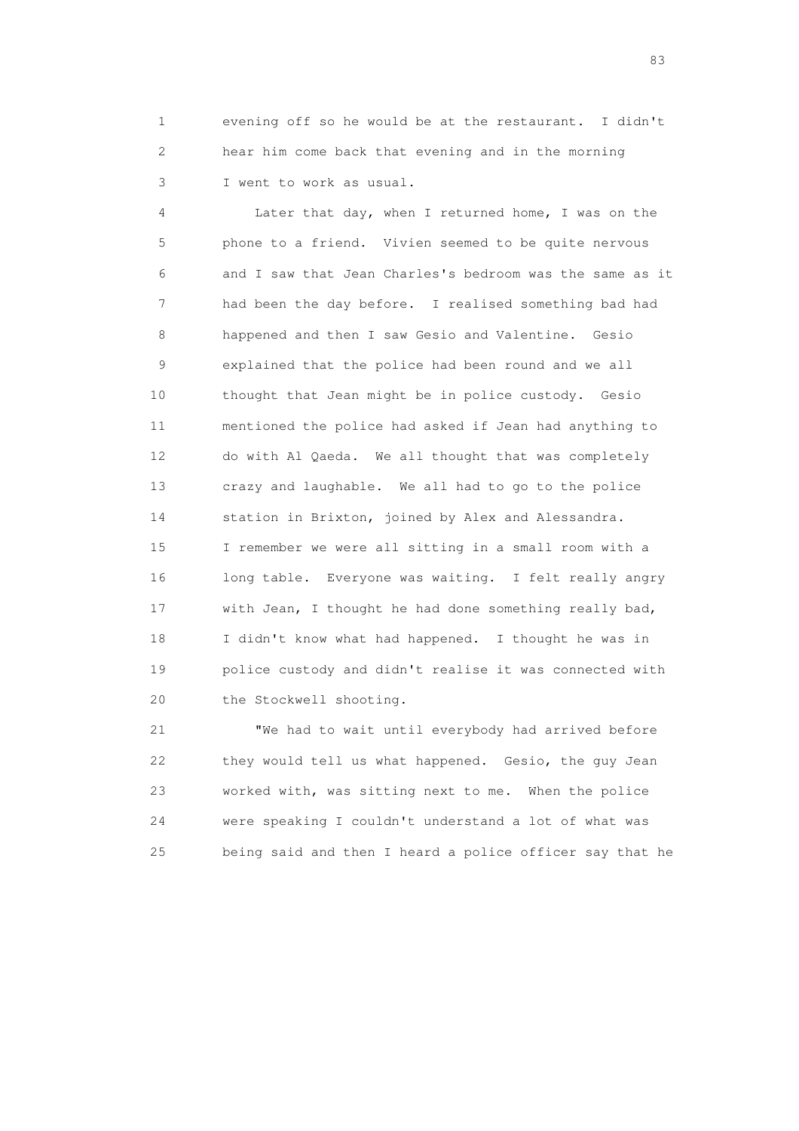1 evening off so he would be at the restaurant. I didn't 2 hear him come back that evening and in the morning 3 I went to work as usual.

 4 Later that day, when I returned home, I was on the 5 phone to a friend. Vivien seemed to be quite nervous 6 and I saw that Jean Charles's bedroom was the same as it 7 had been the day before. I realised something bad had 8 happened and then I saw Gesio and Valentine. Gesio 9 explained that the police had been round and we all 10 thought that Jean might be in police custody. Gesio 11 mentioned the police had asked if Jean had anything to 12 do with Al Qaeda. We all thought that was completely 13 crazy and laughable. We all had to go to the police 14 station in Brixton, joined by Alex and Alessandra. 15 I remember we were all sitting in a small room with a 16 long table. Everyone was waiting. I felt really angry 17 with Jean, I thought he had done something really bad, 18 I didn't know what had happened. I thought he was in 19 police custody and didn't realise it was connected with 20 the Stockwell shooting.

 21 "We had to wait until everybody had arrived before 22 they would tell us what happened. Gesio, the guy Jean 23 worked with, was sitting next to me. When the police 24 were speaking I couldn't understand a lot of what was 25 being said and then I heard a police officer say that he

experience of the contract of the contract of the contract of the contract of the contract of the contract of the contract of the contract of the contract of the contract of the contract of the contract of the contract of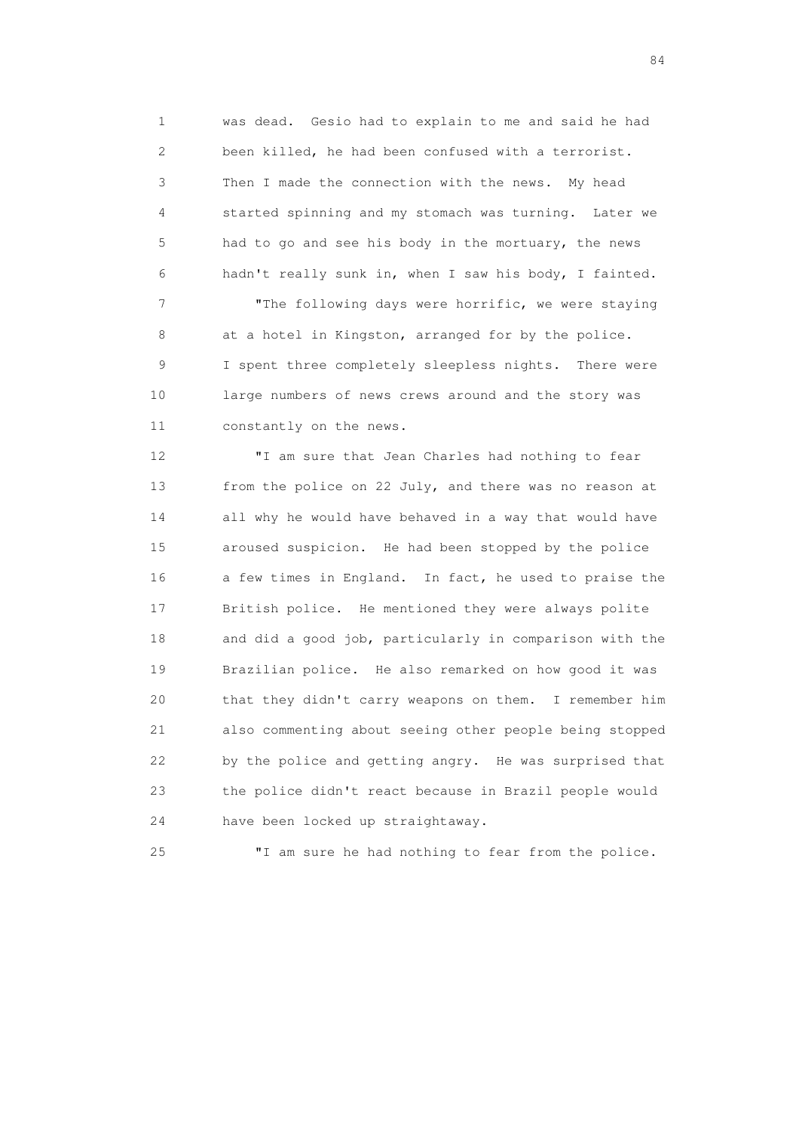1 was dead. Gesio had to explain to me and said he had 2 been killed, he had been confused with a terrorist. 3 Then I made the connection with the news. My head 4 started spinning and my stomach was turning. Later we 5 had to go and see his body in the mortuary, the news 6 hadn't really sunk in, when I saw his body, I fainted.

 7 "The following days were horrific, we were staying 8 at a hotel in Kingston, arranged for by the police. 9 I spent three completely sleepless nights. There were 10 large numbers of news crews around and the story was 11 constantly on the news.

 12 "I am sure that Jean Charles had nothing to fear 13 from the police on 22 July, and there was no reason at 14 all why he would have behaved in a way that would have 15 aroused suspicion. He had been stopped by the police 16 a few times in England. In fact, he used to praise the 17 British police. He mentioned they were always polite 18 and did a good job, particularly in comparison with the 19 Brazilian police. He also remarked on how good it was 20 that they didn't carry weapons on them. I remember him 21 also commenting about seeing other people being stopped 22 by the police and getting angry. He was surprised that 23 the police didn't react because in Brazil people would 24 have been locked up straightaway.

25 "I am sure he had nothing to fear from the police.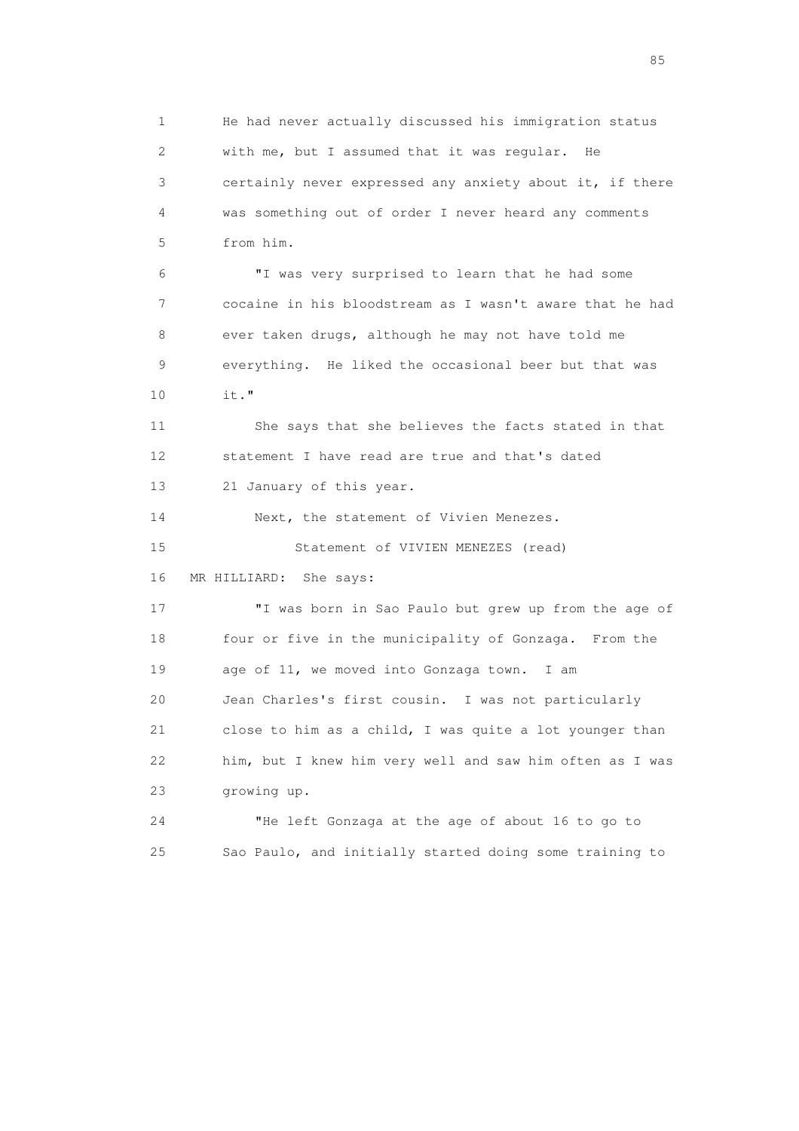1 He had never actually discussed his immigration status 2 with me, but I assumed that it was regular. He 3 certainly never expressed any anxiety about it, if there 4 was something out of order I never heard any comments 5 from him. 6 "I was very surprised to learn that he had some 7 cocaine in his bloodstream as I wasn't aware that he had 8 ever taken drugs, although he may not have told me 9 everything. He liked the occasional beer but that was 10 it." 11 She says that she believes the facts stated in that 12 statement I have read are true and that's dated 13 21 January of this year. 14 Next, the statement of Vivien Menezes. 15 Statement of VIVIEN MENEZES (read) 16 MR HILLIARD: She says: 17 "I was born in Sao Paulo but grew up from the age of 18 four or five in the municipality of Gonzaga. From the 19 age of 11, we moved into Gonzaga town. I am 20 Jean Charles's first cousin. I was not particularly 21 close to him as a child, I was quite a lot younger than 22 him, but I knew him very well and saw him often as I was 23 growing up. 24 "He left Gonzaga at the age of about 16 to go to 25 Sao Paulo, and initially started doing some training to

experience of the contract of the contract of the contract of the contract of the contract of the contract of the contract of the contract of the contract of the contract of the contract of the contract of the contract of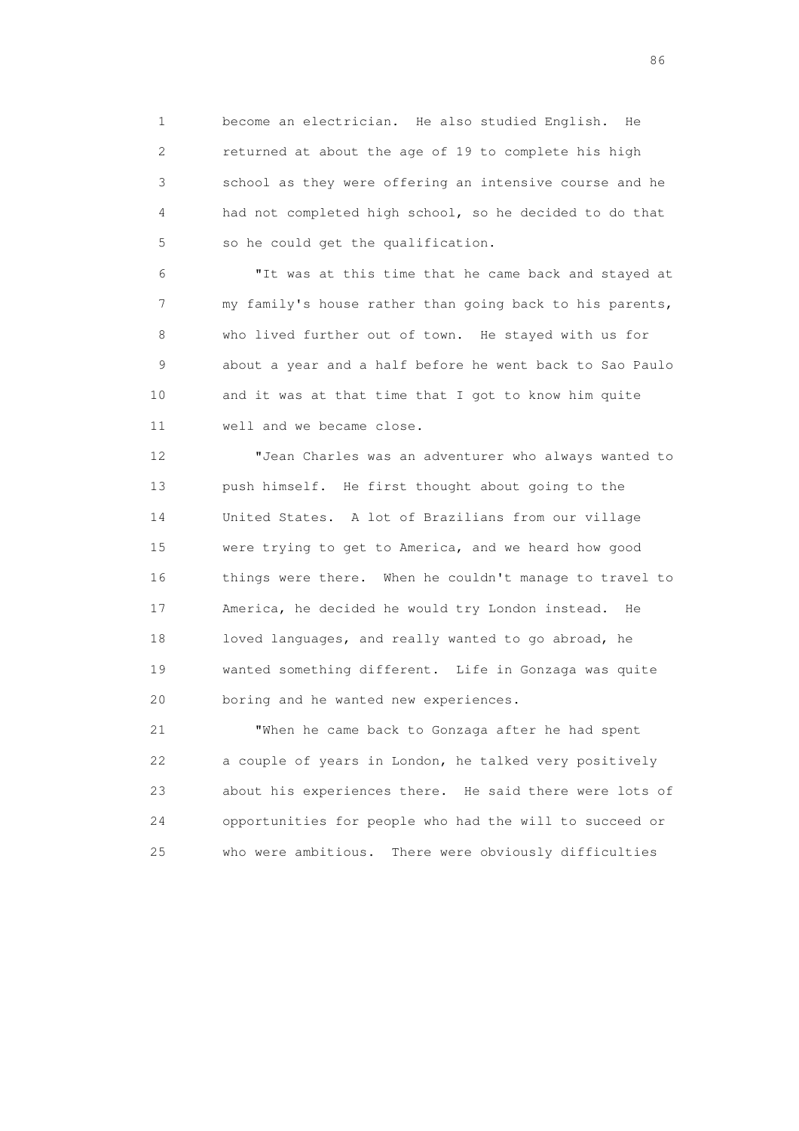1 become an electrician. He also studied English. He 2 returned at about the age of 19 to complete his high 3 school as they were offering an intensive course and he 4 had not completed high school, so he decided to do that 5 so he could get the qualification.

 6 "It was at this time that he came back and stayed at 7 my family's house rather than going back to his parents, 8 who lived further out of town. He stayed with us for 9 about a year and a half before he went back to Sao Paulo 10 and it was at that time that I got to know him quite 11 well and we became close.

 12 "Jean Charles was an adventurer who always wanted to 13 push himself. He first thought about going to the 14 United States. A lot of Brazilians from our village 15 were trying to get to America, and we heard how good 16 things were there. When he couldn't manage to travel to 17 America, he decided he would try London instead. He 18 loved languages, and really wanted to go abroad, he 19 wanted something different. Life in Gonzaga was quite 20 boring and he wanted new experiences.

 21 "When he came back to Gonzaga after he had spent 22 a couple of years in London, he talked very positively 23 about his experiences there. He said there were lots of 24 opportunities for people who had the will to succeed or 25 who were ambitious. There were obviously difficulties

entration of the contract of the contract of the contract of the contract of the contract of the contract of the contract of the contract of the contract of the contract of the contract of the contract of the contract of t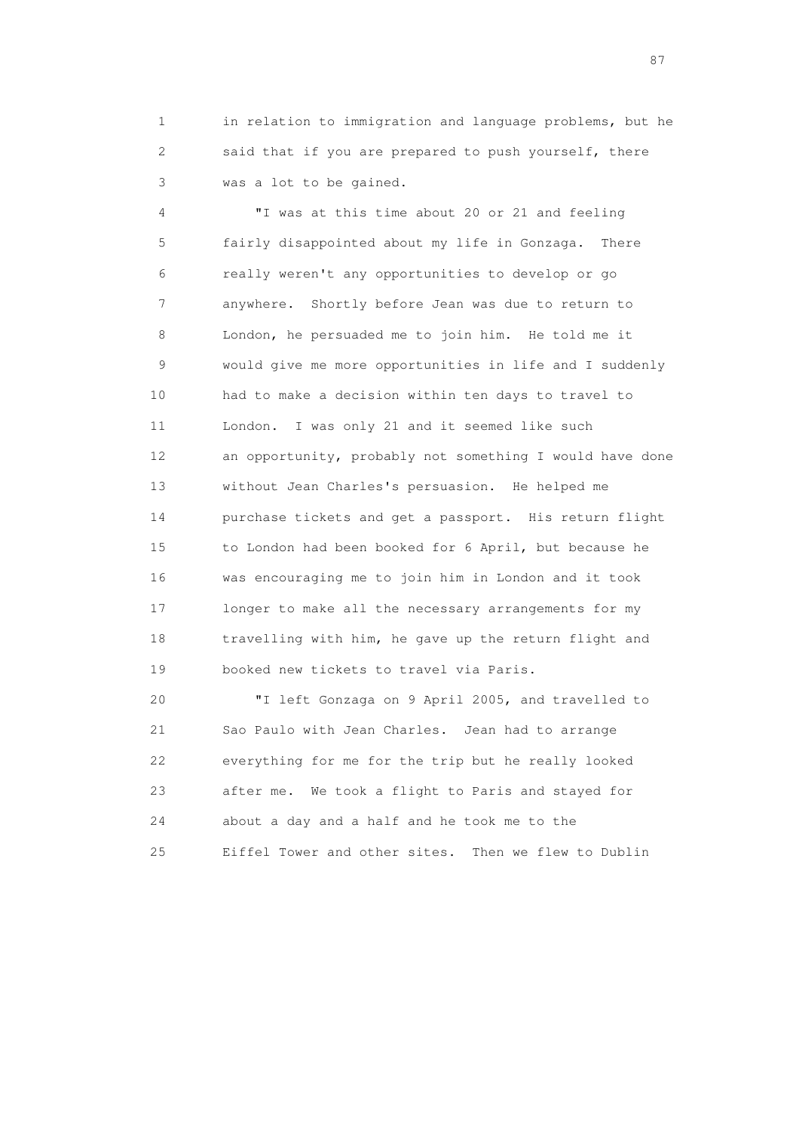1 in relation to immigration and language problems, but he 2 said that if you are prepared to push yourself, there 3 was a lot to be gained.

 4 "I was at this time about 20 or 21 and feeling 5 fairly disappointed about my life in Gonzaga. There 6 really weren't any opportunities to develop or go 7 anywhere. Shortly before Jean was due to return to 8 London, he persuaded me to join him. He told me it 9 would give me more opportunities in life and I suddenly 10 had to make a decision within ten days to travel to 11 London. I was only 21 and it seemed like such 12 an opportunity, probably not something I would have done 13 without Jean Charles's persuasion. He helped me 14 purchase tickets and get a passport. His return flight 15 to London had been booked for 6 April, but because he 16 was encouraging me to join him in London and it took 17 longer to make all the necessary arrangements for my 18 travelling with him, he gave up the return flight and 19 booked new tickets to travel via Paris.

 20 "I left Gonzaga on 9 April 2005, and travelled to 21 Sao Paulo with Jean Charles. Jean had to arrange 22 everything for me for the trip but he really looked 23 after me. We took a flight to Paris and stayed for 24 about a day and a half and he took me to the 25 Eiffel Tower and other sites. Then we flew to Dublin

experience of the state of the state of the state of the state of the state of the state of the state of the s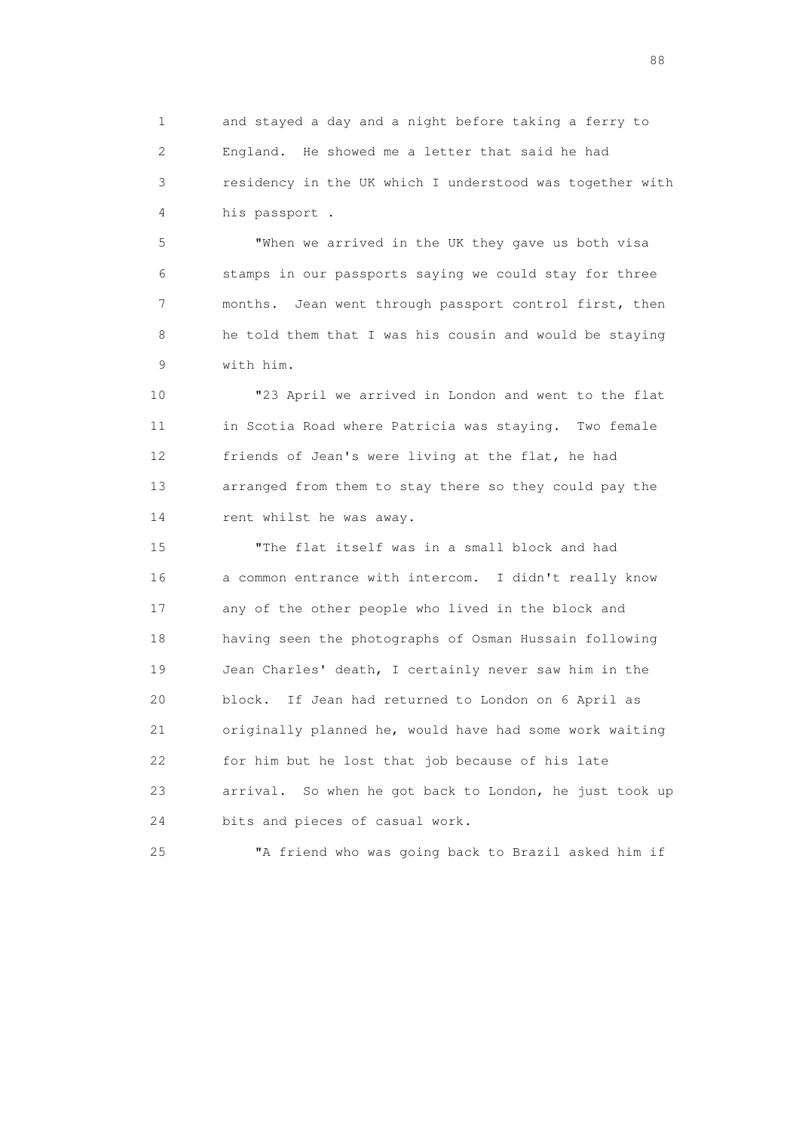1 and stayed a day and a night before taking a ferry to 2 England. He showed me a letter that said he had 3 residency in the UK which I understood was together with 4 his passport .

 5 "When we arrived in the UK they gave us both visa 6 stamps in our passports saying we could stay for three 7 months. Jean went through passport control first, then 8 he told them that I was his cousin and would be staying 9 with him.

 10 "23 April we arrived in London and went to the flat 11 in Scotia Road where Patricia was staying. Two female 12 friends of Jean's were living at the flat, he had 13 arranged from them to stay there so they could pay the 14 rent whilst he was away.

 15 "The flat itself was in a small block and had 16 a common entrance with intercom. I didn't really know 17 any of the other people who lived in the block and 18 having seen the photographs of Osman Hussain following 19 Jean Charles' death, I certainly never saw him in the 20 block. If Jean had returned to London on 6 April as 21 originally planned he, would have had some work waiting 22 for him but he lost that job because of his late 23 arrival. So when he got back to London, he just took up 24 bits and pieces of casual work.

25 "A friend who was going back to Brazil asked him if

en de la construction de la construction de la construction de la construction de la construction de la constr<br>1880 : le construction de la construction de la construction de la construction de la construction de la const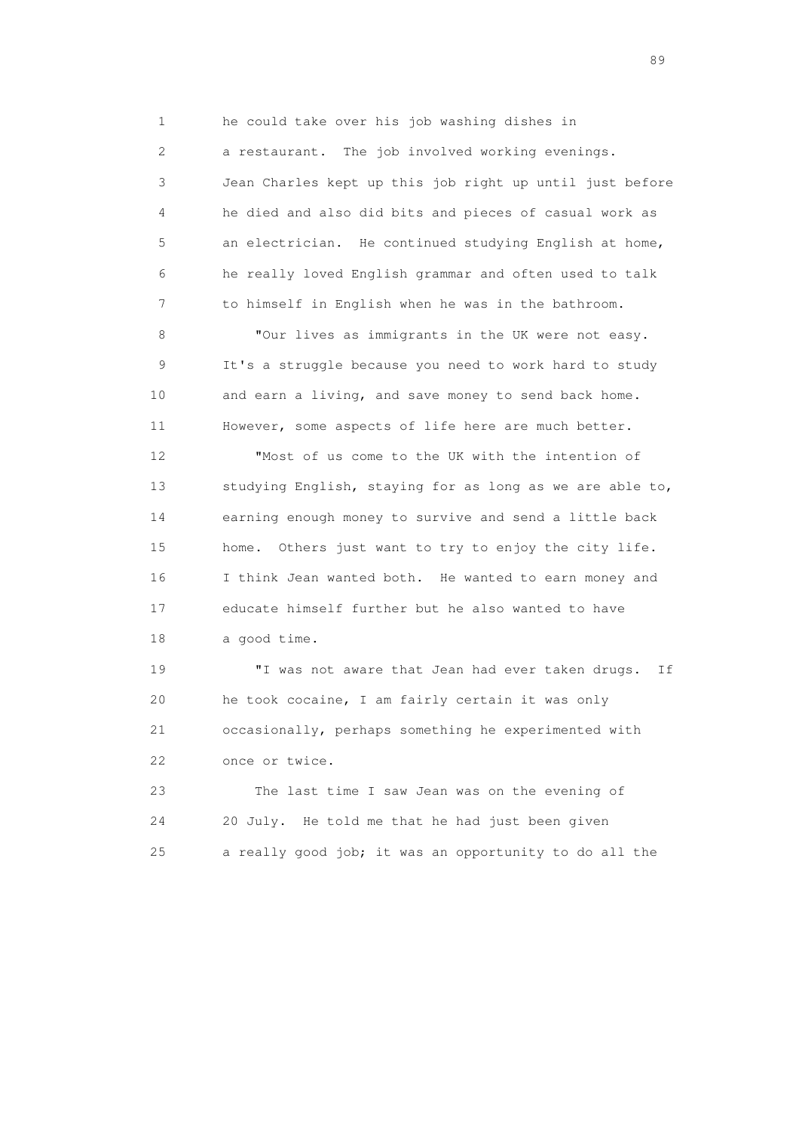1 he could take over his job washing dishes in

 2 a restaurant. The job involved working evenings. 3 Jean Charles kept up this job right up until just before 4 he died and also did bits and pieces of casual work as 5 an electrician. He continued studying English at home, 6 he really loved English grammar and often used to talk 7 to himself in English when he was in the bathroom.

 8 "Our lives as immigrants in the UK were not easy. 9 It's a struggle because you need to work hard to study 10 and earn a living, and save money to send back home. 11 However, some aspects of life here are much better.

 12 "Most of us come to the UK with the intention of 13 studying English, staying for as long as we are able to, 14 earning enough money to survive and send a little back 15 home. Others just want to try to enjoy the city life. 16 I think Jean wanted both. He wanted to earn money and 17 educate himself further but he also wanted to have 18 a good time.

 19 "I was not aware that Jean had ever taken drugs. If 20 he took cocaine, I am fairly certain it was only 21 occasionally, perhaps something he experimented with 22 once or twice.

 23 The last time I saw Jean was on the evening of 24 20 July. He told me that he had just been given 25 a really good job; it was an opportunity to do all the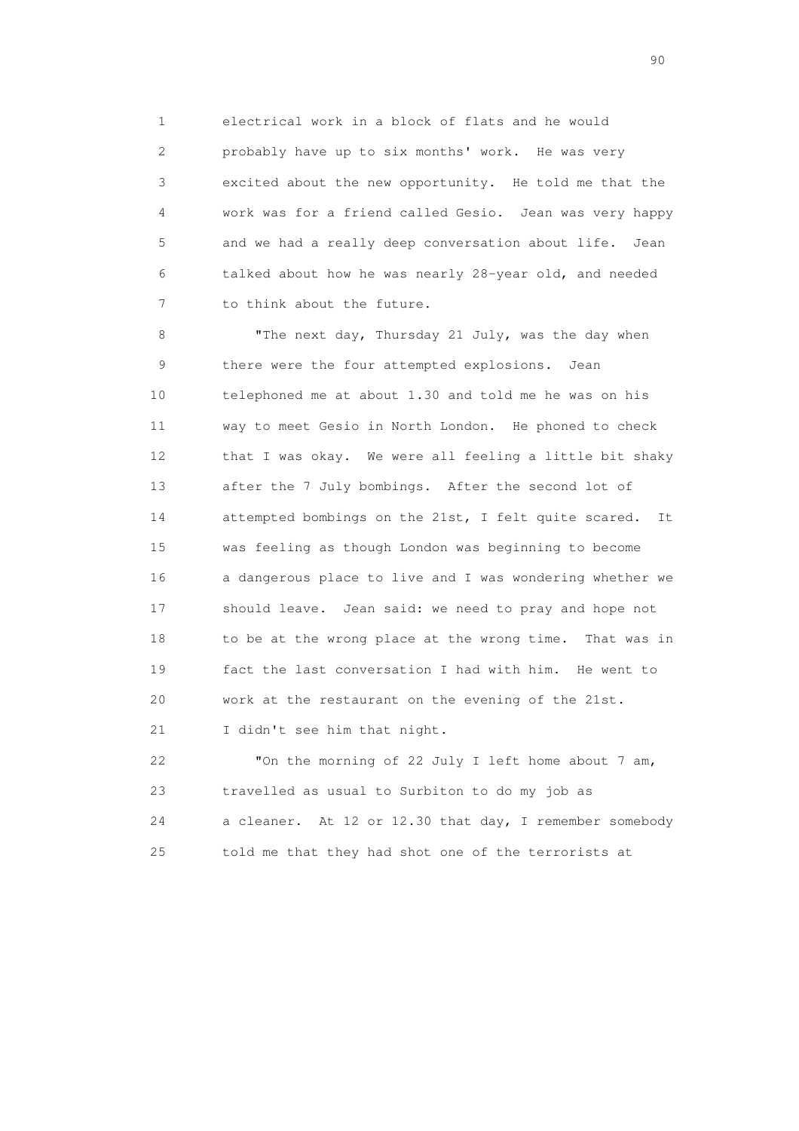1 electrical work in a block of flats and he would 2 probably have up to six months' work. He was very 3 excited about the new opportunity. He told me that the 4 work was for a friend called Gesio. Jean was very happy 5 and we had a really deep conversation about life. Jean 6 talked about how he was nearly 28-year old, and needed 7 to think about the future.

8 "The next day, Thursday 21 July, was the day when 9 there were the four attempted explosions. Jean 10 telephoned me at about 1.30 and told me he was on his 11 way to meet Gesio in North London. He phoned to check 12 that I was okay. We were all feeling a little bit shaky 13 after the 7 July bombings. After the second lot of 14 attempted bombings on the 21st, I felt quite scared. It 15 was feeling as though London was beginning to become 16 a dangerous place to live and I was wondering whether we 17 should leave. Jean said: we need to pray and hope not 18 to be at the wrong place at the wrong time. That was in 19 fact the last conversation I had with him. He went to 20 work at the restaurant on the evening of the 21st. 21 I didn't see him that night.

 22 "On the morning of 22 July I left home about 7 am, 23 travelled as usual to Surbiton to do my job as 24 a cleaner. At 12 or 12.30 that day, I remember somebody 25 told me that they had shot one of the terrorists at

entral de la construction de la construction de la construction de la construction de la construction de la co<br>1900 : le construction de la construction de la construction de la construction de la construction de la const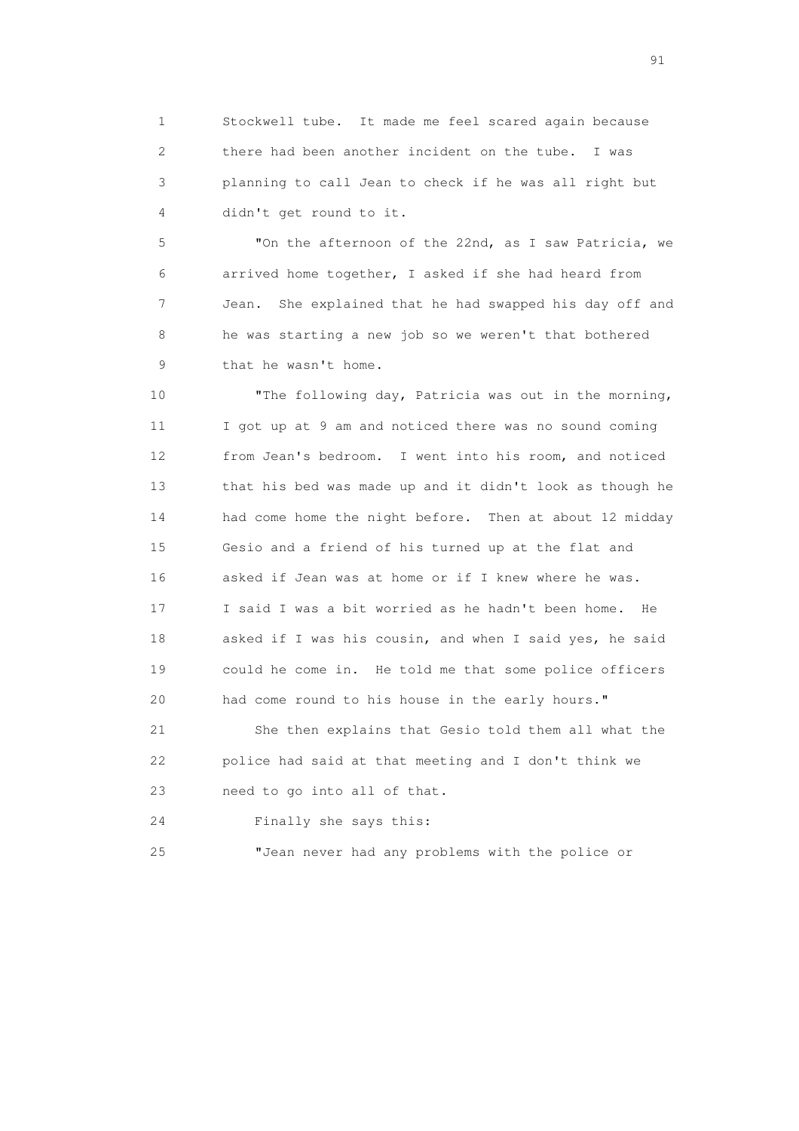1 Stockwell tube. It made me feel scared again because 2 there had been another incident on the tube. I was 3 planning to call Jean to check if he was all right but 4 didn't get round to it.

 5 "On the afternoon of the 22nd, as I saw Patricia, we 6 arrived home together, I asked if she had heard from 7 Jean. She explained that he had swapped his day off and 8 he was starting a new job so we weren't that bothered 9 that he wasn't home.

 10 "The following day, Patricia was out in the morning, 11 I got up at 9 am and noticed there was no sound coming 12 from Jean's bedroom. I went into his room, and noticed 13 that his bed was made up and it didn't look as though he 14 had come home the night before. Then at about 12 midday 15 Gesio and a friend of his turned up at the flat and 16 asked if Jean was at home or if I knew where he was. 17 I said I was a bit worried as he hadn't been home. He 18 asked if I was his cousin, and when I said yes, he said 19 could he come in. He told me that some police officers 20 had come round to his house in the early hours."

 21 She then explains that Gesio told them all what the 22 police had said at that meeting and I don't think we 23 need to go into all of that.

24 Finally she says this:

25 "Jean never had any problems with the police or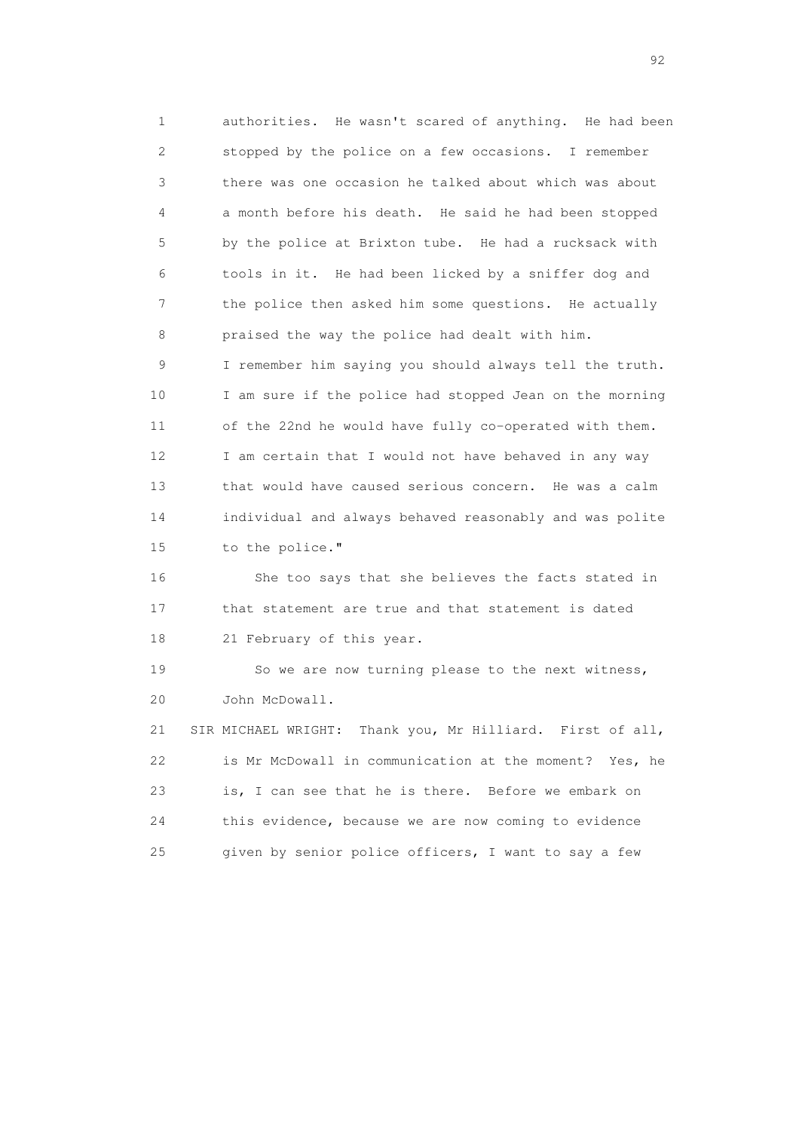1 authorities. He wasn't scared of anything. He had been 2 stopped by the police on a few occasions. I remember 3 there was one occasion he talked about which was about 4 a month before his death. He said he had been stopped 5 by the police at Brixton tube. He had a rucksack with 6 tools in it. He had been licked by a sniffer dog and 7 the police then asked him some questions. He actually 8 praised the way the police had dealt with him. 9 I remember him saying you should always tell the truth. 10 I am sure if the police had stopped Jean on the morning 11 of the 22nd he would have fully co-operated with them. 12 I am certain that I would not have behaved in any way 13 that would have caused serious concern. He was a calm 14 individual and always behaved reasonably and was polite 15 to the police."

 16 She too says that she believes the facts stated in 17 that statement are true and that statement is dated 18 21 February of this year.

 19 So we are now turning please to the next witness, 20 John McDowall.

 21 SIR MICHAEL WRIGHT: Thank you, Mr Hilliard. First of all, 22 is Mr McDowall in communication at the moment? Yes, he 23 is, I can see that he is there. Before we embark on 24 this evidence, because we are now coming to evidence 25 given by senior police officers, I want to say a few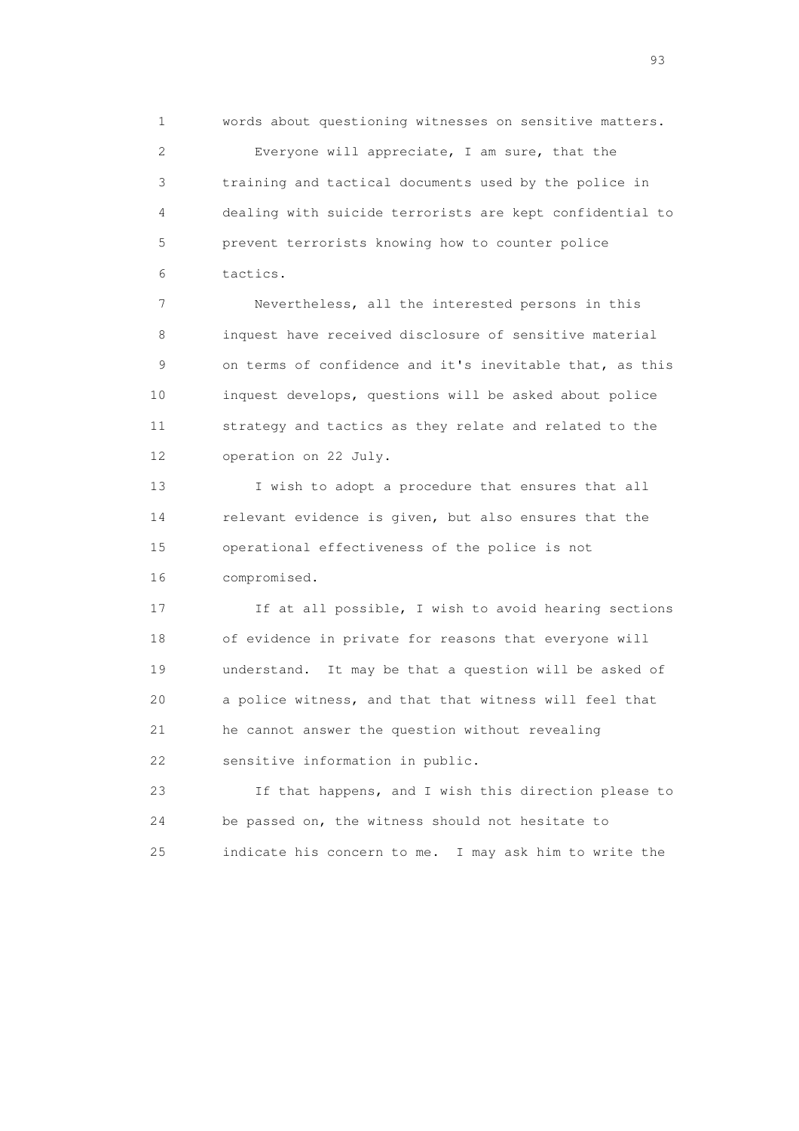1 words about questioning witnesses on sensitive matters. 2 Everyone will appreciate, I am sure, that the 3 training and tactical documents used by the police in 4 dealing with suicide terrorists are kept confidential to 5 prevent terrorists knowing how to counter police 6 tactics.

 7 Nevertheless, all the interested persons in this 8 inquest have received disclosure of sensitive material 9 on terms of confidence and it's inevitable that, as this 10 inquest develops, questions will be asked about police 11 strategy and tactics as they relate and related to the 12 operation on 22 July.

 13 I wish to adopt a procedure that ensures that all 14 relevant evidence is given, but also ensures that the 15 operational effectiveness of the police is not 16 compromised.

 17 If at all possible, I wish to avoid hearing sections 18 of evidence in private for reasons that everyone will 19 understand. It may be that a question will be asked of 20 a police witness, and that that witness will feel that 21 he cannot answer the question without revealing 22 sensitive information in public.

 23 If that happens, and I wish this direction please to 24 be passed on, the witness should not hesitate to 25 indicate his concern to me. I may ask him to write the

experience of the contract of the contract of the contract of the contract of the contract of the contract of the contract of the contract of the contract of the contract of the contract of the contract of the contract of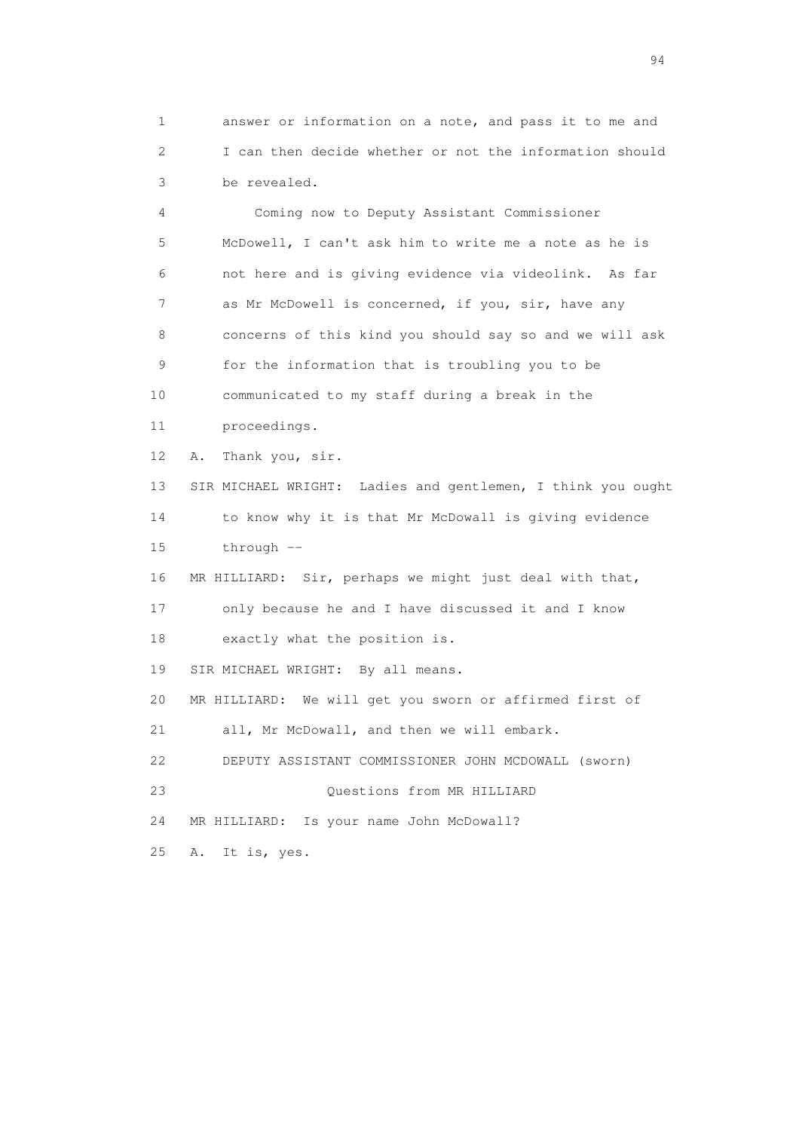1 answer or information on a note, and pass it to me and 2 I can then decide whether or not the information should 3 be revealed.

 4 Coming now to Deputy Assistant Commissioner 5 McDowell, I can't ask him to write me a note as he is 6 not here and is giving evidence via videolink. As far 7 as Mr McDowell is concerned, if you, sir, have any 8 concerns of this kind you should say so and we will ask 9 for the information that is troubling you to be 10 communicated to my staff during a break in the 11 proceedings. 12 A. Thank you, sir. 13 SIR MICHAEL WRIGHT: Ladies and gentlemen, I think you ought 14 to know why it is that Mr McDowall is giving evidence 15 through -- 16 MR HILLIARD: Sir, perhaps we might just deal with that, 17 only because he and I have discussed it and I know 18 exactly what the position is. 19 SIR MICHAEL WRIGHT: By all means. 20 MR HILLIARD: We will get you sworn or affirmed first of 21 all, Mr McDowall, and then we will embark. 22 DEPUTY ASSISTANT COMMISSIONER JOHN MCDOWALL (sworn) 23 Questions from MR HILLIARD 24 MR HILLIARD: Is your name John McDowall? 25 A. It is, yes.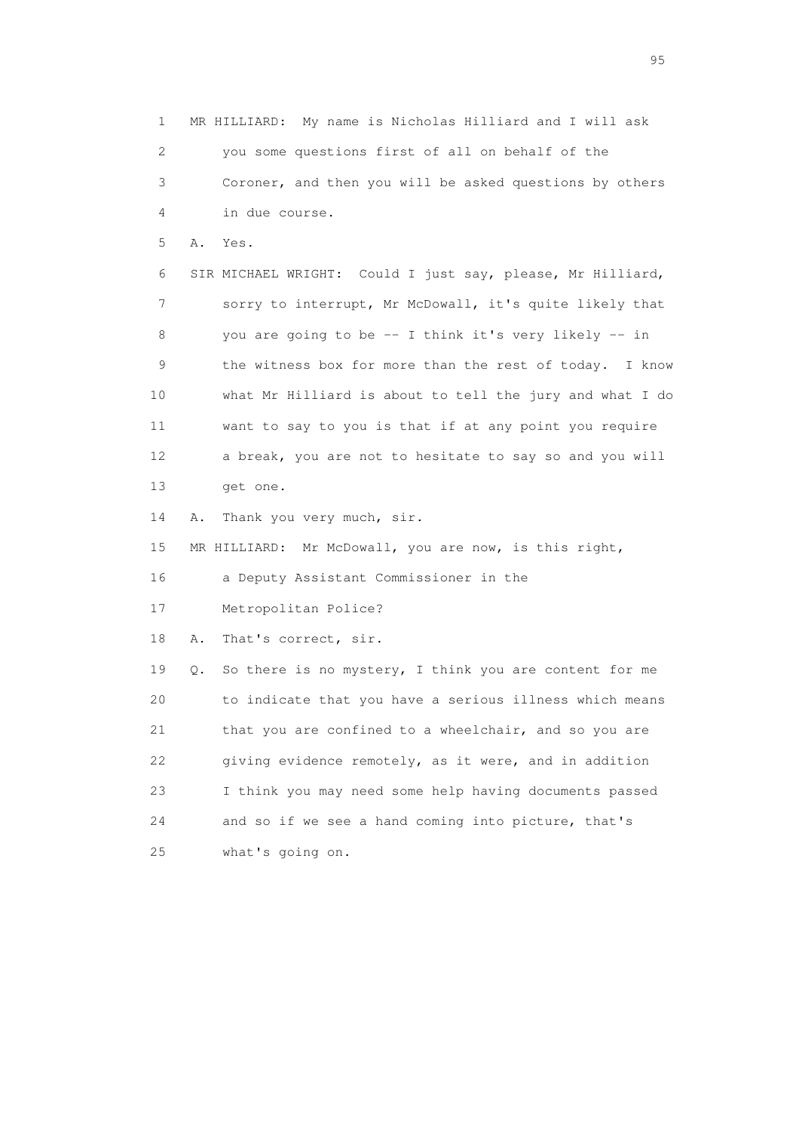1 MR HILLIARD: My name is Nicholas Hilliard and I will ask 2 you some questions first of all on behalf of the 3 Coroner, and then you will be asked questions by others 4 in due course. 5 A. Yes. 6 SIR MICHAEL WRIGHT: Could I just say, please, Mr Hilliard, 7 sorry to interrupt, Mr McDowall, it's quite likely that 8 you are going to be -- I think it's very likely -- in 9 the witness box for more than the rest of today. I know 10 what Mr Hilliard is about to tell the jury and what I do 11 want to say to you is that if at any point you require 12 a break, you are not to hesitate to say so and you will 13 get one. 14 A. Thank you very much, sir. 15 MR HILLIARD: Mr McDowall, you are now, is this right, 16 a Deputy Assistant Commissioner in the 17 Metropolitan Police? 18 A. That's correct, sir. 19 Q. So there is no mystery, I think you are content for me 20 to indicate that you have a serious illness which means 21 that you are confined to a wheelchair, and so you are 22 giving evidence remotely, as it were, and in addition 23 I think you may need some help having documents passed 24 and so if we see a hand coming into picture, that's 25 what's going on.

experience of the contract of the contract of the contract of the contract of the contract of the contract of the contract of the contract of the contract of the contract of the contract of the contract of the contract of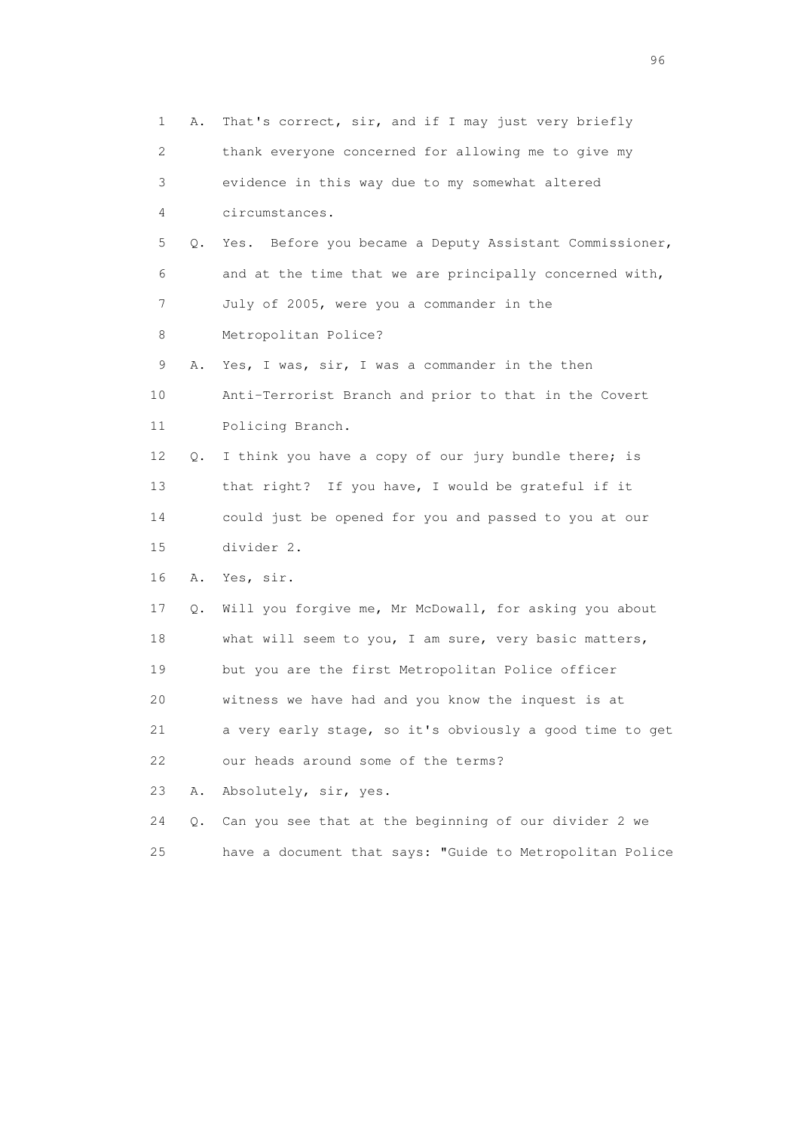1 A. That's correct, sir, and if I may just very briefly 2 thank everyone concerned for allowing me to give my 3 evidence in this way due to my somewhat altered 4 circumstances. 5 Q. Yes. Before you became a Deputy Assistant Commissioner, 6 and at the time that we are principally concerned with, 7 July of 2005, were you a commander in the 8 Metropolitan Police? 9 A. Yes, I was, sir, I was a commander in the then 10 Anti-Terrorist Branch and prior to that in the Covert 11 Policing Branch. 12 Q. I think you have a copy of our jury bundle there; is 13 that right? If you have, I would be grateful if it 14 could just be opened for you and passed to you at our 15 divider 2. 16 A. Yes, sir. 17 Q. Will you forgive me, Mr McDowall, for asking you about 18 what will seem to you, I am sure, very basic matters, 19 but you are the first Metropolitan Police officer 20 witness we have had and you know the inquest is at 21 a very early stage, so it's obviously a good time to get 22 our heads around some of the terms? 23 A. Absolutely, sir, yes. 24 Q. Can you see that at the beginning of our divider 2 we 25 have a document that says: "Guide to Metropolitan Police

<u>96 and the state of the state of the state of the state of the state of the state of the state of the state of the state of the state of the state of the state of the state of the state of the state of the state of the st</u>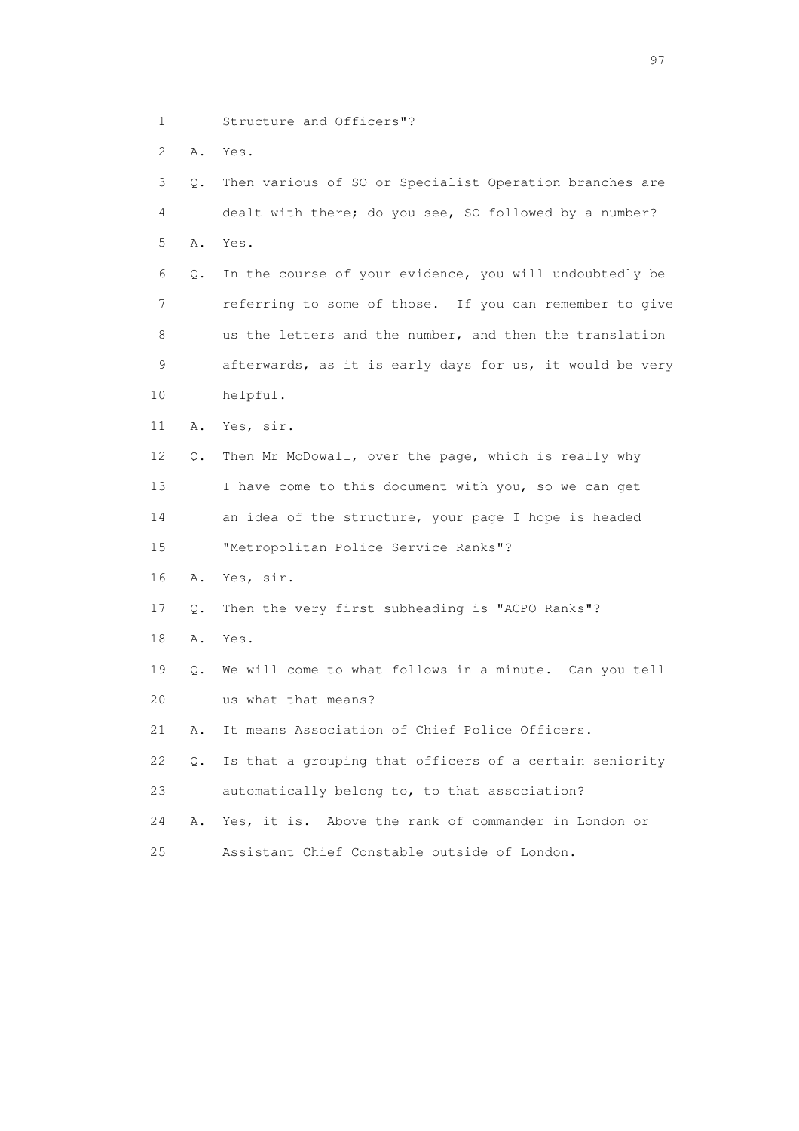- 1 Structure and Officers"?
- 2 A. Yes.

| 3  | Q.        | Then various of SO or Specialist Operation branches are  |
|----|-----------|----------------------------------------------------------|
| 4  |           | dealt with there; do you see, SO followed by a number?   |
| 5  | Α.        | Yes.                                                     |
| 6  | Q.        | In the course of your evidence, you will undoubtedly be  |
| 7  |           | referring to some of those. If you can remember to give  |
| 8  |           | us the letters and the number, and then the translation  |
| 9  |           | afterwards, as it is early days for us, it would be very |
| 10 |           | helpful.                                                 |
| 11 | Α.        | Yes, sir.                                                |
| 12 | Q.        | Then Mr McDowall, over the page, which is really why     |
| 13 |           | I have come to this document with you, so we can get     |
| 14 |           | an idea of the structure, your page I hope is headed     |
| 15 |           | "Metropolitan Police Service Ranks"?                     |
| 16 | Α.        | Yes, sir.                                                |
| 17 | Q.        | Then the very first subheading is "ACPO Ranks"?          |
| 18 | Α.        | Yes.                                                     |
| 19 | $\circ$ . | We will come to what follows in a minute. Can you tell   |
| 20 |           | us what that means?                                      |
| 21 | Α.        | It means Association of Chief Police Officers.           |
| 22 | Q.        | Is that a grouping that officers of a certain seniority  |
| 23 |           | automatically belong to, to that association?            |
| 24 | Α.        | Yes, it is. Above the rank of commander in London or     |
| 25 |           | Assistant Chief Constable outside of London.             |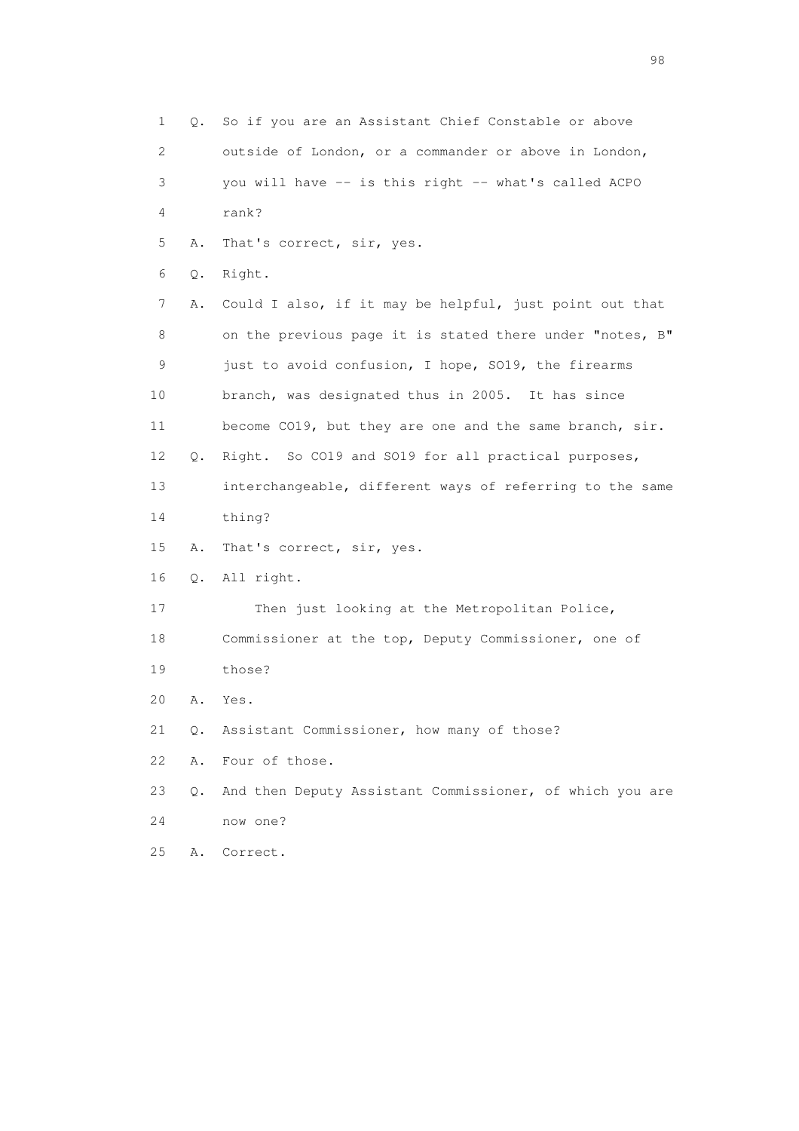1 Q. So if you are an Assistant Chief Constable or above 2 outside of London, or a commander or above in London, 3 you will have -- is this right -- what's called ACPO 4 rank? 5 A. That's correct, sir, yes. 6 Q. Right. 7 A. Could I also, if it may be helpful, just point out that 8 on the previous page it is stated there under "notes, B" 9 just to avoid confusion, I hope, SO19, the firearms 10 branch, was designated thus in 2005. It has since 11 become CO19, but they are one and the same branch, sir. 12 Q. Right. So CO19 and SO19 for all practical purposes, 13 interchangeable, different ways of referring to the same 14 thing? 15 A. That's correct, sir, yes. 16 Q. All right. 17 Then just looking at the Metropolitan Police, 18 Commissioner at the top, Deputy Commissioner, one of 19 those? 20 A. Yes. 21 Q. Assistant Commissioner, how many of those? 22 A. Four of those. 23 Q. And then Deputy Assistant Commissioner, of which you are 24 now one? 25 A. Correct.

en 1988 en 1989 en 1989 en 1989 en 1989 en 1989 en 1989 en 1989 en 1989 en 1989 en 1989 en 1989 en 1989 en 19<br>De grote en 1989 en 1989 en 1989 en 1989 en 1989 en 1989 en 1989 en 1989 en 1989 en 1989 en 1989 en 1989 en 19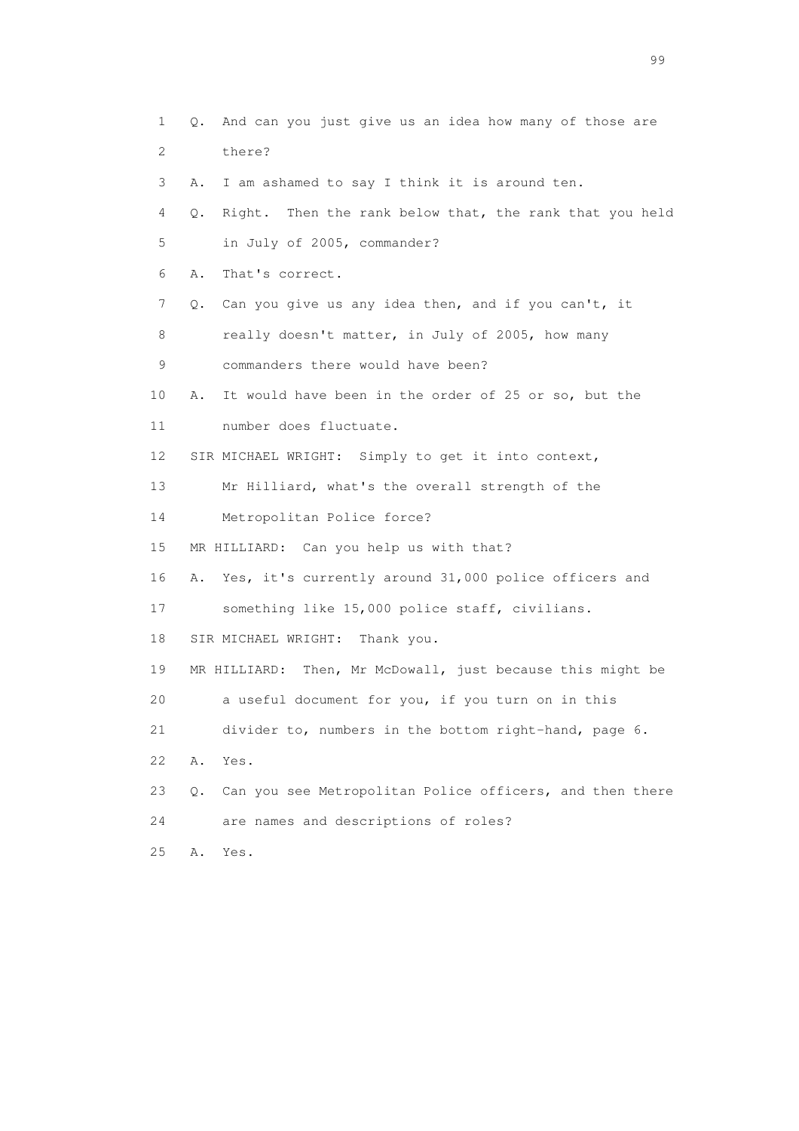1 Q. And can you just give us an idea how many of those are 2 there? 3 A. I am ashamed to say I think it is around ten. 4 Q. Right. Then the rank below that, the rank that you held 5 in July of 2005, commander? 6 A. That's correct. 7 Q. Can you give us any idea then, and if you can't, it 8 really doesn't matter, in July of 2005, how many 9 commanders there would have been? 10 A. It would have been in the order of 25 or so, but the 11 number does fluctuate. 12 SIR MICHAEL WRIGHT: Simply to get it into context, 13 Mr Hilliard, what's the overall strength of the 14 Metropolitan Police force? 15 MR HILLIARD: Can you help us with that? 16 A. Yes, it's currently around 31,000 police officers and 17 something like 15,000 police staff, civilians. 18 SIR MICHAEL WRIGHT: Thank you. 19 MR HILLIARD: Then, Mr McDowall, just because this might be 20 a useful document for you, if you turn on in this 21 divider to, numbers in the bottom right-hand, page 6. 22 A. Yes. 23 Q. Can you see Metropolitan Police officers, and then there 24 are names and descriptions of roles? 25 A. Yes.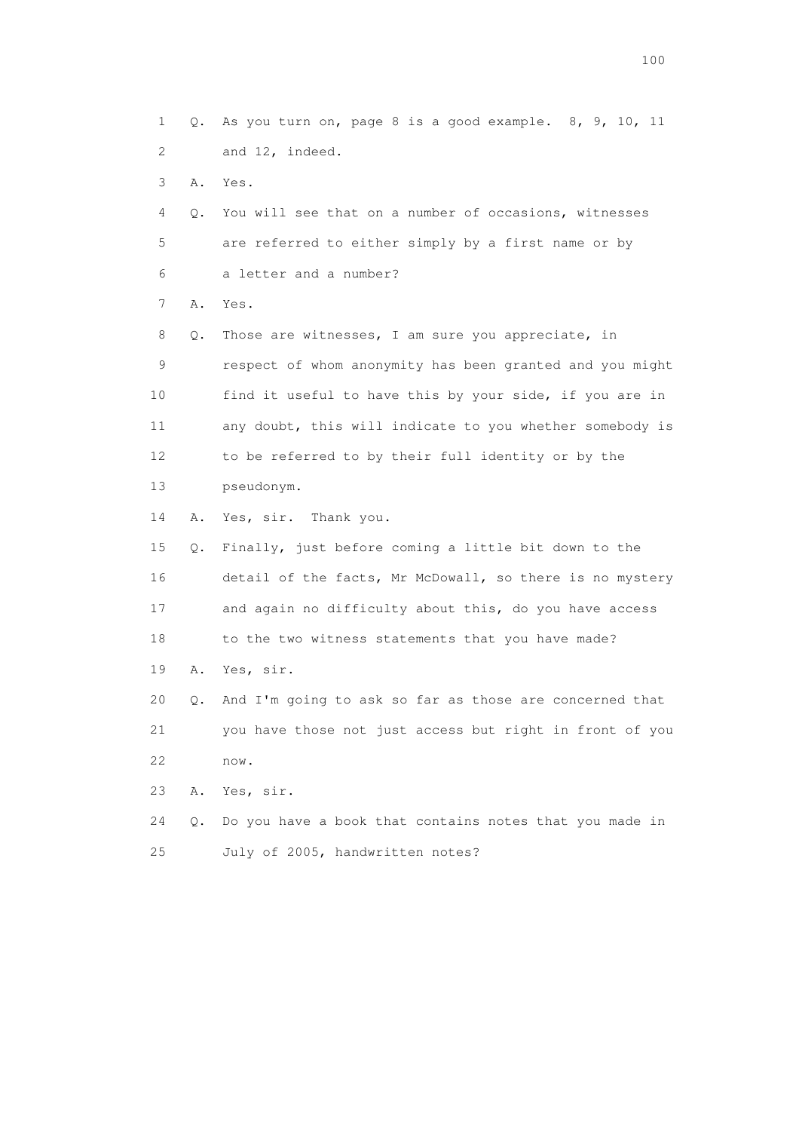1 Q. As you turn on, page 8 is a good example. 8, 9, 10, 11 2 and 12, indeed. 3 A. Yes. 4 Q. You will see that on a number of occasions, witnesses 5 are referred to either simply by a first name or by 6 a letter and a number? 7 A. Yes. 8 Q. Those are witnesses, I am sure you appreciate, in 9 respect of whom anonymity has been granted and you might 10 find it useful to have this by your side, if you are in 11 any doubt, this will indicate to you whether somebody is 12 to be referred to by their full identity or by the 13 pseudonym. 14 A. Yes, sir. Thank you. 15 Q. Finally, just before coming a little bit down to the 16 detail of the facts, Mr McDowall, so there is no mystery 17 and again no difficulty about this, do you have access 18 to the two witness statements that you have made? 19 A. Yes, sir. 20 Q. And I'm going to ask so far as those are concerned that 21 you have those not just access but right in front of you 22 now. 23 A. Yes, sir.

 24 Q. Do you have a book that contains notes that you made in 25 July of 2005, handwritten notes?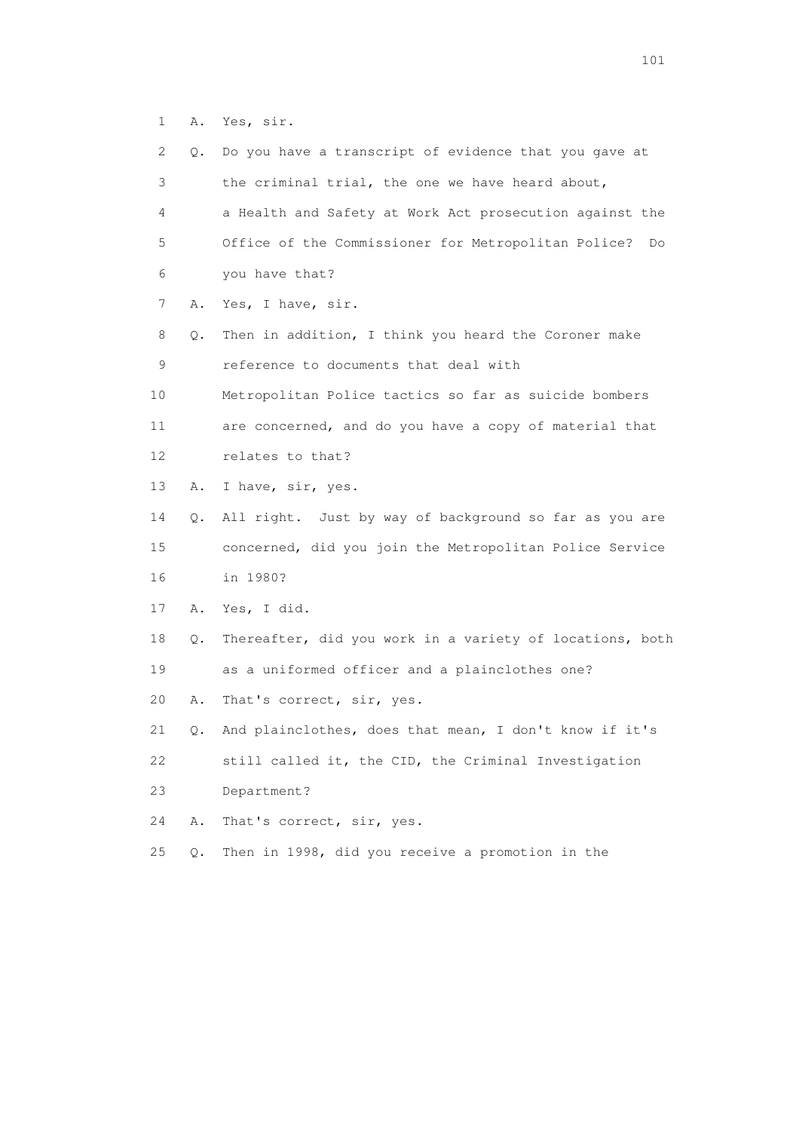1 A. Yes, sir.

| 2  | Q.    | Do you have a transcript of evidence that you gave at     |
|----|-------|-----------------------------------------------------------|
| 3  |       | the criminal trial, the one we have heard about,          |
| 4  |       | a Health and Safety at Work Act prosecution against the   |
| 5  |       | Office of the Commissioner for Metropolitan Police?<br>Do |
| 6  |       | you have that?                                            |
| 7  | Α.    | Yes, I have, sir.                                         |
| 8  | Q.    | Then in addition, I think you heard the Coroner make      |
| 9  |       | reference to documents that deal with                     |
| 10 |       | Metropolitan Police tactics so far as suicide bombers     |
| 11 |       | are concerned, and do you have a copy of material that    |
| 12 |       | relates to that?                                          |
| 13 | Α.    | I have, sir, yes.                                         |
| 14 | Q.    | All right. Just by way of background so far as you are    |
| 15 |       | concerned, did you join the Metropolitan Police Service   |
| 16 |       | in 1980?                                                  |
| 17 | Α.    | Yes, I did.                                               |
| 18 | Q.    | Thereafter, did you work in a variety of locations, both  |
| 19 |       | as a uniformed officer and a plainclothes one?            |
| 20 | Α.    | That's correct, sir, yes.                                 |
| 21 | Q.    | And plainclothes, does that mean, I don't know if it's    |
| 22 |       | still called it, the CID, the Criminal Investigation      |
| 23 |       | Department?                                               |
| 24 | Α.    | That's correct, sir, yes.                                 |
| 25 | $Q$ . | Then in 1998, did you receive a promotion in the          |
|    |       |                                                           |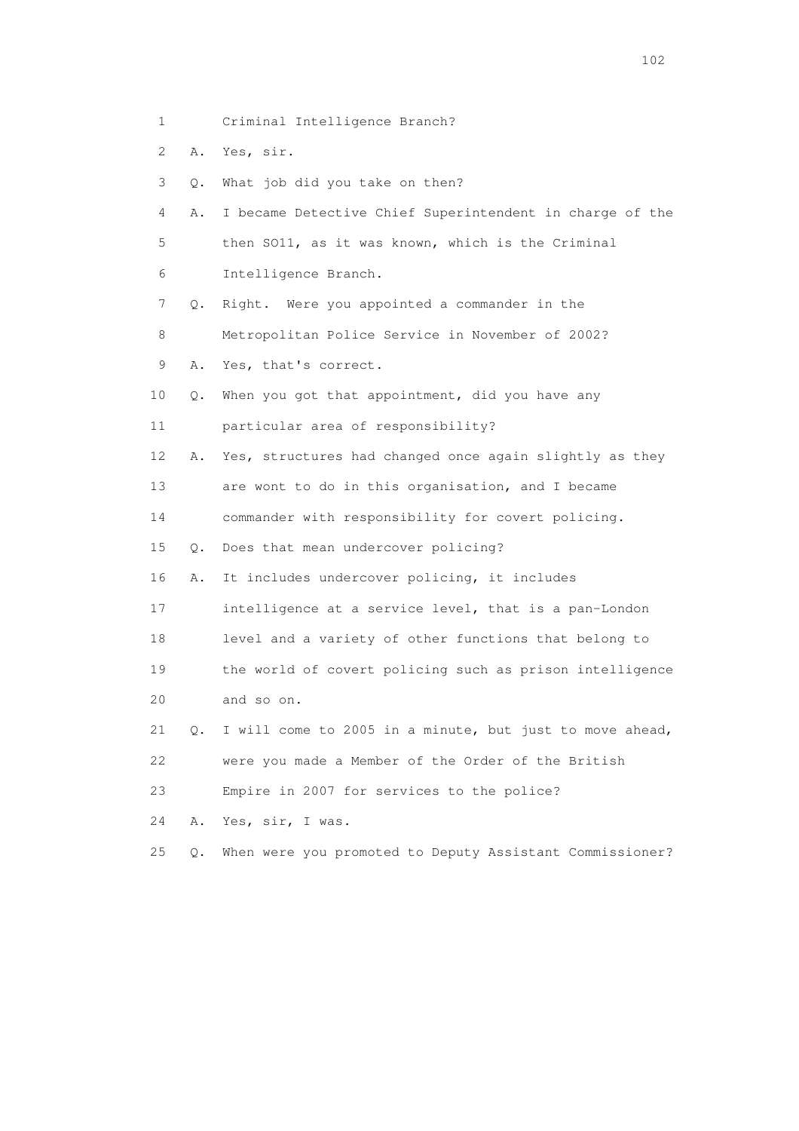- 1 Criminal Intelligence Branch?
- 2 A. Yes, sir.
- 3 Q. What job did you take on then?
- 4 A. I became Detective Chief Superintendent in charge of the 5 then SO11, as it was known, which is the Criminal 6 Intelligence Branch.
- 7 Q. Right. Were you appointed a commander in the
- 8 Metropolitan Police Service in November of 2002?
- 9 A. Yes, that's correct.
- 10 Q. When you got that appointment, did you have any
- 11 particular area of responsibility?
- 12 A. Yes, structures had changed once again slightly as they
- 13 are wont to do in this organisation, and I became
- 14 commander with responsibility for covert policing.
- 15 Q. Does that mean undercover policing?
- 16 A. It includes undercover policing, it includes
- 17 intelligence at a service level, that is a pan-London
- 18 level and a variety of other functions that belong to
- 19 the world of covert policing such as prison intelligence
- 20 and so on.
- 21 Q. I will come to 2005 in a minute, but just to move ahead,
- 22 were you made a Member of the Order of the British
- 23 Empire in 2007 for services to the police?
- 24 A. Yes, sir, I was.
- 25 Q. When were you promoted to Deputy Assistant Commissioner?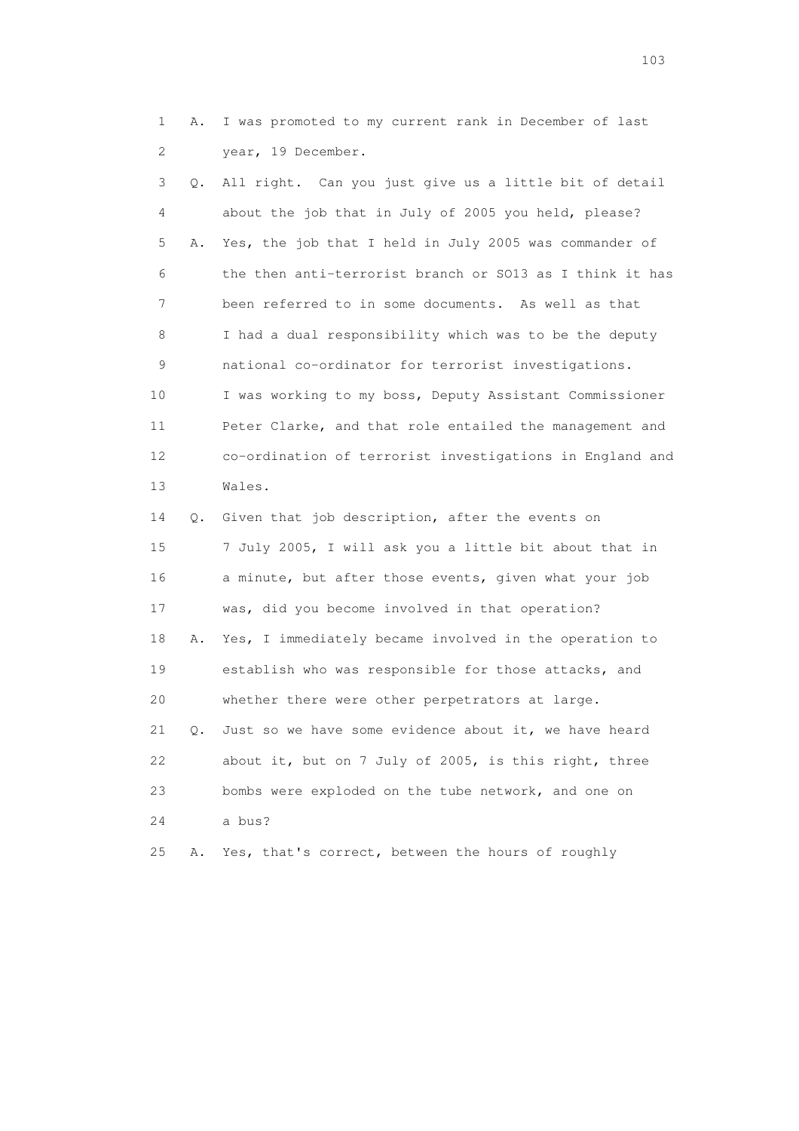1 A. I was promoted to my current rank in December of last 2 year, 19 December.

 3 Q. All right. Can you just give us a little bit of detail 4 about the job that in July of 2005 you held, please? 5 A. Yes, the job that I held in July 2005 was commander of 6 the then anti-terrorist branch or SO13 as I think it has 7 been referred to in some documents. As well as that 8 I had a dual responsibility which was to be the deputy 9 national co-ordinator for terrorist investigations. 10 I was working to my boss, Deputy Assistant Commissioner 11 Peter Clarke, and that role entailed the management and 12 co-ordination of terrorist investigations in England and 13 Wales. 14 Q. Given that job description, after the events on 15 7 July 2005, I will ask you a little bit about that in 16 a minute, but after those events, given what your job 17 was, did you become involved in that operation? 18 A. Yes, I immediately became involved in the operation to 19 establish who was responsible for those attacks, and 20 whether there were other perpetrators at large.

 21 Q. Just so we have some evidence about it, we have heard 22 about it, but on 7 July of 2005, is this right, three 23 bombs were exploded on the tube network, and one on 24 a bus?

25 A. Yes, that's correct, between the hours of roughly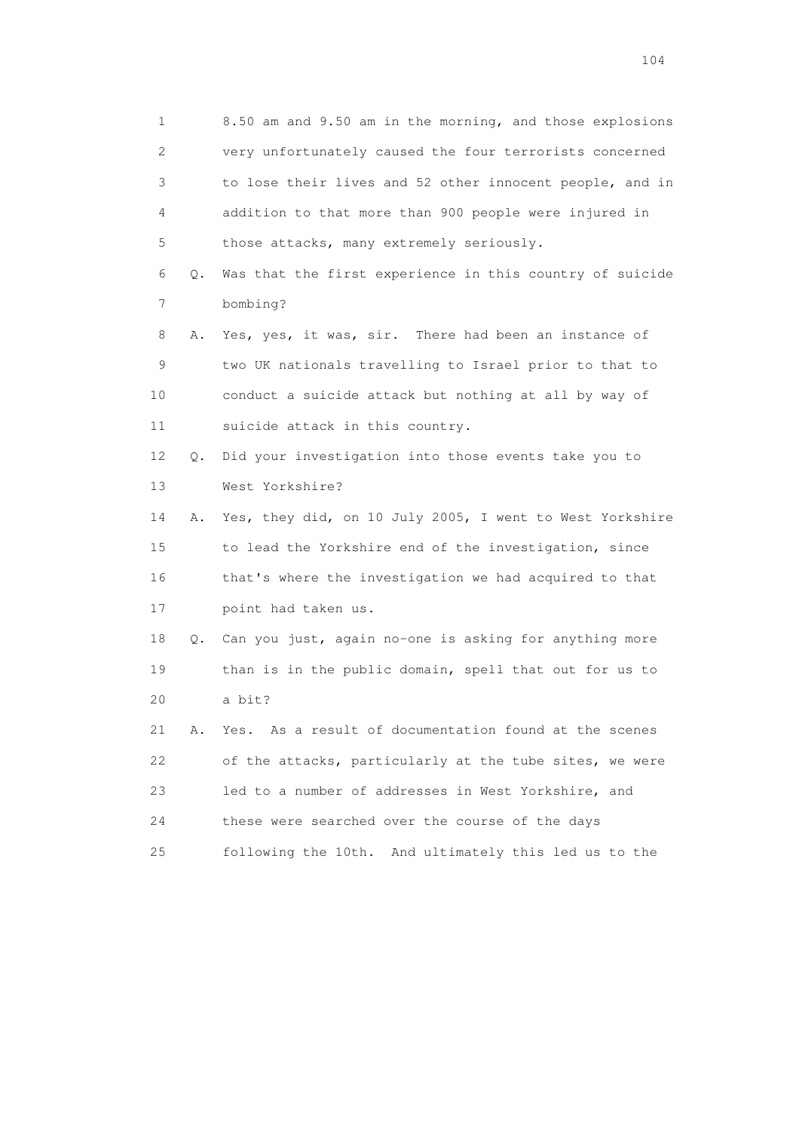1 8.50 am and 9.50 am in the morning, and those explosions 2 very unfortunately caused the four terrorists concerned 3 to lose their lives and 52 other innocent people, and in 4 addition to that more than 900 people were injured in 5 those attacks, many extremely seriously. 6 Q. Was that the first experience in this country of suicide 7 bombing? 8 A. Yes, yes, it was, sir. There had been an instance of 9 two UK nationals travelling to Israel prior to that to 10 conduct a suicide attack but nothing at all by way of 11 suicide attack in this country. 12 Q. Did your investigation into those events take you to 13 West Yorkshire? 14 A. Yes, they did, on 10 July 2005, I went to West Yorkshire 15 to lead the Yorkshire end of the investigation, since 16 that's where the investigation we had acquired to that 17 point had taken us. 18 Q. Can you just, again no-one is asking for anything more 19 than is in the public domain, spell that out for us to 20 a bit? 21 A. Yes. As a result of documentation found at the scenes 22 of the attacks, particularly at the tube sites, we were 23 led to a number of addresses in West Yorkshire, and 24 these were searched over the course of the days 25 following the 10th. And ultimately this led us to the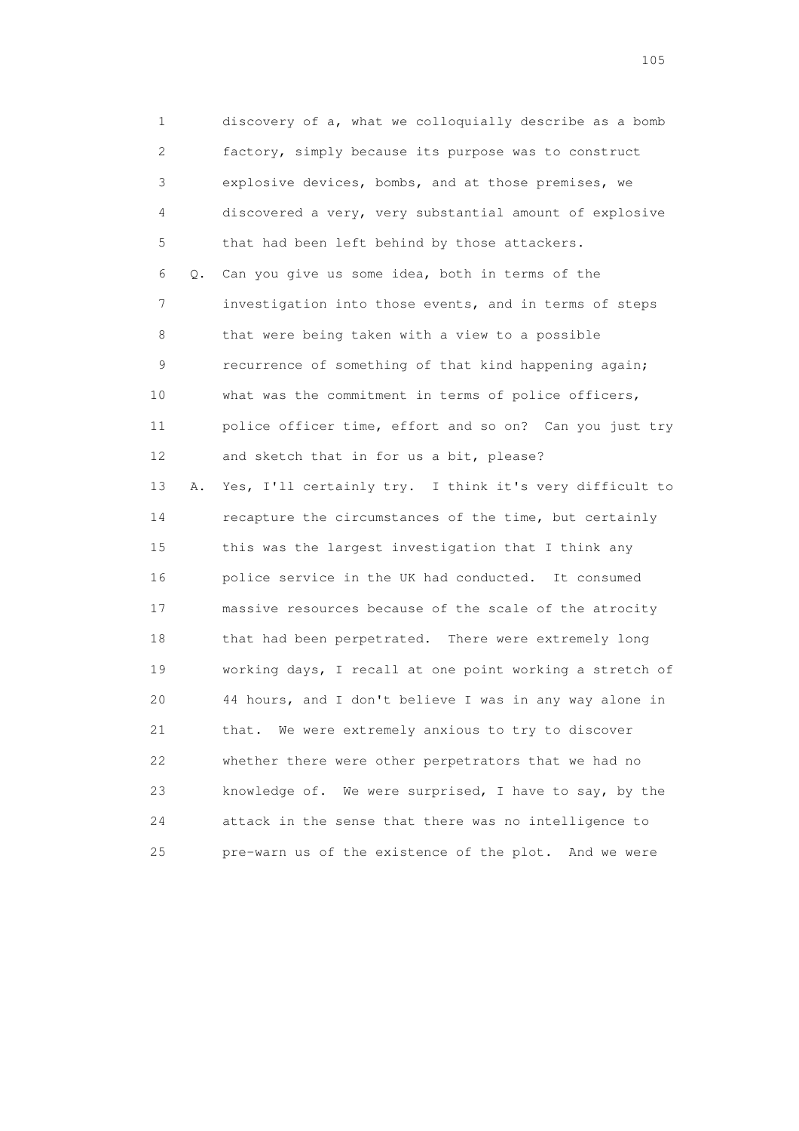1 discovery of a, what we colloquially describe as a bomb 2 factory, simply because its purpose was to construct 3 explosive devices, bombs, and at those premises, we 4 discovered a very, very substantial amount of explosive 5 that had been left behind by those attackers. 6 Q. Can you give us some idea, both in terms of the 7 investigation into those events, and in terms of steps 8 that were being taken with a view to a possible 9 recurrence of something of that kind happening again; 10 what was the commitment in terms of police officers, 11 police officer time, effort and so on? Can you just try 12 and sketch that in for us a bit, please? 13 A. Yes, I'll certainly try. I think it's very difficult to 14 recapture the circumstances of the time, but certainly 15 this was the largest investigation that I think any 16 police service in the UK had conducted. It consumed 17 massive resources because of the scale of the atrocity 18 that had been perpetrated. There were extremely long 19 working days, I recall at one point working a stretch of 20 44 hours, and I don't believe I was in any way alone in 21 that. We were extremely anxious to try to discover 22 whether there were other perpetrators that we had no 23 knowledge of. We were surprised, I have to say, by the 24 attack in the sense that there was no intelligence to 25 pre-warn us of the existence of the plot. And we were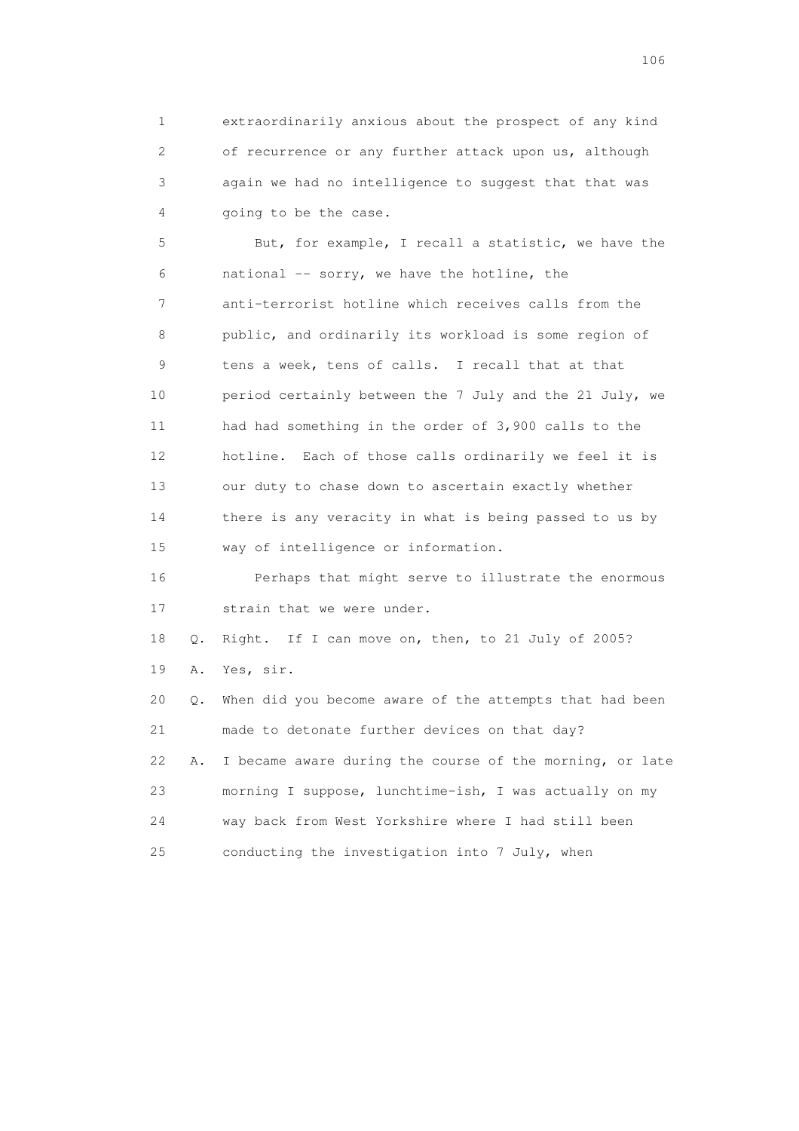1 extraordinarily anxious about the prospect of any kind 2 of recurrence or any further attack upon us, although 3 again we had no intelligence to suggest that that was 4 going to be the case.

 5 But, for example, I recall a statistic, we have the  $6$  national  $-$  sorry, we have the hotline, the 7 anti-terrorist hotline which receives calls from the 8 public, and ordinarily its workload is some region of 9 tens a week, tens of calls. I recall that at that 10 period certainly between the 7 July and the 21 July, we 11 had had something in the order of 3,900 calls to the 12 hotline. Each of those calls ordinarily we feel it is 13 our duty to chase down to ascertain exactly whether 14 there is any veracity in what is being passed to us by 15 way of intelligence or information.

 16 Perhaps that might serve to illustrate the enormous 17 strain that we were under.

 18 Q. Right. If I can move on, then, to 21 July of 2005? 19 A. Yes, sir.

 20 Q. When did you become aware of the attempts that had been 21 made to detonate further devices on that day? 22 A. I became aware during the course of the morning, or late 23 morning I suppose, lunchtime-ish, I was actually on my 24 way back from West Yorkshire where I had still been 25 conducting the investigation into 7 July, when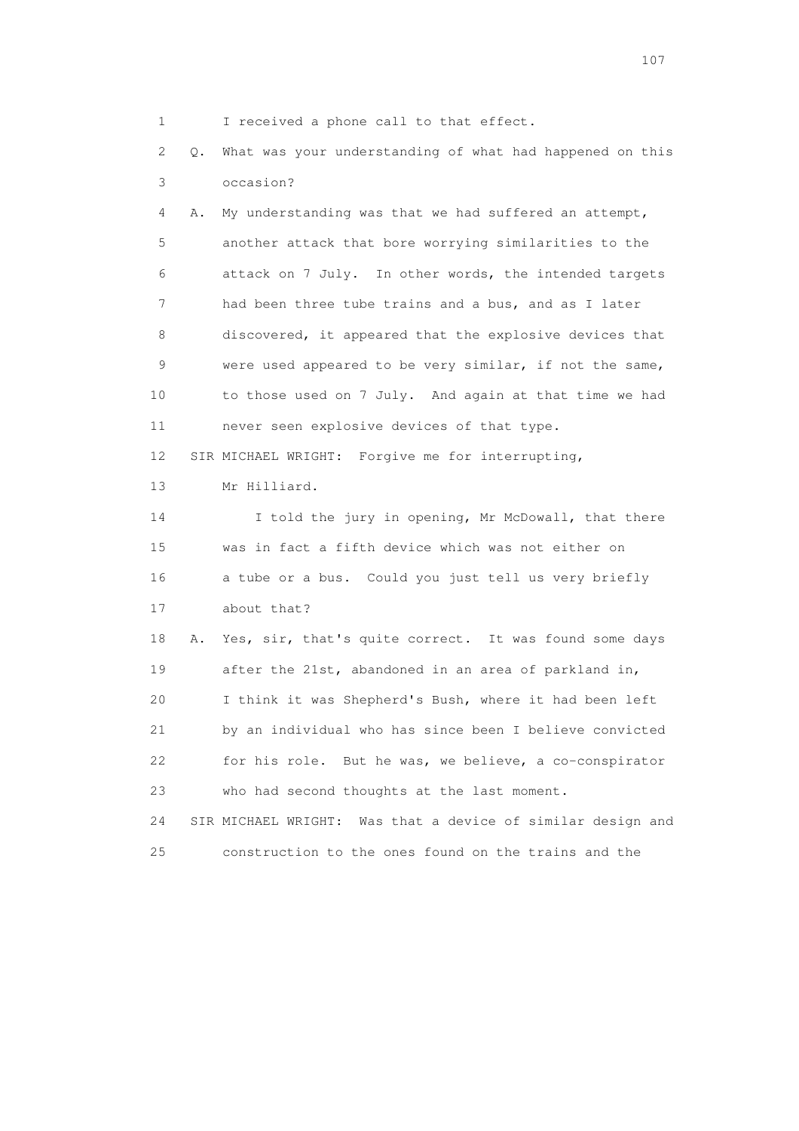1 I received a phone call to that effect.

 2 Q. What was your understanding of what had happened on this 3 occasion?

 4 A. My understanding was that we had suffered an attempt, 5 another attack that bore worrying similarities to the 6 attack on 7 July. In other words, the intended targets 7 had been three tube trains and a bus, and as I later 8 discovered, it appeared that the explosive devices that 9 were used appeared to be very similar, if not the same, 10 to those used on 7 July. And again at that time we had 11 never seen explosive devices of that type. 12 SIR MICHAEL WRIGHT: Forgive me for interrupting, 13 Mr Hilliard. 14 I told the jury in opening, Mr McDowall, that there 15 was in fact a fifth device which was not either on 16 a tube or a bus. Could you just tell us very briefly 17 about that? 18 A. Yes, sir, that's quite correct. It was found some days 19 after the 21st, abandoned in an area of parkland in, 20 I think it was Shepherd's Bush, where it had been left 21 by an individual who has since been I believe convicted 22 for his role. But he was, we believe, a co-conspirator 23 who had second thoughts at the last moment. 24 SIR MICHAEL WRIGHT: Was that a device of similar design and

25 construction to the ones found on the trains and the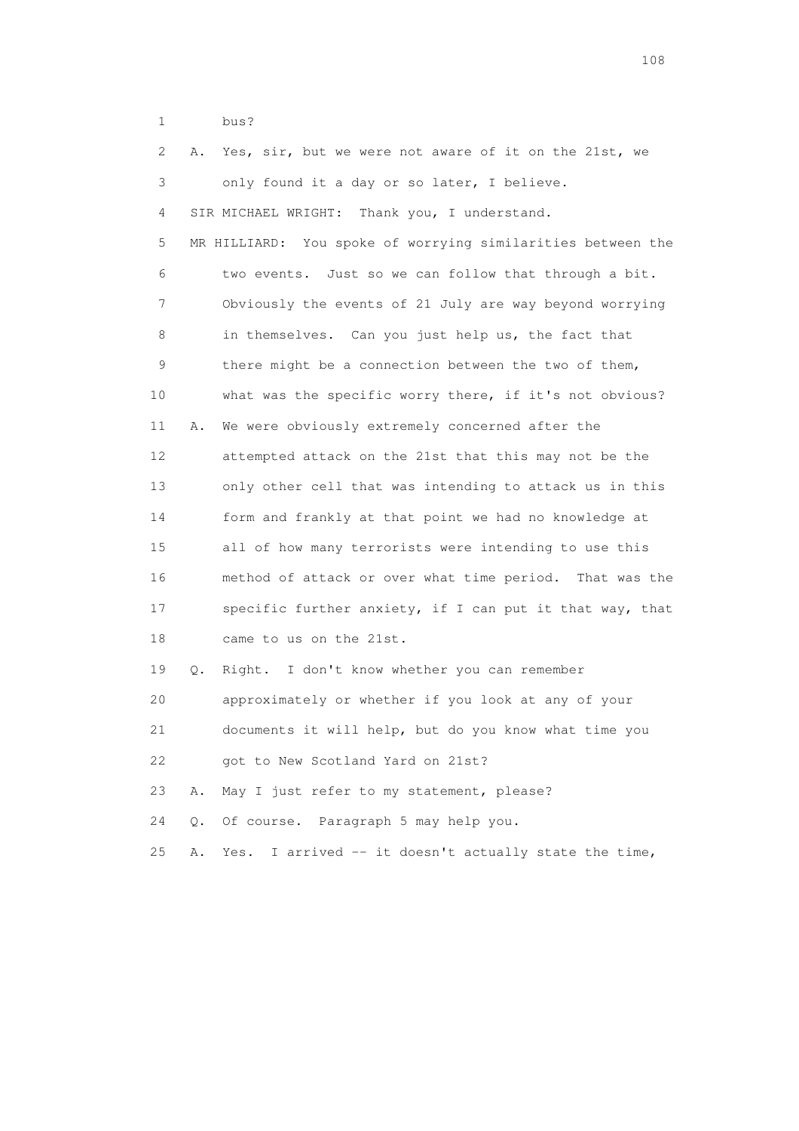1 bus?

| 2  | Α.        | Yes, sir, but we were not aware of it on the 21st, we       |
|----|-----------|-------------------------------------------------------------|
| 3  |           | only found it a day or so later, I believe.                 |
| 4  |           | SIR MICHAEL WRIGHT: Thank you, I understand.                |
| 5  |           | MR HILLIARD: You spoke of worrying similarities between the |
| 6  |           | two events. Just so we can follow that through a bit.       |
| 7  |           | Obviously the events of 21 July are way beyond worrying     |
| 8  |           | in themselves. Can you just help us, the fact that          |
| 9  |           | there might be a connection between the two of them,        |
| 10 |           | what was the specific worry there, if it's not obvious?     |
| 11 | Α.        | We were obviously extremely concerned after the             |
| 12 |           | attempted attack on the 21st that this may not be the       |
| 13 |           | only other cell that was intending to attack us in this     |
| 14 |           | form and frankly at that point we had no knowledge at       |
| 15 |           | all of how many terrorists were intending to use this       |
| 16 |           | method of attack or over what time period. That was the     |
| 17 |           | specific further anxiety, if I can put it that way, that    |
| 18 |           | came to us on the 21st.                                     |
| 19 | Q.        | Right. I don't know whether you can remember                |
| 20 |           | approximately or whether if you look at any of your         |
| 21 |           | documents it will help, but do you know what time you       |
| 22 |           | got to New Scotland Yard on 21st?                           |
| 23 | Α.        | May I just refer to my statement, please?                   |
| 24 | $\circ$ . | Of course. Paragraph 5 may help you.                        |
| 25 | Α.        | I arrived -- it doesn't actually state the time,<br>Yes.    |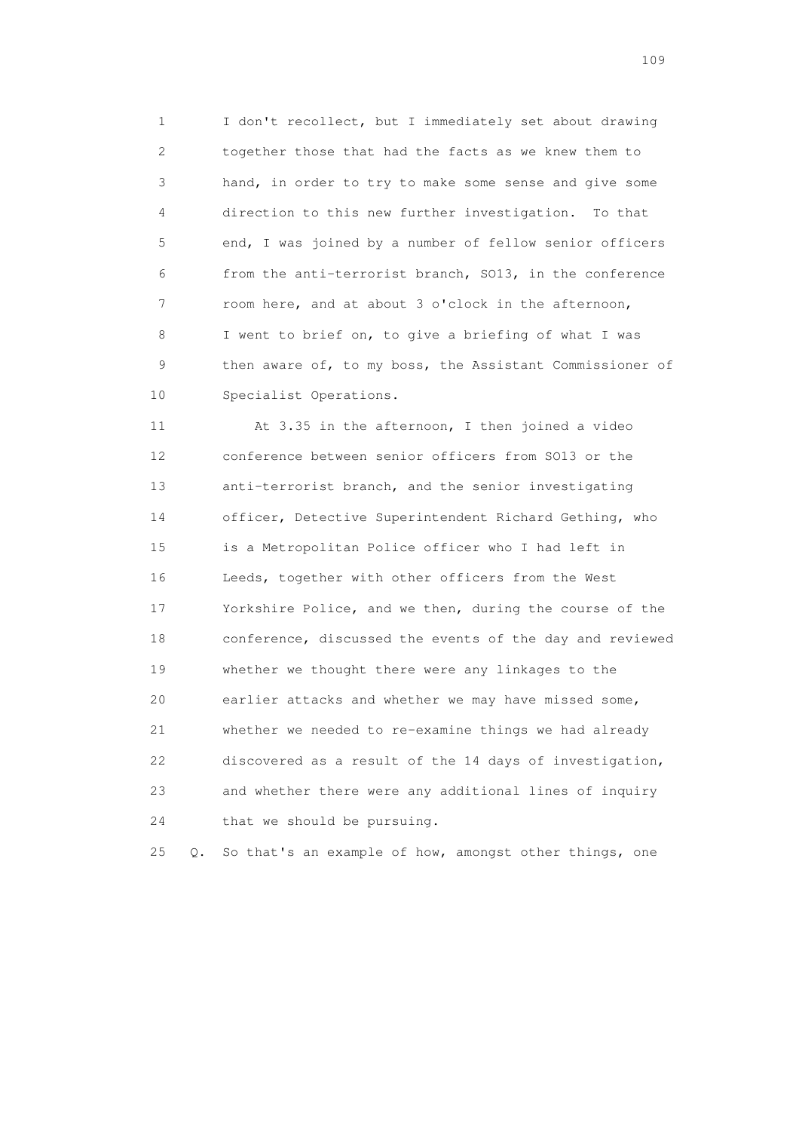1 I don't recollect, but I immediately set about drawing 2 together those that had the facts as we knew them to 3 hand, in order to try to make some sense and give some 4 direction to this new further investigation. To that 5 end, I was joined by a number of fellow senior officers 6 from the anti-terrorist branch, SO13, in the conference 7 room here, and at about 3 o'clock in the afternoon, 8 I went to brief on, to give a briefing of what I was 9 then aware of, to my boss, the Assistant Commissioner of 10 Specialist Operations.

 11 At 3.35 in the afternoon, I then joined a video 12 conference between senior officers from SO13 or the 13 anti-terrorist branch, and the senior investigating 14 officer, Detective Superintendent Richard Gething, who 15 is a Metropolitan Police officer who I had left in 16 Leeds, together with other officers from the West 17 Yorkshire Police, and we then, during the course of the 18 conference, discussed the events of the day and reviewed 19 whether we thought there were any linkages to the 20 earlier attacks and whether we may have missed some, 21 whether we needed to re-examine things we had already 22 discovered as a result of the 14 days of investigation, 23 and whether there were any additional lines of inquiry 24 that we should be pursuing.

25 Q. So that's an example of how, amongst other things, one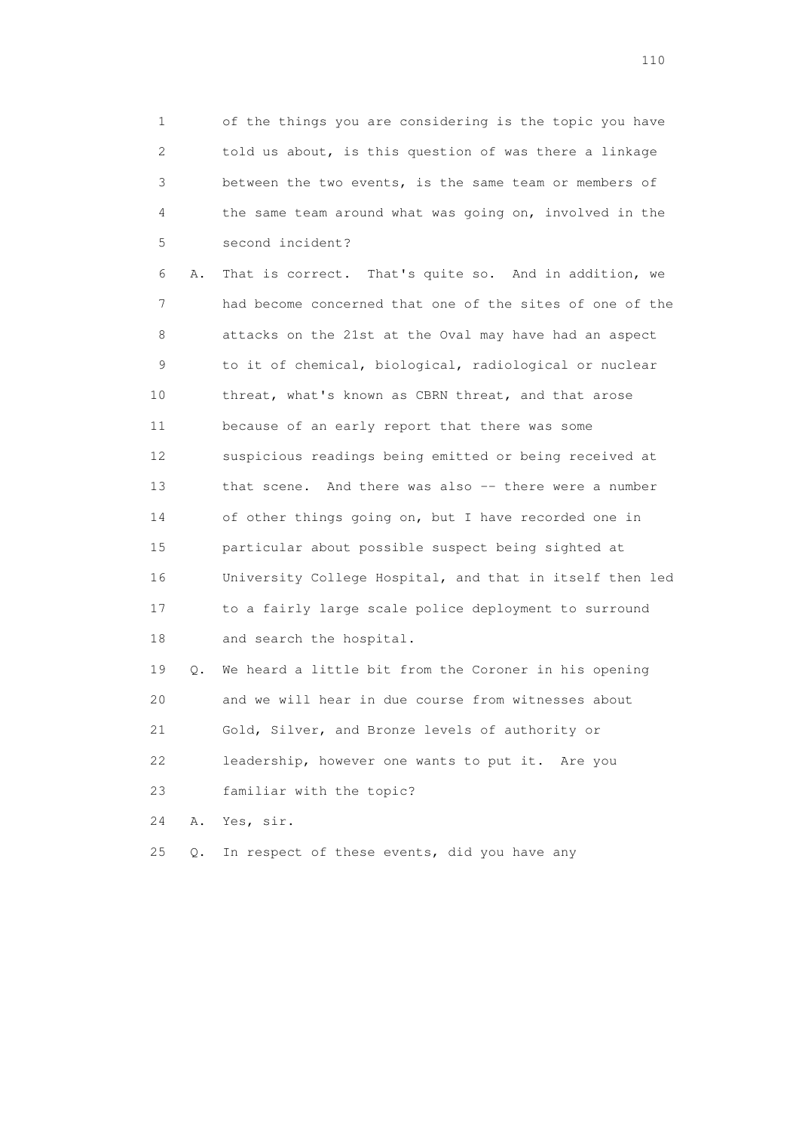1 of the things you are considering is the topic you have 2 told us about, is this question of was there a linkage 3 between the two events, is the same team or members of 4 the same team around what was going on, involved in the 5 second incident?

 6 A. That is correct. That's quite so. And in addition, we 7 had become concerned that one of the sites of one of the 8 attacks on the 21st at the Oval may have had an aspect 9 to it of chemical, biological, radiological or nuclear 10 threat, what's known as CBRN threat, and that arose 11 because of an early report that there was some 12 suspicious readings being emitted or being received at 13 that scene. And there was also -- there were a number 14 of other things going on, but I have recorded one in 15 particular about possible suspect being sighted at 16 University College Hospital, and that in itself then led 17 to a fairly large scale police deployment to surround 18 and search the hospital.

 19 Q. We heard a little bit from the Coroner in his opening 20 and we will hear in due course from witnesses about 21 Gold, Silver, and Bronze levels of authority or 22 leadership, however one wants to put it. Are you 23 familiar with the topic?

24 A. Yes, sir.

25 Q. In respect of these events, did you have any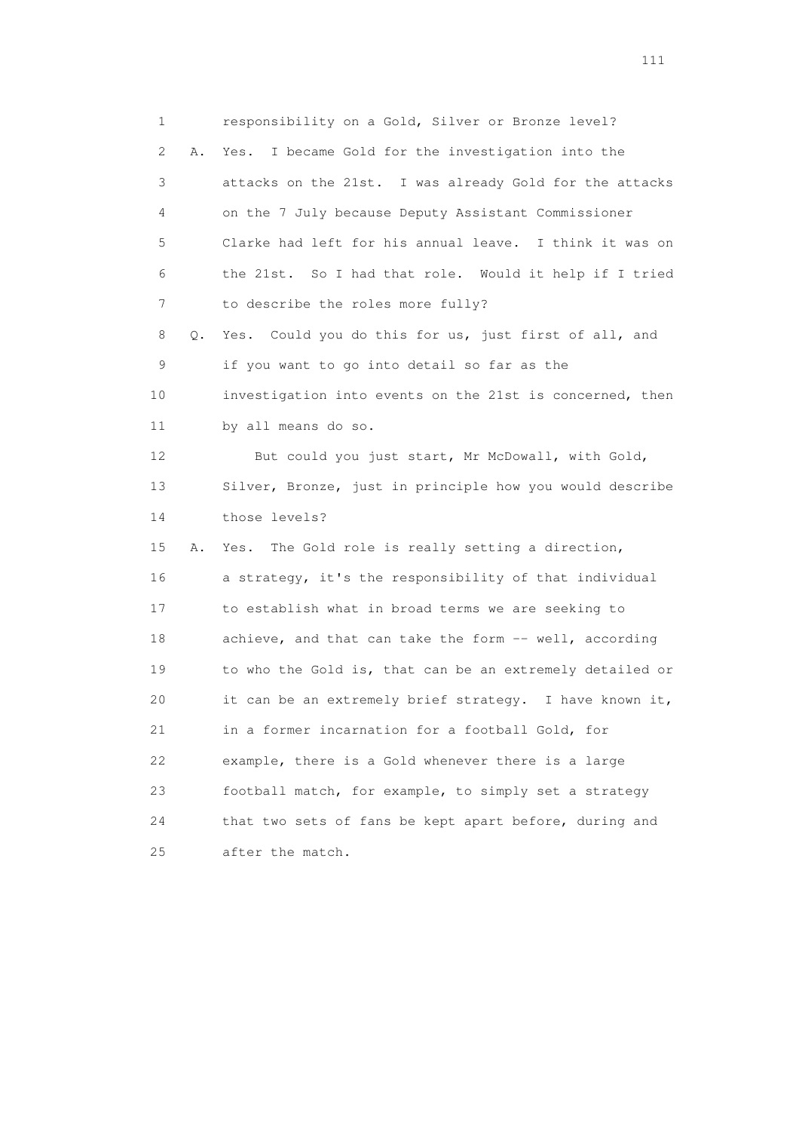1 responsibility on a Gold, Silver or Bronze level? 2 A. Yes. I became Gold for the investigation into the 3 attacks on the 21st. I was already Gold for the attacks 4 on the 7 July because Deputy Assistant Commissioner 5 Clarke had left for his annual leave. I think it was on 6 the 21st. So I had that role. Would it help if I tried 7 to describe the roles more fully? 8 Q. Yes. Could you do this for us, just first of all, and 9 if you want to go into detail so far as the 10 investigation into events on the 21st is concerned, then 11 by all means do so. 12 But could you just start, Mr McDowall, with Gold, 13 Silver, Bronze, just in principle how you would describe 14 those levels? 15 A. Yes. The Gold role is really setting a direction, 16 a strategy, it's the responsibility of that individual 17 to establish what in broad terms we are seeking to 18 achieve, and that can take the form -- well, according 19 to who the Gold is, that can be an extremely detailed or 20 it can be an extremely brief strategy. I have known it, 21 in a former incarnation for a football Gold, for 22 example, there is a Gold whenever there is a large 23 football match, for example, to simply set a strategy 24 that two sets of fans be kept apart before, during and 25 after the match.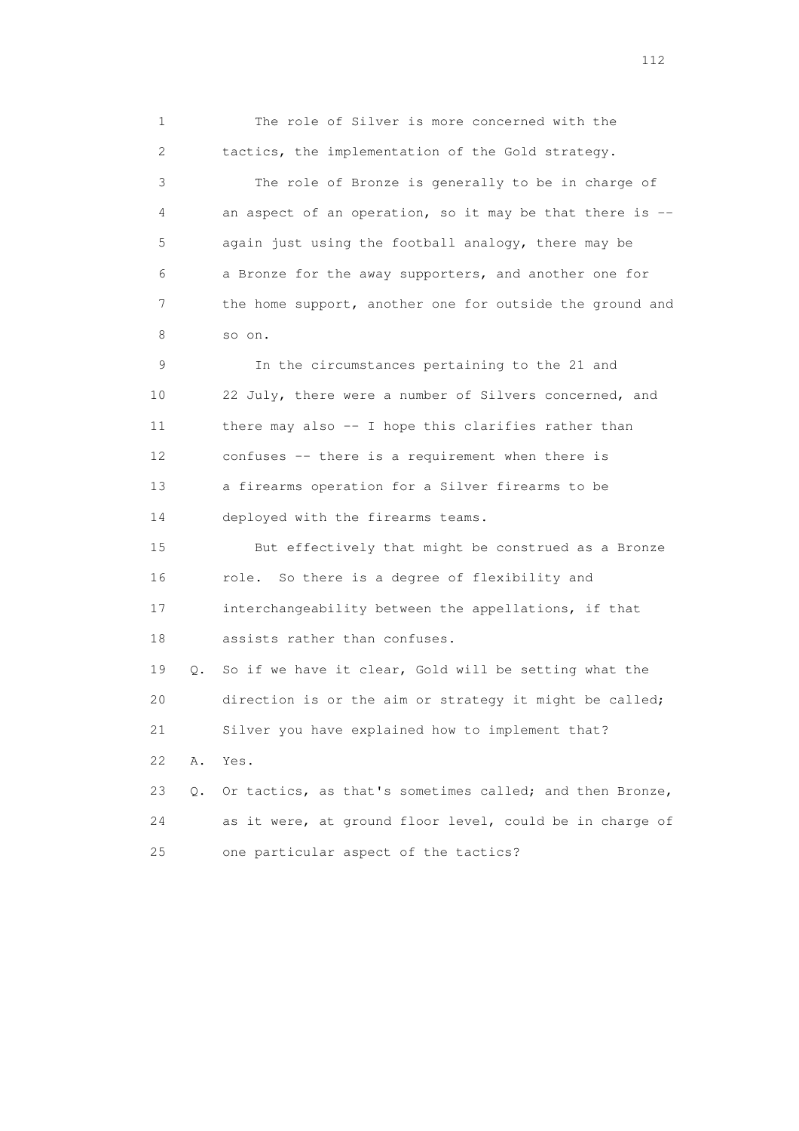1 The role of Silver is more concerned with the 2 tactics, the implementation of the Gold strategy. 3 The role of Bronze is generally to be in charge of 4 an aspect of an operation, so it may be that there is -- 5 again just using the football analogy, there may be 6 a Bronze for the away supporters, and another one for 7 the home support, another one for outside the ground and 8 so on. 9 In the circumstances pertaining to the 21 and 10 22 July, there were a number of Silvers concerned, and 11 there may also -- I hope this clarifies rather than 12 confuses -- there is a requirement when there is 13 a firearms operation for a Silver firearms to be 14 deployed with the firearms teams. 15 But effectively that might be construed as a Bronze 16 role. So there is a degree of flexibility and 17 interchangeability between the appellations, if that 18 assists rather than confuses. 19 Q. So if we have it clear, Gold will be setting what the 20 direction is or the aim or strategy it might be called; 21 Silver you have explained how to implement that? 22 A. Yes. 23 Q. Or tactics, as that's sometimes called; and then Bronze, 24 as it were, at ground floor level, could be in charge of 25 one particular aspect of the tactics?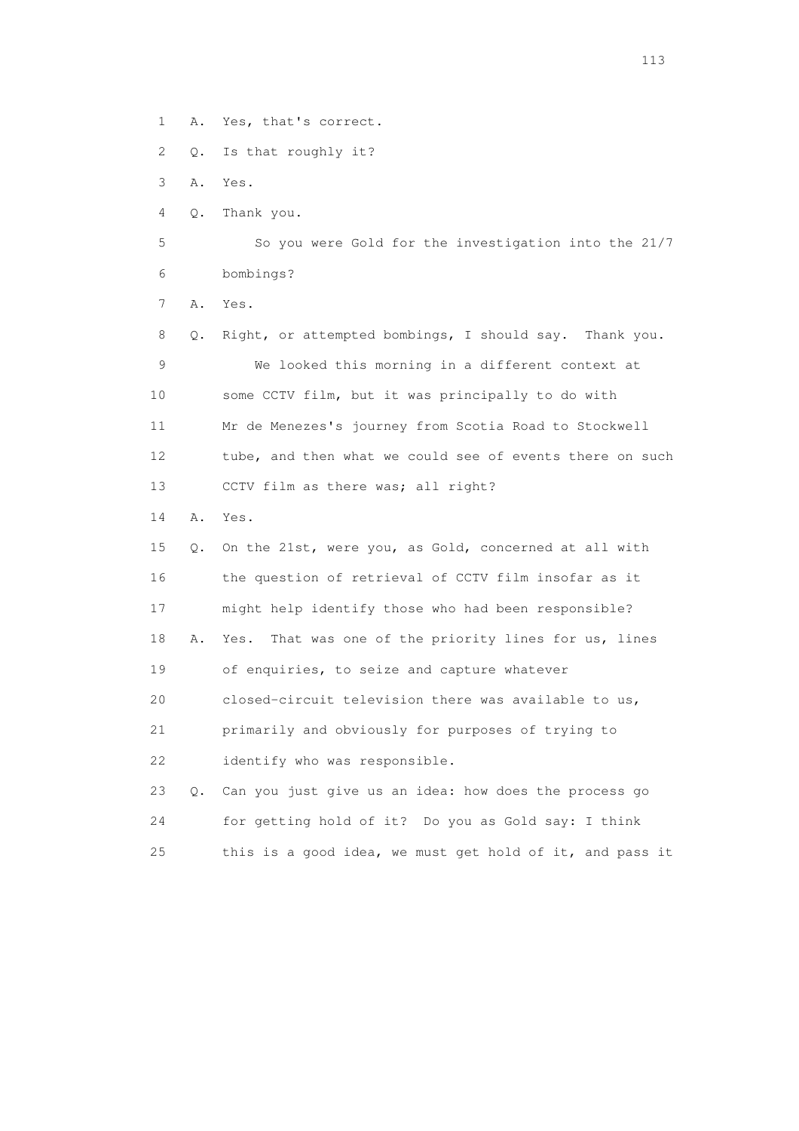1 A. Yes, that's correct.

2 Q. Is that roughly it?

3 A. Yes.

4 Q. Thank you.

 5 So you were Gold for the investigation into the 21/7 6 bombings?

7 A. Yes.

 8 Q. Right, or attempted bombings, I should say. Thank you. 9 We looked this morning in a different context at 10 some CCTV film, but it was principally to do with 11 Mr de Menezes's journey from Scotia Road to Stockwell 12 tube, and then what we could see of events there on such 13 CCTV film as there was; all right?

14 A. Yes.

 15 Q. On the 21st, were you, as Gold, concerned at all with 16 the question of retrieval of CCTV film insofar as it 17 might help identify those who had been responsible? 18 A. Yes. That was one of the priority lines for us, lines 19 of enquiries, to seize and capture whatever 20 closed-circuit television there was available to us, 21 primarily and obviously for purposes of trying to 22 identify who was responsible. 23 Q. Can you just give us an idea: how does the process go

 24 for getting hold of it? Do you as Gold say: I think 25 this is a good idea, we must get hold of it, and pass it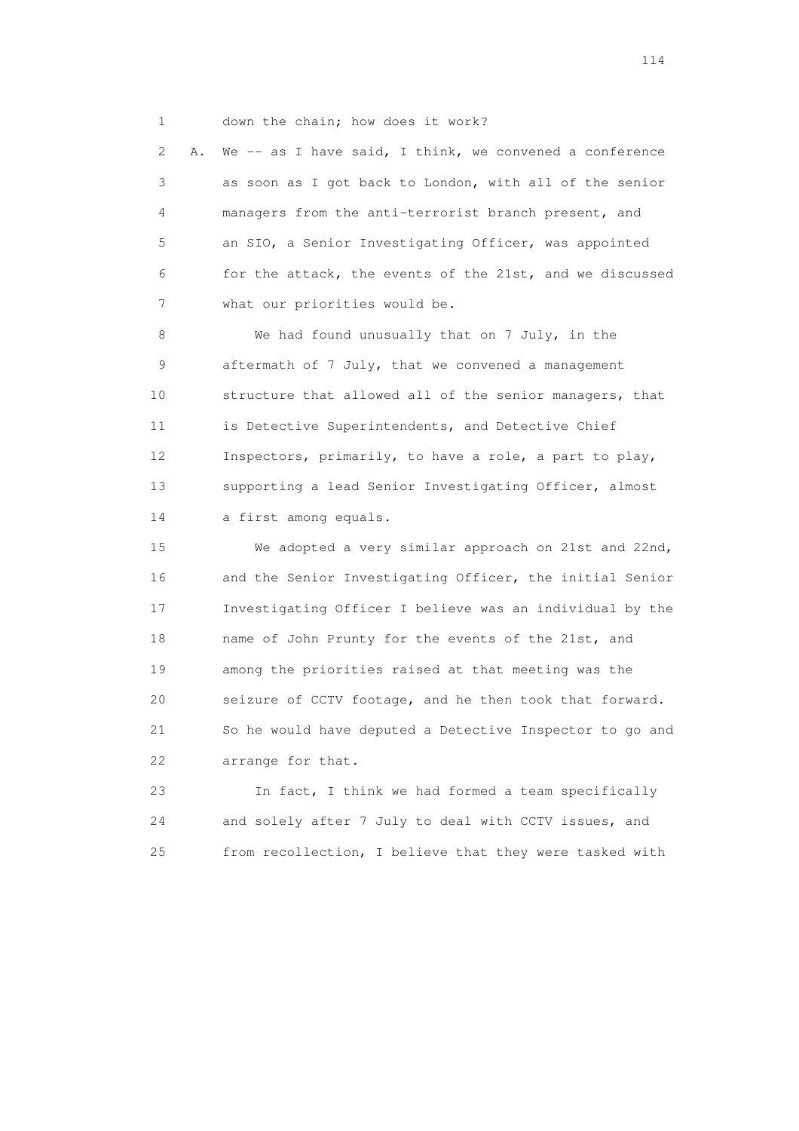1 down the chain; how does it work?

 2 A. We -- as I have said, I think, we convened a conference 3 as soon as I got back to London, with all of the senior 4 managers from the anti-terrorist branch present, and 5 an SIO, a Senior Investigating Officer, was appointed 6 for the attack, the events of the 21st, and we discussed 7 what our priorities would be.

 8 We had found unusually that on 7 July, in the 9 aftermath of 7 July, that we convened a management 10 structure that allowed all of the senior managers, that 11 is Detective Superintendents, and Detective Chief 12 Inspectors, primarily, to have a role, a part to play, 13 supporting a lead Senior Investigating Officer, almost 14 a first among equals.

 15 We adopted a very similar approach on 21st and 22nd, 16 and the Senior Investigating Officer, the initial Senior 17 Investigating Officer I believe was an individual by the 18 name of John Prunty for the events of the 21st, and 19 among the priorities raised at that meeting was the 20 seizure of CCTV footage, and he then took that forward. 21 So he would have deputed a Detective Inspector to go and 22 arrange for that.

 23 In fact, I think we had formed a team specifically 24 and solely after 7 July to deal with CCTV issues, and 25 from recollection, I believe that they were tasked with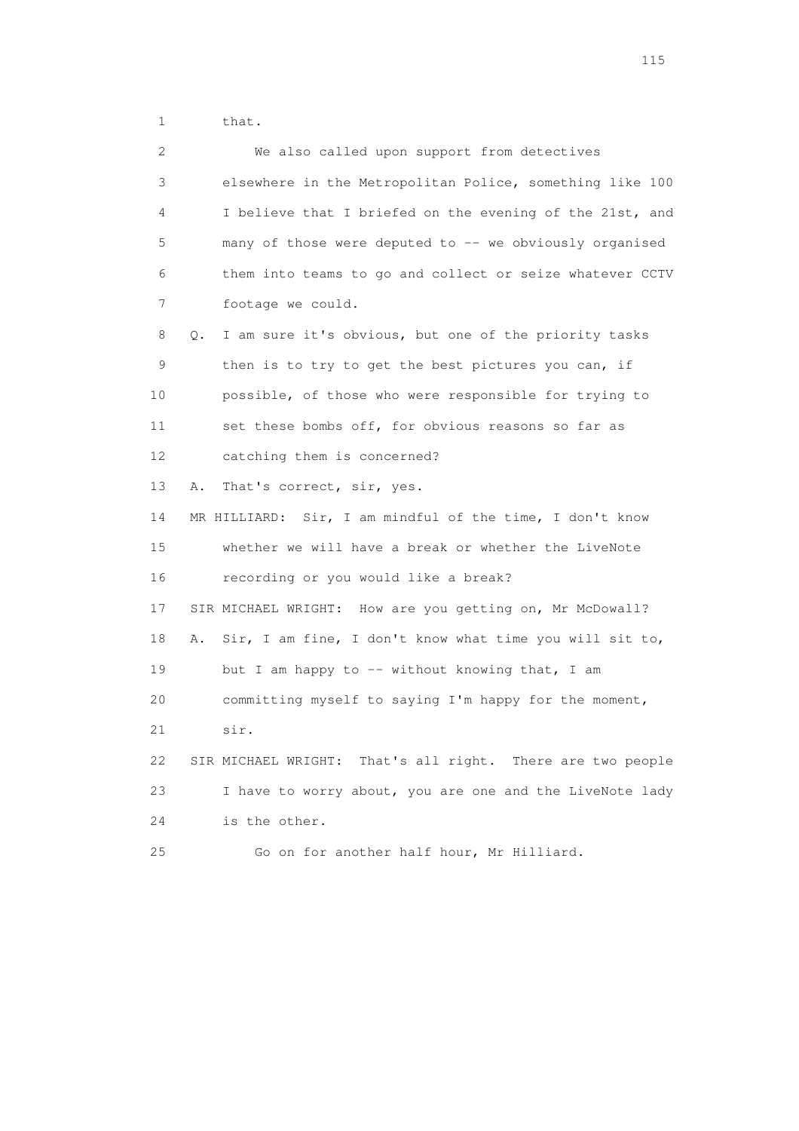1 that.

| $\mathbf{2}^{\mathsf{I}}$ | We also called upon support from detectives                   |
|---------------------------|---------------------------------------------------------------|
| 3                         | elsewhere in the Metropolitan Police, something like 100      |
| 4                         | I believe that I briefed on the evening of the 21st, and      |
| 5                         | many of those were deputed to -- we obviously organised       |
| 6                         | them into teams to go and collect or seize whatever CCTV      |
| 7                         | footage we could.                                             |
| 8                         | I am sure it's obvious, but one of the priority tasks<br>О.   |
| 9                         | then is to try to get the best pictures you can, if           |
| 10                        | possible, of those who were responsible for trying to         |
| 11                        | set these bombs off, for obvious reasons so far as            |
| 12                        | catching them is concerned?                                   |
| 13                        | That's correct, sir, yes.<br>Α.                               |
| 14                        | MR HILLIARD: Sir, I am mindful of the time, I don't know      |
| 15                        | whether we will have a break or whether the LiveNote          |
| 16                        | recording or you would like a break?                          |
| 17                        | SIR MICHAEL WRIGHT: How are you getting on, Mr McDowall?      |
| 18                        | Sir, I am fine, I don't know what time you will sit to,<br>Α. |
| 19                        | but I am happy to -- without knowing that, I am               |
| 20                        | committing myself to saying I'm happy for the moment,         |
| 21                        | sir.                                                          |
| 22                        | SIR MICHAEL WRIGHT: That's all right. There are two people    |
| 23                        | I have to worry about, you are one and the LiveNote lady      |
| 24                        | is the other.                                                 |
| 25                        | Go on for another half hour, Mr Hilliard.                     |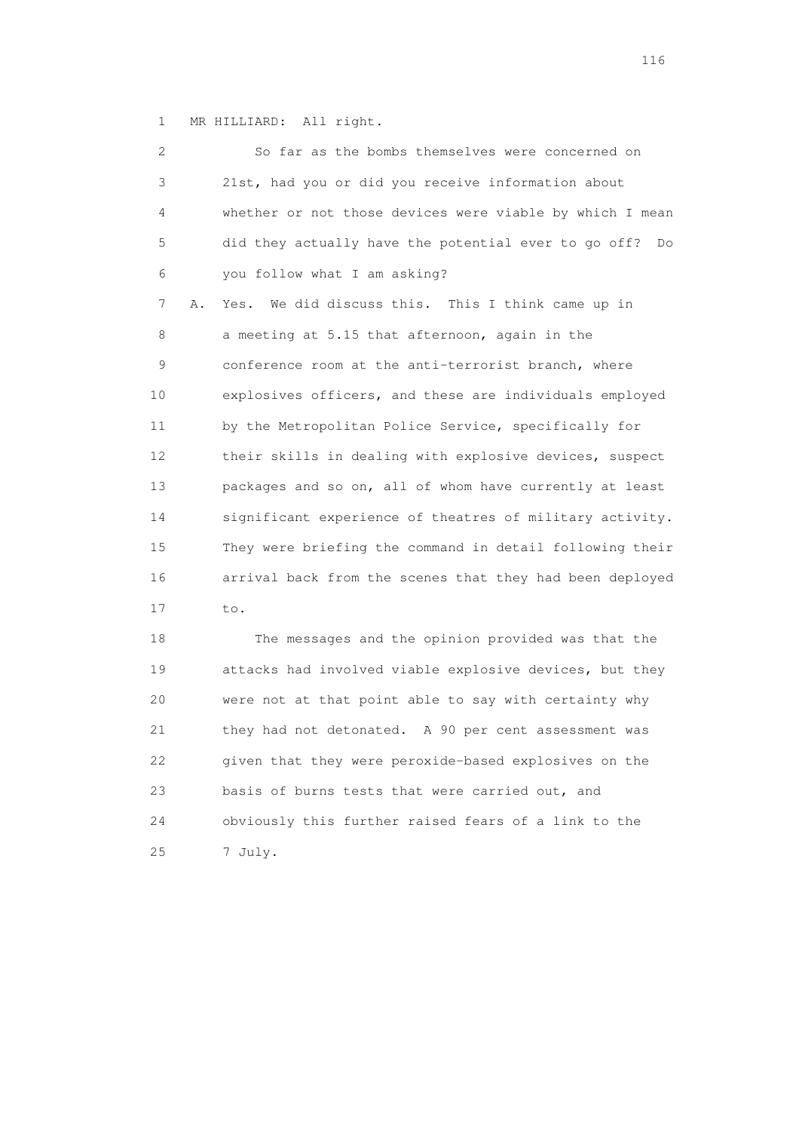1 MR HILLIARD: All right.

| $\overline{2}$ | So far as the bombs themselves were concerned on           |
|----------------|------------------------------------------------------------|
| 3              | 21st, had you or did you receive information about         |
| 4              | whether or not those devices were viable by which I mean   |
| 5              | did they actually have the potential ever to go off?<br>Do |
| 6              | you follow what I am asking?                               |
| 7<br>Α.        | Yes. We did discuss this. This I think came up in          |
| 8              | a meeting at 5.15 that afternoon, again in the             |
| $\mathsf 9$    | conference room at the anti-terrorist branch, where        |
| 10             | explosives officers, and these are individuals employed    |
| 11             | by the Metropolitan Police Service, specifically for       |
| 12             | their skills in dealing with explosive devices, suspect    |
| 13             | packages and so on, all of whom have currently at least    |
| 14             | significant experience of theatres of military activity.   |
| 15             | They were briefing the command in detail following their   |
| 16             | arrival back from the scenes that they had been deployed   |
| 17             | to.                                                        |
| 18             | The messages and the opinion provided was that the         |
| 19             | attacks had involved viable explosive devices, but they    |

20 were not at that point able to say with certainty why

21 they had not detonated. A 90 per cent assessment was

22 given that they were peroxide-based explosives on the

24 obviously this further raised fears of a link to the

23 basis of burns tests that were carried out, and

25 7 July.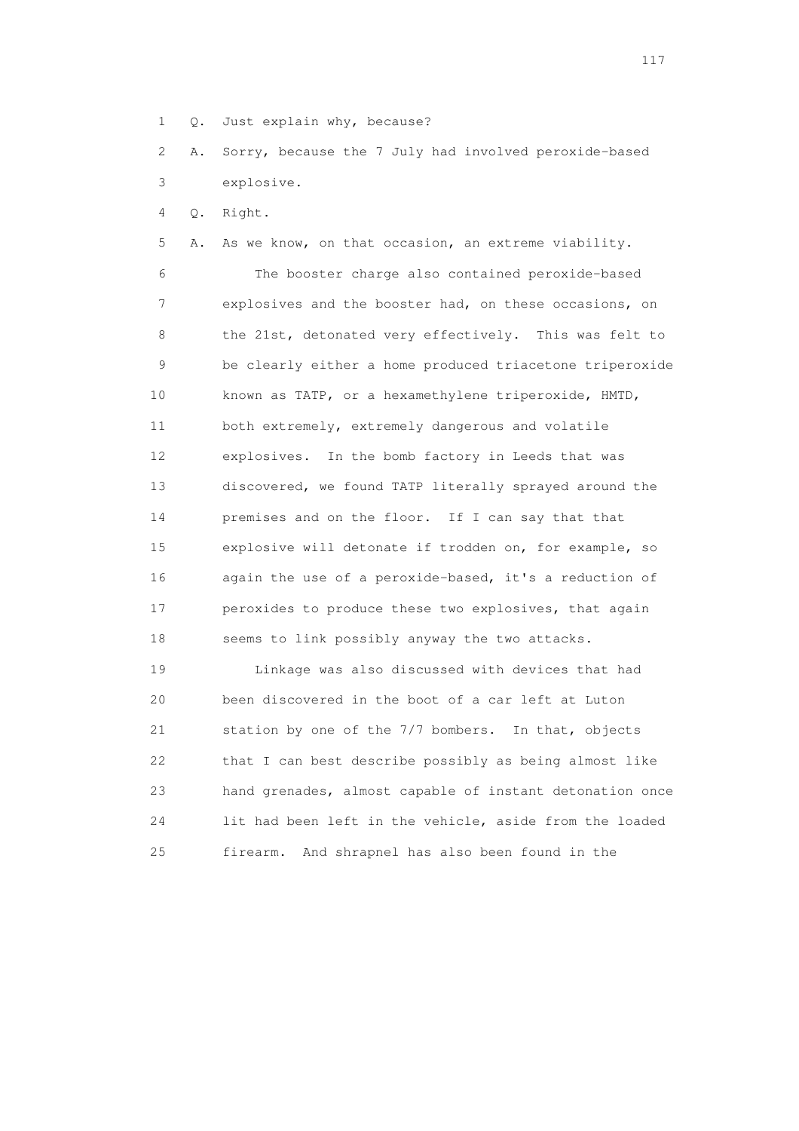1 Q. Just explain why, because?

 2 A. Sorry, because the 7 July had involved peroxide-based 3 explosive.

4 Q. Right.

 5 A. As we know, on that occasion, an extreme viability. 6 The booster charge also contained peroxide-based 7 explosives and the booster had, on these occasions, on 8 the 21st, detonated very effectively. This was felt to 9 be clearly either a home produced triacetone triperoxide 10 known as TATP, or a hexamethylene triperoxide, HMTD, 11 both extremely, extremely dangerous and volatile 12 explosives. In the bomb factory in Leeds that was 13 discovered, we found TATP literally sprayed around the 14 premises and on the floor. If I can say that that 15 explosive will detonate if trodden on, for example, so 16 again the use of a peroxide-based, it's a reduction of 17 peroxides to produce these two explosives, that again 18 seems to link possibly anyway the two attacks.

 19 Linkage was also discussed with devices that had 20 been discovered in the boot of a car left at Luton 21 station by one of the 7/7 bombers. In that, objects 22 that I can best describe possibly as being almost like 23 hand grenades, almost capable of instant detonation once 24 lit had been left in the vehicle, aside from the loaded 25 firearm. And shrapnel has also been found in the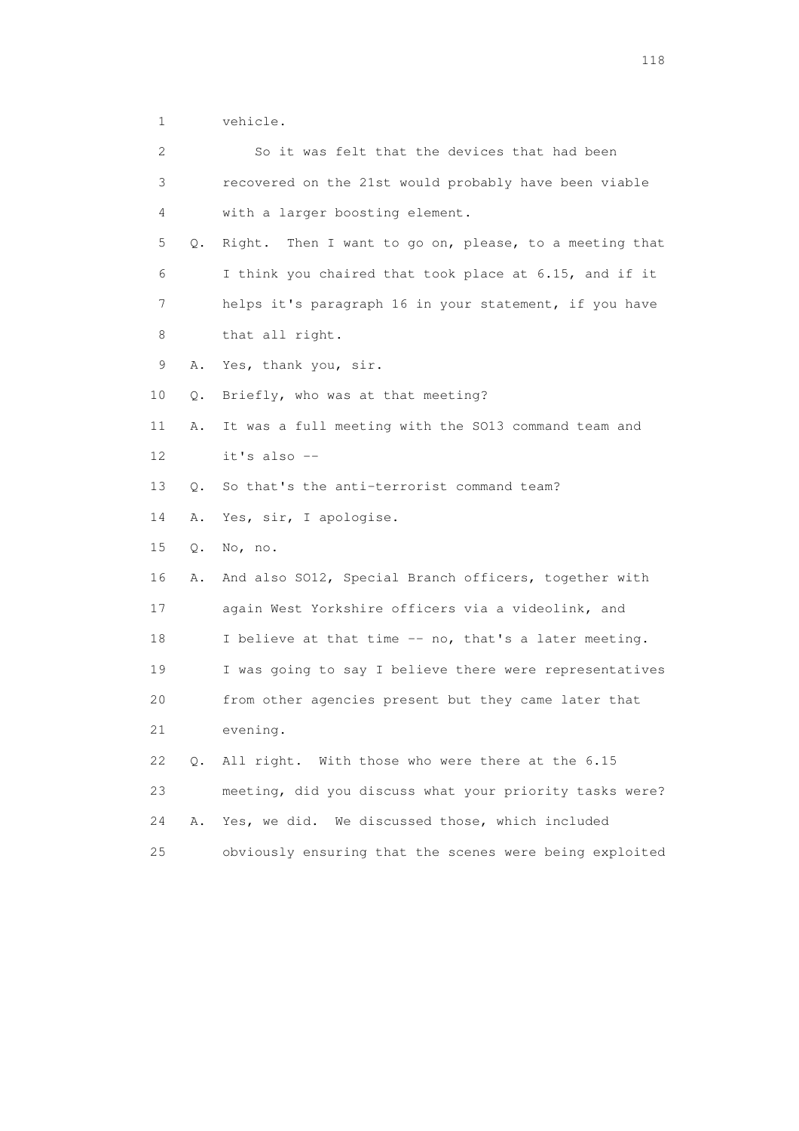1 vehicle.

| 2  |           | So it was felt that the devices that had been           |
|----|-----------|---------------------------------------------------------|
| 3  |           | recovered on the 21st would probably have been viable   |
| 4  |           | with a larger boosting element.                         |
| 5  | Q.        | Right. Then I want to go on, please, to a meeting that  |
| 6  |           | I think you chaired that took place at 6.15, and if it  |
| 7  |           | helps it's paragraph 16 in your statement, if you have  |
| 8  |           | that all right.                                         |
| 9  | Α.        | Yes, thank you, sir.                                    |
| 10 | О.        | Briefly, who was at that meeting?                       |
| 11 | Α.        | It was a full meeting with the SO13 command team and    |
| 12 |           | it's also --                                            |
| 13 | $\circ$ . | So that's the anti-terrorist command team?              |
| 14 | Α.        | Yes, sir, I apologise.                                  |
| 15 | Q.        | No, no.                                                 |
| 16 | Α.        | And also SO12, Special Branch officers, together with   |
| 17 |           | again West Yorkshire officers via a videolink, and      |
| 18 |           | I believe at that time -- no, that's a later meeting.   |
| 19 |           | I was going to say I believe there were representatives |
| 20 |           | from other agencies present but they came later that    |
| 21 |           | evening.                                                |
| 22 |           | Q. All right. With those who were there at the 6.15     |
| 23 |           | meeting, did you discuss what your priority tasks were? |
| 24 | Α.        | Yes, we did. We discussed those, which included         |
| 25 |           | obviously ensuring that the scenes were being exploited |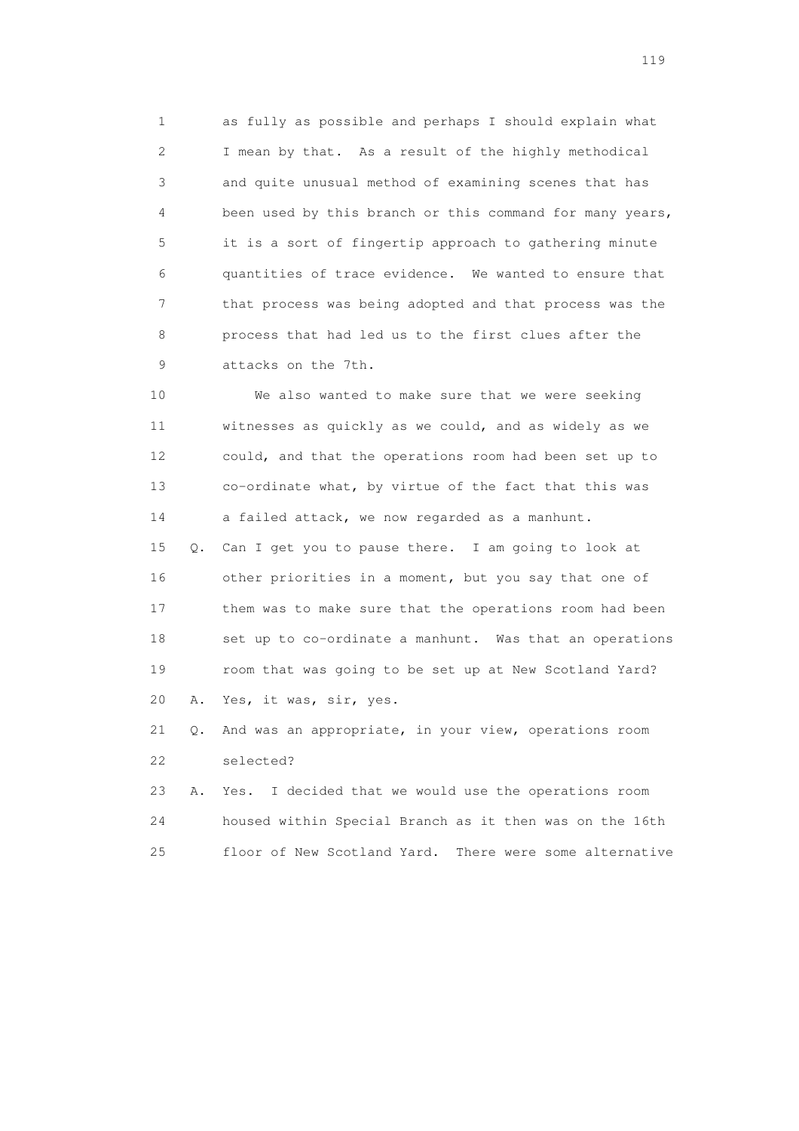1 as fully as possible and perhaps I should explain what 2 I mean by that. As a result of the highly methodical 3 and quite unusual method of examining scenes that has 4 been used by this branch or this command for many years, 5 it is a sort of fingertip approach to gathering minute 6 quantities of trace evidence. We wanted to ensure that 7 that process was being adopted and that process was the 8 process that had led us to the first clues after the 9 attacks on the 7th.

 10 We also wanted to make sure that we were seeking 11 witnesses as quickly as we could, and as widely as we 12 could, and that the operations room had been set up to 13 co-ordinate what, by virtue of the fact that this was 14 a failed attack, we now regarded as a manhunt.

 15 Q. Can I get you to pause there. I am going to look at 16 other priorities in a moment, but you say that one of 17 them was to make sure that the operations room had been 18 set up to co-ordinate a manhunt. Was that an operations 19 room that was going to be set up at New Scotland Yard? 20 A. Yes, it was, sir, yes.

 21 Q. And was an appropriate, in your view, operations room 22 selected?

 23 A. Yes. I decided that we would use the operations room 24 housed within Special Branch as it then was on the 16th 25 floor of New Scotland Yard. There were some alternative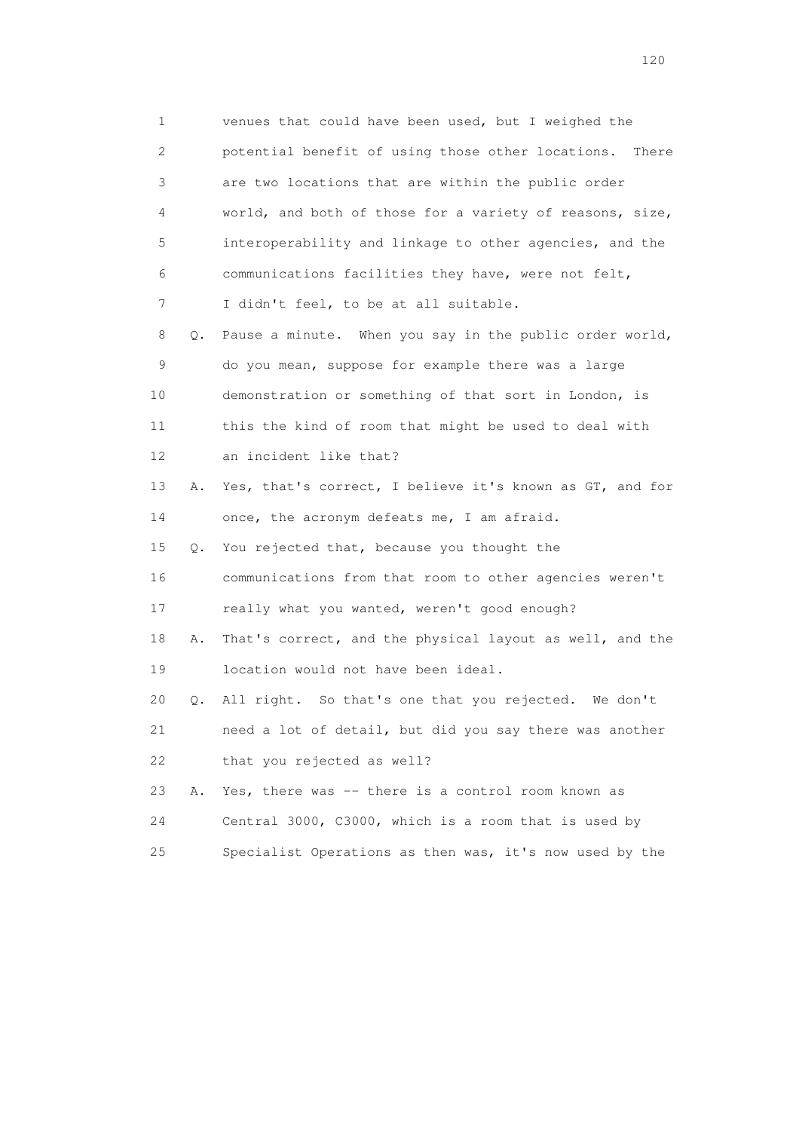1 venues that could have been used, but I weighed the 2 potential benefit of using those other locations. There 3 are two locations that are within the public order 4 world, and both of those for a variety of reasons, size, 5 interoperability and linkage to other agencies, and the 6 communications facilities they have, were not felt, 7 I didn't feel, to be at all suitable. 8 Q. Pause a minute. When you say in the public order world, 9 do you mean, suppose for example there was a large 10 demonstration or something of that sort in London, is 11 this the kind of room that might be used to deal with 12 an incident like that? 13 A. Yes, that's correct, I believe it's known as GT, and for 14 once, the acronym defeats me, I am afraid. 15 Q. You rejected that, because you thought the 16 communications from that room to other agencies weren't 17 really what you wanted, weren't good enough? 18 A. That's correct, and the physical layout as well, and the 19 location would not have been ideal. 20 Q. All right. So that's one that you rejected. We don't 21 need a lot of detail, but did you say there was another 22 that you rejected as well? 23 A. Yes, there was -- there is a control room known as 24 Central 3000, C3000, which is a room that is used by 25 Specialist Operations as then was, it's now used by the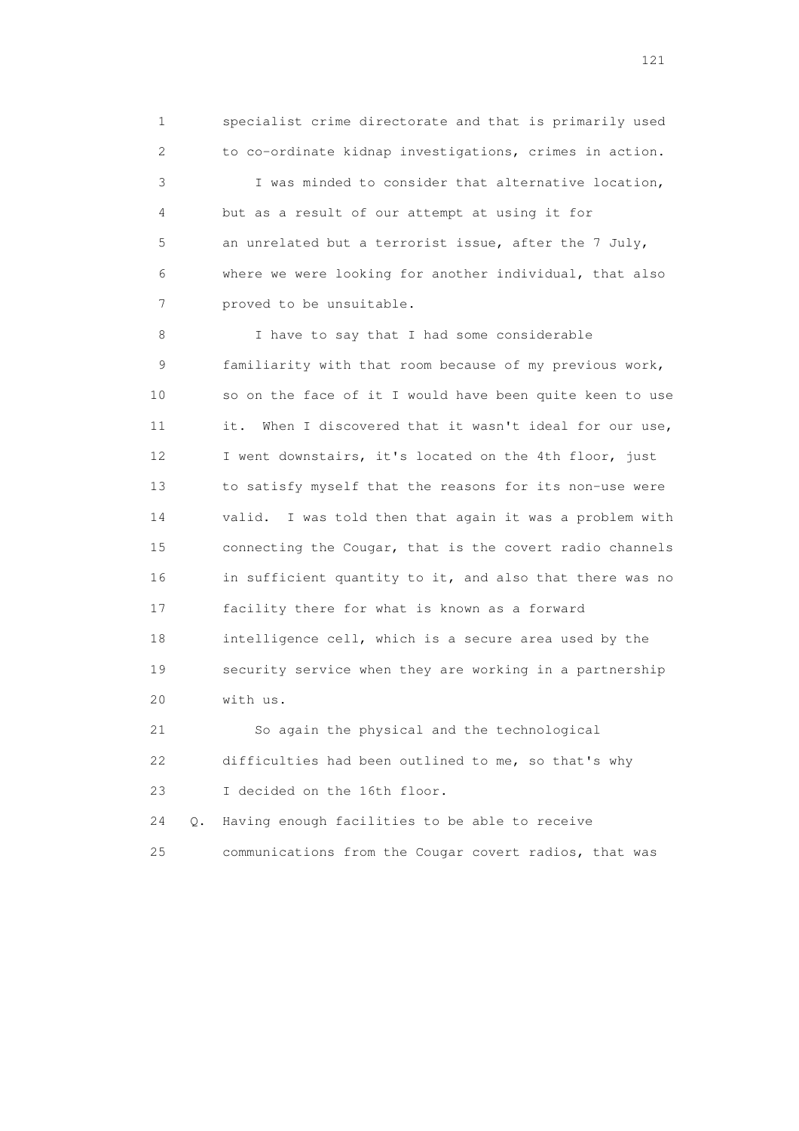1 specialist crime directorate and that is primarily used 2 to co-ordinate kidnap investigations, crimes in action. 3 I was minded to consider that alternative location, 4 but as a result of our attempt at using it for 5 an unrelated but a terrorist issue, after the 7 July, 6 where we were looking for another individual, that also 7 proved to be unsuitable.

8 I have to say that I had some considerable 9 familiarity with that room because of my previous work, 10 so on the face of it I would have been quite keen to use 11 it. When I discovered that it wasn't ideal for our use, 12 I went downstairs, it's located on the 4th floor, just 13 to satisfy myself that the reasons for its non-use were 14 valid. I was told then that again it was a problem with 15 connecting the Cougar, that is the covert radio channels 16 in sufficient quantity to it, and also that there was no 17 facility there for what is known as a forward 18 intelligence cell, which is a secure area used by the 19 security service when they are working in a partnership 20 with us.

 21 So again the physical and the technological 22 difficulties had been outlined to me, so that's why 23 I decided on the 16th floor.

 24 Q. Having enough facilities to be able to receive 25 communications from the Cougar covert radios, that was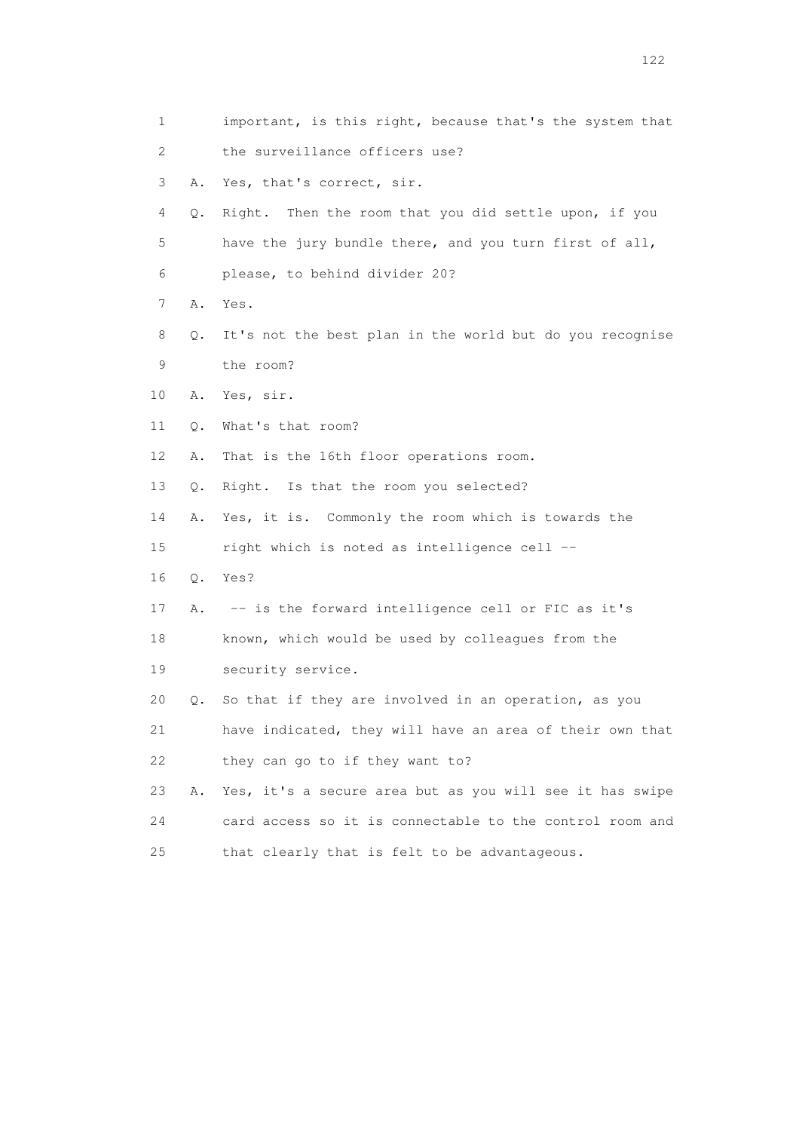1 important, is this right, because that's the system that 2 the surveillance officers use? 3 A. Yes, that's correct, sir. 4 Q. Right. Then the room that you did settle upon, if you 5 have the jury bundle there, and you turn first of all, 6 please, to behind divider 20? 7 A. Yes. 8 Q. It's not the best plan in the world but do you recognise 9 the room? 10 A. Yes, sir. 11 Q. What's that room? 12 A. That is the 16th floor operations room. 13 Q. Right. Is that the room you selected? 14 A. Yes, it is. Commonly the room which is towards the 15 right which is noted as intelligence cell -- 16 Q. Yes? 17 A. -- is the forward intelligence cell or FIC as it's 18 known, which would be used by colleagues from the 19 security service. 20 Q. So that if they are involved in an operation, as you 21 have indicated, they will have an area of their own that 22 they can go to if they want to? 23 A. Yes, it's a secure area but as you will see it has swipe 24 card access so it is connectable to the control room and 25 that clearly that is felt to be advantageous.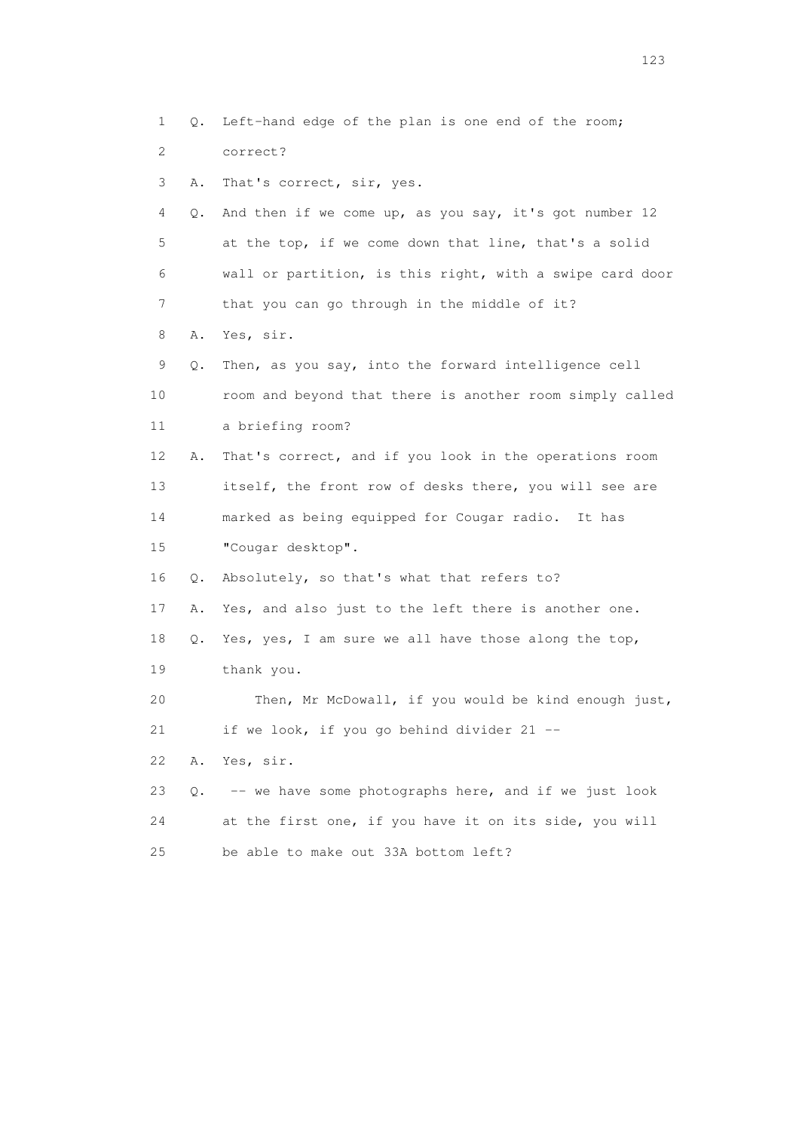1 Q. Left-hand edge of the plan is one end of the room; 2 correct? 3 A. That's correct, sir, yes. 4 Q. And then if we come up, as you say, it's got number 12 5 at the top, if we come down that line, that's a solid 6 wall or partition, is this right, with a swipe card door 7 that you can go through in the middle of it? 8 A. Yes, sir. 9 Q. Then, as you say, into the forward intelligence cell 10 room and beyond that there is another room simply called 11 a briefing room? 12 A. That's correct, and if you look in the operations room 13 itself, the front row of desks there, you will see are 14 marked as being equipped for Cougar radio. It has 15 "Cougar desktop". 16 Q. Absolutely, so that's what that refers to? 17 A. Yes, and also just to the left there is another one. 18 Q. Yes, yes, I am sure we all have those along the top, 19 thank you. 20 Then, Mr McDowall, if you would be kind enough just, 21 if we look, if you go behind divider 21 -- 22 A. Yes, sir. 23 Q. -- we have some photographs here, and if we just look 24 at the first one, if you have it on its side, you will 25 be able to make out 33A bottom left?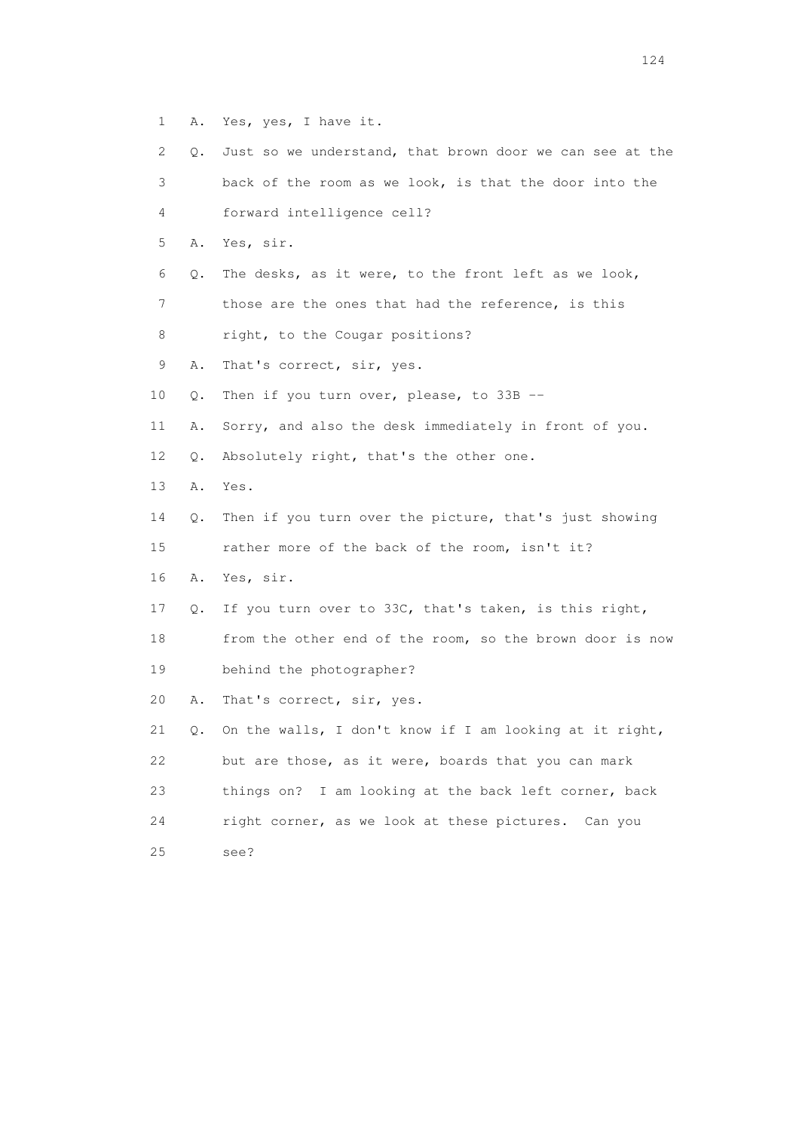1 A. Yes, yes, I have it.

| 2              | Q. | Just so we understand, that brown door we can see at the |
|----------------|----|----------------------------------------------------------|
| 3              |    | back of the room as we look, is that the door into the   |
| 4              |    | forward intelligence cell?                               |
| 5              | Α. | Yes, sir.                                                |
| 6              | Q. | The desks, as it were, to the front left as we look,     |
| $\overline{7}$ |    | those are the ones that had the reference, is this       |
| 8              |    | right, to the Cougar positions?                          |
| 9              | Α. | That's correct, sir, yes.                                |
| 10             | Q. | Then if you turn over, please, to $33B$ --               |
| 11             | Α. | Sorry, and also the desk immediately in front of you.    |
| 12             | Q. | Absolutely right, that's the other one.                  |
| 13             | Α. | Yes.                                                     |
| 14             | Q. | Then if you turn over the picture, that's just showing   |
| 15             |    | rather more of the back of the room, isn't it?           |
| 16             | Α. | Yes, sir.                                                |
| 17             | Q. | If you turn over to 33C, that's taken, is this right,    |
| 18             |    | from the other end of the room, so the brown door is now |
| 19             |    | behind the photographer?                                 |
| 20             | Α. | That's correct, sir, yes.                                |
| 21             | Q. | On the walls, I don't know if I am looking at it right,  |
| 22             |    | but are those, as it were, boards that you can mark      |
| 23             |    | things on? I am looking at the back left corner, back    |
| 24             |    | right corner, as we look at these pictures. Can you      |
| 25             |    | see?                                                     |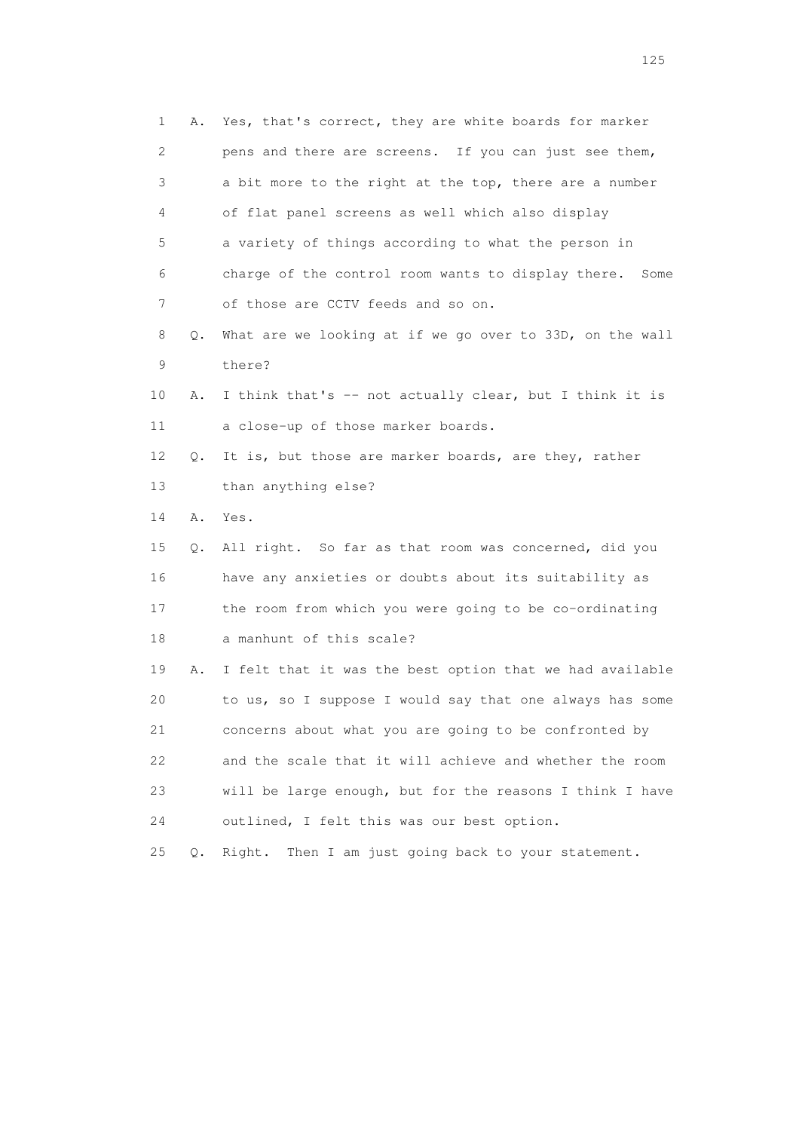| 1  | Α.    | Yes, that's correct, they are white boards for marker    |
|----|-------|----------------------------------------------------------|
| 2  |       | pens and there are screens. If you can just see them,    |
| 3  |       | a bit more to the right at the top, there are a number   |
| 4  |       | of flat panel screens as well which also display         |
| 5  |       | a variety of things according to what the person in      |
| 6  |       | charge of the control room wants to display there. Some  |
| 7  |       | of those are CCTV feeds and so on.                       |
| 8  | Q.    | What are we looking at if we go over to 33D, on the wall |
| 9  |       | there?                                                   |
| 10 | Α.    | I think that's -- not actually clear, but I think it is  |
| 11 |       | a close-up of those marker boards.                       |
| 12 | Q.    | It is, but those are marker boards, are they, rather     |
| 13 |       | than anything else?                                      |
| 14 | Α.    | Yes.                                                     |
| 15 | Q.    | All right. So far as that room was concerned, did you    |
| 16 |       | have any anxieties or doubts about its suitability as    |
| 17 |       | the room from which you were going to be co-ordinating   |
| 18 |       | a manhunt of this scale?                                 |
| 19 | Α.    | I felt that it was the best option that we had available |
| 20 |       | to us, so I suppose I would say that one always has some |
| 21 |       | concerns about what you are going to be confronted by    |
| 22 |       | and the scale that it will achieve and whether the room  |
| 23 |       | will be large enough, but for the reasons I think I have |
| 24 |       | outlined, I felt this was our best option.               |
| 25 | $Q$ . | Then I am just going back to your statement.<br>Right.   |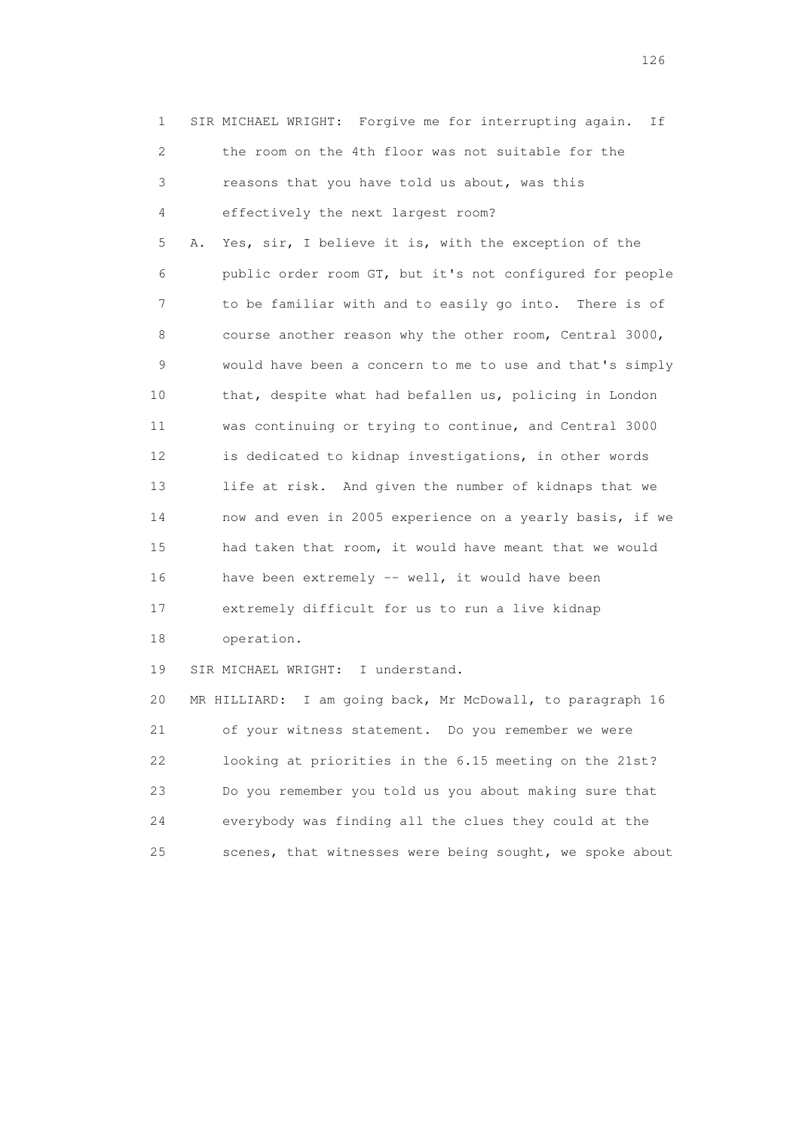| 1           | SIR MICHAEL WRIGHT: Forgive me for interrupting again.<br>Ιf  |
|-------------|---------------------------------------------------------------|
| 2           | the room on the 4th floor was not suitable for the            |
| 3           | reasons that you have told us about, was this                 |
| 4           | effectively the next largest room?                            |
| 5           | Yes, sir, I believe it is, with the exception of the<br>Α.    |
| 6           | public order room GT, but it's not configured for people      |
| 7           | to be familiar with and to easily go into. There is of        |
| 8           | course another reason why the other room, Central 3000,       |
| $\mathsf 9$ | would have been a concern to me to use and that's simply      |
| 10          | that, despite what had befallen us, policing in London        |
| 11          | was continuing or trying to continue, and Central 3000        |
| 12          | is dedicated to kidnap investigations, in other words         |
| 13          | life at risk. And given the number of kidnaps that we         |
| 14          | now and even in 2005 experience on a yearly basis, if we      |
| 15          | had taken that room, it would have meant that we would        |
| 16          | have been extremely -- well, it would have been               |
| 17          | extremely difficult for us to run a live kidnap               |
| 18          | operation.                                                    |
| 19          | SIR MICHAEL WRIGHT: I understand.                             |
| 20          | I am going back, Mr McDowall, to paragraph 16<br>MR HILLIARD: |
| 21          | of your witness statement. Do you remember we were            |
| 22          | looking at priorities in the 6.15 meeting on the 21st?        |
| 23          | Do you remember you told us you about making sure that        |
| 24          | everybody was finding all the clues they could at the         |
| 25          | scenes, that witnesses were being sought, we spoke about      |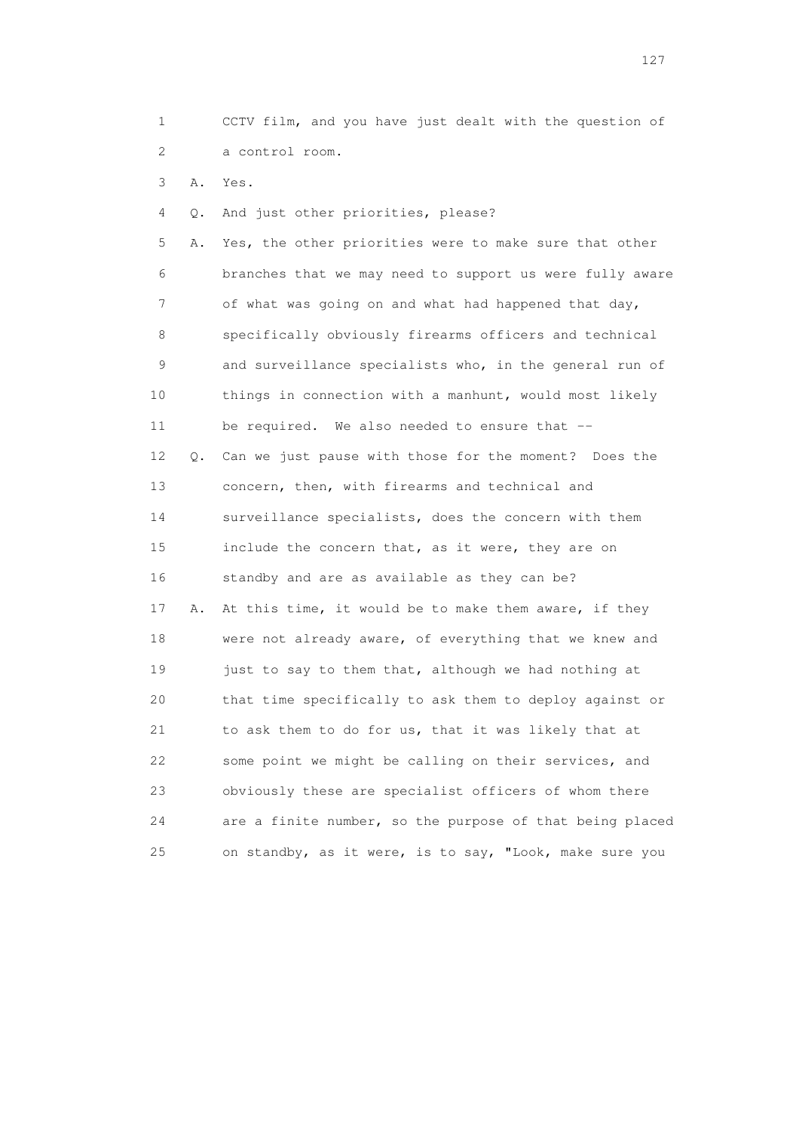1 CCTV film, and you have just dealt with the question of 2 a control room.

3 A. Yes.

4 Q. And just other priorities, please?

 5 A. Yes, the other priorities were to make sure that other 6 branches that we may need to support us were fully aware 7 of what was going on and what had happened that day, 8 specifically obviously firearms officers and technical 9 and surveillance specialists who, in the general run of 10 things in connection with a manhunt, would most likely 11 be required. We also needed to ensure that -- 12 Q. Can we just pause with those for the moment? Does the 13 concern, then, with firearms and technical and 14 surveillance specialists, does the concern with them 15 include the concern that, as it were, they are on 16 standby and are as available as they can be? 17 A. At this time, it would be to make them aware, if they 18 were not already aware, of everything that we knew and 19 just to say to them that, although we had nothing at 20 that time specifically to ask them to deploy against or 21 to ask them to do for us, that it was likely that at 22 some point we might be calling on their services, and 23 obviously these are specialist officers of whom there 24 are a finite number, so the purpose of that being placed 25 on standby, as it were, is to say, "Look, make sure you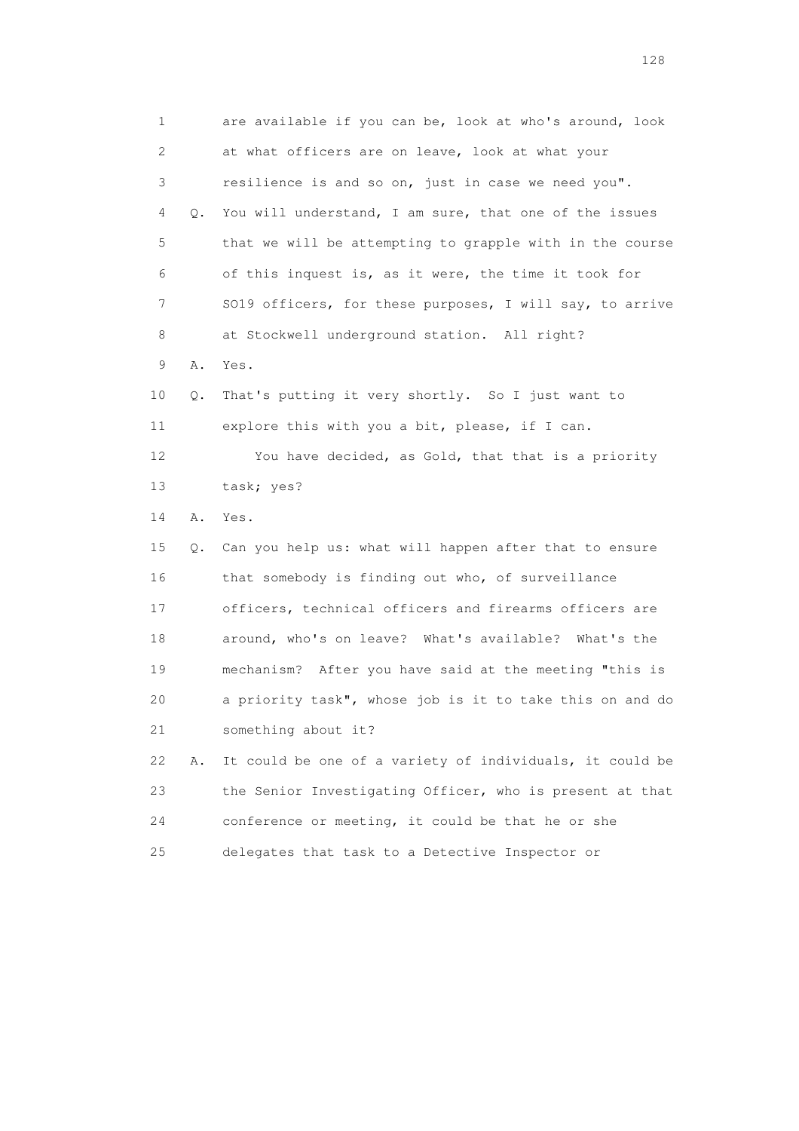1 are available if you can be, look at who's around, look 2 at what officers are on leave, look at what your 3 resilience is and so on, just in case we need you". 4 Q. You will understand, I am sure, that one of the issues 5 that we will be attempting to grapple with in the course 6 of this inquest is, as it were, the time it took for 7 SO19 officers, for these purposes, I will say, to arrive 8 at Stockwell underground station. All right? 9 A. Yes. 10 Q. That's putting it very shortly. So I just want to 11 explore this with you a bit, please, if I can. 12 You have decided, as Gold, that that is a priority 13 task; yes? 14 A. Yes. 15 Q. Can you help us: what will happen after that to ensure 16 that somebody is finding out who, of surveillance 17 officers, technical officers and firearms officers are 18 around, who's on leave? What's available? What's the 19 mechanism? After you have said at the meeting "this is 20 a priority task", whose job is it to take this on and do 21 something about it? 22 A. It could be one of a variety of individuals, it could be 23 the Senior Investigating Officer, who is present at that 24 conference or meeting, it could be that he or she 25 delegates that task to a Detective Inspector or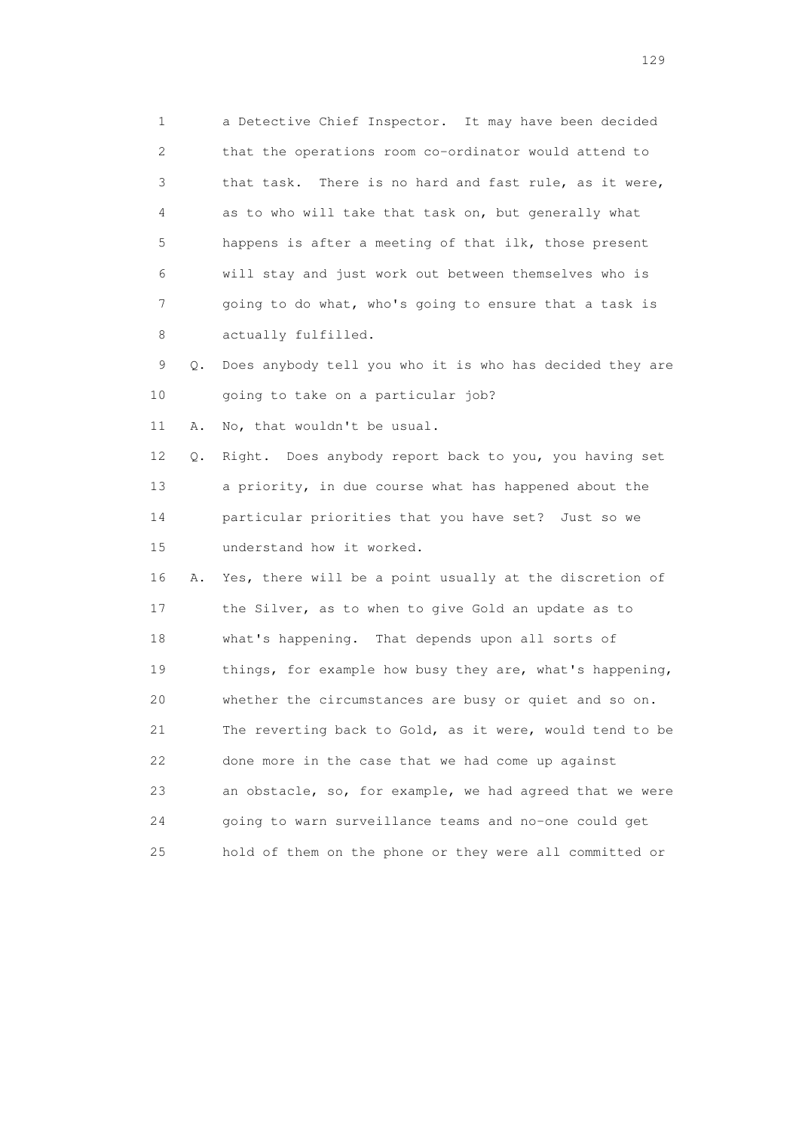1 a Detective Chief Inspector. It may have been decided 2 that the operations room co-ordinator would attend to 3 that task. There is no hard and fast rule, as it were, 4 as to who will take that task on, but generally what 5 happens is after a meeting of that ilk, those present 6 will stay and just work out between themselves who is 7 going to do what, who's going to ensure that a task is 8 actually fulfilled.

 9 Q. Does anybody tell you who it is who has decided they are 10 going to take on a particular job?

11 A. No, that wouldn't be usual.

 12 Q. Right. Does anybody report back to you, you having set 13 a priority, in due course what has happened about the 14 particular priorities that you have set? Just so we 15 understand how it worked.

 16 A. Yes, there will be a point usually at the discretion of 17 the Silver, as to when to give Gold an update as to 18 what's happening. That depends upon all sorts of 19 things, for example how busy they are, what's happening, 20 whether the circumstances are busy or quiet and so on. 21 The reverting back to Gold, as it were, would tend to be 22 done more in the case that we had come up against 23 an obstacle, so, for example, we had agreed that we were 24 going to warn surveillance teams and no-one could get 25 hold of them on the phone or they were all committed or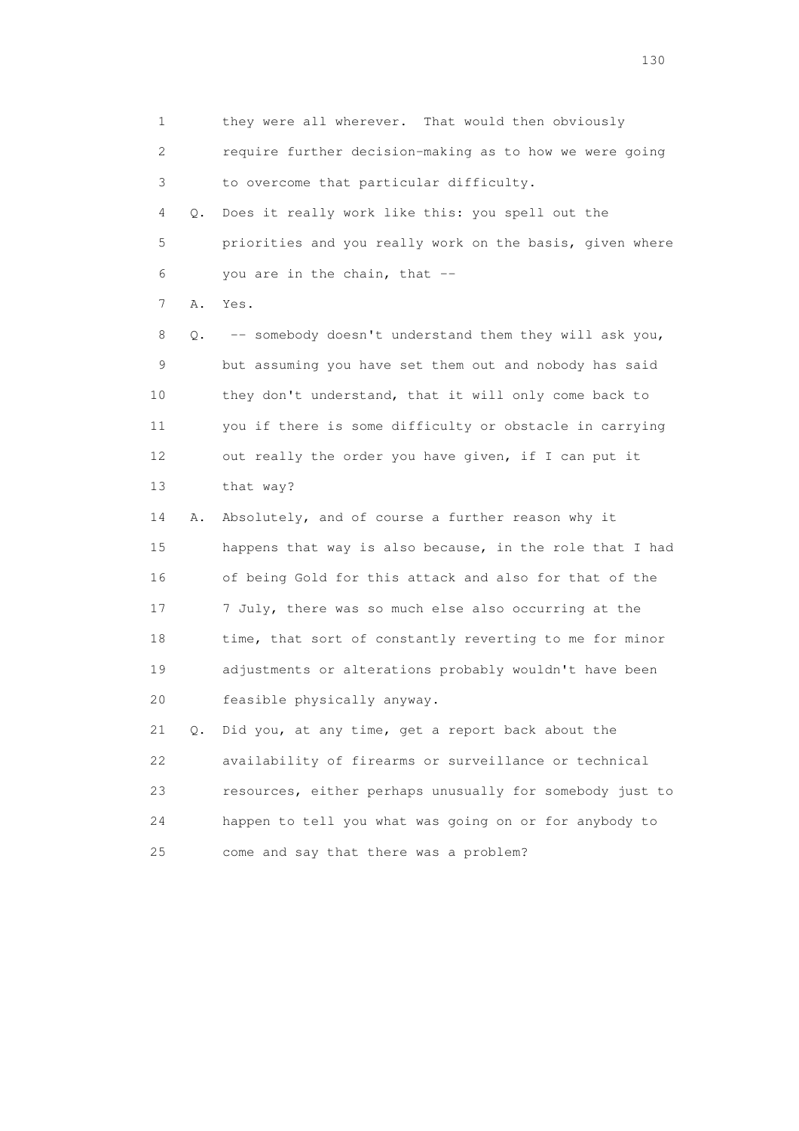1 they were all wherever. That would then obviously 2 require further decision-making as to how we were going 3 to overcome that particular difficulty. 4 Q. Does it really work like this: you spell out the 5 priorities and you really work on the basis, given where  $6$  you are in the chain, that  $-$  7 A. Yes. 8 Q. -- somebody doesn't understand them they will ask you, 9 but assuming you have set them out and nobody has said 10 they don't understand, that it will only come back to 11 you if there is some difficulty or obstacle in carrying 12 out really the order you have given, if I can put it 13 that way? 14 A. Absolutely, and of course a further reason why it 15 happens that way is also because, in the role that I had 16 of being Gold for this attack and also for that of the 17 7 July, there was so much else also occurring at the 18 time, that sort of constantly reverting to me for minor 19 adjustments or alterations probably wouldn't have been 20 feasible physically anyway. 21 Q. Did you, at any time, get a report back about the 22 availability of firearms or surveillance or technical

 24 happen to tell you what was going on or for anybody to 25 come and say that there was a problem?

23 resources, either perhaps unusually for somebody just to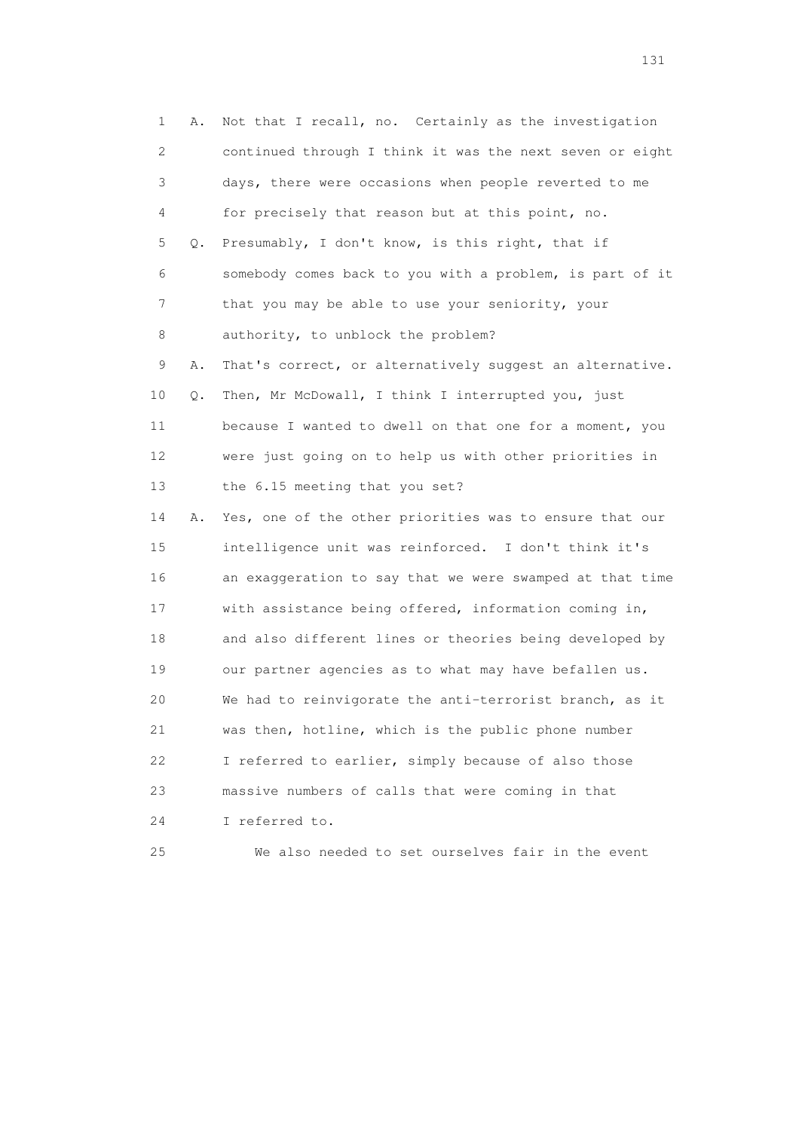1 A. Not that I recall, no. Certainly as the investigation 2 continued through I think it was the next seven or eight 3 days, there were occasions when people reverted to me 4 for precisely that reason but at this point, no. 5 Q. Presumably, I don't know, is this right, that if 6 somebody comes back to you with a problem, is part of it 7 that you may be able to use your seniority, your 8 authority, to unblock the problem? 9 A. That's correct, or alternatively suggest an alternative. 10 Q. Then, Mr McDowall, I think I interrupted you, just 11 because I wanted to dwell on that one for a moment, you 12 were just going on to help us with other priorities in 13 the 6.15 meeting that you set? 14 A. Yes, one of the other priorities was to ensure that our 15 intelligence unit was reinforced. I don't think it's 16 an exaggeration to say that we were swamped at that time 17 with assistance being offered, information coming in, 18 and also different lines or theories being developed by 19 our partner agencies as to what may have befallen us. 20 We had to reinvigorate the anti-terrorist branch, as it 21 was then, hotline, which is the public phone number 22 I referred to earlier, simply because of also those 23 massive numbers of calls that were coming in that 24 I referred to. 25 We also needed to set ourselves fair in the event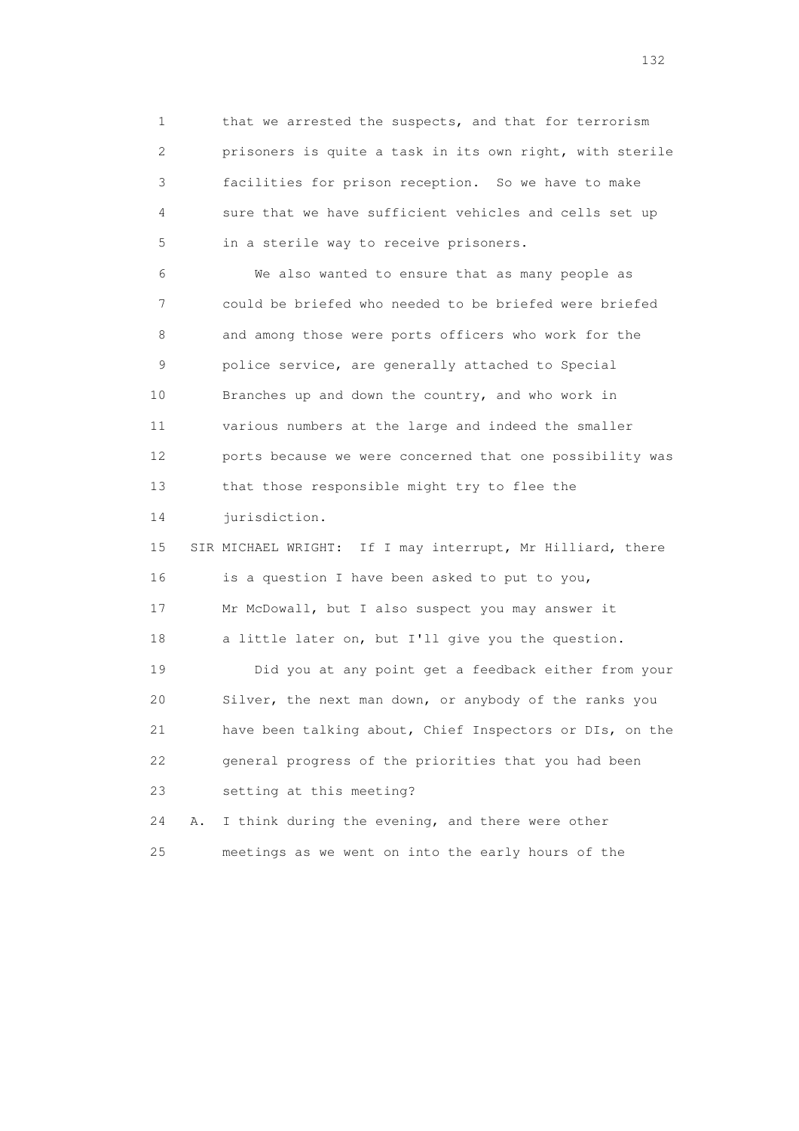1 that we arrested the suspects, and that for terrorism 2 prisoners is quite a task in its own right, with sterile 3 facilities for prison reception. So we have to make 4 sure that we have sufficient vehicles and cells set up 5 in a sterile way to receive prisoners.

 6 We also wanted to ensure that as many people as 7 could be briefed who needed to be briefed were briefed 8 and among those were ports officers who work for the 9 police service, are generally attached to Special 10 Branches up and down the country, and who work in 11 various numbers at the large and indeed the smaller 12 ports because we were concerned that one possibility was 13 that those responsible might try to flee the

14 jurisdiction.

 15 SIR MICHAEL WRIGHT: If I may interrupt, Mr Hilliard, there 16 is a question I have been asked to put to you, 17 Mr McDowall, but I also suspect you may answer it 18 a little later on, but I'll give you the question.

 19 Did you at any point get a feedback either from your 20 Silver, the next man down, or anybody of the ranks you 21 have been talking about, Chief Inspectors or DIs, on the 22 general progress of the priorities that you had been 23 setting at this meeting?

 24 A. I think during the evening, and there were other 25 meetings as we went on into the early hours of the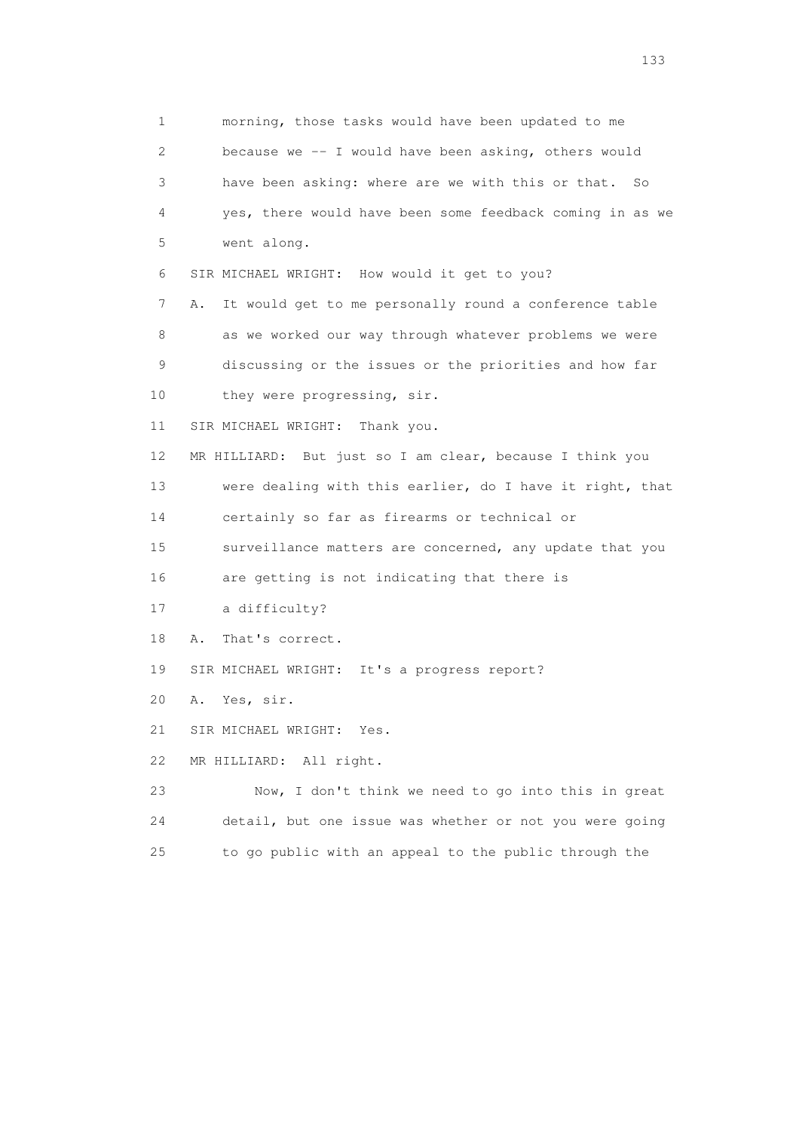1 morning, those tasks would have been updated to me 2 because we -- I would have been asking, others would 3 have been asking: where are we with this or that. So 4 yes, there would have been some feedback coming in as we 5 went along. 6 SIR MICHAEL WRIGHT: How would it get to you? 7 A. It would get to me personally round a conference table 8 as we worked our way through whatever problems we were 9 discussing or the issues or the priorities and how far 10 they were progressing, sir. 11 SIR MICHAEL WRIGHT: Thank you. 12 MR HILLIARD: But just so I am clear, because I think you 13 were dealing with this earlier, do I have it right, that 14 certainly so far as firearms or technical or 15 surveillance matters are concerned, any update that you 16 are getting is not indicating that there is 17 a difficulty? 18 A. That's correct. 19 SIR MICHAEL WRIGHT: It's a progress report? 20 A. Yes, sir. 21 SIR MICHAEL WRIGHT: Yes. 22 MR HILLIARD: All right. 23 Now, I don't think we need to go into this in great 24 detail, but one issue was whether or not you were going 25 to go public with an appeal to the public through the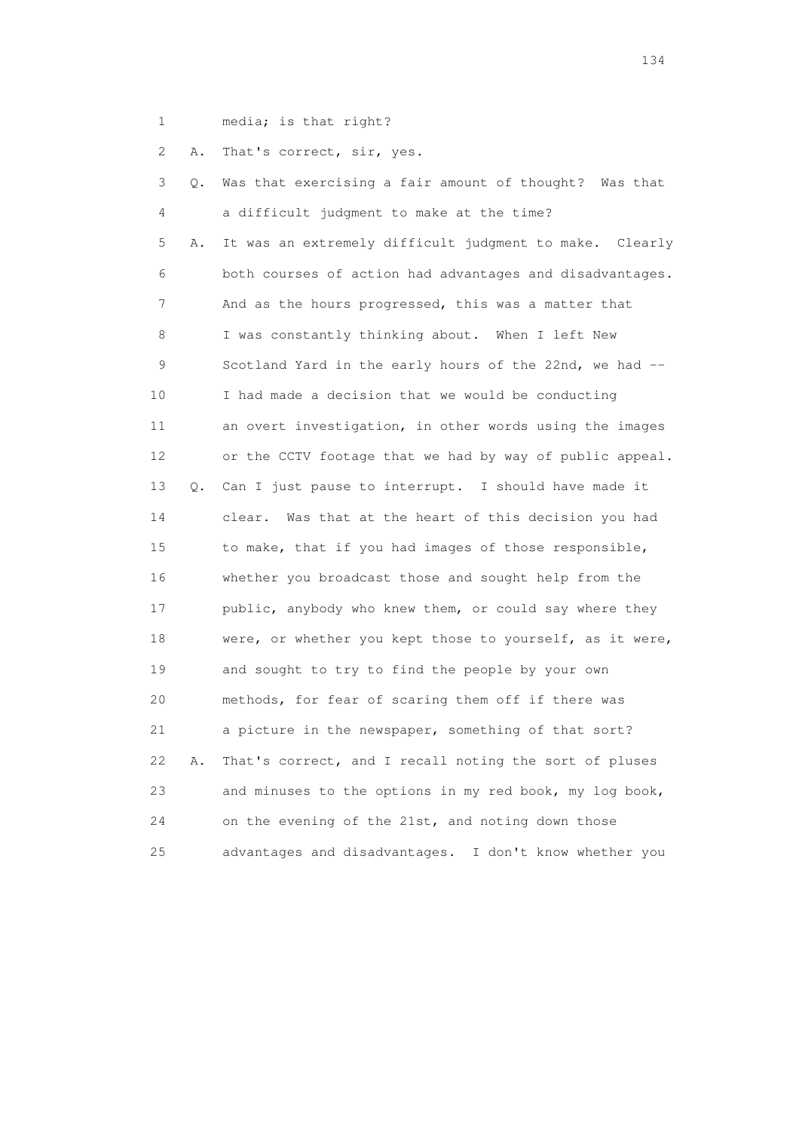1 media; is that right?

2 A. That's correct, sir, yes.

| 3  | Q. | Was that exercising a fair amount of thought? Was that    |
|----|----|-----------------------------------------------------------|
| 4  |    | a difficult judgment to make at the time?                 |
| 5  | Α. | It was an extremely difficult judgment to make. Clearly   |
| 6  |    | both courses of action had advantages and disadvantages.  |
| 7  |    | And as the hours progressed, this was a matter that       |
| 8  |    | I was constantly thinking about. When I left New          |
| 9  |    | Scotland Yard in the early hours of the 22nd, we had --   |
| 10 |    | I had made a decision that we would be conducting         |
| 11 |    | an overt investigation, in other words using the images   |
| 12 |    | or the CCTV footage that we had by way of public appeal.  |
| 13 | Q. | Can I just pause to interrupt. I should have made it      |
| 14 |    | clear. Was that at the heart of this decision you had     |
| 15 |    | to make, that if you had images of those responsible,     |
| 16 |    | whether you broadcast those and sought help from the      |
| 17 |    | public, anybody who knew them, or could say where they    |
| 18 |    | were, or whether you kept those to yourself, as it were,  |
| 19 |    | and sought to try to find the people by your own          |
| 20 |    | methods, for fear of scaring them off if there was        |
| 21 |    | a picture in the newspaper, something of that sort?       |
| 22 | Α. | That's correct, and I recall noting the sort of pluses    |
| 23 |    | and minuses to the options in my red book, my log book,   |
| 24 |    | on the evening of the 21st, and noting down those         |
| 25 |    | advantages and disadvantages.<br>I don't know whether you |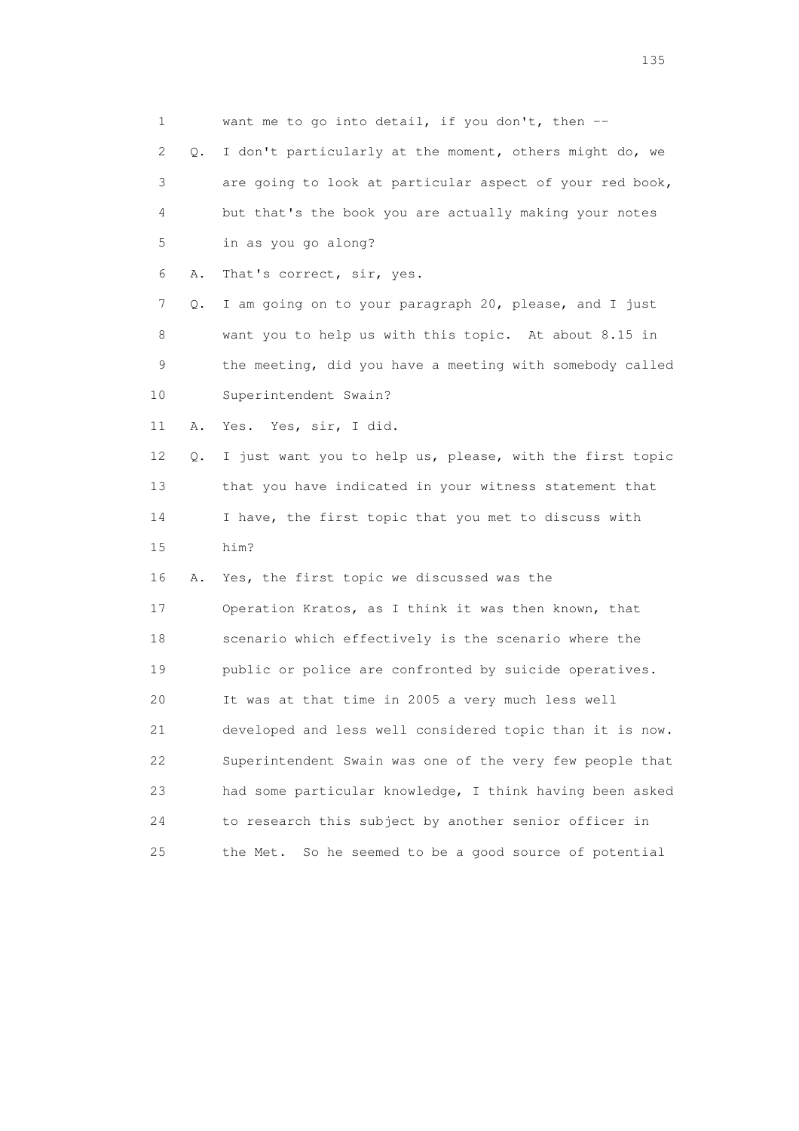| 1                         |    | want me to go into detail, if you don't, then --          |
|---------------------------|----|-----------------------------------------------------------|
| $\mathbf{2}^{\mathsf{I}}$ | Q. | I don't particularly at the moment, others might do, we   |
| 3                         |    | are going to look at particular aspect of your red book,  |
| 4                         |    | but that's the book you are actually making your notes    |
| 5                         |    | in as you go along?                                       |
| 6                         | Α. | That's correct, sir, yes.                                 |
| 7                         | Q. | I am going on to your paragraph 20, please, and I just    |
| 8                         |    | want you to help us with this topic. At about 8.15 in     |
| 9                         |    | the meeting, did you have a meeting with somebody called  |
| 10                        |    | Superintendent Swain?                                     |
| 11                        | Α. | Yes. Yes, sir, I did.                                     |
| 12                        | Q. | I just want you to help us, please, with the first topic  |
| 13                        |    | that you have indicated in your witness statement that    |
| 14                        |    | I have, the first topic that you met to discuss with      |
| 15                        |    | him?                                                      |
| 16                        | Α. | Yes, the first topic we discussed was the                 |
| 17                        |    | Operation Kratos, as I think it was then known, that      |
| 18                        |    | scenario which effectively is the scenario where the      |
| 19                        |    | public or police are confronted by suicide operatives.    |
| 20                        |    | It was at that time in 2005 a very much less well         |
| 21                        |    | developed and less well considered topic than it is now.  |
| 22                        |    | Superintendent Swain was one of the very few people that  |
| 23                        |    | had some particular knowledge, I think having been asked  |
| 24                        |    | to research this subject by another senior officer in     |
| 25                        |    | So he seemed to be a good source of potential<br>the Met. |

n 135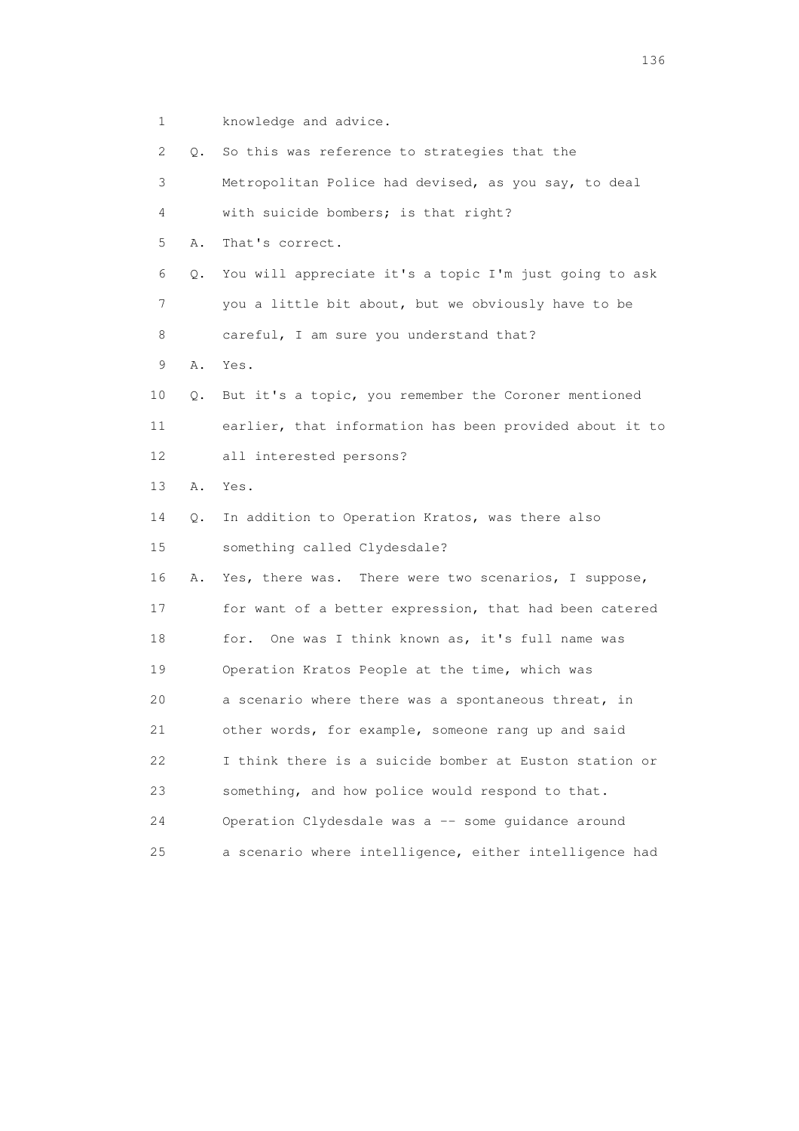1 knowledge and advice.

|    | 2 | $\circ$ . | So this was reference to strategies that the            |
|----|---|-----------|---------------------------------------------------------|
|    | 3 |           | Metropolitan Police had devised, as you say, to deal    |
|    | 4 |           | with suicide bombers; is that right?                    |
|    | 5 | Α.        | That's correct.                                         |
|    | 6 | Q.        | You will appreciate it's a topic I'm just going to ask  |
|    | 7 |           | you a little bit about, but we obviously have to be     |
|    | 8 |           | careful, I am sure you understand that?                 |
|    | 9 | Α.        | Yes.                                                    |
| 10 |   | Q.        | But it's a topic, you remember the Coroner mentioned    |
| 11 |   |           | earlier, that information has been provided about it to |
| 12 |   |           | all interested persons?                                 |
| 13 |   | Α.        | Yes.                                                    |
| 14 |   | Q.        | In addition to Operation Kratos, was there also         |
| 15 |   |           | something called Clydesdale?                            |
| 16 |   | Α.        | Yes, there was. There were two scenarios, I suppose,    |
| 17 |   |           | for want of a better expression, that had been catered  |
| 18 |   |           | One was I think known as, it's full name was<br>for.    |
| 19 |   |           | Operation Kratos People at the time, which was          |
| 20 |   |           | a scenario where there was a spontaneous threat, in     |
| 21 |   |           | other words, for example, someone rang up and said      |
| 22 |   |           | I think there is a suicide bomber at Euston station or  |
| 23 |   |           | something, and how police would respond to that.        |
| 24 |   |           | Operation Clydesdale was a -- some guidance around      |
| 25 |   |           | a scenario where intelligence, either intelligence had  |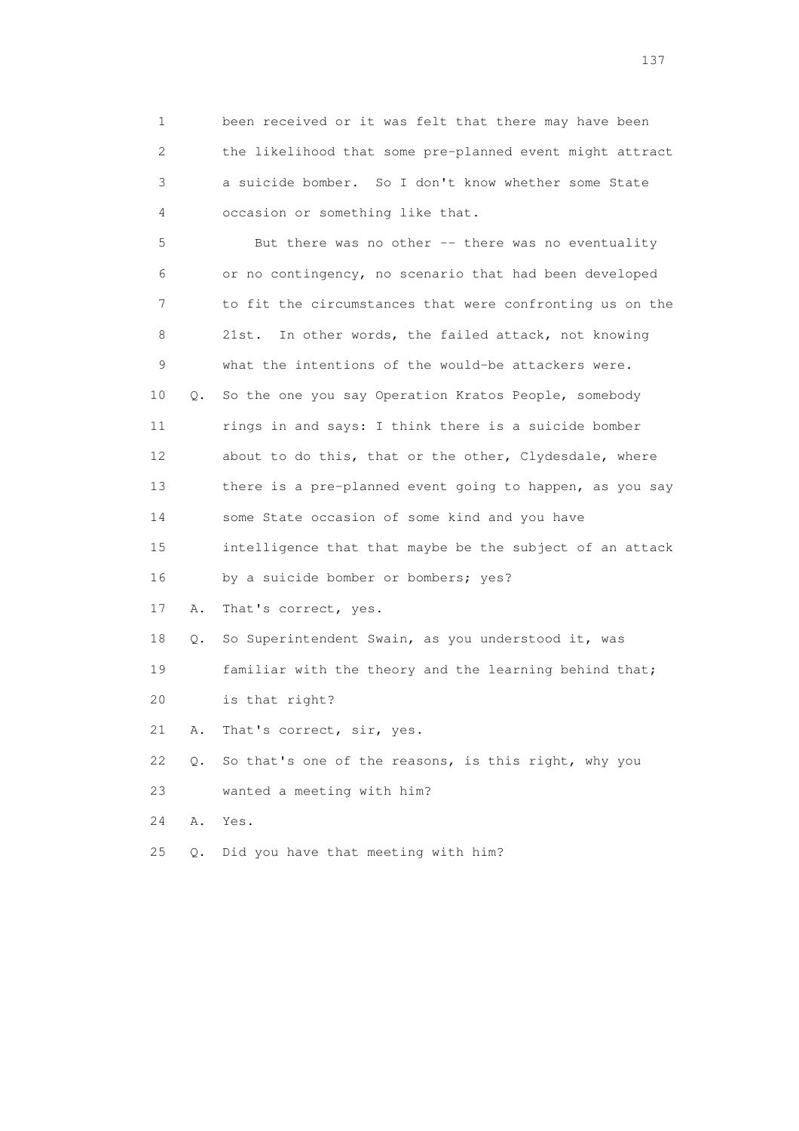1 been received or it was felt that there may have been 2 the likelihood that some pre-planned event might attract 3 a suicide bomber. So I don't know whether some State 4 occasion or something like that.

 5 But there was no other -- there was no eventuality 6 or no contingency, no scenario that had been developed 7 to fit the circumstances that were confronting us on the 8 21st. In other words, the failed attack, not knowing 9 what the intentions of the would-be attackers were. 10 Q. So the one you say Operation Kratos People, somebody 11 rings in and says: I think there is a suicide bomber 12 about to do this, that or the other, Clydesdale, where 13 there is a pre-planned event going to happen, as you say 14 some State occasion of some kind and you have 15 intelligence that that maybe be the subject of an attack 16 by a suicide bomber or bombers; yes? 17 A. That's correct, yes. 18 Q. So Superintendent Swain, as you understood it, was 19 familiar with the theory and the learning behind that; 20 is that right? 21 A. That's correct, sir, yes. 22 Q. So that's one of the reasons, is this right, why you 23 wanted a meeting with him?

24 A. Yes.

25 Q. Did you have that meeting with him?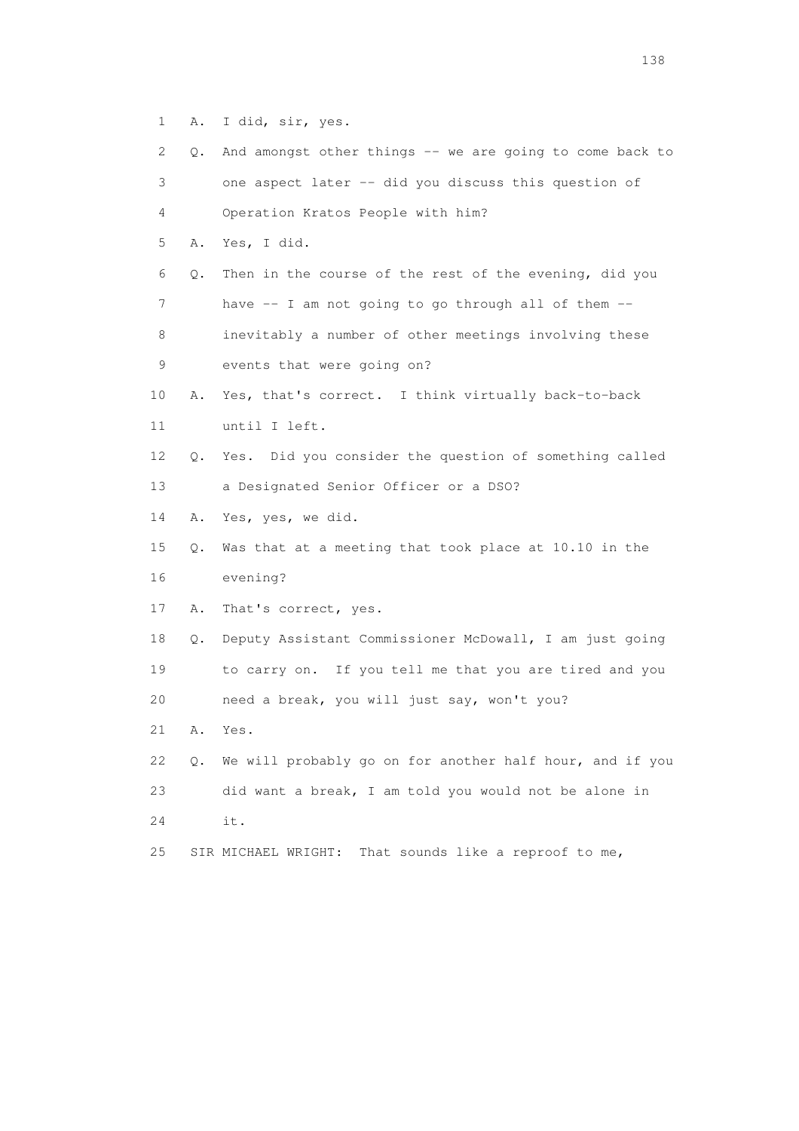1 A. I did, sir, yes.

| 2  | Q. | And amongst other things -- we are going to come back to |
|----|----|----------------------------------------------------------|
| 3  |    | one aspect later -- did you discuss this question of     |
| 4  |    | Operation Kratos People with him?                        |
| 5  | Α. | Yes, I did.                                              |
| 6  | Q. | Then in the course of the rest of the evening, did you   |
| 7  |    | have -- I am not going to go through all of them --      |
| 8  |    | inevitably a number of other meetings involving these    |
| 9  |    | events that were going on?                               |
| 10 | Α. | Yes, that's correct. I think virtually back-to-back      |
| 11 |    | until I left.                                            |
| 12 | Q. | Yes. Did you consider the question of something called   |
| 13 |    | a Designated Senior Officer or a DSO?                    |
| 14 | Α. | Yes, yes, we did.                                        |
| 15 | Q. | Was that at a meeting that took place at 10.10 in the    |
| 16 |    | evening?                                                 |
| 17 | Α. | That's correct, yes.                                     |
| 18 | Q. | Deputy Assistant Commissioner McDowall, I am just going  |
| 19 |    | to carry on. If you tell me that you are tired and you   |
| 20 |    | need a break, you will just say, won't you?              |
| 21 | Α. | Yes.                                                     |
| 22 | Q. | We will probably go on for another half hour, and if you |
| 23 |    | did want a break, I am told you would not be alone in    |
| 24 |    | it.                                                      |
| 25 |    | That sounds like a reproof to me,<br>SIR MICHAEL WRIGHT: |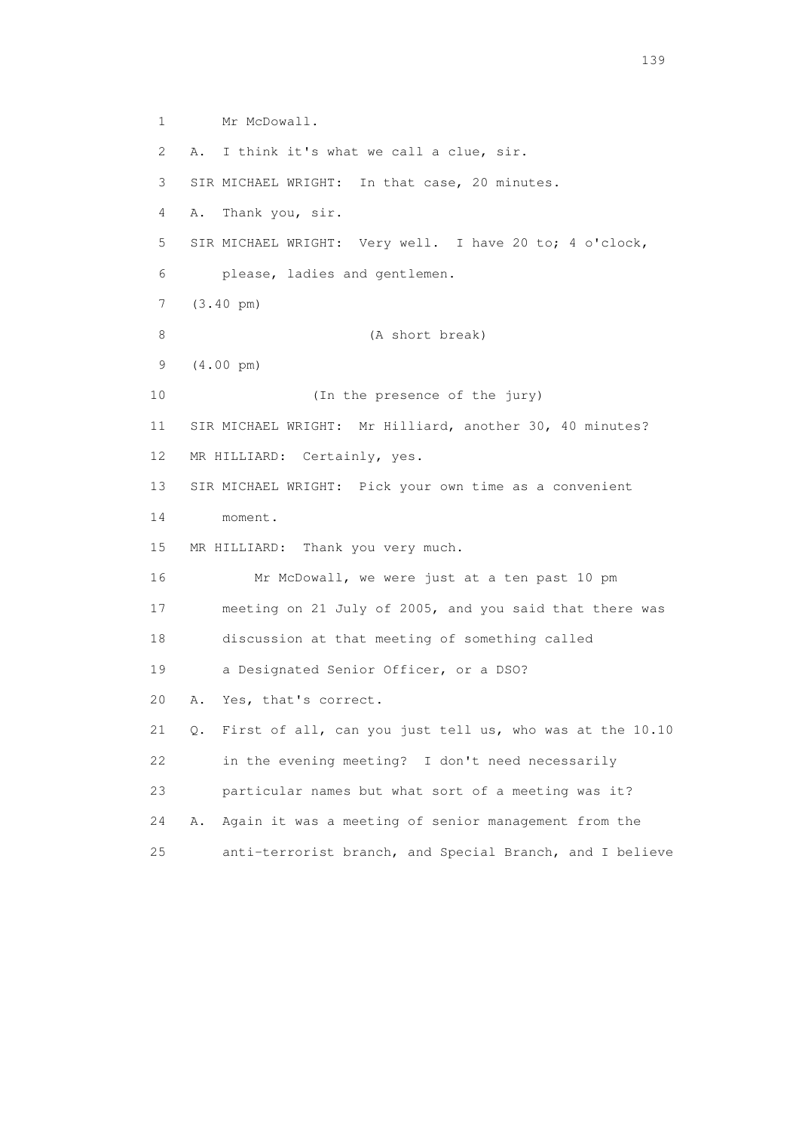1 Mr McDowall. 2 A. I think it's what we call a clue, sir. 3 SIR MICHAEL WRIGHT: In that case, 20 minutes. 4 A. Thank you, sir. 5 SIR MICHAEL WRIGHT: Very well. I have 20 to; 4 o'clock, 6 please, ladies and gentlemen. 7 (3.40 pm) 8 (A short break) 9 (4.00 pm) 10 (In the presence of the jury) 11 SIR MICHAEL WRIGHT: Mr Hilliard, another 30, 40 minutes? 12 MR HILLIARD: Certainly, yes. 13 SIR MICHAEL WRIGHT: Pick your own time as a convenient 14 moment. 15 MR HILLIARD: Thank you very much. 16 Mr McDowall, we were just at a ten past 10 pm 17 meeting on 21 July of 2005, and you said that there was 18 discussion at that meeting of something called 19 a Designated Senior Officer, or a DSO? 20 A. Yes, that's correct. 21 Q. First of all, can you just tell us, who was at the 10.10 22 in the evening meeting? I don't need necessarily 23 particular names but what sort of a meeting was it? 24 A. Again it was a meeting of senior management from the 25 anti-terrorist branch, and Special Branch, and I believe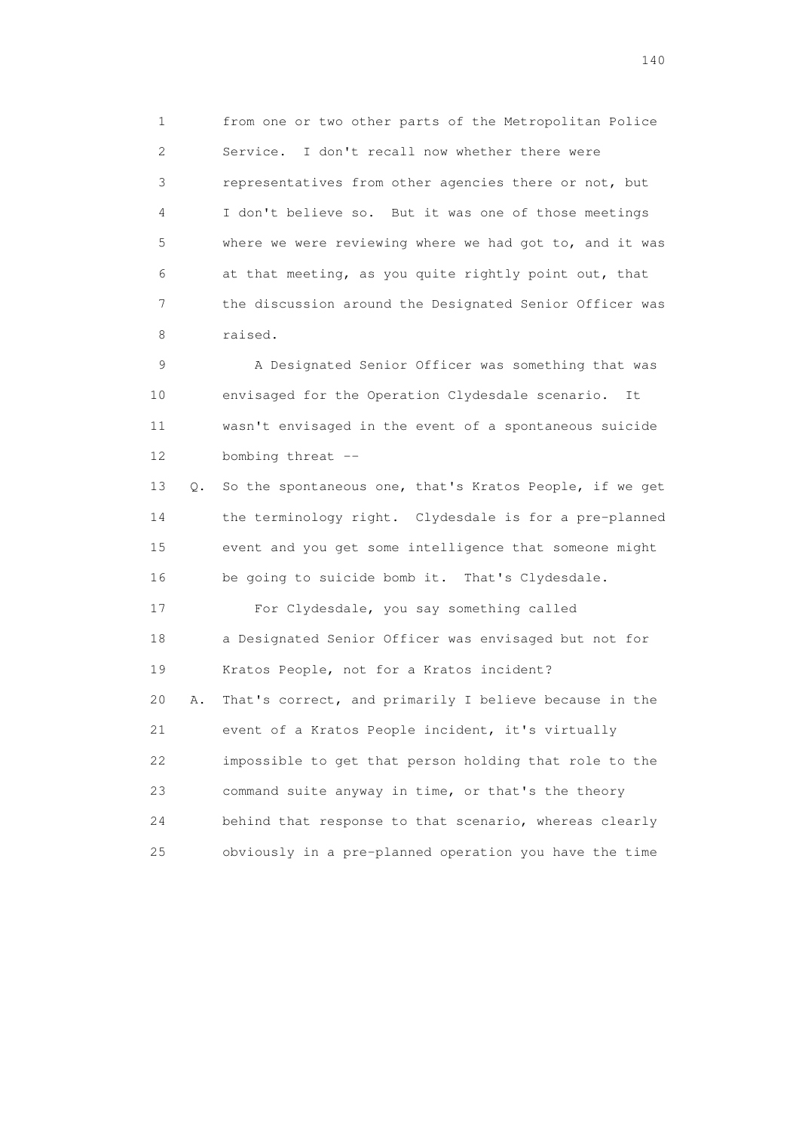1 from one or two other parts of the Metropolitan Police 2 Service. I don't recall now whether there were 3 representatives from other agencies there or not, but 4 I don't believe so. But it was one of those meetings 5 where we were reviewing where we had got to, and it was 6 at that meeting, as you quite rightly point out, that 7 the discussion around the Designated Senior Officer was 8 raised.

 9 A Designated Senior Officer was something that was 10 envisaged for the Operation Clydesdale scenario. It 11 wasn't envisaged in the event of a spontaneous suicide 12 bombing threat --

 13 Q. So the spontaneous one, that's Kratos People, if we get 14 the terminology right. Clydesdale is for a pre-planned 15 event and you get some intelligence that someone might 16 be going to suicide bomb it. That's Clydesdale.

 17 For Clydesdale, you say something called 18 a Designated Senior Officer was envisaged but not for 19 Kratos People, not for a Kratos incident? 20 A. That's correct, and primarily I believe because in the 21 event of a Kratos People incident, it's virtually 22 impossible to get that person holding that role to the 23 command suite anyway in time, or that's the theory 24 behind that response to that scenario, whereas clearly 25 obviously in a pre-planned operation you have the time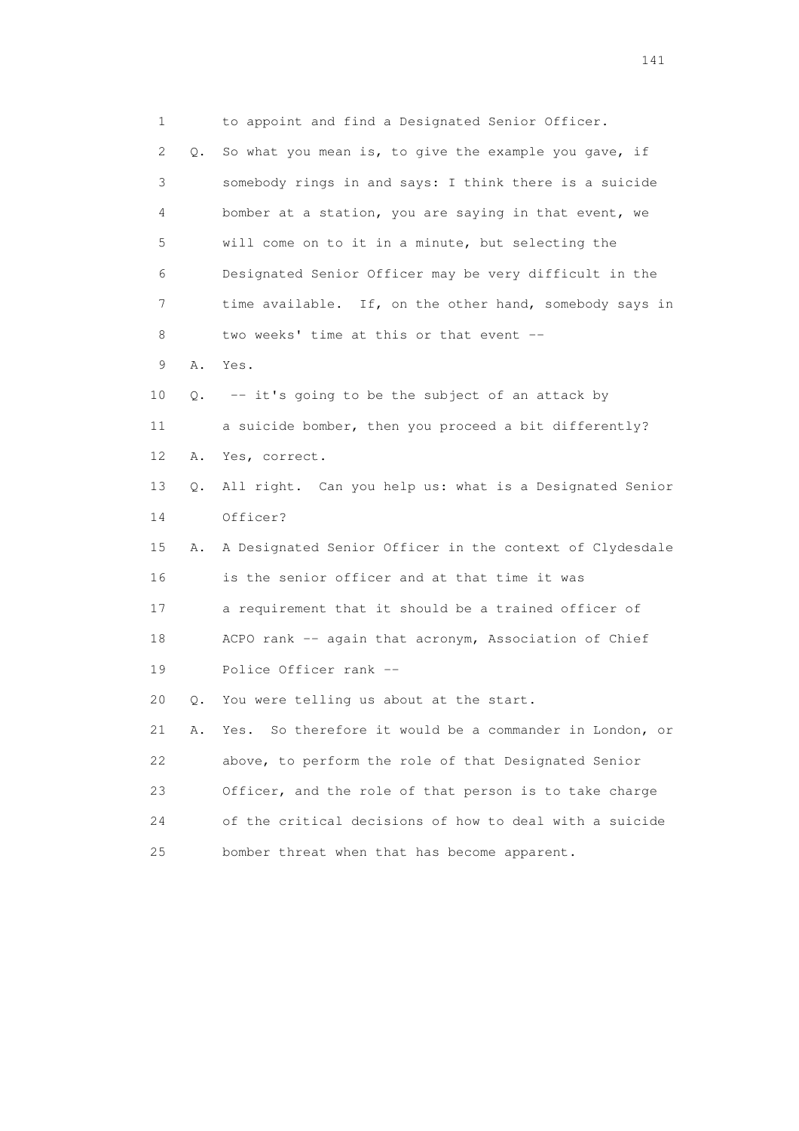1 to appoint and find a Designated Senior Officer. 2 Q. So what you mean is, to give the example you gave, if 3 somebody rings in and says: I think there is a suicide 4 bomber at a station, you are saying in that event, we 5 will come on to it in a minute, but selecting the 6 Designated Senior Officer may be very difficult in the 7 time available. If, on the other hand, somebody says in 8 two weeks' time at this or that event -- 9 A. Yes. 10 Q. -- it's going to be the subject of an attack by 11 a suicide bomber, then you proceed a bit differently? 12 A. Yes, correct. 13 Q. All right. Can you help us: what is a Designated Senior 14 Officer? 15 A. A Designated Senior Officer in the context of Clydesdale 16 is the senior officer and at that time it was 17 a requirement that it should be a trained officer of 18 ACPO rank -- again that acronym, Association of Chief 19 Police Officer rank -- 20 Q. You were telling us about at the start. 21 A. Yes. So therefore it would be a commander in London, or 22 above, to perform the role of that Designated Senior 23 Officer, and the role of that person is to take charge 24 of the critical decisions of how to deal with a suicide 25 bomber threat when that has become apparent.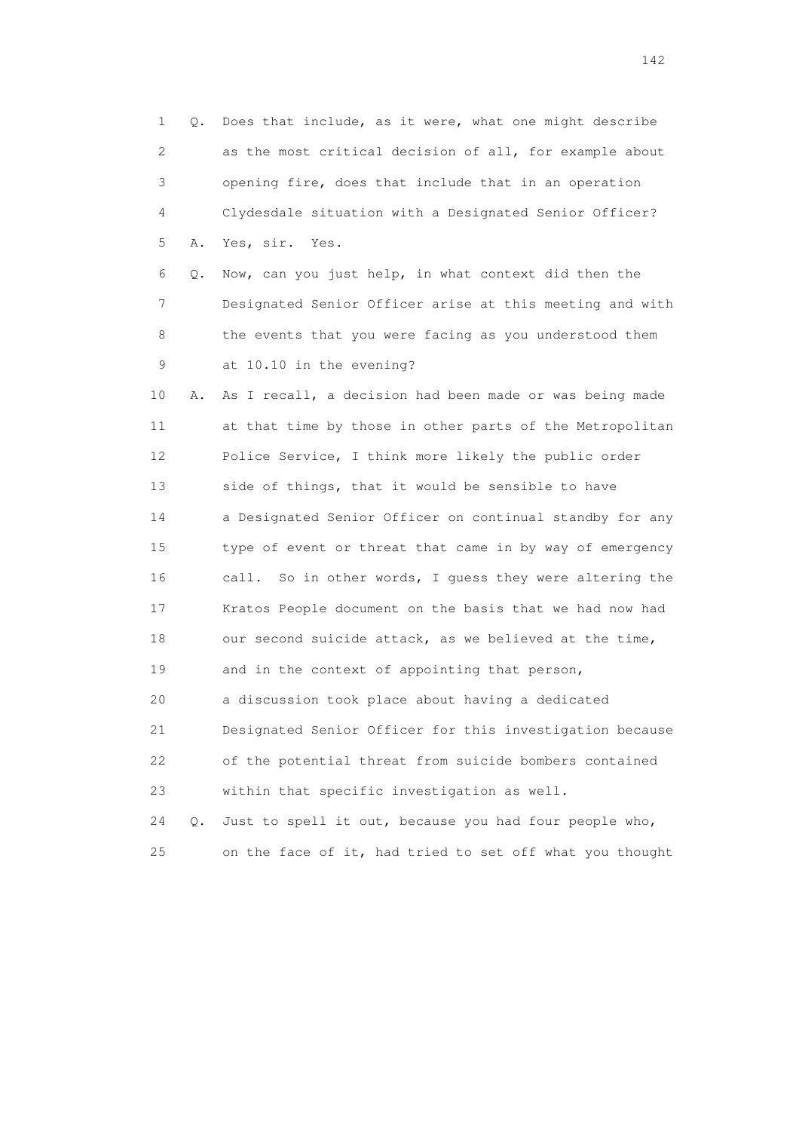1 Q. Does that include, as it were, what one might describe 2 as the most critical decision of all, for example about 3 opening fire, does that include that in an operation 4 Clydesdale situation with a Designated Senior Officer? 5 A. Yes, sir. Yes. 6 Q. Now, can you just help, in what context did then the 7 Designated Senior Officer arise at this meeting and with 8 the events that you were facing as you understood them 9 at 10.10 in the evening? 10 A. As I recall, a decision had been made or was being made 11 at that time by those in other parts of the Metropolitan 12 Police Service, I think more likely the public order 13 side of things, that it would be sensible to have 14 a Designated Senior Officer on continual standby for any 15 type of event or threat that came in by way of emergency 16 call. So in other words, I guess they were altering the 17 Kratos People document on the basis that we had now had 18 our second suicide attack, as we believed at the time, 19 and in the context of appointing that person, 20 a discussion took place about having a dedicated 21 Designated Senior Officer for this investigation because 22 of the potential threat from suicide bombers contained 23 within that specific investigation as well. 24 Q. Just to spell it out, because you had four people who,

25 on the face of it, had tried to set off what you thought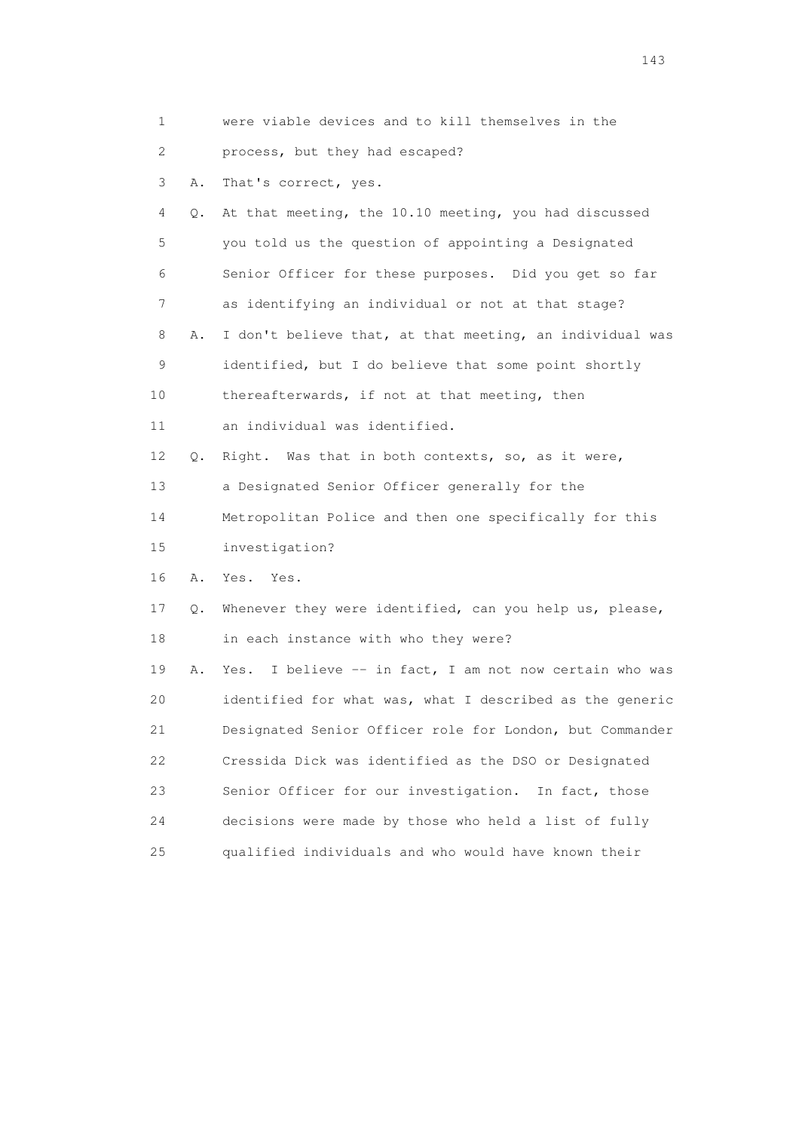| 1  |    | were viable devices and to kill themselves in the          |
|----|----|------------------------------------------------------------|
| 2  |    | process, but they had escaped?                             |
| 3  | Α. | That's correct, yes.                                       |
| 4  | Q. | At that meeting, the 10.10 meeting, you had discussed      |
| 5  |    | you told us the question of appointing a Designated        |
| 6  |    | Senior Officer for these purposes. Did you get so far      |
| 7  |    | as identifying an individual or not at that stage?         |
| 8  | Α. | I don't believe that, at that meeting, an individual was   |
| 9  |    | identified, but I do believe that some point shortly       |
| 10 |    | thereafterwards, if not at that meeting, then              |
| 11 |    | an individual was identified.                              |
| 12 | Q. | Right. Was that in both contexts, so, as it were,          |
| 13 |    | a Designated Senior Officer generally for the              |
| 14 |    | Metropolitan Police and then one specifically for this     |
| 15 |    | investigation?                                             |
| 16 | Α. | Yes. Yes.                                                  |
| 17 | Q. | Whenever they were identified, can you help us, please,    |
| 18 |    | in each instance with who they were?                       |
| 19 | Α. | I believe -- in fact, I am not now certain who was<br>Yes. |
| 20 |    | identified for what was, what I described as the generic   |
| 21 |    | Designated Senior Officer role for London, but Commander   |
| 22 |    | Cressida Dick was identified as the DSO or Designated      |
| 23 |    | Senior Officer for our investigation.<br>In fact, those    |
| 24 |    | decisions were made by those who held a list of fully      |
| 25 |    | qualified individuals and who would have known their       |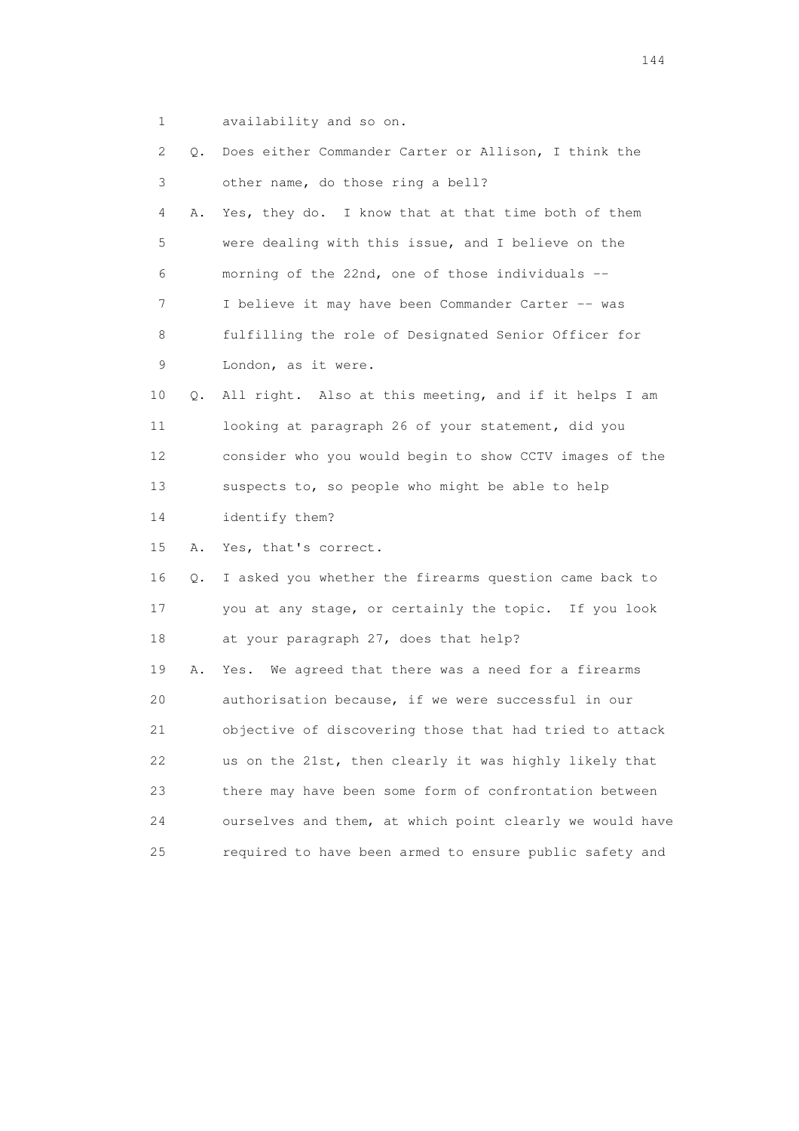1 availability and so on.

| 2              | Q.    | Does either Commander Carter or Allison, I think the     |
|----------------|-------|----------------------------------------------------------|
| $\mathfrak{Z}$ |       | other name, do those ring a bell?                        |
| $\overline{4}$ | Α.    | Yes, they do. I know that at that time both of them      |
| 5              |       | were dealing with this issue, and I believe on the       |
| 6              |       | morning of the 22nd, one of those individuals --         |
| $\tau$         |       | I believe it may have been Commander Carter -- was       |
| 8              |       | fulfilling the role of Designated Senior Officer for     |
| 9              |       | London, as it were.                                      |
| 10             | $Q$ . | All right. Also at this meeting, and if it helps I am    |
| 11             |       | looking at paragraph 26 of your statement, did you       |
| 12             |       | consider who you would begin to show CCTV images of the  |
| 13             |       | suspects to, so people who might be able to help         |
| 14             |       | identify them?                                           |
| 15             | Α.    | Yes, that's correct.                                     |
| 16             | Q.    | I asked you whether the firearms question came back to   |
| 17             |       | you at any stage, or certainly the topic. If you look    |
| 18             |       | at your paragraph 27, does that help?                    |
| 19             | Α.    | We agreed that there was a need for a firearms<br>Yes.   |
| 20             |       | authorisation because, if we were successful in our      |
| 21             |       | objective of discovering those that had tried to attack  |
| 22             |       | us on the 21st, then clearly it was highly likely that   |
| 23             |       | there may have been some form of confrontation between   |
| 24             |       | ourselves and them, at which point clearly we would have |
| 25             |       | required to have been armed to ensure public safety and  |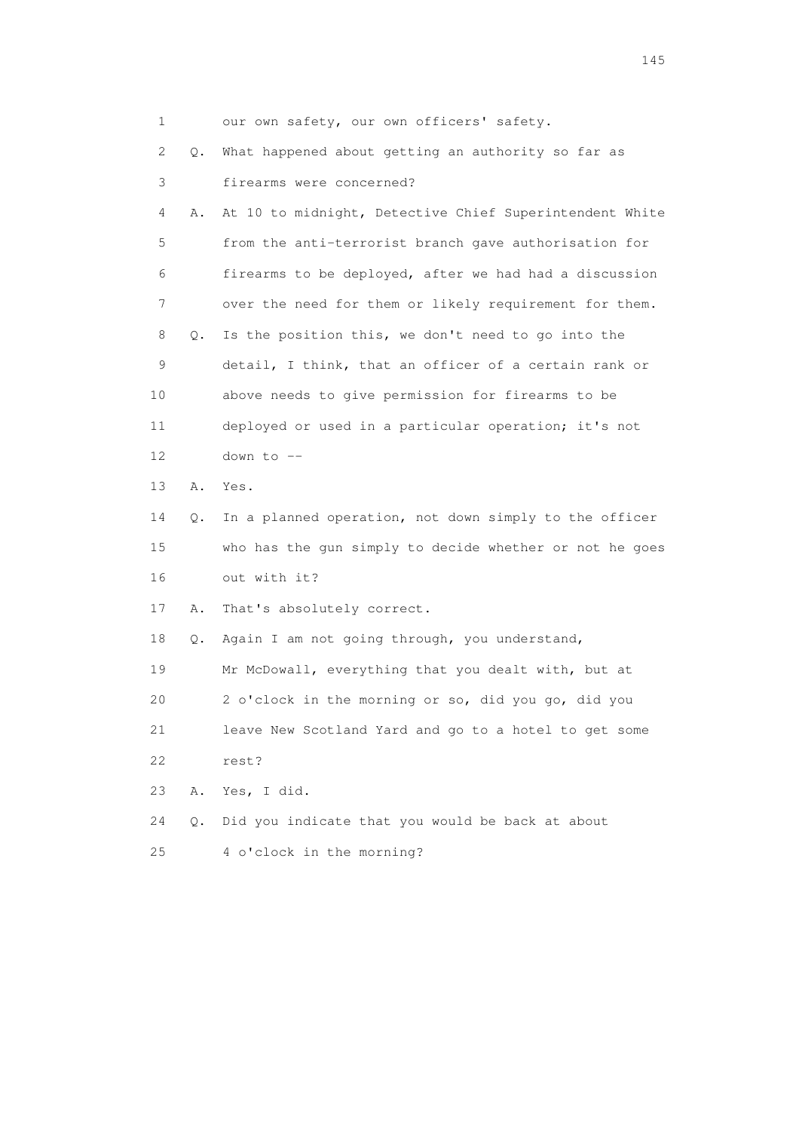| $\mathbf{1}$ |    | our own safety, our own officers' safety.               |
|--------------|----|---------------------------------------------------------|
| 2            | Q. | What happened about getting an authority so far as      |
| 3            |    | firearms were concerned?                                |
| 4            | Α. | At 10 to midnight, Detective Chief Superintendent White |
| 5            |    | from the anti-terrorist branch gave authorisation for   |
| 6            |    | firearms to be deployed, after we had had a discussion  |
| 7            |    | over the need for them or likely requirement for them.  |
| 8            | Q. | Is the position this, we don't need to go into the      |
| 9            |    | detail, I think, that an officer of a certain rank or   |
| 10           |    | above needs to give permission for firearms to be       |
| 11           |    | deployed or used in a particular operation; it's not    |
| 12           |    | down to --                                              |
| 13           | Α. | Yes.                                                    |
| 14           | Q. | In a planned operation, not down simply to the officer  |
| 15           |    | who has the gun simply to decide whether or not he goes |
| 16           |    | out with it?                                            |
| 17           | Α. | That's absolutely correct.                              |
| 18           | Q. | Again I am not going through, you understand,           |
| 19           |    | Mr McDowall, everything that you dealt with, but at     |
| 20           |    | 2 o'clock in the morning or so, did you go, did you     |
| 21           |    | leave New Scotland Yard and go to a hotel to get some   |
| 22           |    | rest?                                                   |
| 23           | Α. | Yes, I did.                                             |
| 24           | Q. | Did you indicate that you would be back at about        |
| 25           |    | 4 o'clock in the morning?                               |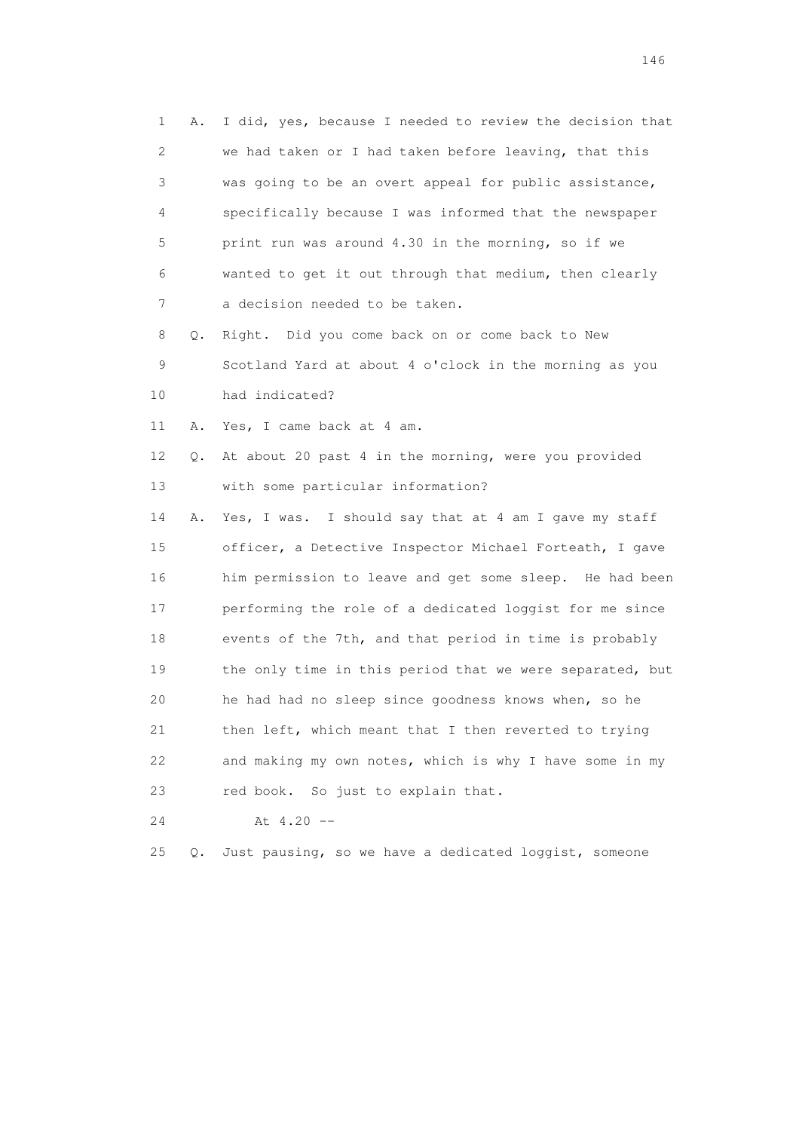1 A. I did, yes, because I needed to review the decision that 2 we had taken or I had taken before leaving, that this 3 was going to be an overt appeal for public assistance, 4 specifically because I was informed that the newspaper 5 print run was around 4.30 in the morning, so if we 6 wanted to get it out through that medium, then clearly 7 a decision needed to be taken.

 8 Q. Right. Did you come back on or come back to New 9 Scotland Yard at about 4 o'clock in the morning as you 10 had indicated?

11 A. Yes, I came back at 4 am.

 12 Q. At about 20 past 4 in the morning, were you provided 13 with some particular information?

 14 A. Yes, I was. I should say that at 4 am I gave my staff 15 officer, a Detective Inspector Michael Forteath, I gave 16 him permission to leave and get some sleep. He had been 17 performing the role of a dedicated loggist for me since 18 events of the 7th, and that period in time is probably 19 the only time in this period that we were separated, but 20 he had had no sleep since goodness knows when, so he 21 then left, which meant that I then reverted to trying 22 and making my own notes, which is why I have some in my 23 red book. So just to explain that.

24 At 4.20 --

25 Q. Just pausing, so we have a dedicated loggist, someone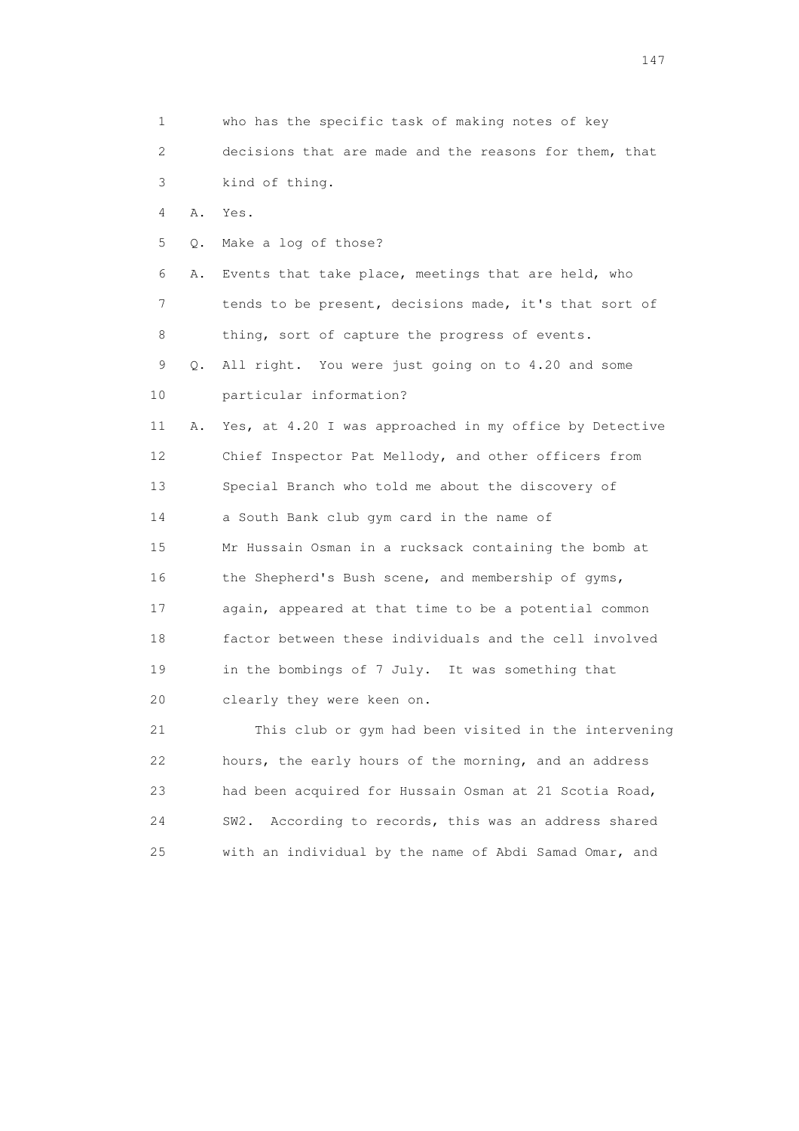1 who has the specific task of making notes of key 2 decisions that are made and the reasons for them, that 3 kind of thing. 4 A. Yes. 5 Q. Make a log of those? 6 A. Events that take place, meetings that are held, who 7 tends to be present, decisions made, it's that sort of 8 thing, sort of capture the progress of events. 9 Q. All right. You were just going on to 4.20 and some 10 particular information? 11 A. Yes, at 4.20 I was approached in my office by Detective 12 Chief Inspector Pat Mellody, and other officers from 13 Special Branch who told me about the discovery of 14 a South Bank club gym card in the name of 15 Mr Hussain Osman in a rucksack containing the bomb at 16 the Shepherd's Bush scene, and membership of gyms, 17 again, appeared at that time to be a potential common 18 factor between these individuals and the cell involved 19 in the bombings of 7 July. It was something that 20 clearly they were keen on. 21 This club or gym had been visited in the intervening 22 hours, the early hours of the morning, and an address 23 had been acquired for Hussain Osman at 21 Scotia Road,

 24 SW2. According to records, this was an address shared 25 with an individual by the name of Abdi Samad Omar, and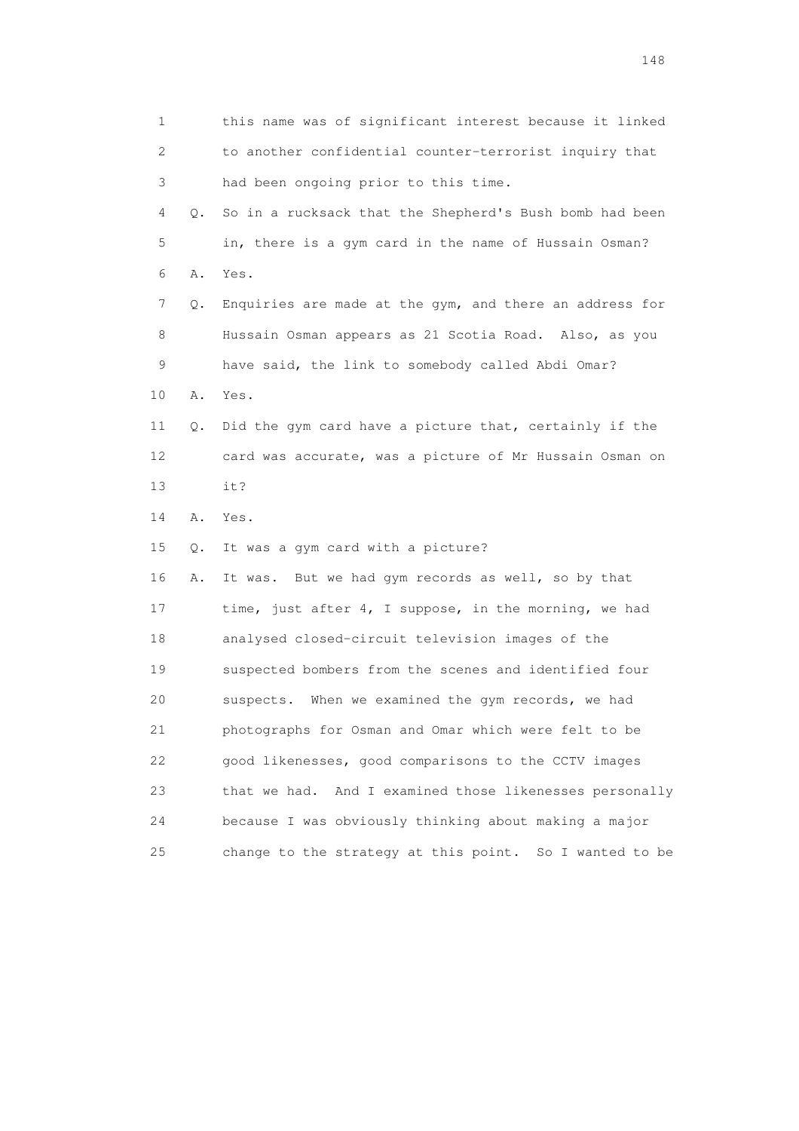1 this name was of significant interest because it linked 2 to another confidential counter-terrorist inquiry that 3 had been ongoing prior to this time. 4 Q. So in a rucksack that the Shepherd's Bush bomb had been 5 in, there is a gym card in the name of Hussain Osman? 6 A. Yes. 7 Q. Enquiries are made at the gym, and there an address for 8 Hussain Osman appears as 21 Scotia Road. Also, as you 9 have said, the link to somebody called Abdi Omar? 10 A. Yes. 11 Q. Did the gym card have a picture that, certainly if the 12 card was accurate, was a picture of Mr Hussain Osman on 13 it? 14 A. Yes. 15 Q. It was a gym card with a picture? 16 A. It was. But we had gym records as well, so by that 17 time, just after 4, I suppose, in the morning, we had 18 analysed closed-circuit television images of the 19 suspected bombers from the scenes and identified four 20 suspects. When we examined the gym records, we had 21 photographs for Osman and Omar which were felt to be 22 good likenesses, good comparisons to the CCTV images 23 that we had. And I examined those likenesses personally 24 because I was obviously thinking about making a major 25 change to the strategy at this point. So I wanted to be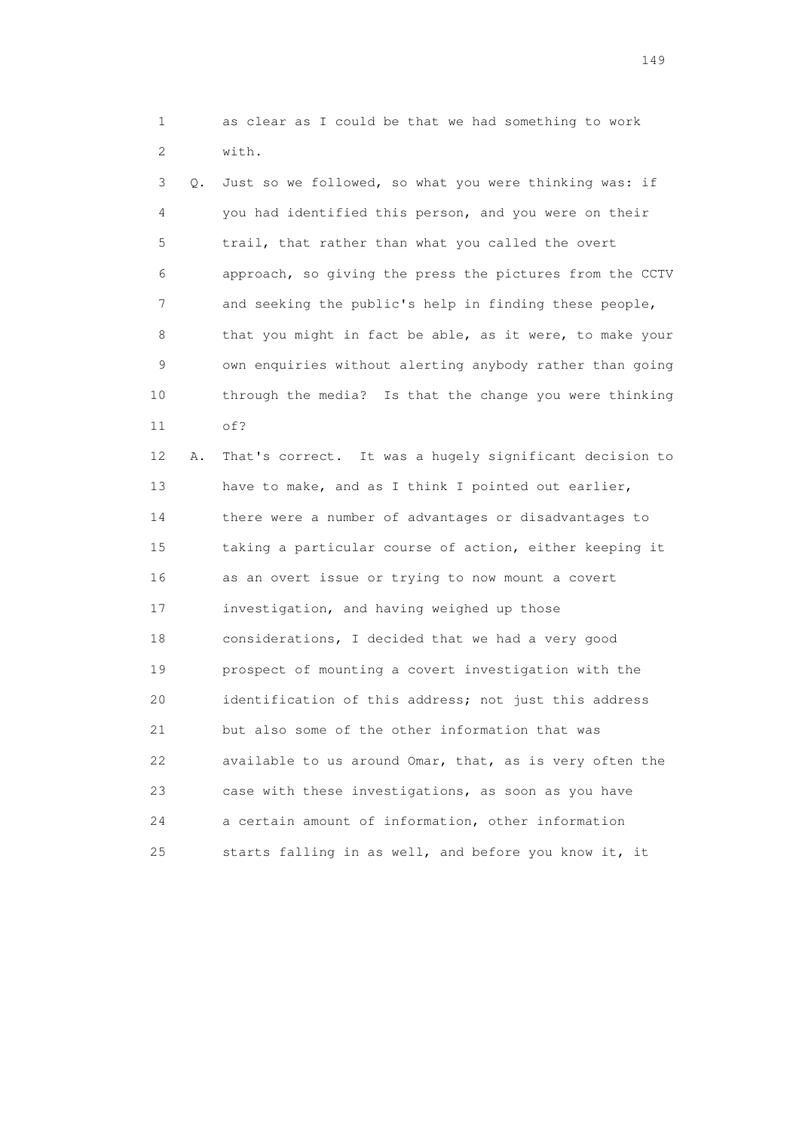1 as clear as I could be that we had something to work 2 with.

 3 Q. Just so we followed, so what you were thinking was: if 4 you had identified this person, and you were on their 5 trail, that rather than what you called the overt 6 approach, so giving the press the pictures from the CCTV 7 and seeking the public's help in finding these people, 8 that you might in fact be able, as it were, to make your 9 own enquiries without alerting anybody rather than going 10 through the media? Is that the change you were thinking 11 of?

 12 A. That's correct. It was a hugely significant decision to 13 have to make, and as I think I pointed out earlier, 14 there were a number of advantages or disadvantages to 15 taking a particular course of action, either keeping it 16 as an overt issue or trying to now mount a covert 17 investigation, and having weighed up those 18 considerations, I decided that we had a very good 19 prospect of mounting a covert investigation with the 20 identification of this address; not just this address 21 but also some of the other information that was 22 available to us around Omar, that, as is very often the 23 case with these investigations, as soon as you have 24 a certain amount of information, other information 25 starts falling in as well, and before you know it, it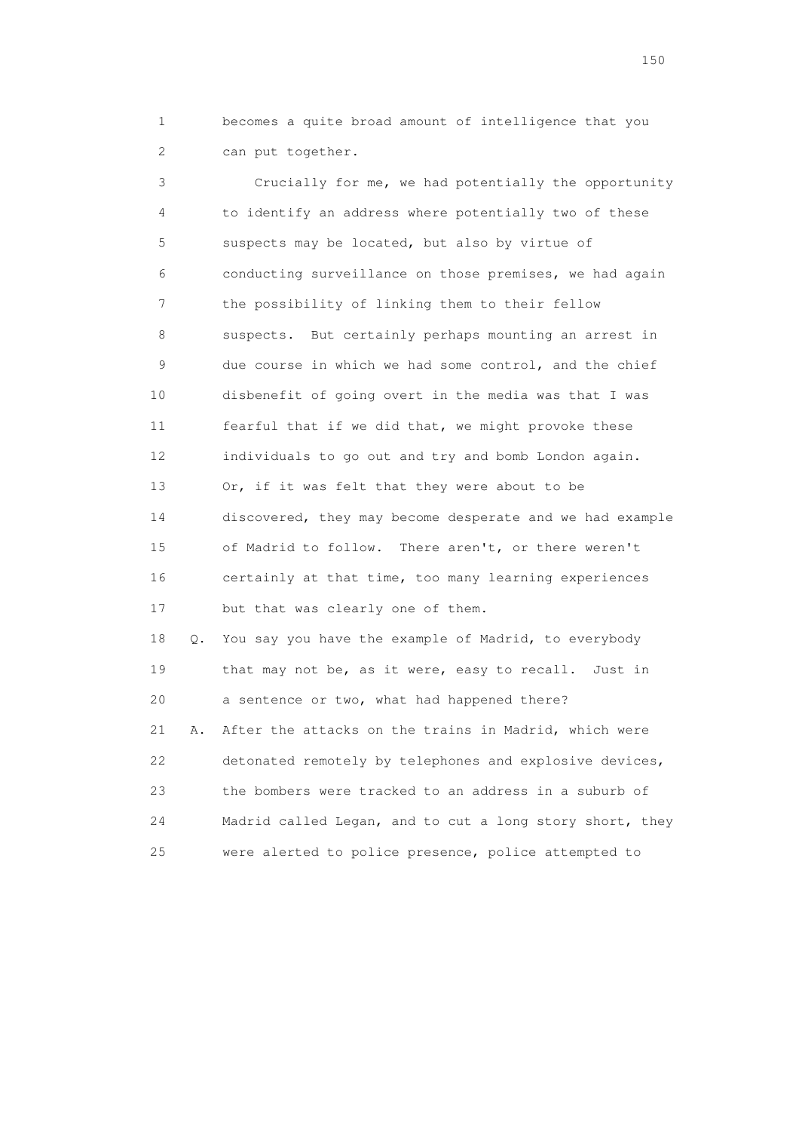1 becomes a quite broad amount of intelligence that you 2 can put together.

 3 Crucially for me, we had potentially the opportunity 4 to identify an address where potentially two of these 5 suspects may be located, but also by virtue of 6 conducting surveillance on those premises, we had again 7 the possibility of linking them to their fellow 8 suspects. But certainly perhaps mounting an arrest in 9 due course in which we had some control, and the chief 10 disbenefit of going overt in the media was that I was 11 fearful that if we did that, we might provoke these 12 individuals to go out and try and bomb London again. 13 Or, if it was felt that they were about to be 14 discovered, they may become desperate and we had example 15 of Madrid to follow. There aren't, or there weren't 16 certainly at that time, too many learning experiences 17 but that was clearly one of them. 18 Q. You say you have the example of Madrid, to everybody 19 that may not be, as it were, easy to recall. Just in

 21 A. After the attacks on the trains in Madrid, which were 22 detonated remotely by telephones and explosive devices, 23 the bombers were tracked to an address in a suburb of 24 Madrid called Legan, and to cut a long story short, they 25 were alerted to police presence, police attempted to

20 a sentence or two, what had happened there?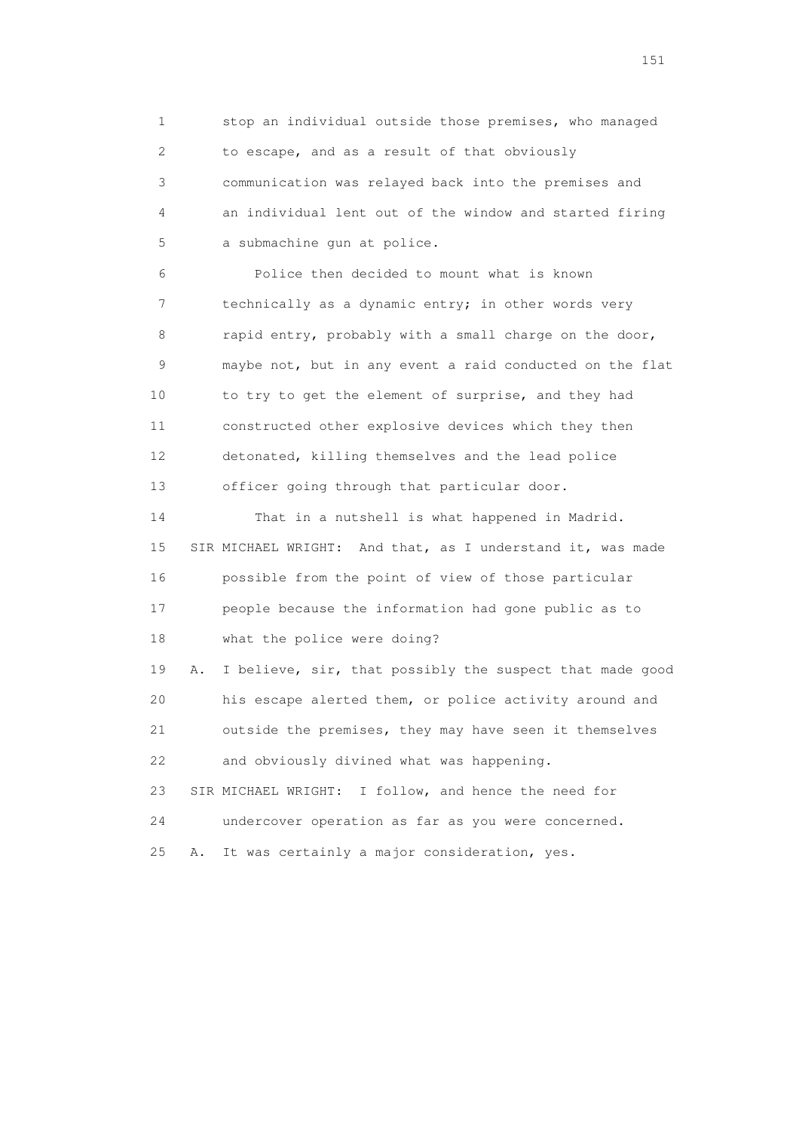1 stop an individual outside those premises, who managed 2 to escape, and as a result of that obviously 3 communication was relayed back into the premises and 4 an individual lent out of the window and started firing 5 a submachine gun at police.

 6 Police then decided to mount what is known 7 technically as a dynamic entry; in other words very 8 rapid entry, probably with a small charge on the door, 9 maybe not, but in any event a raid conducted on the flat 10 to try to get the element of surprise, and they had 11 constructed other explosive devices which they then 12 detonated, killing themselves and the lead police 13 officer going through that particular door.

 14 That in a nutshell is what happened in Madrid. 15 SIR MICHAEL WRIGHT: And that, as I understand it, was made 16 possible from the point of view of those particular 17 people because the information had gone public as to 18 what the police were doing?

 19 A. I believe, sir, that possibly the suspect that made good 20 his escape alerted them, or police activity around and 21 outside the premises, they may have seen it themselves 22 and obviously divined what was happening. 23 SIR MICHAEL WRIGHT: I follow, and hence the need for

24 undercover operation as far as you were concerned.

25 A. It was certainly a major consideration, yes.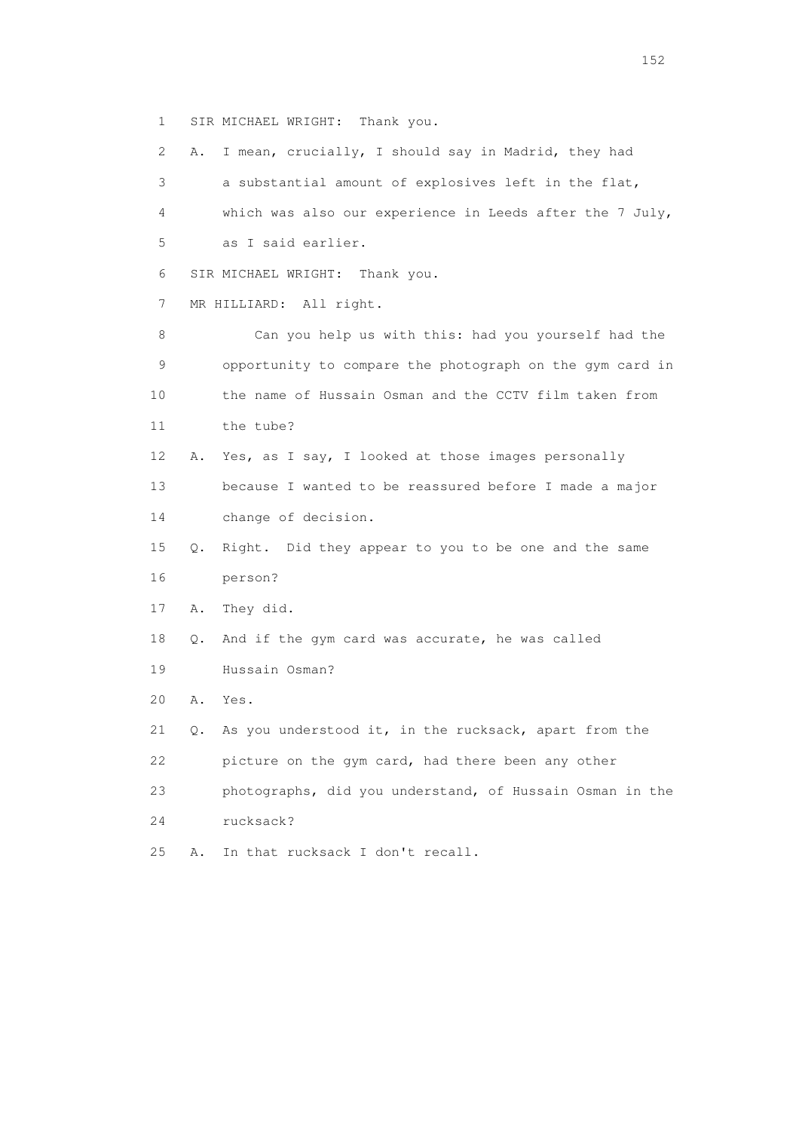1 SIR MICHAEL WRIGHT: Thank you.

 2 A. I mean, crucially, I should say in Madrid, they had 3 a substantial amount of explosives left in the flat, 4 which was also our experience in Leeds after the 7 July, 5 as I said earlier. 6 SIR MICHAEL WRIGHT: Thank you. 7 MR HILLIARD: All right. 8 Can you help us with this: had you yourself had the 9 opportunity to compare the photograph on the gym card in 10 the name of Hussain Osman and the CCTV film taken from 11 the tube? 12 A. Yes, as I say, I looked at those images personally 13 because I wanted to be reassured before I made a major 14 change of decision. 15 Q. Right. Did they appear to you to be one and the same 16 person? 17 A. They did. 18 Q. And if the gym card was accurate, he was called 19 Hussain Osman? 20 A. Yes. 21 Q. As you understood it, in the rucksack, apart from the 22 picture on the gym card, had there been any other 23 photographs, did you understand, of Hussain Osman in the 24 rucksack? 25 A. In that rucksack I don't recall.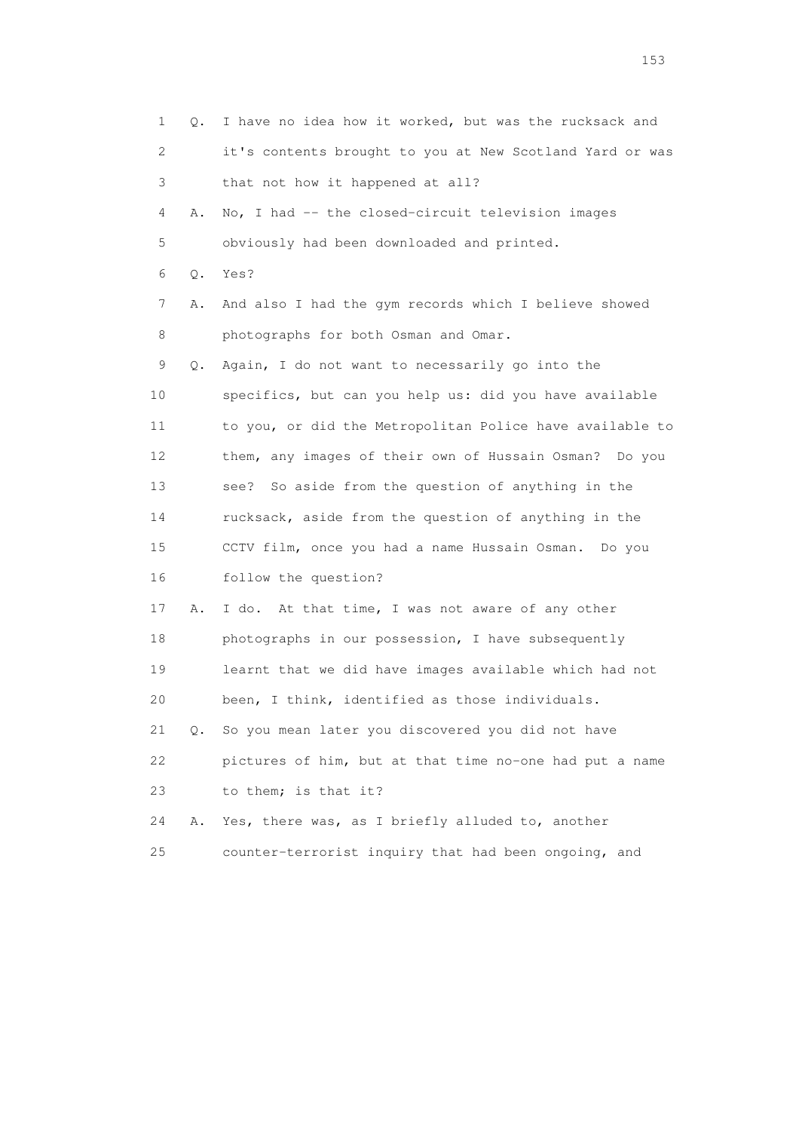| 1               | Q.    | I have no idea how it worked, but was the rucksack and   |
|-----------------|-------|----------------------------------------------------------|
| 2               |       | it's contents brought to you at New Scotland Yard or was |
| 3               |       | that not how it happened at all?                         |
| 4               | Α.    | No, I had -- the closed-circuit television images        |
| 5               |       | obviously had been downloaded and printed.               |
| 6               | $Q$ . | Yes?                                                     |
| 7               | Α.    | And also I had the gym records which I believe showed    |
| 8               |       | photographs for both Osman and Omar.                     |
| 9               | Q.    | Again, I do not want to necessarily go into the          |
| 10              |       | specifics, but can you help us: did you have available   |
| 11              |       | to you, or did the Metropolitan Police have available to |
| 12 <sup>°</sup> |       | them, any images of their own of Hussain Osman? Do you   |
| 13              |       | So aside from the question of anything in the<br>see?    |
| 14              |       | rucksack, aside from the question of anything in the     |
| 15              |       | CCTV film, once you had a name Hussain Osman. Do you     |
| 16              |       | follow the question?                                     |
| 17              | Α.    | I do. At that time, I was not aware of any other         |
| 18              |       | photographs in our possession, I have subsequently       |
| 19              |       | learnt that we did have images available which had not   |
| 20              |       | been, I think, identified as those individuals.          |
| 21              | Q.    | So you mean later you discovered you did not have        |
| 22              |       | pictures of him, but at that time no-one had put a name  |
| 23              |       | to them; is that it?                                     |
| 24              | Α.    | Yes, there was, as I briefly alluded to, another         |
| 25              |       | counter-terrorist inquiry that had been ongoing, and     |

<u>153</u>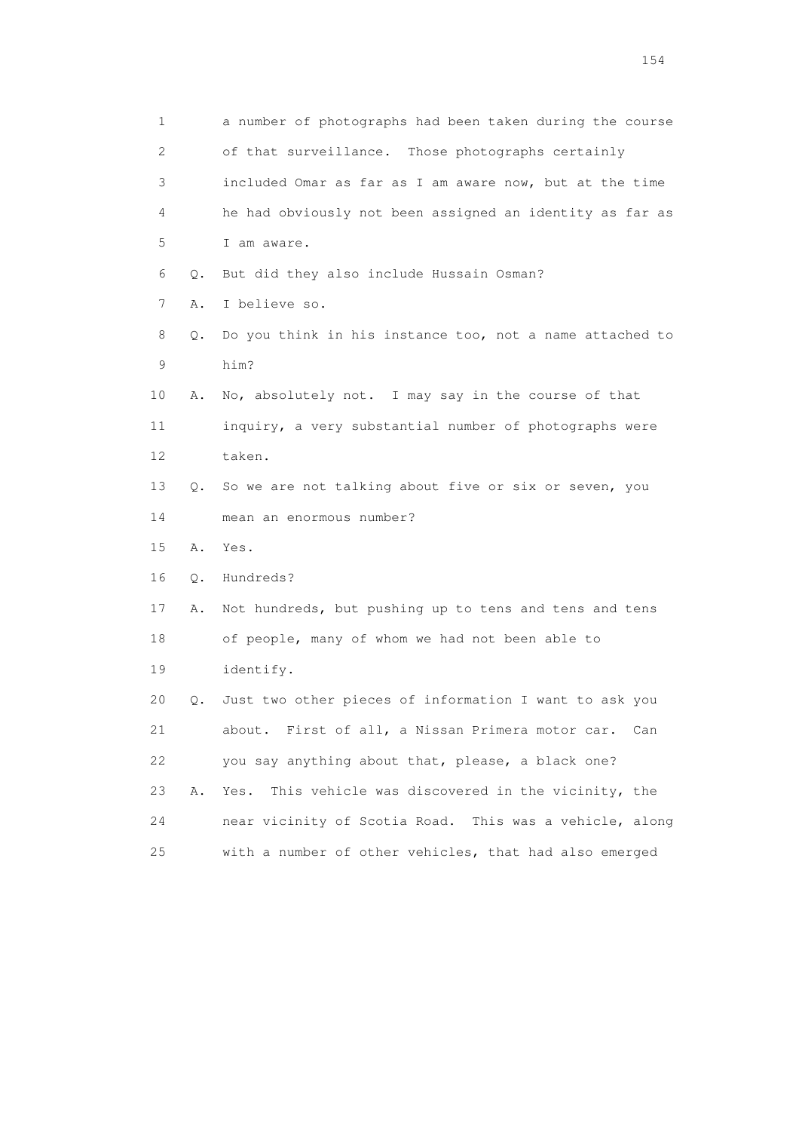| 1                         |           | a number of photographs had been taken during the course |
|---------------------------|-----------|----------------------------------------------------------|
| $\mathbf{2}^{\mathsf{I}}$ |           | of that surveillance. Those photographs certainly        |
| 3                         |           | included Omar as far as I am aware now, but at the time  |
| 4                         |           | he had obviously not been assigned an identity as far as |
| 5                         |           | I am aware.                                              |
| 6                         | Q.        | But did they also include Hussain Osman?                 |
| 7                         | Α.        | I believe so.                                            |
| 8                         | Q.        | Do you think in his instance too, not a name attached to |
| 9                         |           | him?                                                     |
| 10                        | Α.        | No, absolutely not. I may say in the course of that      |
| 11                        |           | inquiry, a very substantial number of photographs were   |
| 12                        |           | taken.                                                   |
| 13                        | Q.        | So we are not talking about five or six or seven, you    |
| 14                        |           | mean an enormous number?                                 |
| 15                        | Α.        | Yes.                                                     |
| 16                        | Q.        | Hundreds?                                                |
| 17                        | Α.        | Not hundreds, but pushing up to tens and tens and tens   |
| 18                        |           | of people, many of whom we had not been able to          |
| 19                        |           | identify.                                                |
| 20                        | $\circ$ . | Just two other pieces of information I want to ask you   |
| 21                        |           | about. First of all, a Nissan Primera motor car.<br>Can  |
| 22                        |           | you say anything about that, please, a black one?        |
| 23                        | Α.        | This vehicle was discovered in the vicinity, the<br>Yes. |
| 24                        |           | near vicinity of Scotia Road. This was a vehicle, along  |
| 25                        |           | with a number of other vehicles, that had also emerged   |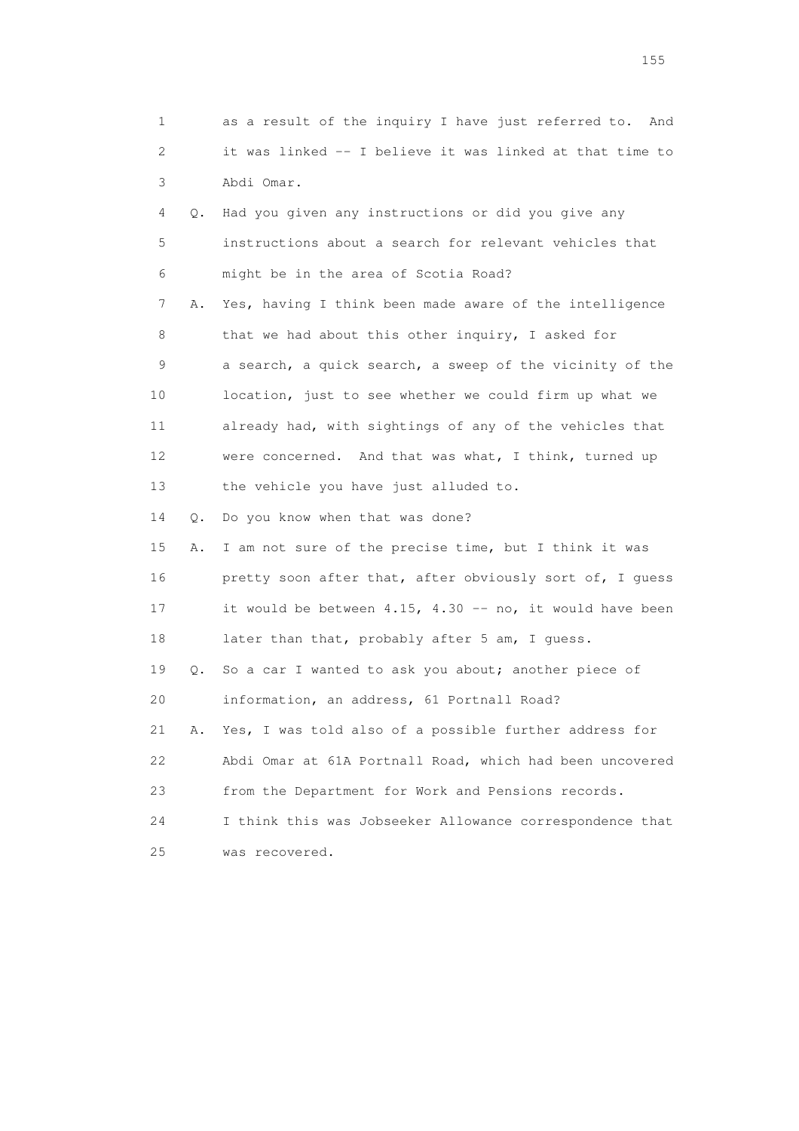1 as a result of the inquiry I have just referred to. And 2 it was linked -- I believe it was linked at that time to 3 Abdi Omar.

 4 Q. Had you given any instructions or did you give any 5 instructions about a search for relevant vehicles that 6 might be in the area of Scotia Road? 7 A. Yes, having I think been made aware of the intelligence 8 that we had about this other inquiry, I asked for 9 a search, a quick search, a sweep of the vicinity of the 10 location, just to see whether we could firm up what we 11 already had, with sightings of any of the vehicles that 12 were concerned. And that was what, I think, turned up 13 the vehicle you have just alluded to. 14 Q. Do you know when that was done? 15 A. I am not sure of the precise time, but I think it was

 16 pretty soon after that, after obviously sort of, I guess 17 it would be between 4.15, 4.30 -- no, it would have been 18 later than that, probably after 5 am, I guess. 19 Q. So a car I wanted to ask you about; another piece of 20 information, an address, 61 Portnall Road? 21 A. Yes, I was told also of a possible further address for 22 Abdi Omar at 61A Portnall Road, which had been uncovered 23 from the Department for Work and Pensions records. 24 I think this was Jobseeker Allowance correspondence that 25 was recovered.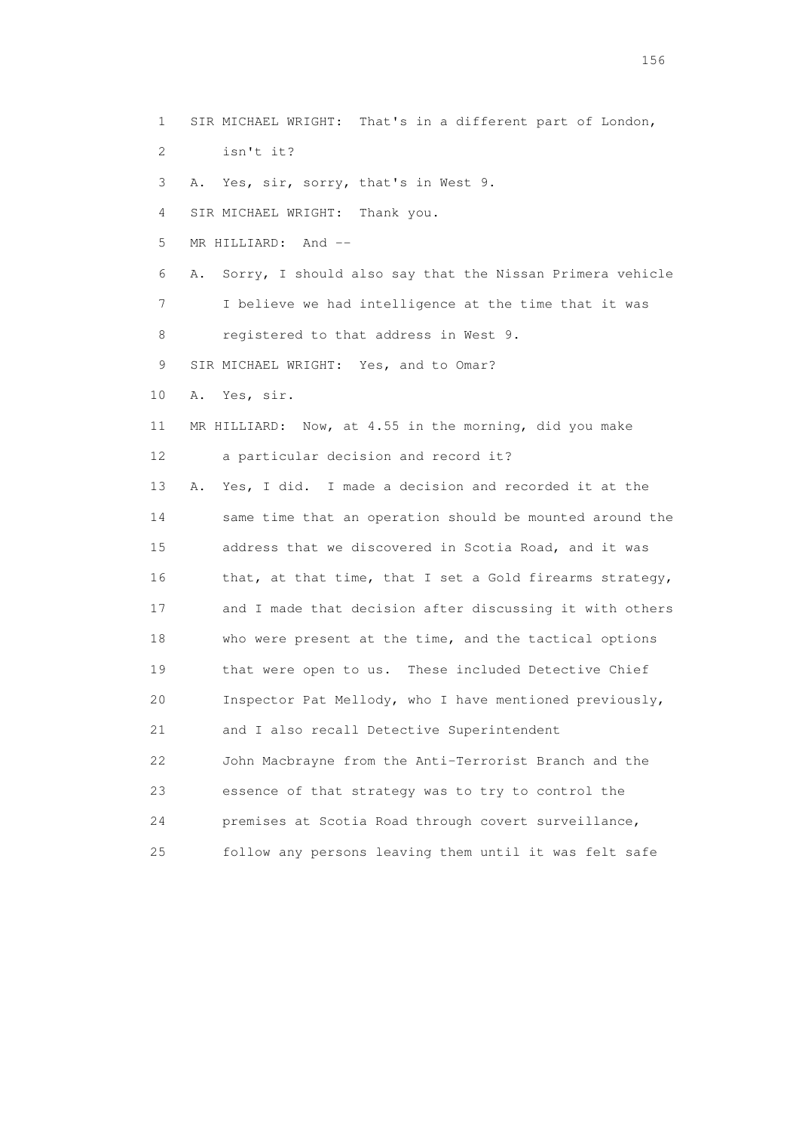1 SIR MICHAEL WRIGHT: That's in a different part of London,

- 2 isn't it?
- 3 A. Yes, sir, sorry, that's in West 9.

4 SIR MICHAEL WRIGHT: Thank you.

5 MR HILLIARD: And --

 6 A. Sorry, I should also say that the Nissan Primera vehicle 7 I believe we had intelligence at the time that it was

8 registered to that address in West 9.

9 SIR MICHAEL WRIGHT: Yes, and to Omar?

10 A. Yes, sir.

 11 MR HILLIARD: Now, at 4.55 in the morning, did you make 12 a particular decision and record it?

 13 A. Yes, I did. I made a decision and recorded it at the 14 same time that an operation should be mounted around the 15 address that we discovered in Scotia Road, and it was 16 that, at that time, that I set a Gold firearms strategy, 17 and I made that decision after discussing it with others 18 who were present at the time, and the tactical options 19 that were open to us. These included Detective Chief 20 Inspector Pat Mellody, who I have mentioned previously, 21 and I also recall Detective Superintendent 22 John Macbrayne from the Anti-Terrorist Branch and the 23 essence of that strategy was to try to control the 24 premises at Scotia Road through covert surveillance, 25 follow any persons leaving them until it was felt safe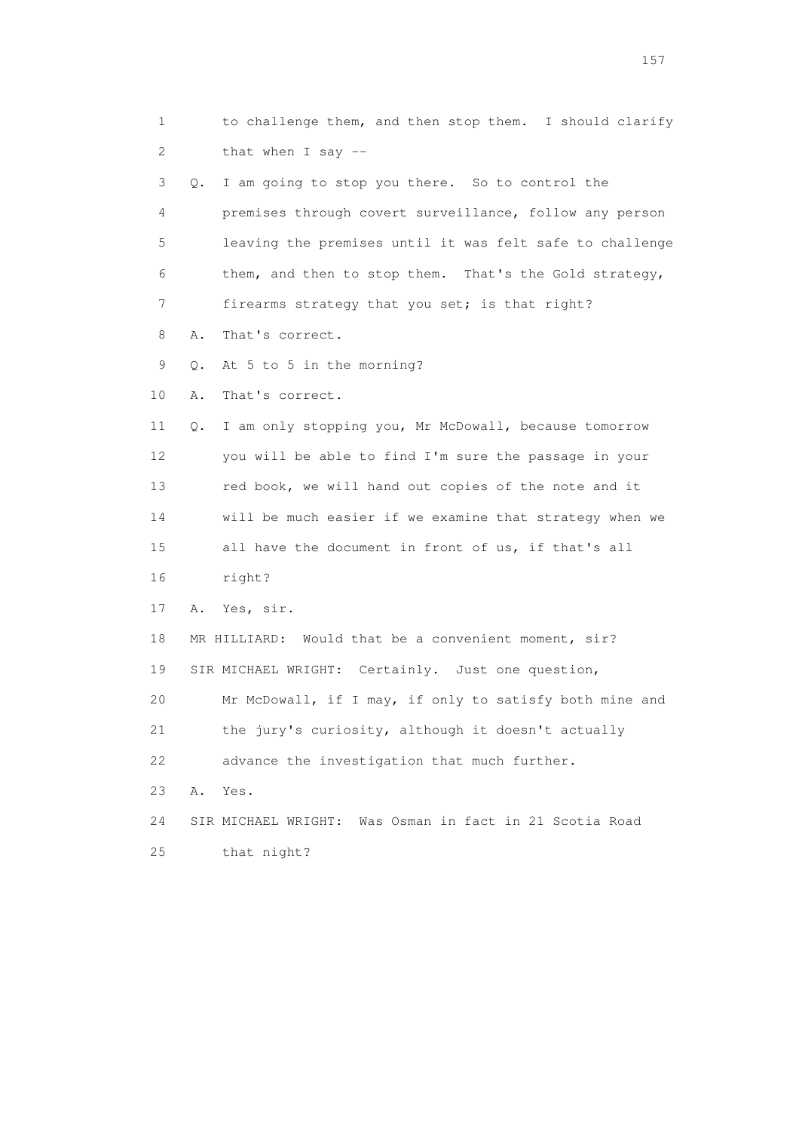1 to challenge them, and then stop them. I should clarify 2 that when I say -- 3 Q. I am going to stop you there. So to control the 4 premises through covert surveillance, follow any person 5 leaving the premises until it was felt safe to challenge 6 them, and then to stop them. That's the Gold strategy, 7 firearms strategy that you set; is that right? 8 A. That's correct. 9 Q. At 5 to 5 in the morning? 10 A. That's correct. 11 Q. I am only stopping you, Mr McDowall, because tomorrow 12 you will be able to find I'm sure the passage in your 13 red book, we will hand out copies of the note and it 14 will be much easier if we examine that strategy when we 15 all have the document in front of us, if that's all 16 right? 17 A. Yes, sir. 18 MR HILLIARD: Would that be a convenient moment, sir? 19 SIR MICHAEL WRIGHT: Certainly. Just one question, 20 Mr McDowall, if I may, if only to satisfy both mine and 21 the jury's curiosity, although it doesn't actually 22 advance the investigation that much further. 23 A. Yes. 24 SIR MICHAEL WRIGHT: Was Osman in fact in 21 Scotia Road 25 that night?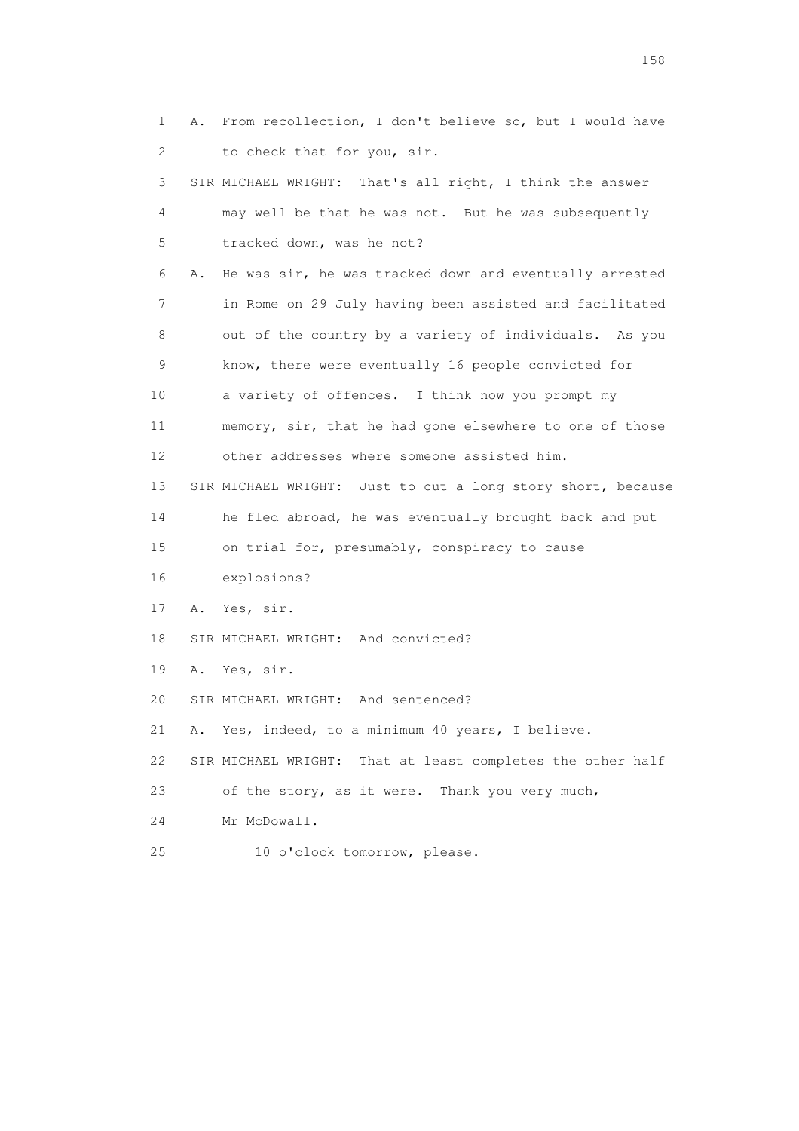1 A. From recollection, I don't believe so, but I would have 2 to check that for you, sir. 3 SIR MICHAEL WRIGHT: That's all right, I think the answer 4 may well be that he was not. But he was subsequently 5 tracked down, was he not? 6 A. He was sir, he was tracked down and eventually arrested 7 in Rome on 29 July having been assisted and facilitated 8 out of the country by a variety of individuals. As you 9 know, there were eventually 16 people convicted for 10 a variety of offences. I think now you prompt my 11 memory, sir, that he had gone elsewhere to one of those 12 other addresses where someone assisted him. 13 SIR MICHAEL WRIGHT: Just to cut a long story short, because 14 he fled abroad, he was eventually brought back and put 15 on trial for, presumably, conspiracy to cause 16 explosions? 17 A. Yes, sir. 18 SIR MICHAEL WRIGHT: And convicted? 19 A. Yes, sir. 20 SIR MICHAEL WRIGHT: And sentenced? 21 A. Yes, indeed, to a minimum 40 years, I believe. 22 SIR MICHAEL WRIGHT: That at least completes the other half 23 of the story, as it were. Thank you very much, 24 Mr McDowall. 25 10 o'clock tomorrow, please.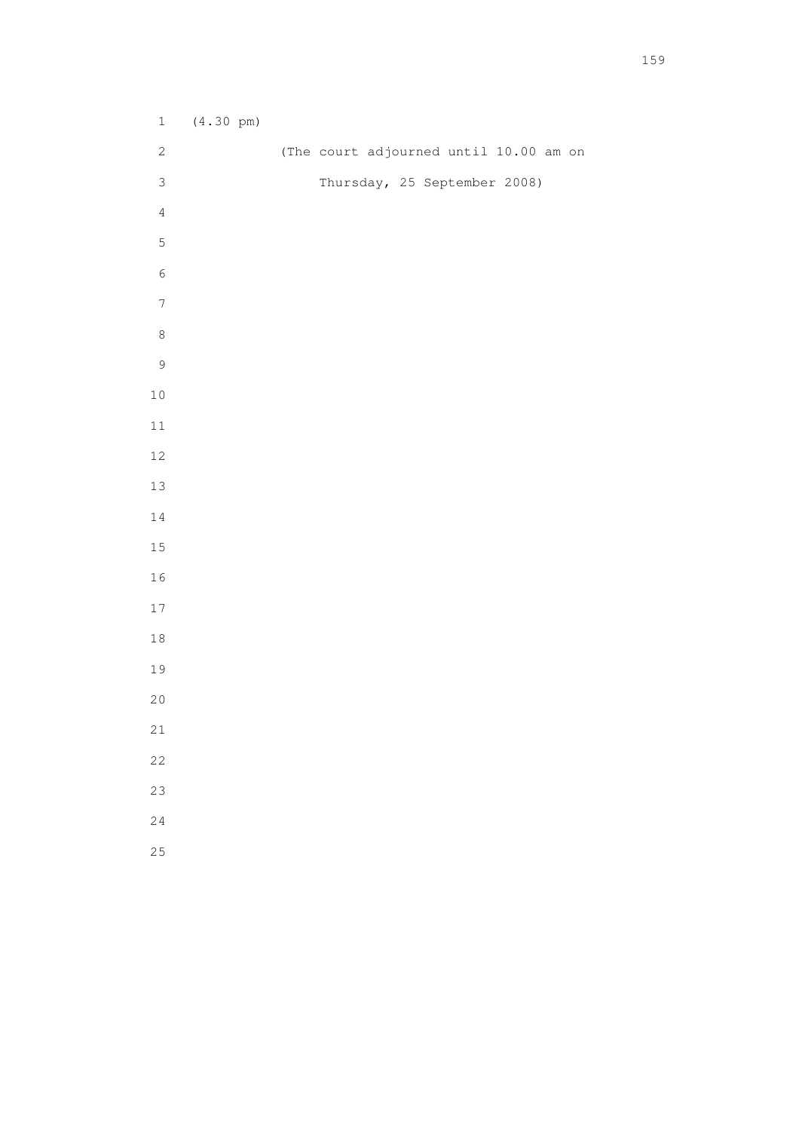| $\mathbf 1$      | $(4.30 \text{ pm})$ |                                        |
|------------------|---------------------|----------------------------------------|
| $\mathbf{2}$     |                     | (The court adjourned until 10.00 am on |
| $\mathfrak{Z}$   |                     | Thursday, 25 September 2008)           |
| $\overline{4}$   |                     |                                        |
| 5                |                     |                                        |
| $\sqrt{6}$       |                     |                                        |
| $\boldsymbol{7}$ |                     |                                        |
| $\,8\,$          |                     |                                        |
| $\mathsf 9$      |                     |                                        |
| $1\,0$           |                     |                                        |
| $11\,$           |                     |                                        |
| $12\,$           |                     |                                        |
| 13               |                     |                                        |
| $1\,4$           |                     |                                        |
| $1\,5$           |                     |                                        |
| $16\,$           |                     |                                        |
| $17\,$           |                     |                                        |
| $1\,8$           |                     |                                        |
| 19               |                     |                                        |
| $20$             |                     |                                        |
| 21               |                     |                                        |
| 22               |                     |                                        |
| 23               |                     |                                        |
| 24               |                     |                                        |
| 25               |                     |                                        |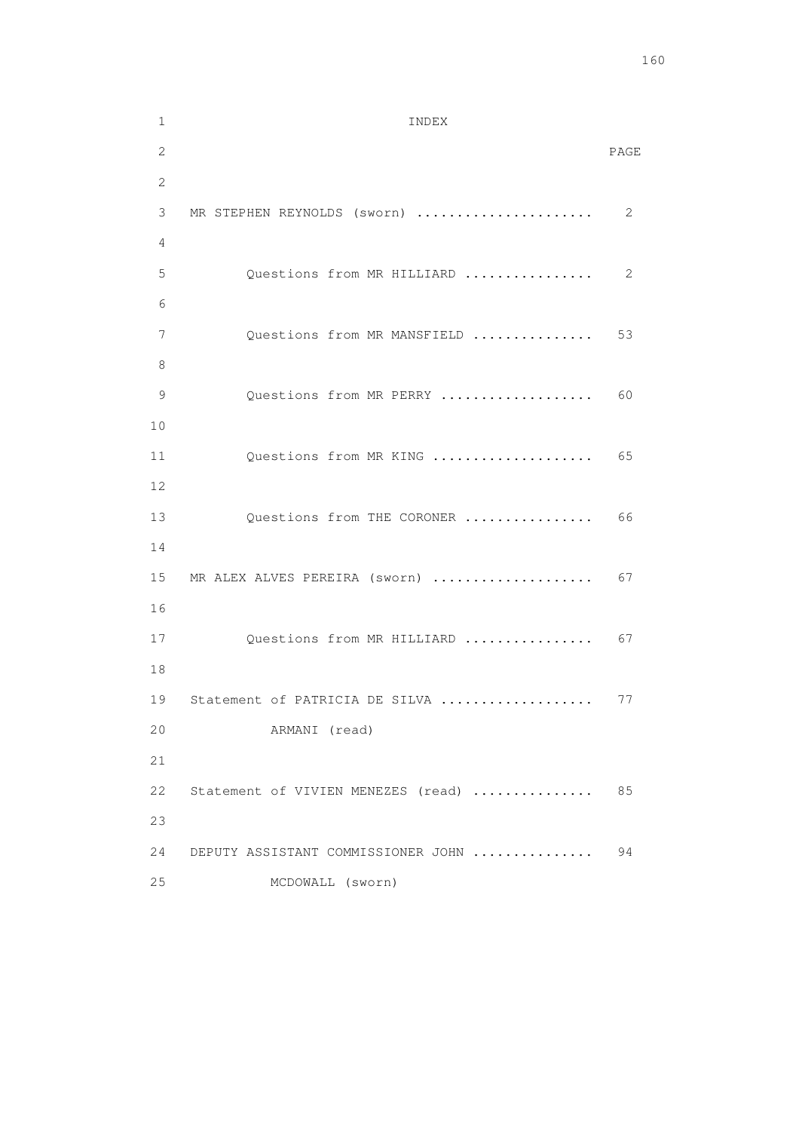```
 1 INDEX 
2 PAGE 
       2 
       3 MR STEPHEN REYNOLDS (sworn) ...................... 2 
       4 
      5 Questions from MR HILLIARD ................. 2
6 
      7 Questions from MR MANSFIELD ................ 53
       8 
      9 Questions from MR PERRY ..................... 60
       10 
      11 Questions from MR KING ..................... 65
       12 
     13 Questions from THE CORONER ................. 66
       14 
     15 MR ALEX ALVES PEREIRA (sworn) ..................... 67
      16 
      17 Questions from MR HILLIARD .................. 67
       18 
      19 Statement of PATRICIA DE SILVA ..................... 77
       20 ARMANI (read) 
       21 
       22 Statement of VIVIEN MENEZES (read) ............... 85 
       23 
       24 DEPUTY ASSISTANT COMMISSIONER JOHN ............... 94 
       25 MCDOWALL (sworn)
```